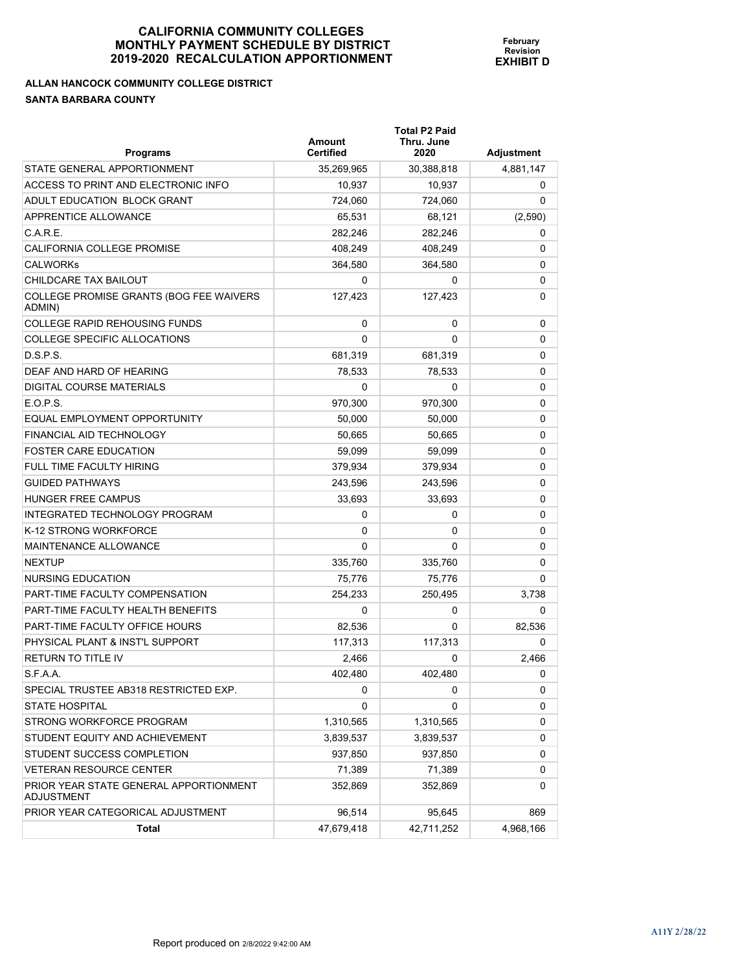**February Revision EXHIBIT D** 

**ALLAN HANCOCK COMMUNITY COLLEGE DISTRICT SANTA BARBARA COUNTY** 

| <b>Programs</b>                                             | <b>Amount</b><br><b>Certified</b> | <b>Total P2 Paid</b><br>Thru. June<br>2020 | Adjustment |
|-------------------------------------------------------------|-----------------------------------|--------------------------------------------|------------|
| STATE GENERAL APPORTIONMENT                                 | 35,269,965                        | 30,388,818                                 | 4,881,147  |
| ACCESS TO PRINT AND ELECTRONIC INFO                         | 10.937                            | 10,937                                     | 0          |
| ADULT EDUCATION BLOCK GRANT                                 | 724,060                           | 724,060                                    | 0          |
| APPRENTICE ALLOWANCE                                        | 65,531                            | 68,121                                     | (2,590)    |
| C.A.R.E.                                                    | 282,246                           | 282,246                                    | 0          |
| CALIFORNIA COLLEGE PROMISE                                  | 408,249                           | 408,249                                    | 0          |
| <b>CALWORKS</b>                                             | 364,580                           | 364,580                                    | 0          |
| CHILDCARE TAX BAILOUT                                       | 0                                 | 0                                          | 0          |
| COLLEGE PROMISE GRANTS (BOG FEE WAIVERS<br>ADMIN)           | 127,423                           | 127,423                                    | 0          |
| <b>COLLEGE RAPID REHOUSING FUNDS</b>                        | 0                                 | 0                                          | 0          |
| COLLEGE SPECIFIC ALLOCATIONS                                | $\Omega$                          | 0                                          | 0          |
| D.S.P.S.                                                    | 681,319                           | 681,319                                    | 0          |
| DEAF AND HARD OF HEARING                                    | 78.533                            | 78,533                                     | 0          |
| DIGITAL COURSE MATERIALS                                    | 0                                 | 0                                          | 0          |
| FOPS                                                        | 970,300                           | 970.300                                    | 0          |
| EQUAL EMPLOYMENT OPPORTUNITY                                | 50.000                            | 50,000                                     | 0          |
| FINANCIAL AID TECHNOLOGY                                    | 50.665                            | 50,665                                     | 0          |
| <b>FOSTER CARE EDUCATION</b>                                | 59,099                            | 59.099                                     | 0          |
| <b>FULL TIME FACULTY HIRING</b>                             | 379,934                           | 379,934                                    | 0          |
| <b>GUIDED PATHWAYS</b>                                      | 243,596                           | 243,596                                    | 0          |
| <b>HUNGER FREE CAMPUS</b>                                   | 33,693                            | 33,693                                     | 0          |
| INTEGRATED TECHNOLOGY PROGRAM                               | 0                                 | 0                                          | 0          |
| K-12 STRONG WORKFORCE                                       | 0                                 | 0                                          | 0          |
| <b>MAINTENANCE ALLOWANCE</b>                                | $\Omega$                          | 0                                          | 0          |
| <b>NEXTUP</b>                                               | 335,760                           | 335,760                                    | 0          |
| NURSING EDUCATION                                           | 75,776                            | 75,776                                     | 0          |
| PART-TIME FACULTY COMPENSATION                              | 254,233                           | 250,495                                    | 3,738      |
| PART-TIME FACULTY HEALTH BENEFITS                           | 0                                 | 0                                          | 0          |
| PART-TIME FACULTY OFFICE HOURS                              | 82,536                            | 0                                          | 82,536     |
| PHYSICAL PLANT & INST'L SUPPORT                             | 117,313                           | 117,313                                    | 0          |
| <b>RETURN TO TITLE IV</b>                                   | 2.466                             | 0                                          | 2.466      |
| S.F.A.A.                                                    | 402,480                           | 402,480                                    | 0          |
| SPECIAL TRUSTEE AB318 RESTRICTED EXP.                       | 0                                 | 0                                          | 0          |
| <b>STATE HOSPITAL</b>                                       | 0                                 | 0                                          | 0          |
| STRONG WORKFORCE PROGRAM                                    | 1,310,565                         | 1,310,565                                  | 0          |
| STUDENT EQUITY AND ACHIEVEMENT                              | 3,839,537                         | 3,839,537                                  | 0          |
| STUDENT SUCCESS COMPLETION                                  | 937,850                           | 937,850                                    | 0          |
| <b>VETERAN RESOURCE CENTER</b>                              | 71,389                            | 71,389                                     | 0          |
| PRIOR YEAR STATE GENERAL APPORTIONMENT<br><b>ADJUSTMENT</b> | 352,869                           | 352,869                                    | 0          |
| PRIOR YEAR CATEGORICAL ADJUSTMENT                           | 96,514                            | 95,645                                     | 869        |
| Total                                                       | 47,679,418                        | 42,711,252                                 | 4,968,166  |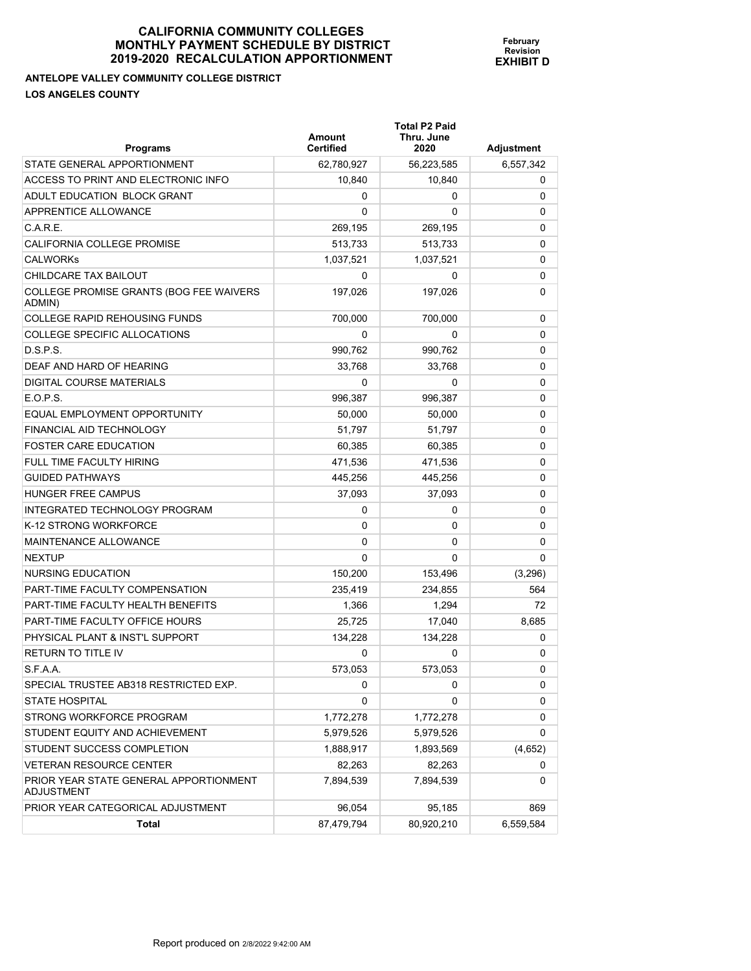**Total P2 Paid** 

**February Revision EXHIBIT D**

**ANTELOPE VALLEY COMMUNITY COLLEGE DISTRICT LOS ANGELES COUNTY** 

| <b>Programs</b>                                      | Amount<br><b>Certified</b> | Thru. June<br>2020 | <b>Adjustment</b> |
|------------------------------------------------------|----------------------------|--------------------|-------------------|
| STATE GENERAL APPORTIONMENT                          | 62,780,927                 | 56,223,585         | 6,557,342         |
| ACCESS TO PRINT AND ELECTRONIC INFO                  | 10,840                     | 10,840             | 0                 |
| ADULT EDUCATION BLOCK GRANT                          | 0                          | 0                  | 0                 |
| APPRENTICE ALLOWANCE                                 | 0                          | $\Omega$           | 0                 |
| C.A.R.E.                                             | 269,195                    | 269,195            | 0                 |
| CALIFORNIA COLLEGE PROMISE                           | 513,733                    | 513,733            | 0                 |
| CALWORKs                                             | 1,037,521                  | 1,037,521          | 0                 |
| CHILDCARE TAX BAILOUT                                | 0                          | 0                  | 0                 |
| COLLEGE PROMISE GRANTS (BOG FEE WAIVERS<br>ADMIN)    | 197,026                    | 197,026            | 0                 |
| COLLEGE RAPID REHOUSING FUNDS                        | 700,000                    | 700,000            | 0                 |
| COLLEGE SPECIFIC ALLOCATIONS                         | $\Omega$                   | 0                  | 0                 |
| D.S.P.S.                                             | 990,762                    | 990,762            | 0                 |
| DEAF AND HARD OF HEARING                             | 33,768                     | 33,768             | 0                 |
| DIGITAL COURSE MATERIALS                             | 0                          | 0                  | 0                 |
| E.O.P.S.                                             | 996,387                    | 996,387            | 0                 |
| EQUAL EMPLOYMENT OPPORTUNITY                         | 50,000                     | 50,000             | 0                 |
| FINANCIAL AID TECHNOLOGY                             | 51.797                     | 51,797             | 0                 |
| <b>FOSTER CARE EDUCATION</b>                         | 60,385                     | 60,385             | 0                 |
| FULL TIME FACULTY HIRING                             | 471,536                    | 471,536            | 0                 |
| GUIDED PATHWAYS                                      | 445,256                    | 445,256            | 0                 |
| HUNGER FREE CAMPUS                                   | 37,093                     | 37,093             | 0                 |
| INTEGRATED TECHNOLOGY PROGRAM                        | 0                          | 0                  | 0                 |
| K-12 STRONG WORKFORCE                                | 0                          | 0                  | 0                 |
| MAINTENANCE ALLOWANCE                                | 0                          | 0                  | 0                 |
| NEXTUP                                               | 0                          | 0                  | $\Omega$          |
| NURSING EDUCATION                                    | 150,200                    | 153,496            | (3, 296)          |
| PART-TIME FACULTY COMPENSATION                       | 235,419                    | 234,855            | 564               |
| PART-TIME FACULTY HEALTH BENEFITS                    | 1,366                      | 1,294              | 72                |
| PART-TIME FACULTY OFFICE HOURS                       | 25,725                     | 17,040             | 8,685             |
| PHYSICAL PLANT & INST'L SUPPORT                      | 134,228                    | 134,228            | 0                 |
| RETURN TO TITLE IV                                   | 0                          | 0                  | 0                 |
| S.F.A.A.                                             | 573.053                    | 573,053            | 0                 |
| SPECIAL TRUSTEE AB318 RESTRICTED EXP.                | 0                          | 0                  | 0                 |
| <b>STATE HOSPITAL</b>                                | 0                          | 0                  | 0                 |
| STRONG WORKFORCE PROGRAM                             | 1,772,278                  | 1,772,278          | 0                 |
| STUDENT EQUITY AND ACHIEVEMENT                       | 5,979,526                  | 5,979,526          | 0                 |
| STUDENT SUCCESS COMPLETION                           | 1,888,917                  | 1,893,569          | (4,652)           |
| <b>VETERAN RESOURCE CENTER</b>                       | 82,263                     | 82,263             | 0                 |
| PRIOR YEAR STATE GENERAL APPORTIONMENT<br>ADJUSTMENT | 7,894,539                  | 7,894,539          | 0                 |
| PRIOR YEAR CATEGORICAL ADJUSTMENT                    | 96,054                     | 95,185             | 869               |
| <b>Total</b>                                         | 87,479,794                 | 80,920,210         | 6,559,584         |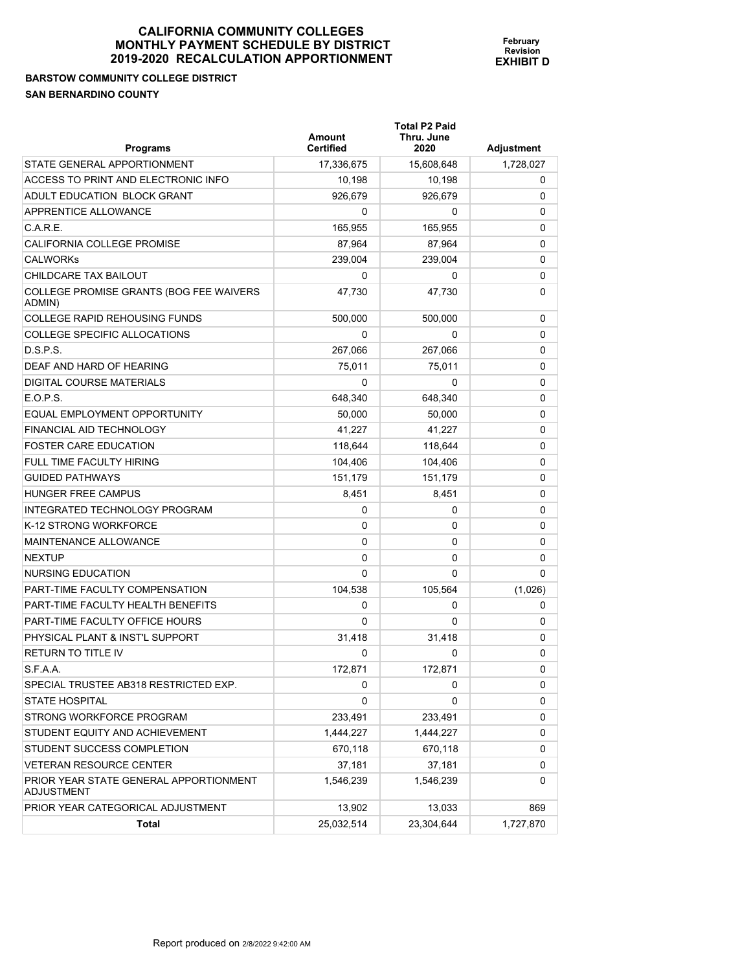| <b>Programs</b>                                      | Amount<br><b>Certified</b> | <b>Total P2 Paid</b><br>Thru. June<br>2020 | <b>Adjustment</b> |
|------------------------------------------------------|----------------------------|--------------------------------------------|-------------------|
| STATE GENERAL APPORTIONMENT                          | 17,336,675                 | 15,608,648                                 | 1,728,027         |
| ACCESS TO PRINT AND ELECTRONIC INFO                  | 10,198                     | 10,198                                     | 0                 |
| ADULT EDUCATION BLOCK GRANT                          | 926,679                    | 926,679                                    | 0                 |
| APPRENTICE ALLOWANCE                                 | 0                          | 0                                          | 0                 |
| C.A.R.E.                                             | 165,955                    | 165,955                                    | 0                 |
| CALIFORNIA COLLEGE PROMISE                           | 87,964                     | 87.964                                     | 0                 |
| <b>CALWORKS</b>                                      | 239.004                    | 239.004                                    | 0                 |
| CHILDCARE TAX BAILOUT                                | 0                          | 0                                          | 0                 |
| COLLEGE PROMISE GRANTS (BOG FEE WAIVERS<br>ADMIN)    | 47,730                     | 47,730                                     | 0                 |
| <b>COLLEGE RAPID REHOUSING FUNDS</b>                 | 500,000                    | 500,000                                    | 0                 |
| COLLEGE SPECIFIC ALLOCATIONS                         | 0                          | 0                                          | 0                 |
| D.S.P.S.                                             | 267,066                    | 267,066                                    | 0                 |
| DEAF AND HARD OF HEARING                             | 75,011                     | 75,011                                     | 0                 |
| DIGITAL COURSE MATERIALS                             | $\Omega$                   | 0                                          | 0                 |
| E.O.P.S.                                             | 648,340                    | 648.340                                    | 0                 |
| EQUAL EMPLOYMENT OPPORTUNITY                         | 50,000                     | 50,000                                     | 0                 |
| FINANCIAL AID TECHNOLOGY                             | 41,227                     | 41,227                                     | 0                 |
| <b>FOSTER CARE EDUCATION</b>                         | 118,644                    | 118,644                                    | 0                 |
| FULL TIME FACULTY HIRING                             | 104,406                    | 104.406                                    | 0                 |
| <b>GUIDED PATHWAYS</b>                               | 151,179                    | 151,179                                    | 0                 |
| <b>HUNGER FREE CAMPUS</b>                            | 8,451                      | 8,451                                      | 0                 |
| INTEGRATED TECHNOLOGY PROGRAM                        | 0                          | 0                                          | 0                 |
| K-12 STRONG WORKFORCE                                | 0                          | 0                                          | 0                 |
| <b>MAINTENANCE ALLOWANCE</b>                         | 0                          | 0                                          | 0                 |
| <b>NEXTUP</b>                                        | 0                          | 0                                          | 0                 |
| <b>NURSING EDUCATION</b>                             | $\Omega$                   | 0                                          | 0                 |
| <b>PART-TIME FACULTY COMPENSATION</b>                | 104,538                    | 105,564                                    | (1,026)           |
| PART-TIME FACULTY HEALTH BENEFITS                    | 0                          | 0                                          | 0                 |
| PART-TIME FACULTY OFFICE HOURS                       | 0                          | 0                                          | 0                 |
| PHYSICAL PLANT & INST'L SUPPORT                      | 31,418                     | 31.418                                     | 0                 |
| <b>RETURN TO TITLE IV</b>                            | 0                          | 0                                          | 0                 |
| S.F.A.A.                                             | 172,871                    | 172,871                                    | 0                 |
| SPECIAL TRUSTEE AB318 RESTRICTED EXP.                | 0                          | 0                                          | 0                 |
| <b>STATE HOSPITAL</b>                                | 0                          | 0                                          | 0                 |
| STRONG WORKFORCE PROGRAM                             | 233,491                    | 233,491                                    | 0                 |
| STUDENT EQUITY AND ACHIEVEMENT                       | 1,444,227                  | 1,444,227                                  | 0                 |
| STUDENT SUCCESS COMPLETION                           | 670,118                    | 670,118                                    | 0                 |
| VETERAN RESOURCE CENTER                              | 37,181                     | 37,181                                     | 0                 |
| PRIOR YEAR STATE GENERAL APPORTIONMENT<br>ADJUSTMENT | 1,546,239                  | 1,546,239                                  | 0                 |
| PRIOR YEAR CATEGORICAL ADJUSTMENT                    | 13,902                     | 13,033                                     | 869               |
| <b>Total</b>                                         | 25,032,514                 | 23,304,644                                 | 1,727,870         |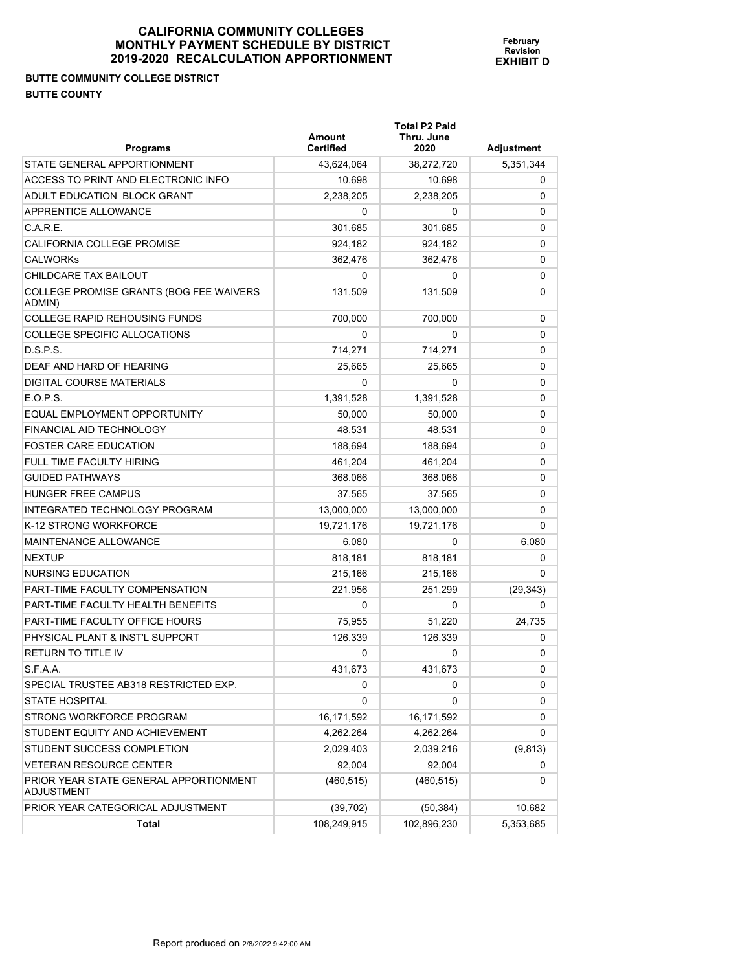# **BUTTE COMMUNITY COLLEGE DISTRICT BUTTE COUNTY**

| <b>Programs</b>                                             | <b>Amount</b><br><b>Certified</b> | <b>Total P2 Paid</b><br>Thru. June<br>2020 | <b>Adjustment</b> |
|-------------------------------------------------------------|-----------------------------------|--------------------------------------------|-------------------|
| STATE GENERAL APPORTIONMENT                                 | 43,624,064                        | 38,272,720                                 | 5,351,344         |
| ACCESS TO PRINT AND ELECTRONIC INFO                         | 10,698                            | 10,698                                     | 0                 |
| ADULT EDUCATION BLOCK GRANT                                 | 2,238,205                         | 2,238,205                                  | 0                 |
| APPRENTICE ALLOWANCE                                        | 0                                 | 0                                          | 0                 |
| C.A.R.E.                                                    | 301,685                           | 301,685                                    | 0                 |
| CALIFORNIA COLLEGE PROMISE                                  | 924,182                           | 924,182                                    | 0                 |
| <b>CALWORKS</b>                                             | 362.476                           | 362,476                                    | 0                 |
| CHILDCARE TAX BAILOUT                                       | 0                                 | 0                                          | 0                 |
| COLLEGE PROMISE GRANTS (BOG FEE WAIVERS<br>ADMIN)           | 131.509                           | 131,509                                    | 0                 |
| <b>COLLEGE RAPID REHOUSING FUNDS</b>                        | 700,000                           | 700,000                                    | 0                 |
| COLLEGE SPECIFIC ALLOCATIONS                                | 0                                 | 0                                          | 0                 |
| D.S.P.S.                                                    | 714,271                           | 714,271                                    | 0                 |
| DEAF AND HARD OF HEARING                                    | 25,665                            | 25,665                                     | 0                 |
| DIGITAL COURSE MATERIALS                                    | 0                                 | 0                                          | 0                 |
| E.O.P.S.                                                    | 1,391,528                         | 1,391,528                                  | 0                 |
| EQUAL EMPLOYMENT OPPORTUNITY                                | 50,000                            | 50,000                                     | 0                 |
| FINANCIAL AID TECHNOLOGY                                    | 48.531                            | 48.531                                     | 0                 |
| <b>FOSTER CARE EDUCATION</b>                                | 188,694                           | 188,694                                    | 0                 |
| FULL TIME FACULTY HIRING                                    | 461,204                           | 461,204                                    | 0                 |
| <b>GUIDED PATHWAYS</b>                                      | 368,066                           | 368,066                                    | 0                 |
| HUNGER FREE CAMPUS                                          | 37,565                            | 37,565                                     | 0                 |
| INTEGRATED TECHNOLOGY PROGRAM                               | 13,000,000                        | 13,000,000                                 | 0                 |
| K-12 STRONG WORKFORCE                                       | 19,721,176                        | 19,721,176                                 | 0                 |
| MAINTENANCE ALLOWANCE                                       | 6,080                             | 0                                          | 6,080             |
| <b>NEXTUP</b>                                               | 818,181                           | 818,181                                    | 0                 |
| NURSING EDUCATION                                           | 215,166                           | 215,166                                    | 0                 |
| PART-TIME FACULTY COMPENSATION                              | 221,956                           | 251,299                                    | (29, 343)         |
| PART-TIME FACULTY HEALTH BENEFITS                           | 0                                 | 0                                          | 0                 |
| PART-TIME FACULTY OFFICE HOURS                              | 75,955                            | 51,220                                     | 24.735            |
| PHYSICAL PLANT & INST'L SUPPORT                             | 126,339                           | 126,339                                    | 0                 |
| <b>RETURN TO TITLE IV</b>                                   | 0                                 | 0                                          | 0                 |
| S.F.A.A.                                                    | 431,673                           | 431,673                                    | 0                 |
| SPECIAL TRUSTEE AB318 RESTRICTED EXP.                       | 0                                 | 0                                          | 0                 |
| <b>STATE HOSPITAL</b>                                       | 0                                 | 0                                          | 0                 |
| STRONG WORKFORCE PROGRAM                                    | 16,171,592                        | 16,171,592                                 | 0                 |
| STUDENT EQUITY AND ACHIEVEMENT                              | 4,262,264                         | 4,262,264                                  | 0                 |
| STUDENT SUCCESS COMPLETION                                  | 2,029,403                         | 2,039,216                                  | (9, 813)          |
| <b>VETERAN RESOURCE CENTER</b>                              | 92,004                            | 92,004                                     | 0                 |
| PRIOR YEAR STATE GENERAL APPORTIONMENT<br><b>ADJUSTMENT</b> | (460, 515)                        | (460, 515)                                 | 0                 |
| PRIOR YEAR CATEGORICAL ADJUSTMENT                           | (39, 702)                         | (50, 384)                                  | 10,682            |
| <b>Total</b>                                                | 108,249,915                       | 102,896,230                                | 5,353,685         |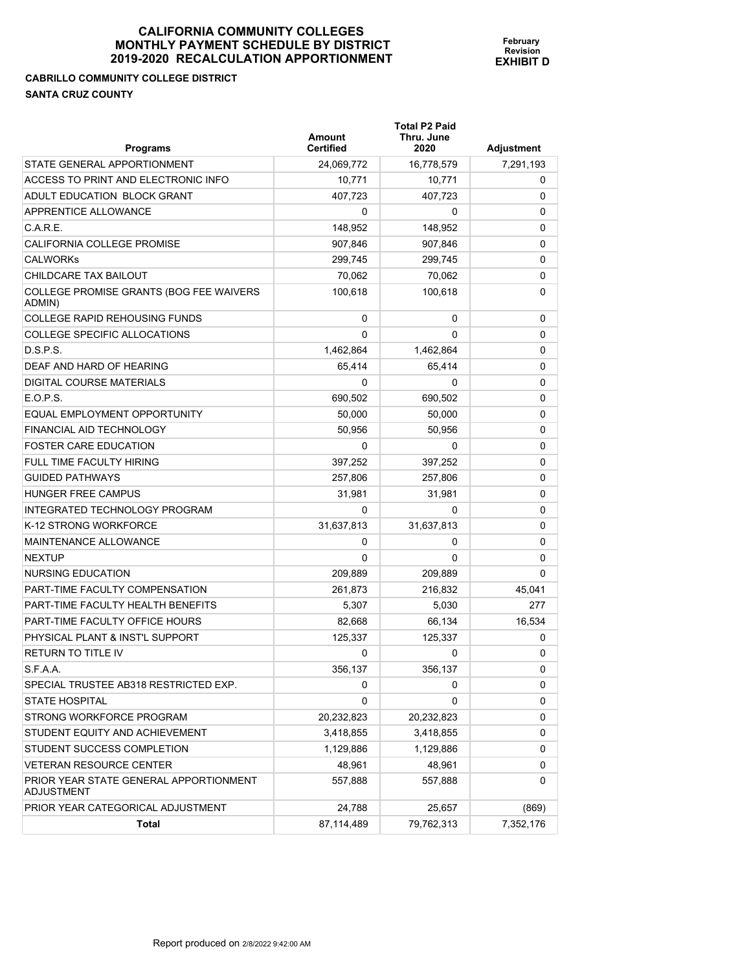**February Revision EXHIBIT D**

**CABRILLO COMMUNITY COLLEGE DISTRICT** 

**SANTA CRUZ COUNTY** 

| <b>Programs</b>                                             | Amount<br><b>Certified</b> | <b>Total P2 Paid</b><br>Thru. June<br>2020 | Adjustment |
|-------------------------------------------------------------|----------------------------|--------------------------------------------|------------|
| STATE GENERAL APPORTIONMENT                                 | 24,069,772                 | 16,778,579                                 | 7,291,193  |
| ACCESS TO PRINT AND ELECTRONIC INFO                         | 10,771                     | 10,771                                     | 0          |
| ADULT EDUCATION BLOCK GRANT                                 | 407.723                    | 407.723                                    | 0          |
| APPRENTICE ALLOWANCE                                        | 0                          | 0                                          | 0          |
| C.A.R.E.                                                    | 148,952                    | 148,952                                    | 0          |
| CALIFORNIA COLLEGE PROMISE                                  | 907,846                    | 907,846                                    | 0          |
| <b>CALWORKS</b>                                             | 299,745                    | 299,745                                    | 0          |
| CHILDCARE TAX BAILOUT                                       | 70,062                     | 70.062                                     | 0          |
| COLLEGE PROMISE GRANTS (BOG FEE WAIVERS<br>ADMIN)           | 100,618                    | 100,618                                    | 0          |
| <b>COLLEGE RAPID REHOUSING FUNDS</b>                        | 0                          | 0                                          | 0          |
| COLLEGE SPECIFIC ALLOCATIONS                                | 0                          | $\Omega$                                   | 0          |
| D.S.P.S.                                                    | 1,462,864                  | 1,462,864                                  | 0          |
| DEAF AND HARD OF HEARING                                    | 65,414                     | 65,414                                     | 0          |
| DIGITAL COURSE MATERIALS                                    | 0                          | 0                                          | 0          |
| E.O.P.S.                                                    | 690.502                    | 690.502                                    | 0          |
| FOUAL EMPLOYMENT OPPORTUNITY                                | 50.000                     | 50.000                                     | 0          |
| FINANCIAL AID TECHNOLOGY                                    | 50,956                     | 50,956                                     | 0          |
| <b>FOSTER CARE EDUCATION</b>                                | 0                          | 0                                          | 0          |
| <b>FULL TIME FACULTY HIRING</b>                             | 397,252                    | 397,252                                    | 0          |
| <b>GUIDED PATHWAYS</b>                                      | 257,806                    | 257,806                                    | 0          |
| HUNGER FREE CAMPUS                                          | 31,981                     | 31,981                                     | 0          |
| INTEGRATED TECHNOLOGY PROGRAM                               | 0                          | 0                                          | 0          |
| K-12 STRONG WORKFORCE                                       | 31,637,813                 | 31,637,813                                 | 0          |
| <b>MAINTENANCE ALLOWANCE</b>                                | 0                          | 0                                          | 0          |
| <b>NEXTUP</b>                                               | 0                          | 0                                          | 0          |
| NURSING EDUCATION                                           | 209,889                    | 209,889                                    | 0          |
| <b>PART-TIME FACULTY COMPENSATION</b>                       | 261.873                    | 216,832                                    | 45,041     |
| PART-TIME FACULTY HEALTH BENEFITS                           | 5,307                      | 5,030                                      | 277        |
| <b>PART-TIME FACULTY OFFICE HOURS</b>                       | 82,668                     | 66,134                                     | 16,534     |
| PHYSICAL PLANT & INST'L SUPPORT                             | 125,337                    | 125,337                                    | 0          |
| <b>RETURN TO TITLE IV</b>                                   | 0                          | 0                                          | 0          |
| S.F.A.A.                                                    | 356,137                    | 356,137                                    | 0          |
| SPECIAL TRUSTEE AB318 RESTRICTED EXP.                       | 0                          | 0                                          | 0          |
| <b>STATE HOSPITAL</b>                                       | 0                          | 0                                          | 0          |
| STRONG WORKFORCE PROGRAM                                    | 20,232,823                 | 20,232,823                                 | 0          |
| STUDENT EQUITY AND ACHIEVEMENT                              | 3,418,855                  | 3,418,855                                  | 0          |
| STUDENT SUCCESS COMPLETION                                  | 1,129,886                  | 1,129,886                                  | 0          |
| <b>VETERAN RESOURCE CENTER</b>                              | 48,961                     | 48,961                                     | 0          |
| PRIOR YEAR STATE GENERAL APPORTIONMENT<br><b>ADJUSTMENT</b> | 557,888                    | 557,888                                    | 0          |
| PRIOR YEAR CATEGORICAL ADJUSTMENT                           | 24,788                     | 25,657                                     | (869)      |
| Total                                                       | 87,114,489                 | 79,762,313                                 | 7,352,176  |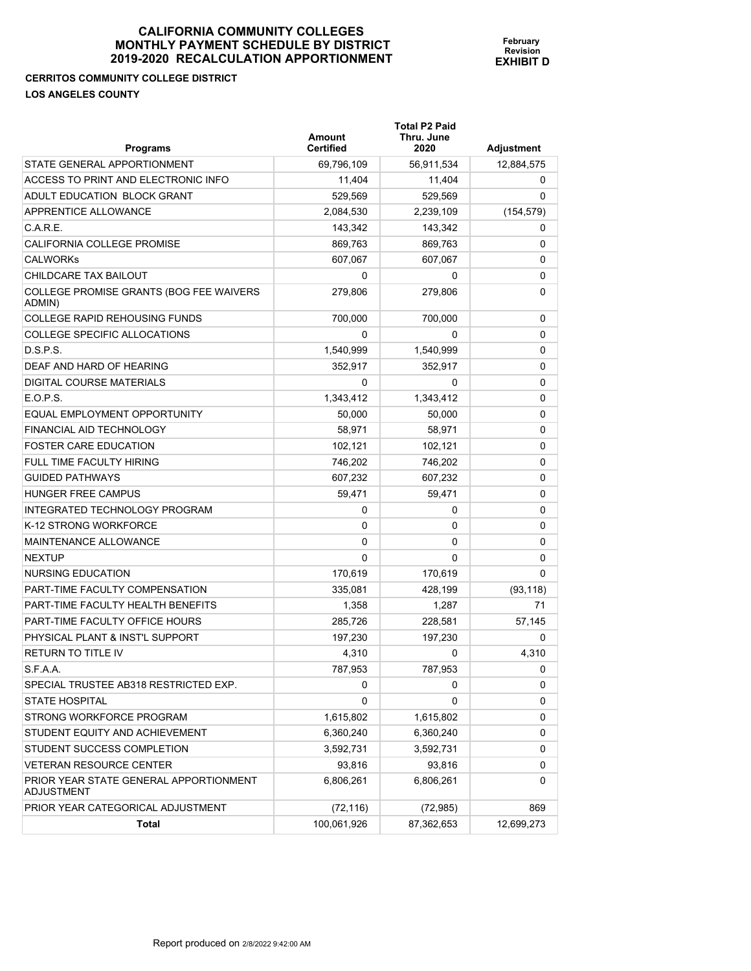## **CERRITOS COMMUNITY COLLEGE DISTRICT LOS ANGELES COUNTY**

| <b>Programs</b>                                      | Amount<br><b>Certified</b> | <b>Total P2 Paid</b><br>Thru. June<br>2020 | Adjustment  |
|------------------------------------------------------|----------------------------|--------------------------------------------|-------------|
| STATE GENERAL APPORTIONMENT                          | 69,796,109                 | 56,911,534                                 | 12,884,575  |
| ACCESS TO PRINT AND ELECTRONIC INFO                  | 11,404                     | 11,404                                     | 0           |
| ADULT EDUCATION BLOCK GRANT                          | 529,569                    | 529,569                                    | 0           |
| APPRENTICE ALLOWANCE                                 | 2,084,530                  | 2,239,109                                  | (154, 579)  |
| C.A.R.E.                                             | 143,342                    | 143,342                                    | 0           |
| CALIFORNIA COLLEGE PROMISE                           | 869,763                    | 869,763                                    | 0           |
| <b>CALWORKs</b>                                      | 607,067                    | 607,067                                    | 0           |
| CHILDCARE TAX BAILOUT                                | 0                          | 0                                          | 0           |
| COLLEGE PROMISE GRANTS (BOG FEE WAIVERS<br>ADMIN)    | 279,806                    | 279,806                                    | 0           |
| <b>COLLEGE RAPID REHOUSING FUNDS</b>                 | 700,000                    | 700,000                                    | 0           |
| COLLEGE SPECIFIC ALLOCATIONS                         | 0                          | 0                                          | 0           |
| D.S.P.S.                                             | 1,540,999                  | 1,540,999                                  | $\mathbf 0$ |
| DEAF AND HARD OF HEARING                             | 352,917                    | 352,917                                    | 0           |
| DIGITAL COURSE MATERIALS                             | 0                          | 0                                          | 0           |
| E.O.P.S.                                             | 1,343,412                  | 1,343,412                                  | 0           |
| EQUAL EMPLOYMENT OPPORTUNITY                         | 50,000                     | 50,000                                     | 0           |
| FINANCIAL AID TECHNOLOGY                             | 58,971                     | 58.971                                     | 0           |
| <b>FOSTER CARE EDUCATION</b>                         | 102,121                    | 102,121                                    | 0           |
| FULL TIME FACULTY HIRING                             | 746,202                    | 746,202                                    | 0           |
| <b>GUIDED PATHWAYS</b>                               | 607,232                    | 607,232                                    | 0           |
| <b>HUNGER FREE CAMPUS</b>                            | 59,471                     | 59,471                                     | 0           |
| INTEGRATED TECHNOLOGY PROGRAM                        | 0                          | 0                                          | 0           |
| K-12 STRONG WORKFORCE                                | 0                          | 0                                          | 0           |
| <b>MAINTENANCE ALLOWANCE</b>                         | 0                          | 0                                          | 0           |
| <b>NEXTUP</b>                                        | 0                          | 0                                          | 0           |
| <b>NURSING EDUCATION</b>                             | 170,619                    | 170,619                                    | $\Omega$    |
| PART-TIME FACULTY COMPENSATION                       | 335,081                    | 428,199                                    | (93, 118)   |
| PART-TIME FACULTY HEALTH BENEFITS                    | 1,358                      | 1,287                                      | 71          |
| PART-TIME FACULTY OFFICE HOURS                       | 285,726                    | 228,581                                    | 57,145      |
| PHYSICAL PLANT & INST'L SUPPORT                      | 197,230                    | 197,230                                    | 0           |
| <b>RETURN TO TITLE IV</b>                            | 4,310                      | 0                                          | 4,310       |
| S.F.A.A.                                             | 787,953                    | 787,953                                    | 0           |
| SPECIAL TRUSTEE AB318 RESTRICTED EXP.                | 0                          | 0                                          | 0           |
| <b>STATE HOSPITAL</b>                                | 0                          | 0                                          | 0           |
| STRONG WORKFORCE PROGRAM                             | 1,615,802                  | 1,615,802                                  | 0           |
| STUDENT EQUITY AND ACHIEVEMENT                       | 6,360,240                  | 6,360,240                                  | 0           |
| STUDENT SUCCESS COMPLETION                           | 3,592,731                  | 3,592,731                                  | 0           |
| <b>VETERAN RESOURCE CENTER</b>                       | 93,816                     | 93,816                                     | 0           |
| PRIOR YEAR STATE GENERAL APPORTIONMENT<br>ADJUSTMENT | 6,806,261                  | 6,806,261                                  | 0           |
| PRIOR YEAR CATEGORICAL ADJUSTMENT                    | (72, 116)                  | (72, 985)                                  | 869         |
| Total                                                | 100,061,926                | 87,362,653                                 | 12,699,273  |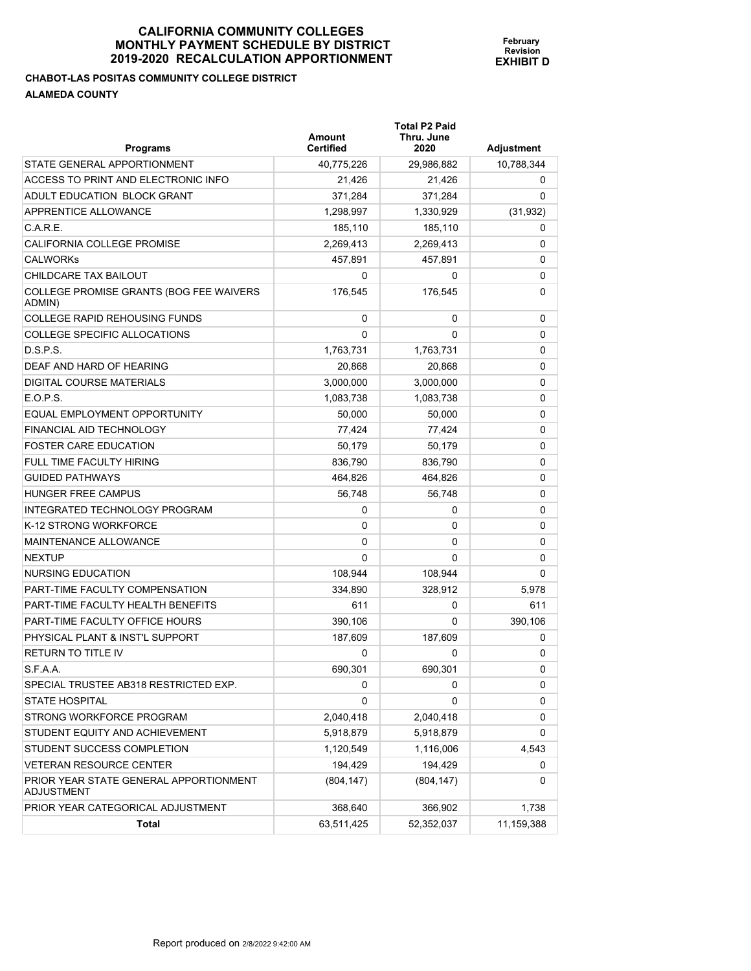**Total P2 Paid** 

**February Revision EXHIBIT D**

**CHABOT-LAS POSITAS COMMUNITY COLLEGE DISTRICT ALAMEDA COUNTY** 

| <b>Programs</b>                                             | <b>Amount</b><br><b>Certified</b> | Thru. June<br>2020 | Adjustment |
|-------------------------------------------------------------|-----------------------------------|--------------------|------------|
| STATE GENERAL APPORTIONMENT                                 | 40,775,226                        | 29,986,882         | 10,788,344 |
| ACCESS TO PRINT AND ELECTRONIC INFO                         | 21,426                            | 21,426             | 0          |
| ADULT EDUCATION BLOCK GRANT                                 | 371,284                           | 371,284            | 0          |
| APPRENTICE ALLOWANCE                                        | 1,298,997                         | 1,330,929          | (31, 932)  |
| C.A.R.E.                                                    | 185,110                           | 185,110            | 0          |
| CALIFORNIA COLLEGE PROMISE                                  | 2,269,413                         | 2,269,413          | 0          |
| <b>CALWORKS</b>                                             | 457,891                           | 457,891            | 0          |
| CHILDCARE TAX BAILOUT                                       | 0                                 | 0                  | 0          |
| COLLEGE PROMISE GRANTS (BOG FEE WAIVERS<br>ADMIN)           | 176,545                           | 176,545            | 0          |
| <b>COLLEGE RAPID REHOUSING FUNDS</b>                        | 0                                 | 0                  | 0          |
| <b>COLLEGE SPECIFIC ALLOCATIONS</b>                         | 0                                 | 0                  | 0          |
| D.S.P.S.                                                    | 1,763,731                         | 1,763,731          | 0          |
| DEAF AND HARD OF HEARING                                    | 20,868                            | 20,868             | 0          |
| <b>DIGITAL COURSE MATERIALS</b>                             | 3,000,000                         | 3,000,000          | 0          |
| $E.$ O.P.S.                                                 | 1,083,738                         | 1,083,738          | 0          |
| EQUAL EMPLOYMENT OPPORTUNITY                                | 50.000                            | 50,000             | 0          |
| <b>FINANCIAL AID TECHNOLOGY</b>                             | 77,424                            | 77,424             | 0          |
| <b>FOSTER CARE EDUCATION</b>                                | 50,179                            | 50,179             | 0          |
| FULL TIME FACULTY HIRING                                    | 836,790                           | 836,790            | 0          |
| <b>GUIDED PATHWAYS</b>                                      | 464,826                           | 464,826            | 0          |
| <b>HUNGER FREE CAMPUS</b>                                   | 56,748                            | 56,748             | 0          |
| INTEGRATED TECHNOLOGY PROGRAM                               | 0                                 | 0                  | 0          |
| K-12 STRONG WORKFORCE                                       | 0                                 | 0                  | 0          |
| MAINTENANCE ALLOWANCE                                       | 0                                 | 0                  | 0          |
| <b>NEXTUP</b>                                               | 0                                 | 0                  | 0          |
| <b>NURSING EDUCATION</b>                                    | 108,944                           | 108,944            | 0          |
| <b>PART-TIME FACULTY COMPENSATION</b>                       | 334,890                           | 328,912            | 5,978      |
| PART-TIME FACULTY HEALTH BENEFITS                           | 611                               | 0                  | 611        |
| PART-TIME FACULTY OFFICE HOURS                              | 390,106                           | 0                  | 390,106    |
| PHYSICAL PLANT & INST'L SUPPORT                             | 187,609                           | 187,609            | 0          |
| <b>RETURN TO TITLE IV</b>                                   | 0                                 | 0                  | 0          |
| S.F.A.A.                                                    | 690,301                           | 690,301            | 0          |
| SPECIAL TRUSTEE AB318 RESTRICTED EXP.                       | 0                                 | 0                  | 0          |
| <b>STATE HOSPITAL</b>                                       | 0                                 | 0                  | 0          |
| STRONG WORKFORCE PROGRAM                                    | 2,040,418                         | 2,040,418          | 0          |
| STUDENT EQUITY AND ACHIEVEMENT                              | 5,918,879                         | 5,918,879          | 0          |
| STUDENT SUCCESS COMPLETION                                  | 1,120,549                         | 1,116,006          | 4,543      |
| <b>VETERAN RESOURCE CENTER</b>                              | 194,429                           | 194,429            | 0          |
| PRIOR YEAR STATE GENERAL APPORTIONMENT<br><b>ADJUSTMENT</b> | (804, 147)                        | (804, 147)         | 0          |
| PRIOR YEAR CATEGORICAL ADJUSTMENT                           | 368,640                           | 366,902            | 1,738      |

**Total** 63,511,425 52,352,037 11,159,388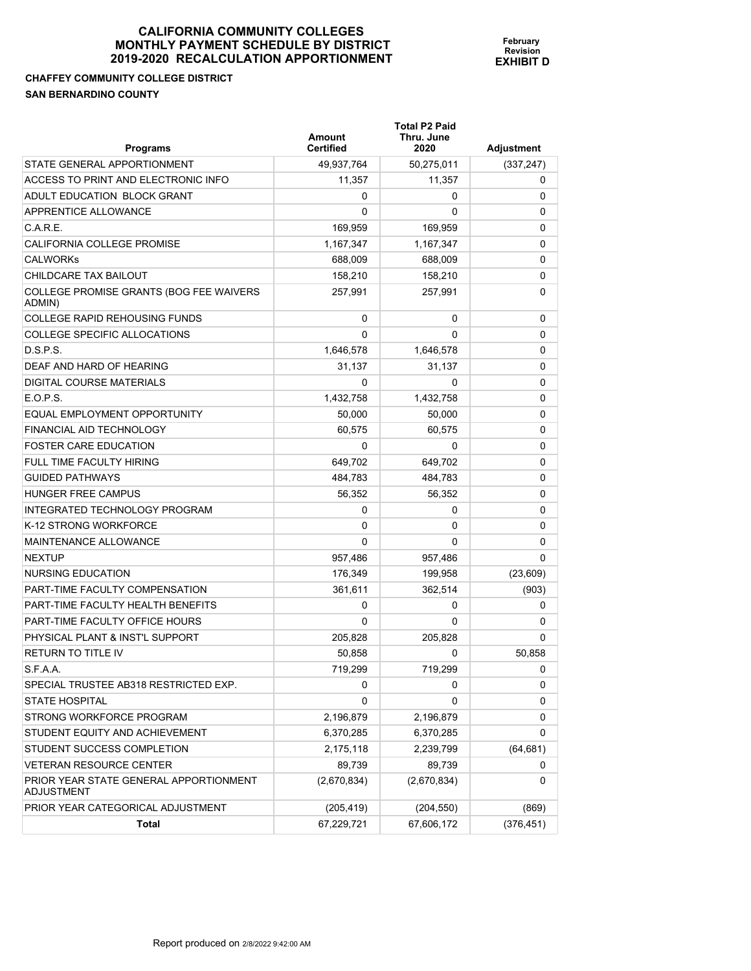# **CHAFFEY COMMUNITY COLLEGE DISTRICT SAN BERNARDINO COUNTY**

| <b>Programs</b>                                      | Amount<br><b>Certified</b> | <b>Total P2 Paid</b><br>Thru. June<br>2020 | Adjustment |
|------------------------------------------------------|----------------------------|--------------------------------------------|------------|
| STATE GENERAL APPORTIONMENT                          | 49,937,764                 | 50,275,011                                 | (337, 247) |
| ACCESS TO PRINT AND ELECTRONIC INFO                  | 11,357                     | 11,357                                     | 0          |
| ADULT EDUCATION BLOCK GRANT                          | 0                          | 0                                          | 0          |
| APPRENTICE ALLOWANCE                                 | $\Omega$                   | 0                                          | 0          |
| C.A.R.E.                                             | 169,959                    | 169,959                                    | 0          |
| CALIFORNIA COLLEGE PROMISE                           | 1,167,347                  | 1,167,347                                  | 0          |
| <b>CALWORKS</b>                                      | 688,009                    | 688,009                                    | 0          |
| CHILDCARE TAX BAILOUT                                | 158,210                    | 158,210                                    | 0          |
| COLLEGE PROMISE GRANTS (BOG FEE WAIVERS<br>ADMIN)    | 257,991                    | 257,991                                    | 0          |
| <b>COLLEGE RAPID REHOUSING FUNDS</b>                 | 0                          | 0                                          | 0          |
| COLLEGE SPECIFIC ALLOCATIONS                         | $\Omega$                   | 0                                          | 0          |
| D.S.P.S.                                             | 1,646,578                  | 1,646,578                                  | 0          |
| DEAF AND HARD OF HEARING                             | 31,137                     | 31,137                                     | 0          |
| DIGITAL COURSE MATERIALS                             | 0                          | 0                                          | 0          |
| E.O.P.S.                                             | 1,432,758                  | 1,432,758                                  | 0          |
| EQUAL EMPLOYMENT OPPORTUNITY                         | 50,000                     | 50,000                                     | 0          |
| FINANCIAL AID TECHNOLOGY                             | 60,575                     | 60,575                                     | 0          |
| <b>FOSTER CARE EDUCATION</b>                         | 0                          | 0                                          | 0          |
| FULL TIME FACULTY HIRING                             | 649,702                    | 649,702                                    | 0          |
| <b>GUIDED PATHWAYS</b>                               | 484,783                    | 484,783                                    | 0          |
| HUNGER FREE CAMPUS                                   | 56,352                     | 56,352                                     | 0          |
| INTEGRATED TECHNOLOGY PROGRAM                        | 0                          | 0                                          | 0          |
| K-12 STRONG WORKFORCE                                | 0                          | 0                                          | 0          |
| MAINTENANCE ALLOWANCE                                | 0                          | 0                                          | 0          |
| <b>NEXTUP</b>                                        | 957,486                    | 957,486                                    | 0          |
| NURSING EDUCATION                                    | 176,349                    | 199,958                                    | (23, 609)  |
| <b>PART-TIME FACULTY COMPENSATION</b>                | 361,611                    | 362,514                                    | (903)      |
| PART-TIME FACULTY HEALTH BENEFITS                    | 0                          | 0                                          | 0          |
| PART-TIME FACULTY OFFICE HOURS                       | 0                          | 0                                          | 0          |
| PHYSICAL PLANT & INST'L SUPPORT                      | 205,828                    | 205,828                                    | 0          |
| <b>RETURN TO TITLE IV</b>                            | 50.858                     | 0                                          | 50,858     |
| S.F.A.A.                                             | 719,299                    | 719,299                                    | 0          |
| SPECIAL TRUSTEE AB318 RESTRICTED EXP.                | 0                          | 0                                          | 0          |
| <b>STATE HOSPITAL</b>                                | 0                          | 0                                          | 0          |
| STRONG WORKFORCE PROGRAM                             | 2,196,879                  | 2,196,879                                  | 0          |
| STUDENT EQUITY AND ACHIEVEMENT                       | 6,370,285                  | 6,370,285                                  | 0          |
| STUDENT SUCCESS COMPLETION                           | 2,175,118                  | 2,239,799                                  | (64, 681)  |
| <b>VETERAN RESOURCE CENTER</b>                       | 89,739                     | 89,739                                     | 0          |
| PRIOR YEAR STATE GENERAL APPORTIONMENT<br>ADJUSTMENT | (2,670,834)                | (2,670,834)                                | 0          |
| PRIOR YEAR CATEGORICAL ADJUSTMENT                    | (205, 419)                 | (204, 550)                                 | (869)      |
| Total                                                | 67,229,721                 | 67,606,172                                 | (376, 451) |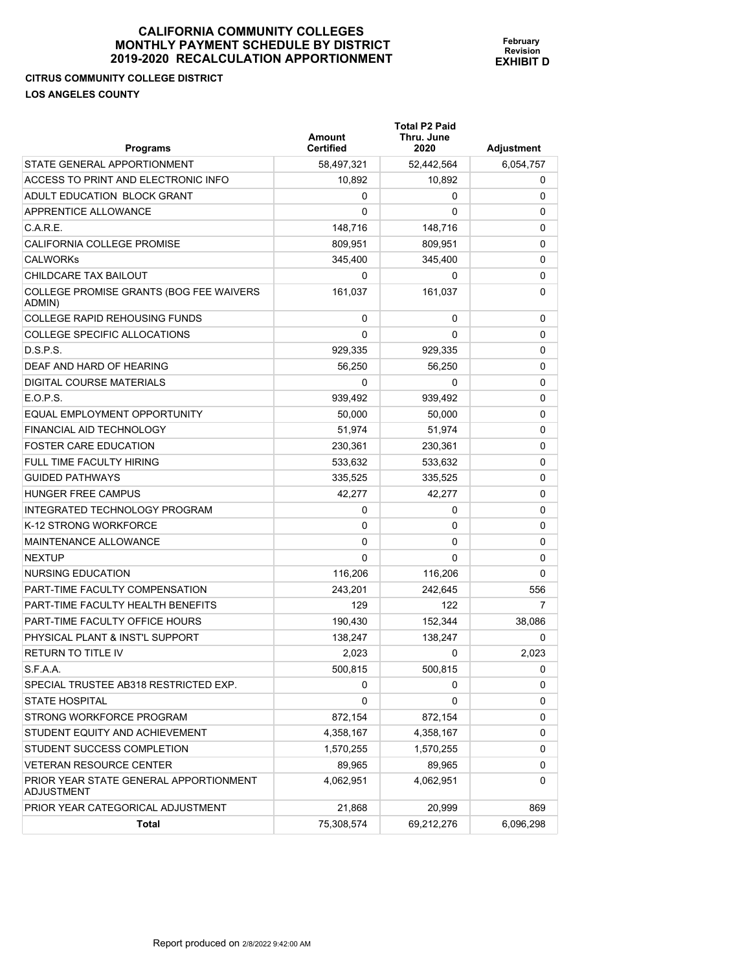# **CITRUS COMMUNITY COLLEGE DISTRICT LOS ANGELES COUNTY**

| <b>Programs</b>                                             | Amount<br><b>Certified</b> | <b>Total P2 Paid</b><br>Thru. June<br>2020 | <b>Adjustment</b> |
|-------------------------------------------------------------|----------------------------|--------------------------------------------|-------------------|
| STATE GENERAL APPORTIONMENT                                 | 58,497,321                 | 52,442,564                                 | 6,054,757         |
| ACCESS TO PRINT AND ELECTRONIC INFO                         | 10,892                     | 10,892                                     | 0                 |
| ADULT EDUCATION BLOCK GRANT                                 | 0                          | 0                                          | 0                 |
| APPRENTICE ALLOWANCE                                        | 0                          | 0                                          | 0                 |
| C.A.R.E.                                                    | 148,716                    | 148,716                                    | 0                 |
| CALIFORNIA COLLEGE PROMISE                                  | 809,951                    | 809,951                                    | 0                 |
| <b>CALWORKS</b>                                             | 345,400                    | 345,400                                    | 0                 |
| CHILDCARE TAX BAILOUT                                       | 0                          | 0                                          | 0                 |
| COLLEGE PROMISE GRANTS (BOG FEE WAIVERS<br>ADMIN)           | 161,037                    | 161,037                                    | 0                 |
| <b>COLLEGE RAPID REHOUSING FUNDS</b>                        | 0                          | 0                                          | 0                 |
| <b>COLLEGE SPECIFIC ALLOCATIONS</b>                         | 0                          | 0                                          | 0                 |
| D.S.P.S.                                                    | 929,335                    | 929,335                                    | 0                 |
| DEAF AND HARD OF HEARING                                    | 56,250                     | 56,250                                     | 0                 |
| DIGITAL COURSE MATERIALS                                    | 0                          | 0                                          | 0                 |
| E.O.P.S.                                                    | 939,492                    | 939,492                                    | 0                 |
| EQUAL EMPLOYMENT OPPORTUNITY                                | 50.000                     | 50,000                                     | 0                 |
| <b>FINANCIAL AID TECHNOLOGY</b>                             | 51,974                     | 51,974                                     | 0                 |
| <b>FOSTER CARE EDUCATION</b>                                | 230,361                    | 230,361                                    | 0                 |
| FULL TIME FACULTY HIRING                                    | 533.632                    | 533,632                                    | 0                 |
| <b>GUIDED PATHWAYS</b>                                      | 335,525                    | 335,525                                    | 0                 |
| <b>HUNGER FREE CAMPUS</b>                                   | 42,277                     | 42,277                                     | 0                 |
| INTEGRATED TECHNOLOGY PROGRAM                               | 0                          | 0                                          | 0                 |
| K-12 STRONG WORKFORCE                                       | 0                          | 0                                          | 0                 |
| MAINTENANCE ALLOWANCE                                       | 0                          | 0                                          | 0                 |
| <b>NEXTUP</b>                                               | 0                          | 0                                          | 0                 |
| <b>NURSING EDUCATION</b>                                    | 116,206                    | 116,206                                    | 0                 |
| PART-TIME FACULTY COMPENSATION                              | 243,201                    | 242,645                                    | 556               |
| PART-TIME FACULTY HEALTH BENEFITS                           | 129                        | 122                                        | 7                 |
| PART-TIME FACULTY OFFICE HOURS                              | 190,430                    | 152,344                                    | 38,086            |
| PHYSICAL PLANT & INST'L SUPPORT                             | 138.247                    | 138,247                                    | 0                 |
| RETURN TO TITLE IV                                          | 2,023                      | 0                                          | 2,023             |
| S.F.A.A.                                                    | 500,815                    | 500,815                                    | U                 |
| SPECIAL TRUSTEE AB318 RESTRICTED EXP.                       | 0                          | 0                                          | 0                 |
| <b>STATE HOSPITAL</b>                                       | 0                          | 0                                          | 0                 |
| STRONG WORKFORCE PROGRAM                                    | 872,154                    | 872,154                                    | 0                 |
| STUDENT EQUITY AND ACHIEVEMENT                              | 4,358,167                  | 4,358,167                                  | 0                 |
| STUDENT SUCCESS COMPLETION                                  | 1,570,255                  | 1,570,255                                  | 0                 |
| <b>VETERAN RESOURCE CENTER</b>                              | 89,965                     | 89,965                                     | 0                 |
| PRIOR YEAR STATE GENERAL APPORTIONMENT<br><b>ADJUSTMENT</b> | 4,062,951                  | 4,062,951                                  | 0                 |
| PRIOR YEAR CATEGORICAL ADJUSTMENT                           | 21,868                     | 20,999                                     | 869               |
| Total                                                       | 75,308,574                 | 69,212,276                                 | 6,096,298         |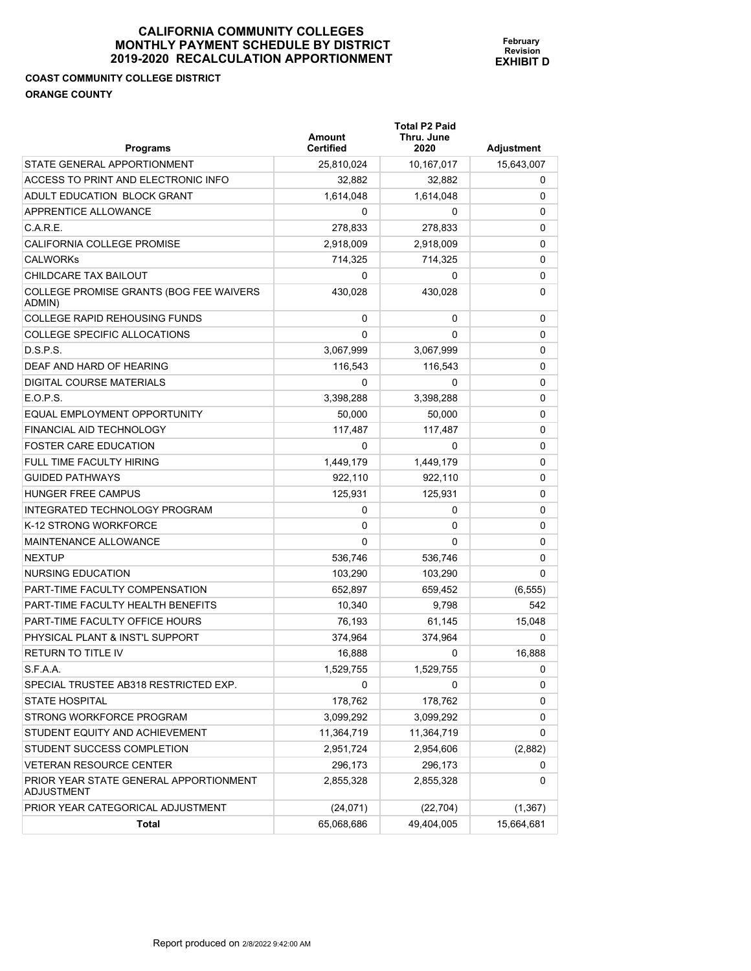# **COAST COMMUNITY COLLEGE DISTRICT ORANGE COUNTY**

| <b>Programs</b>                                      | Amount<br><b>Certified</b> | <b>Total P2 Paid</b><br>Thru. June<br>2020 | <b>Adjustment</b> |
|------------------------------------------------------|----------------------------|--------------------------------------------|-------------------|
| STATE GENERAL APPORTIONMENT                          | 25,810,024                 | 10,167,017                                 | 15,643,007        |
| ACCESS TO PRINT AND ELECTRONIC INFO                  | 32,882                     | 32,882                                     | 0                 |
| ADULT EDUCATION BLOCK GRANT                          | 1,614,048                  | 1,614,048                                  | 0                 |
| APPRENTICE ALLOWANCE                                 | 0                          | 0                                          | 0                 |
| C.A.R.E.                                             | 278,833                    | 278,833                                    | 0                 |
| <b>CALIFORNIA COLLEGE PROMISE</b>                    | 2,918,009                  | 2,918,009                                  | 0                 |
| <b>CALWORKS</b>                                      | 714,325                    | 714,325                                    | 0                 |
| CHILDCARE TAX BAILOUT                                | 0                          | 0                                          | 0                 |
| COLLEGE PROMISE GRANTS (BOG FEE WAIVERS<br>ADMIN)    | 430,028                    | 430,028                                    | 0                 |
| <b>COLLEGE RAPID REHOUSING FUNDS</b>                 | 0                          | 0                                          | 0                 |
| COLLEGE SPECIFIC ALLOCATIONS                         | $\Omega$                   | 0                                          | 0                 |
| D.S.P.S.                                             | 3,067,999                  | 3,067,999                                  | 0                 |
| DEAF AND HARD OF HEARING                             | 116,543                    | 116,543                                    | 0                 |
| DIGITAL COURSE MATERIALS                             | 0                          | 0                                          | 0                 |
| E.O.P.S.                                             | 3,398,288                  | 3,398,288                                  | 0                 |
| EQUAL EMPLOYMENT OPPORTUNITY                         | 50,000                     | 50,000                                     | 0                 |
| FINANCIAL AID TECHNOLOGY                             | 117,487                    | 117,487                                    | 0                 |
| <b>FOSTER CARE EDUCATION</b>                         | 0                          | 0                                          | 0                 |
| FULL TIME FACULTY HIRING                             | 1,449,179                  | 1,449,179                                  | 0                 |
| <b>GUIDED PATHWAYS</b>                               | 922,110                    | 922,110                                    | 0                 |
| HUNGER FREE CAMPUS                                   | 125,931                    | 125,931                                    | 0                 |
| INTEGRATED TECHNOLOGY PROGRAM                        | 0                          | 0                                          | 0                 |
| K-12 STRONG WORKFORCE                                | 0                          | 0                                          | 0                 |
| MAINTENANCE ALLOWANCE                                | 0                          | 0                                          | 0                 |
| <b>NEXTUP</b>                                        | 536,746                    | 536,746                                    | 0                 |
| NURSING EDUCATION                                    | 103,290                    | 103,290                                    | 0                 |
| <b>PART-TIME FACULTY COMPENSATION</b>                | 652,897                    | 659,452                                    | (6, 555)          |
| PART-TIME FACULTY HEALTH BENEFITS                    | 10,340                     | 9,798                                      | 542               |
| PART-TIME FACULTY OFFICE HOURS                       | 76,193                     | 61,145                                     | 15,048            |
| PHYSICAL PLANT & INST'L SUPPORT                      | 374,964                    | 374,964                                    | 0                 |
| <b>RETURN TO TITLE IV</b>                            | 16,888                     | 0                                          | 16,888            |
| S.F.A.A.                                             | 1,529,755                  | 1,529,755                                  | 0                 |
| SPECIAL TRUSTEE AB318 RESTRICTED EXP.                | 0                          | 0                                          | 0                 |
| <b>STATE HOSPITAL</b>                                | 178,762                    | 178,762                                    | 0                 |
| STRONG WORKFORCE PROGRAM                             | 3,099,292                  | 3,099,292                                  | 0                 |
| STUDENT EQUITY AND ACHIEVEMENT                       | 11,364,719                 | 11,364,719                                 | 0                 |
| STUDENT SUCCESS COMPLETION                           | 2,951,724                  | 2,954,606                                  | (2,882)           |
| <b>VETERAN RESOURCE CENTER</b>                       | 296,173                    | 296,173                                    | 0                 |
| PRIOR YEAR STATE GENERAL APPORTIONMENT<br>ADJUSTMENT | 2,855,328                  | 2,855,328                                  | 0                 |
| PRIOR YEAR CATEGORICAL ADJUSTMENT                    | (24, 071)                  | (22, 704)                                  | (1, 367)          |
| <b>Total</b>                                         | 65,068,686                 | 49,404,005                                 | 15,664,681        |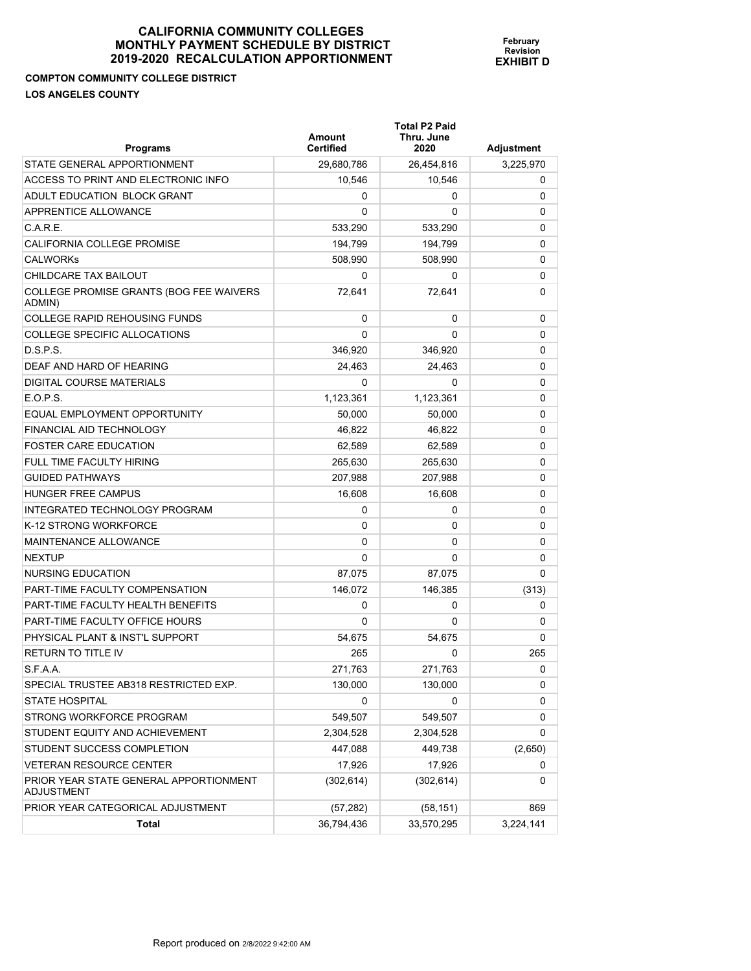## **COMPTON COMMUNITY COLLEGE DISTRICT LOS ANGELES COUNTY**

| <b>Programs</b>                                             | <b>Amount</b><br><b>Certified</b> | <b>Total P2 Paid</b><br>Thru. June<br>2020 | Adjustment |
|-------------------------------------------------------------|-----------------------------------|--------------------------------------------|------------|
| STATE GENERAL APPORTIONMENT                                 | 29,680,786                        | 26,454,816                                 | 3,225,970  |
| ACCESS TO PRINT AND ELECTRONIC INFO                         | 10,546                            | 10,546                                     | 0          |
| ADULT EDUCATION BLOCK GRANT                                 | 0                                 | 0                                          | $\Omega$   |
| APPRENTICE ALLOWANCE                                        | 0                                 | 0                                          | 0          |
| C.A.R.E.                                                    | 533,290                           | 533,290                                    | $\Omega$   |
| CALIFORNIA COLLEGE PROMISE                                  | 194,799                           | 194,799                                    | 0          |
| <b>CALWORKS</b>                                             | 508,990                           | 508,990                                    | 0          |
| CHILDCARE TAX BAILOUT                                       | 0                                 | 0                                          | 0          |
| COLLEGE PROMISE GRANTS (BOG FEE WAIVERS<br>ADMIN)           | 72,641                            | 72,641                                     | 0          |
| <b>COLLEGE RAPID REHOUSING FUNDS</b>                        | 0                                 | 0                                          | 0          |
| <b>COLLEGE SPECIFIC ALLOCATIONS</b>                         | 0                                 | 0                                          | $\Omega$   |
| D.S.P.S.                                                    | 346,920                           | 346,920                                    | 0          |
| DEAF AND HARD OF HEARING                                    | 24,463                            | 24,463                                     | 0          |
| <b>DIGITAL COURSE MATERIALS</b>                             | 0                                 | 0                                          | 0          |
| E.O.P.S.                                                    | 1,123,361                         | 1,123,361                                  | 0          |
| EQUAL EMPLOYMENT OPPORTUNITY                                | 50.000                            | 50,000                                     | 0          |
| FINANCIAL AID TECHNOLOGY                                    | 46,822                            | 46.822                                     | 0          |
| <b>FOSTER CARE EDUCATION</b>                                | 62,589                            | 62,589                                     | 0          |
| <b>FULL TIME FACULTY HIRING</b>                             | 265,630                           | 265,630                                    | 0          |
| <b>GUIDED PATHWAYS</b>                                      | 207,988                           | 207,988                                    | $\Omega$   |
| <b>HUNGER FREE CAMPUS</b>                                   | 16,608                            | 16,608                                     | 0          |
| INTEGRATED TECHNOLOGY PROGRAM                               | 0                                 | 0                                          | 0          |
| K-12 STRONG WORKFORCE                                       | 0                                 | 0                                          | 0          |
| <b>MAINTENANCE ALLOWANCE</b>                                | 0                                 | 0                                          | 0          |
| <b>NEXTUP</b>                                               | 0                                 | 0                                          | 0          |
| NURSING EDUCATION                                           | 87,075                            | 87,075                                     | $\Omega$   |
| <b>PART-TIME FACULTY COMPENSATION</b>                       | 146,072                           | 146,385                                    | (313)      |
| PART-TIME FACULTY HEALTH BENEFITS                           | 0                                 | 0                                          | 0          |
| PART-TIME FACULTY OFFICE HOURS                              | 0                                 | 0                                          | 0          |
| PHYSICAL PLANT & INST'L SUPPORT                             | 54.675                            | 54,675                                     | $\Omega$   |
| <b>RETURN TO TITLE IV</b>                                   | 265                               | 0                                          | 265        |
| S.F.A.A.                                                    | 271,763                           | 271,763                                    | U          |
| SPECIAL TRUSTEE AB318 RESTRICTED EXP.                       | 130,000                           | 130,000                                    | 0          |
| <b>STATE HOSPITAL</b>                                       | 0                                 | 0                                          | 0          |
| STRONG WORKFORCE PROGRAM                                    | 549,507                           | 549,507                                    | 0          |
| STUDENT EQUITY AND ACHIEVEMENT                              | 2,304,528                         | 2,304,528                                  | 0          |
| STUDENT SUCCESS COMPLETION                                  | 447,088                           | 449,738                                    | (2,650)    |
| <b>VETERAN RESOURCE CENTER</b>                              | 17,926                            | 17,926                                     | 0          |
| PRIOR YEAR STATE GENERAL APPORTIONMENT<br><b>ADJUSTMENT</b> | (302, 614)                        | (302, 614)                                 | 0          |
| PRIOR YEAR CATEGORICAL ADJUSTMENT                           | (57, 282)                         | (58, 151)                                  | 869        |
| Total                                                       | 36,794,436                        | 33,570,295                                 | 3,224,141  |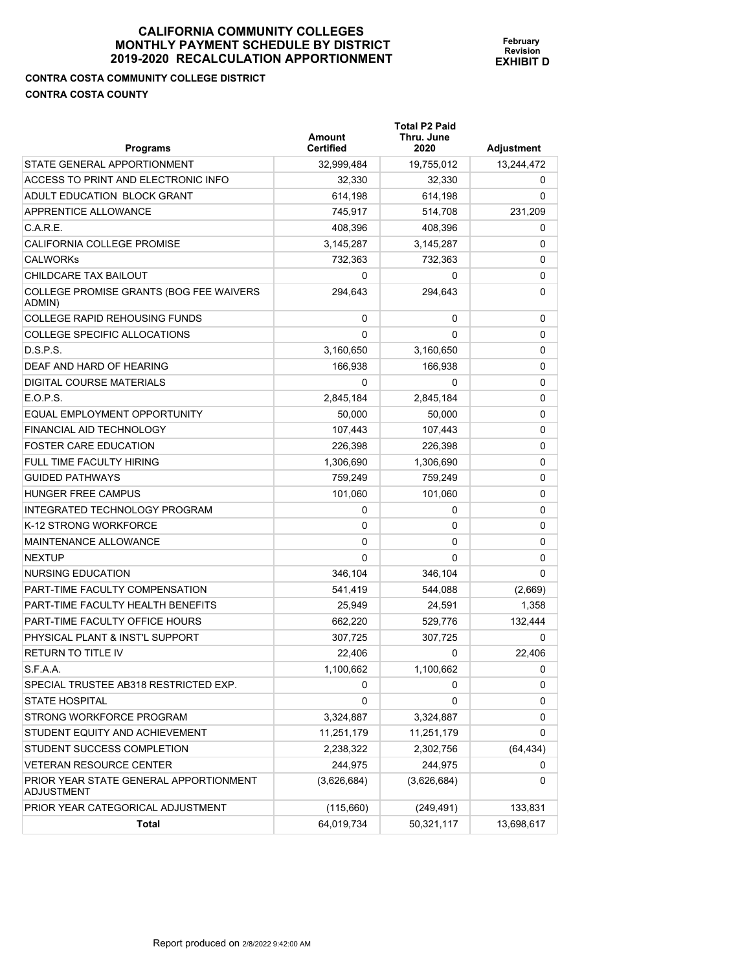**Total P2 Paid** 

**February Revision EXHIBIT D**

**CONTRA COSTA COMMUNITY COLLEGE DISTRICT CONTRA COSTA COUNTY** 

| <b>Programs</b>                                      | <b>Amount</b><br><b>Certified</b> | Thru. June<br>2020 | <b>Adjustment</b> |
|------------------------------------------------------|-----------------------------------|--------------------|-------------------|
| STATE GENERAL APPORTIONMENT                          | 32,999,484                        | 19,755,012         | 13,244,472        |
| ACCESS TO PRINT AND ELECTRONIC INFO                  | 32,330                            | 32,330             | 0                 |
| ADULT EDUCATION BLOCK GRANT                          | 614,198                           | 614,198            | 0                 |
| <b>APPRENTICE ALLOWANCE</b>                          | 745,917                           | 514,708            | 231,209           |
| C.A.R.E.                                             | 408,396                           | 408,396            | 0                 |
| <b>CALIFORNIA COLLEGE PROMISE</b>                    | 3,145,287                         | 3,145,287          | 0                 |
| <b>CALWORKs</b>                                      | 732,363                           | 732,363            | 0                 |
| CHILDCARE TAX BAILOUT                                | 0                                 | 0                  | 0                 |
| COLLEGE PROMISE GRANTS (BOG FEE WAIVERS<br>ADMIN)    | 294,643                           | 294,643            | 0                 |
| <b>COLLEGE RAPID REHOUSING FUNDS</b>                 | 0                                 | 0                  | 0                 |
| <b>COLLEGE SPECIFIC ALLOCATIONS</b>                  | 0                                 | 0                  | 0                 |
| D.S.P.S.                                             | 3,160,650                         | 3,160,650          | 0                 |
| DEAF AND HARD OF HEARING                             | 166,938                           | 166,938            | 0                 |
| <b>DIGITAL COURSE MATERIALS</b>                      | 0                                 | 0                  | 0                 |
| E.O.P.S.                                             | 2,845,184                         | 2,845,184          | 0                 |
| EQUAL EMPLOYMENT OPPORTUNITY                         | 50,000                            | 50,000             | 0                 |
| FINANCIAL AID TECHNOLOGY                             | 107.443                           | 107,443            | 0                 |
| <b>FOSTER CARE EDUCATION</b>                         | 226,398                           | 226,398            | 0                 |
| <b>FULL TIME FACULTY HIRING</b>                      | 1,306,690                         | 1,306,690          | 0                 |
| <b>GUIDED PATHWAYS</b>                               | 759,249                           | 759,249            | 0                 |
| <b>HUNGER FREE CAMPUS</b>                            | 101,060                           | 101,060            | 0                 |
| INTEGRATED TECHNOLOGY PROGRAM                        | 0                                 | 0                  | 0                 |
| K-12 STRONG WORKFORCE                                | 0                                 | 0                  | 0                 |
| <b>MAINTENANCE ALLOWANCE</b>                         | 0                                 | 0                  | 0                 |
| <b>NEXTUP</b>                                        | 0                                 | 0                  | 0                 |
| <b>NURSING EDUCATION</b>                             | 346,104                           | 346,104            | 0                 |
| PART-TIME FACULTY COMPENSATION                       | 541,419                           | 544,088            | (2,669)           |
| PART-TIME FACULTY HEALTH BENEFITS                    | 25,949                            | 24,591             | 1,358             |
| PART-TIME FACULTY OFFICE HOURS                       | 662,220                           | 529,776            | 132,444           |
| PHYSICAL PLANT & INST'L SUPPORT                      | 307,725                           | 307,725            | 0                 |
| RETURN TO TITLE IV                                   | 22,406                            | 0                  | 22,406            |
| S.F.A.A.                                             | 1,100,662                         | 1,100,662          | 0                 |
| SPECIAL TRUSTEE AB318 RESTRICTED EXP.                | 0                                 | 0                  | 0                 |
| <b>STATE HOSPITAL</b>                                | 0                                 | 0                  | 0                 |
| STRONG WORKFORCE PROGRAM                             | 3,324,887                         | 3,324,887          | 0                 |
| STUDENT EQUITY AND ACHIEVEMENT                       | 11,251,179                        | 11,251,179         | 0                 |
| STUDENT SUCCESS COMPLETION                           | 2,238,322                         | 2,302,756          | (64, 434)         |
| <b>VETERAN RESOURCE CENTER</b>                       | 244,975                           | 244,975            | 0                 |
| PRIOR YEAR STATE GENERAL APPORTIONMENT<br>ADJUSTMENT | (3,626,684)                       | (3,626,684)        | 0                 |
| PRIOR YEAR CATEGORICAL ADJUSTMENT                    | (115,660)                         | (249, 491)         | 133,831           |
| <b>Total</b>                                         | 64,019,734                        | 50,321,117         | 13,698,617        |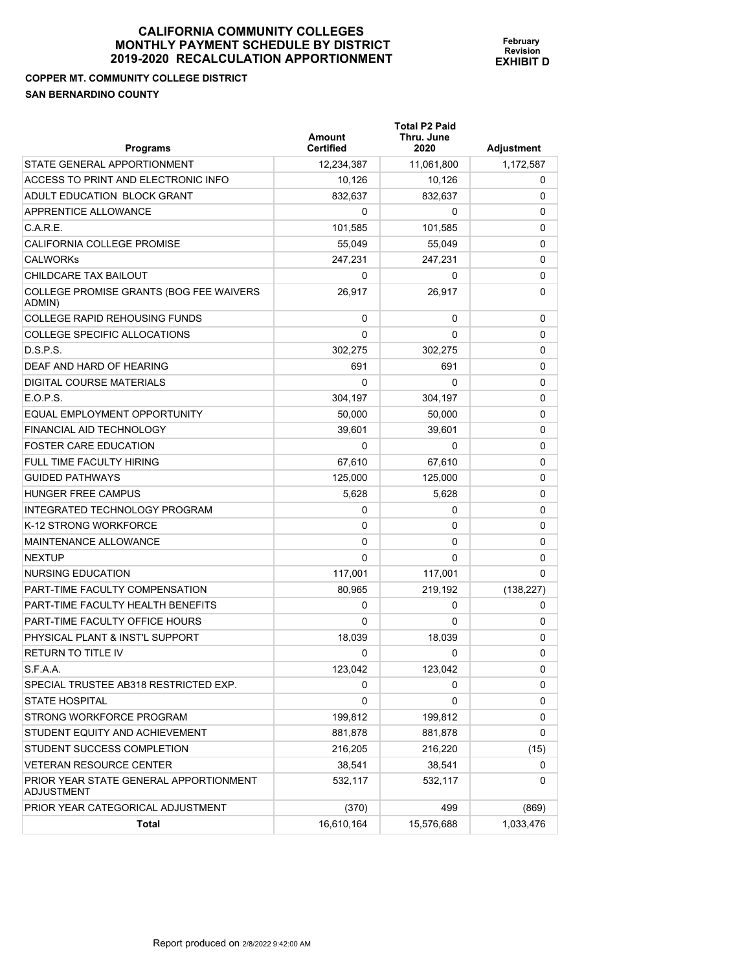**COPPER MT. COMMUNITY COLLEGE DISTRICT SAN BERNARDINO COUNTY** 

|  | February<br><b>Revision</b><br>EXHIBIT D |
|--|------------------------------------------|
|  |                                          |

**Total P2 Paid** 

| <b>Programs</b>                                      | Amount<br><b>Certified</b> | Thru. June<br>2020 | <b>Adjustment</b> |
|------------------------------------------------------|----------------------------|--------------------|-------------------|
| STATE GENERAL APPORTIONMENT                          | 12,234,387                 | 11,061,800         | 1,172,587         |
| ACCESS TO PRINT AND ELECTRONIC INFO                  | 10,126                     | 10,126             | 0                 |
| ADULT EDUCATION BLOCK GRANT                          | 832,637                    | 832,637            | 0                 |
| APPRENTICE ALLOWANCE                                 | 0                          | 0                  | 0                 |
| C.A.R.E.                                             | 101,585                    | 101,585            | 0                 |
| CALIFORNIA COLLEGE PROMISE                           | 55,049                     | 55,049             | 0                 |
| <b>CALWORKs</b>                                      | 247,231                    | 247,231            | 0                 |
| CHILDCARE TAX BAILOUT                                | 0                          | 0                  | 0                 |
| COLLEGE PROMISE GRANTS (BOG FEE WAIVERS<br>ADMIN)    | 26,917                     | 26,917             | 0                 |
| <b>COLLEGE RAPID REHOUSING FUNDS</b>                 | 0                          | 0                  | 0                 |
| COLLEGE SPECIFIC ALLOCATIONS                         | 0                          | 0                  | 0                 |
| D.S.P.S.                                             | 302,275                    | 302,275            | 0                 |
| DEAF AND HARD OF HEARING                             | 691                        | 691                | 0                 |
| DIGITAL COURSE MATERIALS                             | 0                          | 0                  | 0                 |
| E.O.P.S.                                             | 304,197                    | 304,197            | 0                 |
| EQUAL EMPLOYMENT OPPORTUNITY                         | 50,000                     | 50,000             | 0                 |
| FINANCIAL AID TECHNOLOGY                             | 39,601                     | 39,601             | 0                 |
| <b>FOSTER CARE EDUCATION</b>                         | 0                          | 0                  | 0                 |
| FULL TIME FACULTY HIRING                             | 67,610                     | 67,610             | 0                 |
| <b>GUIDED PATHWAYS</b>                               | 125,000                    | 125,000            | 0                 |
| <b>HUNGER FREE CAMPUS</b>                            | 5,628                      | 5,628              | 0                 |
| INTEGRATED TECHNOLOGY PROGRAM                        | 0                          | 0                  | 0                 |
| K-12 STRONG WORKFORCE                                | 0                          | 0                  | 0                 |
| MAINTENANCE ALLOWANCE                                | 0                          | 0                  | 0                 |
| <b>NEXTUP</b>                                        | $\Omega$                   | 0                  | 0                 |
| NURSING EDUCATION                                    | 117,001                    | 117,001            | 0                 |
| <b>PART-TIME FACULTY COMPENSATION</b>                | 80,965                     | 219,192            | (138, 227)        |
| PART-TIME FACULTY HEALTH BENEFITS                    | 0                          | 0                  | 0                 |
| PART-TIME FACULTY OFFICE HOURS                       | 0                          | 0                  | 0                 |
| PHYSICAL PLANT & INST'L SUPPORT                      | 18,039                     | 18,039             | 0                 |
| <b>RETURN TO TITLE IV</b>                            | $\Omega$                   | 0                  | 0                 |
| S.F.A.A.                                             | 123,042                    | 123,042            | 0                 |
| SPECIAL TRUSTEE AB318 RESTRICTED EXP.                | 0                          | 0                  | 0                 |
| <b>STATE HOSPITAL</b>                                | 0                          | 0                  | 0                 |
| STRONG WORKFORCE PROGRAM                             | 199,812                    | 199,812            | 0                 |
| STUDENT EQUITY AND ACHIEVEMENT                       | 881,878                    | 881,878            | 0                 |
| STUDENT SUCCESS COMPLETION                           | 216,205                    | 216,220            | (15)              |
| <b>VETERAN RESOURCE CENTER</b>                       | 38,541                     | 38,541             | 0                 |
| PRIOR YEAR STATE GENERAL APPORTIONMENT<br>ADJUSTMENT | 532,117                    | 532,117            | 0                 |
| PRIOR YEAR CATEGORICAL ADJUSTMENT                    | (370)                      | 499                | (869)             |
| Total                                                | 16,610,164                 | 15,576,688         | 1,033,476         |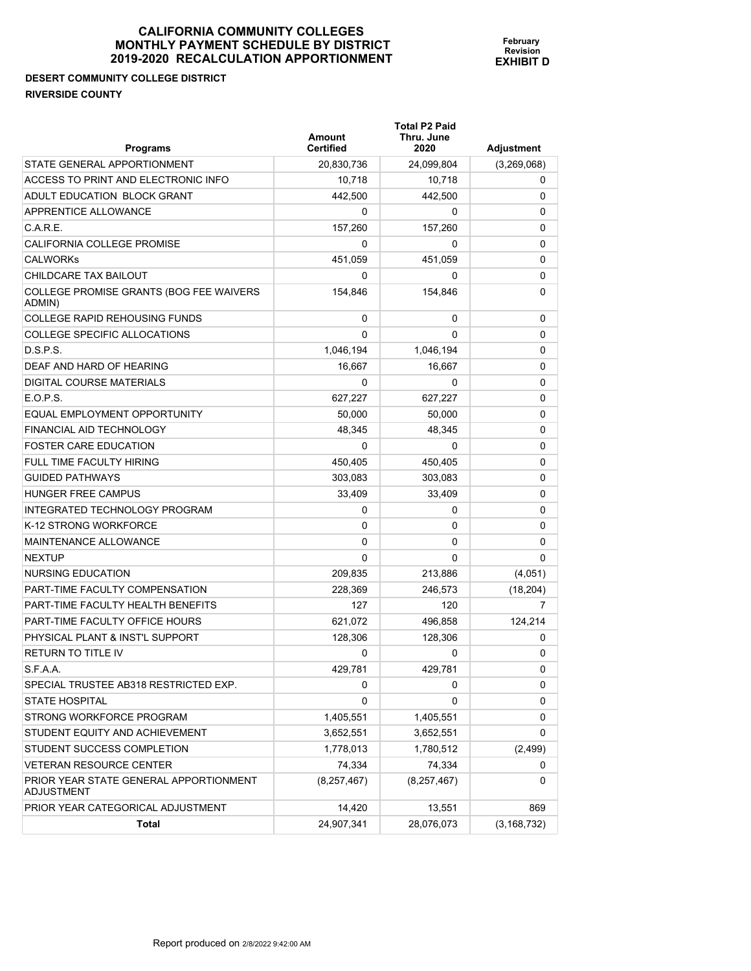# **DESERT COMMUNITY COLLEGE DISTRICT RIVERSIDE COUNTY**

| <b>Programs</b>                                      | Amount<br><b>Certified</b> | <b>Total P2 Paid</b><br>Thru. June<br>2020 | <b>Adjustment</b> |
|------------------------------------------------------|----------------------------|--------------------------------------------|-------------------|
| STATE GENERAL APPORTIONMENT                          | 20,830,736                 | 24,099,804                                 | (3,269,068)       |
| ACCESS TO PRINT AND ELECTRONIC INFO                  | 10,718                     | 10,718                                     | 0                 |
| ADULT EDUCATION BLOCK GRANT                          | 442,500                    | 442.500                                    | 0                 |
| APPRENTICE ALLOWANCE                                 | 0                          | 0                                          | 0                 |
| C.A.R.E.                                             | 157,260                    | 157,260                                    | 0                 |
| <b>CALIFORNIA COLLEGE PROMISE</b>                    | 0                          | 0                                          | 0                 |
| <b>CALWORKS</b>                                      | 451,059                    | 451,059                                    | 0                 |
| CHILDCARE TAX BAILOUT                                | 0                          | 0                                          | 0                 |
| COLLEGE PROMISE GRANTS (BOG FEE WAIVERS<br>ADMIN)    | 154,846                    | 154,846                                    | 0                 |
| <b>COLLEGE RAPID REHOUSING FUNDS</b>                 | 0                          | 0                                          | 0                 |
| COLLEGE SPECIFIC ALLOCATIONS                         | $\Omega$                   | 0                                          | 0                 |
| D.S.P.S.                                             | 1,046,194                  | 1,046,194                                  | 0                 |
| DEAF AND HARD OF HEARING                             | 16,667                     | 16,667                                     | 0                 |
| <b>DIGITAL COURSE MATERIALS</b>                      | 0                          | 0                                          | 0                 |
| E.O.P.S.                                             | 627,227                    | 627,227                                    | 0                 |
| EQUAL EMPLOYMENT OPPORTUNITY                         | 50,000                     | 50,000                                     | 0                 |
| FINANCIAL AID TECHNOLOGY                             | 48.345                     | 48.345                                     | 0                 |
| <b>FOSTER CARE EDUCATION</b>                         | 0                          | 0                                          | 0                 |
| <b>FULL TIME FACULTY HIRING</b>                      | 450,405                    | 450,405                                    | 0                 |
| <b>GUIDED PATHWAYS</b>                               | 303,083                    | 303,083                                    | 0                 |
| HUNGER FREE CAMPUS                                   | 33,409                     | 33,409                                     | 0                 |
| INTEGRATED TECHNOLOGY PROGRAM                        | 0                          | 0                                          | 0                 |
| K-12 STRONG WORKFORCE                                | 0                          | 0                                          | 0                 |
| MAINTENANCE ALLOWANCE                                | 0                          | 0                                          | 0                 |
| <b>NEXTUP</b>                                        | 0                          | 0                                          | 0                 |
| NURSING EDUCATION                                    | 209,835                    | 213,886                                    | (4,051)           |
| <b>PART-TIME FACULTY COMPENSATION</b>                | 228,369                    | 246,573                                    | (18, 204)         |
| PART-TIME FACULTY HEALTH BENEFITS                    | 127                        | 120                                        | 7                 |
| PART-TIME FACULTY OFFICE HOURS                       | 621,072                    | 496,858                                    | 124,214           |
| PHYSICAL PLANT & INST'L SUPPORT                      | 128,306                    | 128,306                                    | 0                 |
| <b>RETURN TO TITLE IV</b>                            | 0                          | 0                                          | 0                 |
| S.F.A.A.                                             | 429,781                    | 429,781                                    | 0                 |
| SPECIAL TRUSTEE AB318 RESTRICTED EXP.                | 0                          | 0                                          | 0                 |
| <b>STATE HOSPITAL</b>                                | 0                          | 0                                          | 0                 |
| STRONG WORKFORCE PROGRAM                             | 1,405,551                  | 1,405,551                                  | 0                 |
| STUDENT EQUITY AND ACHIEVEMENT                       | 3,652,551                  | 3,652,551                                  | 0                 |
| STUDENT SUCCESS COMPLETION                           | 1,778,013                  | 1,780,512                                  | (2, 499)          |
| <b>VETERAN RESOURCE CENTER</b>                       | 74,334                     | 74,334                                     | 0                 |
| PRIOR YEAR STATE GENERAL APPORTIONMENT<br>ADJUSTMENT | (8,257,467)                | (8,257,467)                                | 0                 |
| PRIOR YEAR CATEGORICAL ADJUSTMENT                    | 14,420                     | 13,551                                     | 869               |
| Total                                                | 24,907,341                 | 28,076,073                                 | (3, 168, 732)     |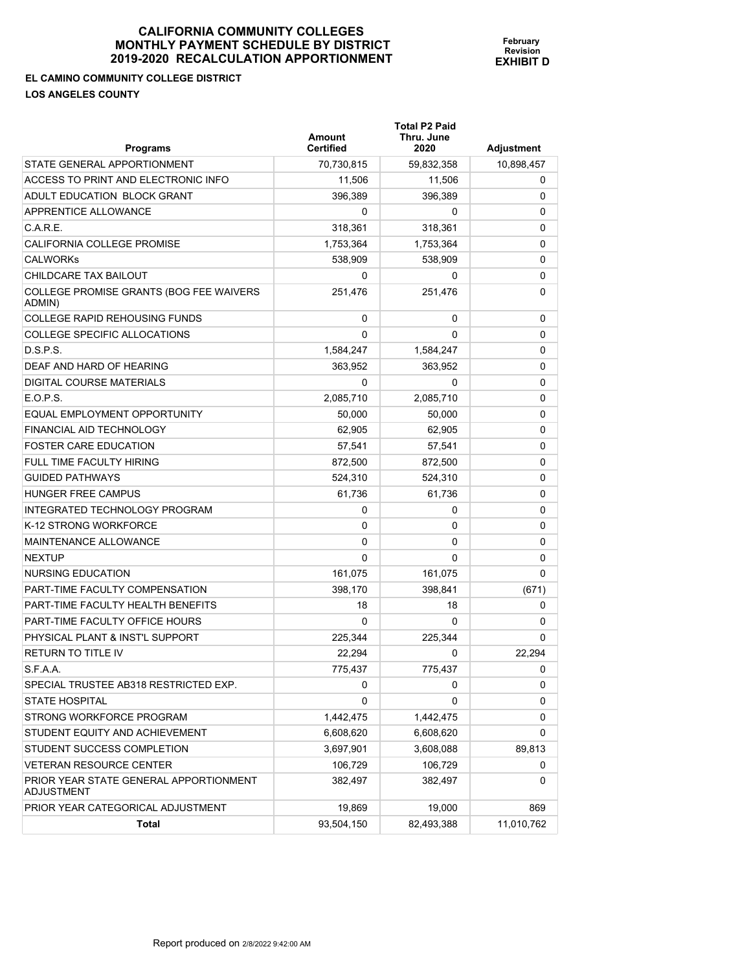**February Revision EXHIBIT D**

**EL CAMINO COMMUNITY COLLEGE DISTRICT** 

**LOS ANGELES COUNTY** 

| <b>Programs</b>                                      | <b>Amount</b><br><b>Certified</b> | <b>Total P2 Paid</b><br>Thru. June<br>2020 | Adjustment |
|------------------------------------------------------|-----------------------------------|--------------------------------------------|------------|
| STATE GENERAL APPORTIONMENT                          | 70,730,815                        | 59,832,358                                 | 10,898,457 |
| ACCESS TO PRINT AND ELECTRONIC INFO                  | 11,506                            | 11,506                                     | 0          |
| ADULT EDUCATION BLOCK GRANT                          | 396,389                           | 396,389                                    | 0          |
| APPRENTICE ALLOWANCE                                 | 0                                 | 0                                          | 0          |
| C.A.R.E.                                             | 318,361                           | 318,361                                    | 0          |
| CALIFORNIA COLLEGE PROMISE                           | 1,753,364                         | 1,753,364                                  | 0          |
| <b>CALWORKS</b>                                      | 538,909                           | 538,909                                    | 0          |
| CHILDCARE TAX BAILOUT                                | 0                                 | 0                                          | 0          |
| COLLEGE PROMISE GRANTS (BOG FEE WAIVERS<br>ADMIN)    | 251,476                           | 251,476                                    | 0          |
| <b>COLLEGE RAPID REHOUSING FUNDS</b>                 | 0                                 | 0                                          | 0          |
| COLLEGE SPECIFIC ALLOCATIONS                         | 0                                 | 0                                          | 0          |
| D.S.P.S.                                             | 1,584,247                         | 1,584,247                                  | 0          |
| DEAF AND HARD OF HEARING                             | 363,952                           | 363,952                                    | 0          |
| DIGITAL COURSE MATERIALS                             | 0                                 | 0                                          | 0          |
| E.O.P.S.                                             | 2,085,710                         | 2,085,710                                  | 0          |
| EQUAL EMPLOYMENT OPPORTUNITY                         | 50,000                            | 50,000                                     | 0          |
| FINANCIAL AID TECHNOLOGY                             | 62.905                            | 62.905                                     | 0          |
| <b>FOSTER CARE EDUCATION</b>                         | 57,541                            | 57,541                                     | 0          |
| FULL TIME FACULTY HIRING                             | 872,500                           | 872,500                                    | 0          |
| <b>GUIDED PATHWAYS</b>                               | 524,310                           | 524,310                                    | 0          |
| <b>HUNGER FREE CAMPUS</b>                            | 61,736                            | 61,736                                     | 0          |
| INTEGRATED TECHNOLOGY PROGRAM                        | 0                                 | 0                                          | 0          |
| K-12 STRONG WORKFORCE                                | 0                                 | 0                                          | 0          |
| MAINTENANCE ALLOWANCE                                | 0                                 | 0                                          | 0          |
| <b>NEXTUP</b>                                        | 0                                 | 0                                          | 0          |
| NURSING EDUCATION                                    | 161,075                           | 161,075                                    | 0          |
| PART-TIME FACULTY COMPENSATION                       | 398,170                           | 398,841                                    | (671)      |
| PART-TIME FACULTY HEALTH BENEFITS                    | 18                                | 18                                         | 0          |
| PART-TIME FACULTY OFFICE HOURS                       | 0                                 | 0                                          | 0          |
| PHYSICAL PLANT & INST'L SUPPORT                      | 225,344                           | 225,344                                    | 0          |
| <b>RETURN TO TITLE IV</b>                            | 22,294                            | 0                                          | 22,294     |
| S.F.A.A.                                             | 775,437                           | 775,437                                    | 0          |
| SPECIAL TRUSTEE AB318 RESTRICTED EXP.                | 0                                 | 0                                          | 0          |
| <b>STATE HOSPITAL</b>                                | 0                                 | 0                                          | 0          |
| STRONG WORKFORCE PROGRAM                             | 1,442,475                         | 1,442,475                                  | 0          |
| STUDENT EQUITY AND ACHIEVEMENT                       | 6,608,620                         | 6,608,620                                  | 0          |
| STUDENT SUCCESS COMPLETION                           | 3,697,901                         | 3,608,088                                  | 89,813     |
| <b>VETERAN RESOURCE CENTER</b>                       | 106,729                           | 106,729                                    | 0          |
| PRIOR YEAR STATE GENERAL APPORTIONMENT<br>ADJUSTMENT | 382,497                           | 382,497                                    | 0          |
| PRIOR YEAR CATEGORICAL ADJUSTMENT                    | 19,869                            | 19,000                                     | 869        |
| <b>Total</b>                                         | 93,504,150                        | 82,493,388                                 | 11,010,762 |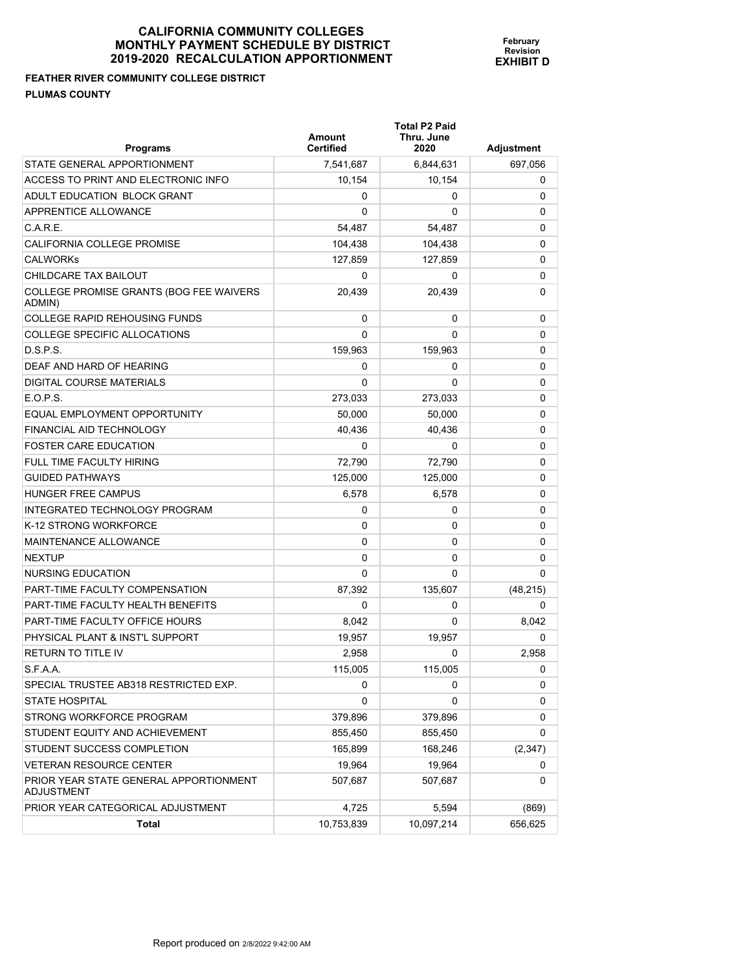**FEATHER RIVER COMMUNITY COLLEGE DISTRICT PLUMAS COUNTY** 

| <b>Programs</b>                                   | Amount<br><b>Certified</b> | Total P2 Paid<br>Thru. June<br>2020 | Adjustment  |
|---------------------------------------------------|----------------------------|-------------------------------------|-------------|
| STATE GENERAL APPORTIONMENT                       | 7,541,687                  | 6,844,631                           | 697,056     |
| ACCESS TO PRINT AND ELECTRONIC INFO               | 10,154                     | 10,154                              | 0           |
| ADULT EDUCATION BLOCK GRANT                       | 0                          | 0                                   | $\Omega$    |
| <b>APPRENTICE ALLOWANCE</b>                       | $\Omega$                   | 0                                   | 0           |
| C.A.R.E.                                          | 54,487                     | 54,487                              | 0           |
| <b>CALIFORNIA COLLEGE PROMISE</b>                 | 104,438                    | 104,438                             | 0           |
| <b>CALWORKs</b>                                   | 127.859                    | 127,859                             | $\Omega$    |
| CHILDCARE TAX BAILOUT                             | 0                          | 0                                   | $\Omega$    |
| COLLEGE PROMISE GRANTS (BOG FEE WAIVERS<br>ADMIN) | 20,439                     | 20,439                              | $\Omega$    |
| <b>COLLEGE RAPID REHOUSING FUNDS</b>              | 0                          | 0                                   | 0           |
| COLLEGE SPECIFIC ALLOCATIONS                      | 0                          | 0                                   | 0           |
| D.S.P.S.                                          | 159,963                    | 159,963                             | 0           |
| DEAF AND HARD OF HEARING                          | 0                          | 0                                   | 0           |
| DIGITAL COURSE MATERIALS                          | 0                          | 0                                   | 0           |
| E.O.P.S.                                          | 273,033                    | 273,033                             | 0           |
| <b>EQUAL EMPLOYMENT OPPORTUNITY</b>               | 50,000                     | 50,000                              | 0           |
| <b>FINANCIAL AID TECHNOLOGY</b>                   | 40,436                     | 40,436                              | 0           |
| <b>FOSTER CARE EDUCATION</b>                      | 0                          | 0                                   | $\Omega$    |
| <b>FULL TIME FACULTY HIRING</b>                   | 72,790                     | 72,790                              | 0           |
| <b>GUIDED PATHWAYS</b>                            | 125,000                    | 125,000                             | 0           |
| HUNGER FREE CAMPUS                                | 6,578                      | 6,578                               | 0           |
| INTEGRATED TECHNOLOGY PROGRAM                     | 0                          | 0                                   | 0           |
| K-12 STRONG WORKFORCE                             | 0                          | 0                                   | 0           |
| <b>MAINTENANCE ALLOWANCE</b>                      | 0                          | 0                                   | 0           |
| <b>NEXTUP</b>                                     | 0                          | 0                                   | 0           |
| <b>NURSING EDUCATION</b>                          | 0                          | 0                                   | 0           |
| PART-TIME FACULTY COMPENSATION                    | 87,392                     | 135,607                             | (48, 215)   |
| PART-TIME FACULTY HEALTH BENEFITS                 | 0                          | 0                                   | 0           |
| PART-TIME FACULTY OFFICE HOURS                    | 8,042                      | 0                                   | 8,042       |
| PHYSICAL PLANT & INST'L SUPPORT                   | 19,957                     | 19,957                              | $\mathbf 0$ |
| <b>RETURN TO TITLE IV</b>                         | 2,958                      | 0                                   | 2,958       |
| S.F.A.A.                                          | 115,005                    | 115,005                             | 0           |
| SPECIAL TRUSTEE AB318 RESTRICTED EXP.             | 0                          | 0                                   | 0           |
| <b>STATE HOSPITAL</b>                             | 0                          | 0                                   | 0           |

STRONG WORKFORCE PROGRAM  $379,896$   $379,896$   $379,896$  0 STUDENT EQUITY AND ACHIEVEMENT **855,450** 855,450 855,450 855,450 STUDENT SUCCESS COMPLETION 165,899 166,246 (2,347) VETERAN RESOURCE CENTER 19,964 19,964 19,964 19,964 19,964 19,964

PRIOR YEAR CATEGORICAL ADJUSTMENT  $4,725$   $5,594$   $(869)$ 

**Total** 10,753,839 10,097,214 656,625

507,687 507,687 0

**February Revision EXHIBIT D**

PRIOR YEAR STATE GENERAL APPORTIONMENT

ADJUSTMENT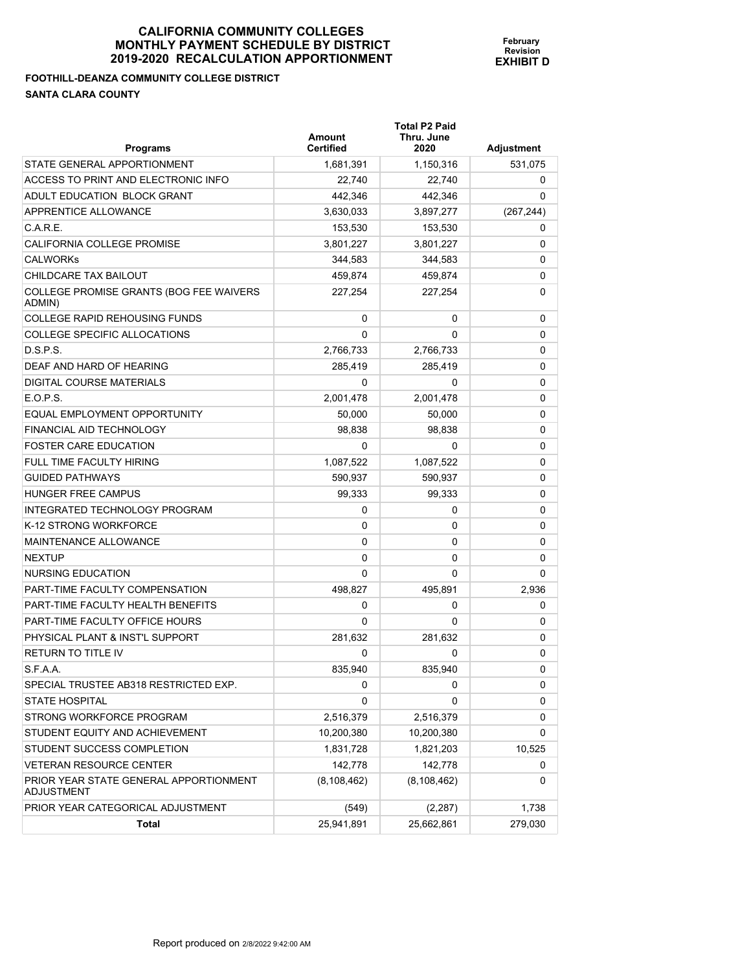**Total P2 Paid** 

**February Revision EXHIBIT D**

**FOOTHILL-DEANZA COMMUNITY COLLEGE DISTRICT SANTA CLARA COUNTY** 

| <b>Programs</b>                                      | <b>Amount</b><br><b>Certified</b> | Thru. June<br>2020 | <b>Adjustment</b> |
|------------------------------------------------------|-----------------------------------|--------------------|-------------------|
| STATE GENERAL APPORTIONMENT                          | 1,681,391                         | 1,150,316          | 531,075           |
| ACCESS TO PRINT AND ELECTRONIC INFO                  | 22,740                            | 22,740             | 0                 |
| ADULT EDUCATION BLOCK GRANT                          | 442,346                           | 442,346            | 0                 |
| APPRENTICE ALLOWANCE                                 | 3,630,033                         | 3,897,277          | (267, 244)        |
| C.A.R.E.                                             | 153,530                           | 153,530            | 0                 |
| <b>CALIFORNIA COLLEGE PROMISE</b>                    | 3,801,227                         | 3,801,227          | 0                 |
| CALWORKs                                             | 344,583                           | 344,583            | 0                 |
| CHILDCARE TAX BAILOUT                                | 459.874                           | 459,874            | 0                 |
| COLLEGE PROMISE GRANTS (BOG FEE WAIVERS<br>ADMIN)    | 227.254                           | 227,254            | 0                 |
| COLLEGE RAPID REHOUSING FUNDS                        | 0                                 | 0                  | 0                 |
| COLLEGE SPECIFIC ALLOCATIONS                         | 0                                 | 0                  | 0                 |
| D.S.P.S.                                             | 2,766,733                         | 2,766,733          | 0                 |
| DEAF AND HARD OF HEARING                             | 285,419                           | 285,419            | 0                 |
| DIGITAL COURSE MATERIALS                             | 0                                 | 0                  | 0                 |
| E.O.P.S.                                             | 2,001,478                         | 2,001,478          | 0                 |
| EQUAL EMPLOYMENT OPPORTUNITY                         | 50,000                            | 50,000             | 0                 |
| FINANCIAL AID TECHNOLOGY                             | 98.838                            | 98,838             | 0                 |
| FOSTER CARE EDUCATION                                | 0                                 | 0                  | 0                 |
| FULL TIME FACULTY HIRING                             | 1,087,522                         | 1,087,522          | 0                 |
| <b>GUIDED PATHWAYS</b>                               | 590,937                           | 590,937            | 0                 |
| <b>HUNGER FREE CAMPUS</b>                            | 99,333                            | 99,333             | 0                 |
| INTEGRATED TECHNOLOGY PROGRAM                        | 0                                 | 0                  | 0                 |
| K-12 STRONG WORKFORCE                                | 0                                 | 0                  | 0                 |
| MAINTENANCE ALLOWANCE                                | 0                                 | 0                  | 0                 |
| NEXTUP                                               | 0                                 | 0                  | 0                 |
| NURSING EDUCATION                                    | 0                                 | 0                  | 0                 |
| PART-TIME FACULTY COMPENSATION                       | 498,827                           | 495,891            | 2,936             |
| PART-TIME FACULTY HEALTH BENEFITS                    | 0                                 | 0                  | 0                 |
| PART-TIME FACULTY OFFICE HOURS                       | 0                                 | 0                  | 0                 |
| PHYSICAL PLANT & INST'L SUPPORT                      | 281,632                           | 281,632            | 0                 |
| RETURN TO TITLE IV                                   | 0                                 | 0                  | 0                 |
| S.F.A.A.                                             | 835,940                           | 835,940            | 0                 |
| SPECIAL TRUSTEE AB318 RESTRICTED EXP.                | 0                                 | 0                  | 0                 |
| <b>STATE HOSPITAL</b>                                | 0                                 | 0                  | 0                 |
| STRONG WORKFORCE PROGRAM                             | 2,516,379                         | 2,516,379          | 0                 |
| STUDENT EQUITY AND ACHIEVEMENT                       | 10,200,380                        | 10,200,380         | 0                 |
| STUDENT SUCCESS COMPLETION                           | 1,831,728                         | 1,821,203          | 10,525            |
| <b>VETERAN RESOURCE CENTER</b>                       | 142,778                           | 142,778            | 0                 |
| PRIOR YEAR STATE GENERAL APPORTIONMENT<br>ADJUSTMENT | (8, 108, 462)                     | (8, 108, 462)      | 0                 |
| PRIOR YEAR CATEGORICAL ADJUSTMENT                    | (549)                             | (2, 287)           | 1,738             |
| <b>Total</b>                                         | 25,941,891                        | 25,662,861         | 279,030           |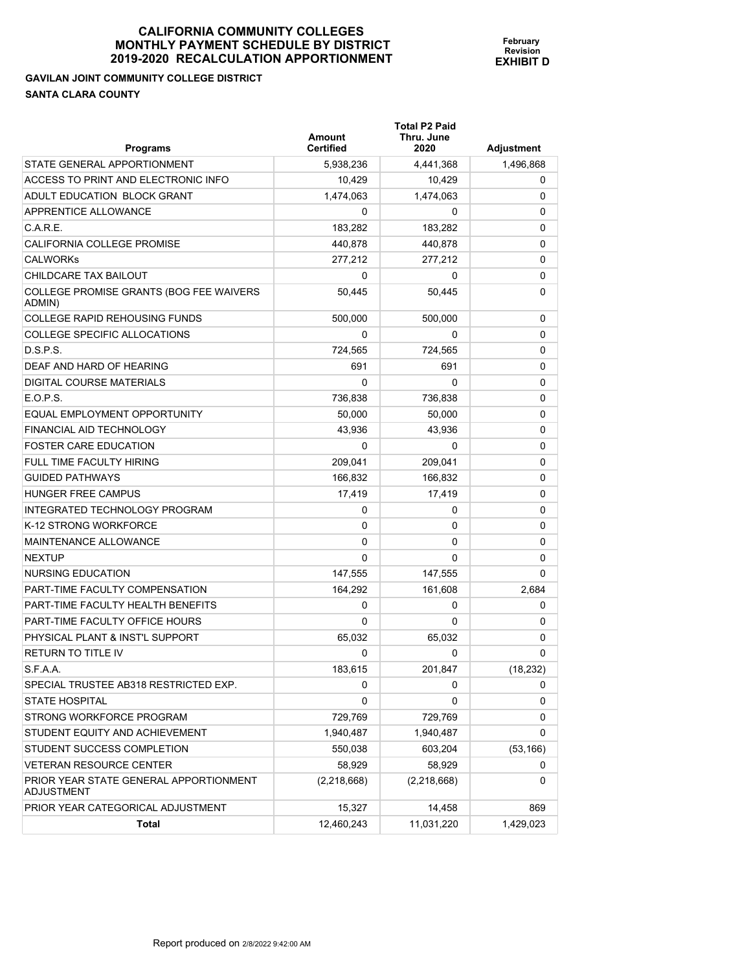**GAVILAN JOINT COMMUNITY COLLEGE DISTRICT SANTA CLARA COUNTY** 

| <b>Programs</b>                                   | Amount<br><b>Certified</b> | <b>Total P2 Paid</b><br>Thru. June<br>2020 | <b>Adjustment</b> |
|---------------------------------------------------|----------------------------|--------------------------------------------|-------------------|
| STATE GENERAL APPORTIONMENT                       | 5,938,236                  | 4,441,368                                  | 1,496,868         |
| ACCESS TO PRINT AND ELECTRONIC INFO               | 10,429                     | 10,429                                     | 0                 |
| ADULT EDUCATION BLOCK GRANT                       | 1,474,063                  | 1,474,063                                  | 0                 |
| APPRENTICE ALLOWANCE                              | 0                          | 0                                          | 0                 |
| C.A.R.E.                                          | 183,282                    | 183,282                                    | 0                 |
| CALIFORNIA COLLEGE PROMISE                        | 440,878                    | 440,878                                    | 0                 |
| <b>CALWORKS</b>                                   | 277,212                    | 277,212                                    | 0                 |
| CHILDCARE TAX BAILOUT                             | 0                          | 0                                          | 0                 |
| COLLEGE PROMISE GRANTS (BOG FEE WAIVERS<br>ADMIN) | 50.445                     | 50,445                                     | 0                 |
| <b>COLLEGE RAPID REHOUSING FUNDS</b>              | 500,000                    | 500,000                                    | 0                 |
| COLLEGE SPECIFIC ALLOCATIONS                      | 0                          | 0                                          | 0                 |
| D.S.P.S.                                          | 724,565                    | 724,565                                    | 0                 |
| DEAF AND HARD OF HEARING                          | 691                        | 691                                        | 0                 |
| DIGITAL COURSE MATERIALS                          | 0                          | 0                                          | 0                 |
| E.O.P.S.                                          | 736,838                    | 736,838                                    | 0                 |
| EQUAL EMPLOYMENT OPPORTUNITY                      | 50,000                     | 50,000                                     | 0                 |
| FINANCIAL AID TECHNOLOGY                          | 43,936                     | 43,936                                     | 0                 |
| <b>FOSTER CARE EDUCATION</b>                      | 0                          | 0                                          | $\Omega$          |
| <b>FULL TIME FACULTY HIRING</b>                   | 209,041                    | 209,041                                    | 0                 |
| <b>GUIDED PATHWAYS</b>                            | 166,832                    | 166,832                                    | 0                 |
| <b>HUNGER FREE CAMPUS</b>                         | 17,419                     | 17,419                                     | 0                 |
| INTEGRATED TECHNOLOGY PROGRAM                     | 0                          | 0                                          | 0                 |
| K-12 STRONG WORKFORCE                             | 0                          | 0                                          | 0                 |
| MAINTENANCE ALLOWANCE                             | 0                          | 0                                          | 0                 |
| <b>NEXTUP</b>                                     | 0                          | $\Omega$                                   | 0                 |
| NURSING EDUCATION                                 | 147,555                    | 147,555                                    | 0                 |
| PART-TIME FACULTY COMPENSATION                    | 164,292                    | 161,608                                    | 2,684             |
| PART-TIME FACULTY HEALTH BENEFITS                 | 0                          | 0                                          | 0                 |
| PART-TIME FACULTY OFFICE HOURS                    | 0                          | 0                                          | 0                 |
| PHYSICAL PLANT & INST'L SUPPORT                   | 65,032                     | 65,032                                     | 0                 |
| <b>RETURN TO TITLE IV</b>                         | 0                          | 0                                          | 0                 |
| S.F.A.A.                                          | 183,615                    | 201,847                                    | (18, 232)         |
| SPECIAL TRUSTEE AB318 RESTRICTED EXP.             | 0                          | 0                                          | 0                 |
| <b>STATE HOSPITAL</b>                             | 0                          | 0                                          | 0                 |
| STRONG WORKFORCE PROGRAM                          | 729,769                    | 729,769                                    | 0                 |
| STUDENT EQUITY AND ACHIEVEMENT                    | 1,940,487                  | 1,940,487                                  | 0                 |
| STUDENT SUCCESS COMPLETION                        | 550,038                    | 603,204                                    | (53, 166)         |
| <b>VETERAN RESOURCE CENTER</b>                    | 58,929                     | 58,929                                     | 0                 |

 $(2,218,668)$   $(2,218,668)$  0

**February Revision EXHIBIT D**

PRIOR YEAR CATEGORICAL ADJUSTMENT 15,327 14,458 14,458

**Total** 12,460,243 11,031,220 1,429,023

PRIOR YEAR STATE GENERAL APPORTIONMENT

ADJUSTMENT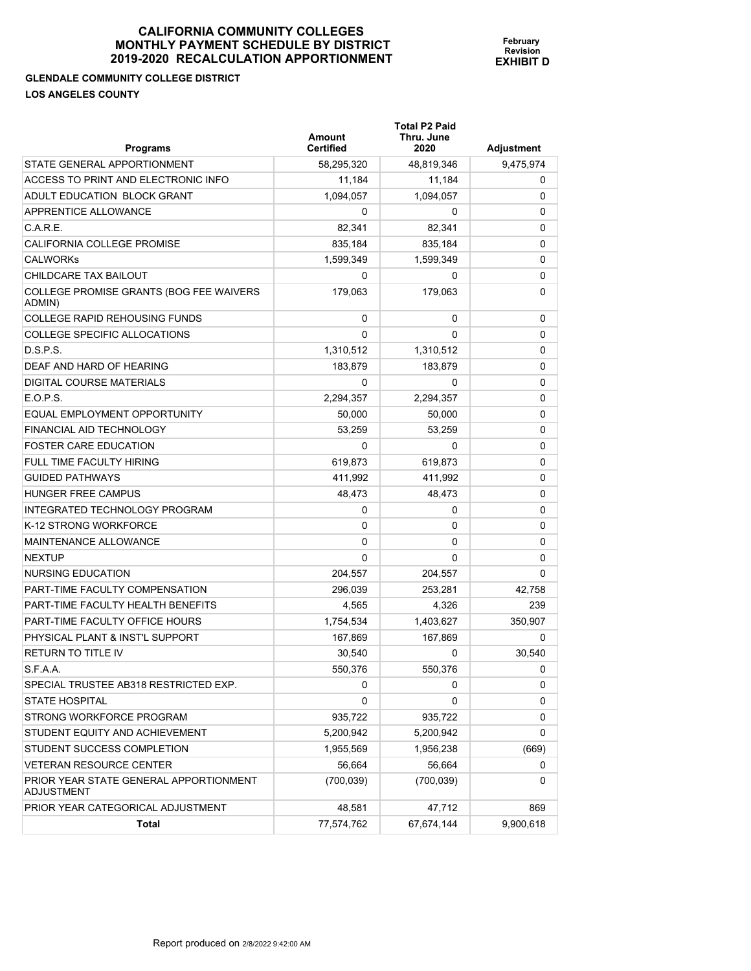**GLENDALE COMMUNITY COLLEGE DISTRICT LOS ANGELES COUNTY** 

**Total P2 Paid** 

| <b>Programs</b>                                             | Amount<br><b>Certified</b> | Thru. June<br>2020 | <b>Adjustment</b> |
|-------------------------------------------------------------|----------------------------|--------------------|-------------------|
| STATE GENERAL APPORTIONMENT                                 | 58,295,320                 | 48,819,346         | 9,475,974         |
| ACCESS TO PRINT AND ELECTRONIC INFO                         | 11,184                     | 11,184             | 0                 |
| ADULT EDUCATION BLOCK GRANT                                 | 1,094,057                  | 1,094,057          | 0                 |
| APPRENTICE ALLOWANCE                                        | 0                          | 0                  | 0                 |
| C.A.R.E.                                                    | 82,341                     | 82,341             | 0                 |
| CALIFORNIA COLLEGE PROMISE                                  | 835,184                    | 835,184            | 0                 |
| <b>CALWORKS</b>                                             | 1,599,349                  | 1,599,349          | 0                 |
| CHILDCARE TAX BAILOUT                                       | 0                          | 0                  | 0                 |
| COLLEGE PROMISE GRANTS (BOG FEE WAIVERS<br>ADMIN)           | 179,063                    | 179,063            | 0                 |
| <b>COLLEGE RAPID REHOUSING FUNDS</b>                        | 0                          | 0                  | 0                 |
| COLLEGE SPECIFIC ALLOCATIONS                                | 0                          | 0                  | 0                 |
| D.S.P.S.                                                    | 1,310,512                  | 1,310,512          | 0                 |
| DEAF AND HARD OF HEARING                                    | 183,879                    | 183,879            | 0                 |
| DIGITAL COURSE MATERIALS                                    | 0                          | 0                  | 0                 |
| E.O.P.S.                                                    | 2,294,357                  | 2,294,357          | 0                 |
| EQUAL EMPLOYMENT OPPORTUNITY                                | 50,000                     | 50,000             | 0                 |
| FINANCIAL AID TECHNOLOGY                                    | 53,259                     | 53.259             | 0                 |
| <b>FOSTER CARE EDUCATION</b>                                | 0                          | 0                  | 0                 |
| FULL TIME FACULTY HIRING                                    | 619,873                    | 619,873            | 0                 |
| <b>GUIDED PATHWAYS</b>                                      | 411,992                    | 411,992            | 0                 |
| <b>HUNGER FREE CAMPUS</b>                                   | 48,473                     | 48,473             | 0                 |
| INTEGRATED TECHNOLOGY PROGRAM                               | 0                          | 0                  | 0                 |
| K-12 STRONG WORKFORCE                                       | 0                          | 0                  | 0                 |
| MAINTENANCE ALLOWANCE                                       | 0                          | 0                  | 0                 |
| <b>NEXTUP</b>                                               | 0                          | 0                  | 0                 |
| NURSING EDUCATION                                           | 204,557                    | 204,557            | $\Omega$          |
| PART-TIME FACULTY COMPENSATION                              | 296,039                    | 253,281            | 42,758            |
| PART-TIME FACULTY HEALTH BENEFITS                           | 4,565                      | 4,326              | 239               |
| PART-TIME FACULTY OFFICE HOURS                              | 1,754,534                  | 1,403,627          | 350,907           |
| PHYSICAL PLANT & INST'L SUPPORT                             | 167,869                    | 167,869            | 0                 |
| <b>RETURN TO TITLE IV</b>                                   | 30,540                     | 0                  | 30.540            |
| S.F.A.A.                                                    | 550,376                    | 550,376            | 0                 |
| SPECIAL TRUSTEE AB318 RESTRICTED EXP.                       | 0                          | 0                  | 0                 |
| <b>STATE HOSPITAL</b>                                       | 0                          | 0                  | 0                 |
| STRONG WORKFORCE PROGRAM                                    | 935,722                    | 935,722            | 0                 |
| STUDENT EQUITY AND ACHIEVEMENT                              | 5,200,942                  | 5,200,942          | 0                 |
| STUDENT SUCCESS COMPLETION                                  | 1,955,569                  | 1,956,238          | (669)             |
| <b>VETERAN RESOURCE CENTER</b>                              | 56,664                     | 56,664             | 0                 |
| PRIOR YEAR STATE GENERAL APPORTIONMENT<br><b>ADJUSTMENT</b> | (700, 039)                 | (700, 039)         | 0                 |
| PRIOR YEAR CATEGORICAL ADJUSTMENT                           | 48,581                     | 47,712             | 869               |
| Total                                                       | 77,574,762                 | 67,674,144         | 9,900,618         |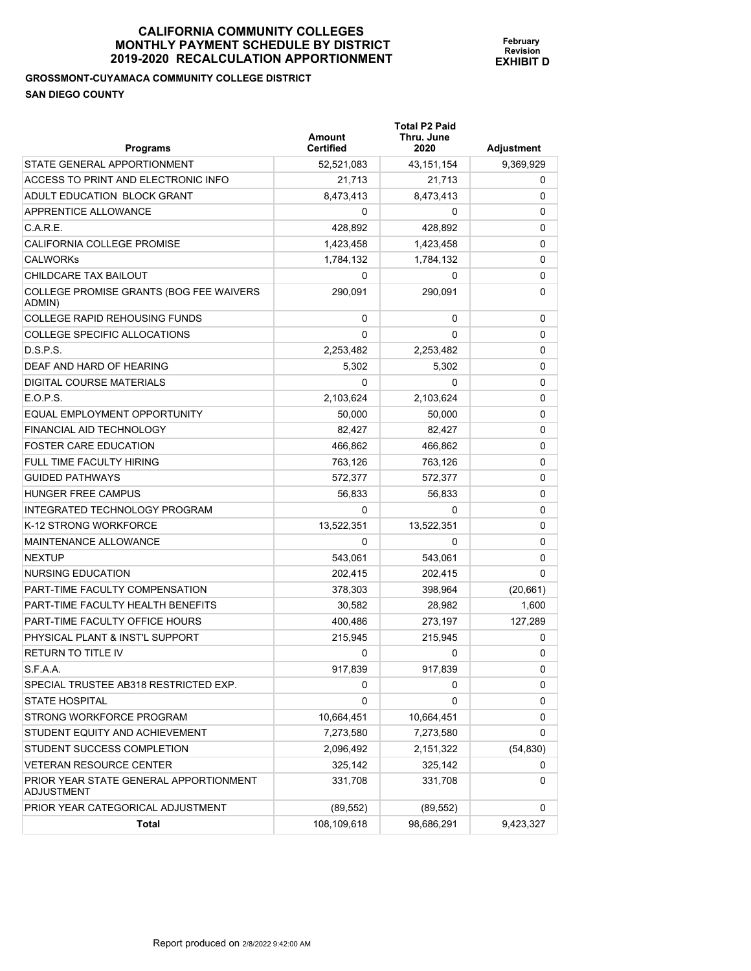#### **GROSSMONT-CUYAMACA COMMUNITY COLLEGE DISTRICT SAN DIEGO COUNTY**

| <b>Programs</b>                                      | Amount<br><b>Certified</b> | <b>Total P2 Paid</b><br>Thru. June<br>2020 | Adjustment |
|------------------------------------------------------|----------------------------|--------------------------------------------|------------|
| STATE GENERAL APPORTIONMENT                          | 52,521,083                 | 43, 151, 154                               | 9,369,929  |
| ACCESS TO PRINT AND ELECTRONIC INFO                  | 21,713                     | 21,713                                     | 0          |
| ADULT EDUCATION BLOCK GRANT                          | 8,473,413                  | 8,473,413                                  | 0          |
| APPRENTICE ALLOWANCE                                 | 0                          | 0                                          | 0          |
| C.A.R.E.                                             | 428,892                    | 428,892                                    | 0          |
| CALIFORNIA COLLEGE PROMISE                           | 1,423,458                  | 1,423,458                                  | 0          |
| <b>CALWORKS</b>                                      | 1,784,132                  | 1,784,132                                  | 0          |
| CHILDCARE TAX BAILOUT                                | 0                          | 0                                          | 0          |
| COLLEGE PROMISE GRANTS (BOG FEE WAIVERS<br>ADMIN)    | 290,091                    | 290,091                                    | 0          |
| <b>COLLEGE RAPID REHOUSING FUNDS</b>                 | 0                          | 0                                          | 0          |
| COLLEGE SPECIFIC ALLOCATIONS                         | 0                          | 0                                          | 0          |
| D.S.P.S.                                             | 2,253,482                  | 2,253,482                                  | 0          |
| DEAF AND HARD OF HEARING                             | 5,302                      | 5,302                                      | 0          |
| DIGITAL COURSE MATERIALS                             | 0                          | 0                                          | 0          |
| E.O.P.S.                                             | 2,103,624                  | 2,103,624                                  | 0          |
| EQUAL EMPLOYMENT OPPORTUNITY                         | 50,000                     | 50,000                                     | 0          |
| FINANCIAL AID TECHNOLOGY                             | 82.427                     | 82,427                                     | 0          |
| <b>FOSTER CARE EDUCATION</b>                         | 466.862                    | 466,862                                    | 0          |
| FULL TIME FACULTY HIRING                             | 763,126                    | 763,126                                    | 0          |
| <b>GUIDED PATHWAYS</b>                               | 572,377                    | 572,377                                    | 0          |
| <b>HUNGER FREE CAMPUS</b>                            | 56,833                     | 56,833                                     | 0          |
| INTEGRATED TECHNOLOGY PROGRAM                        | $\Omega$                   | 0                                          | 0          |
| K-12 STRONG WORKFORCE                                | 13,522,351                 | 13,522,351                                 | 0          |
| MAINTENANCE ALLOWANCE                                | 0                          | 0                                          | 0          |
| <b>NEXTUP</b>                                        | 543,061                    | 543,061                                    | 0          |
| NURSING EDUCATION                                    | 202,415                    | 202,415                                    | 0          |
| PART-TIME FACULTY COMPENSATION                       | 378,303                    | 398,964                                    | (20, 661)  |
| PART-TIME FACULTY HEALTH BENEFITS                    | 30,582                     | 28,982                                     | 1,600      |
| PART-TIME FACULTY OFFICE HOURS                       | 400,486                    | 273,197                                    | 127,289    |
| PHYSICAL PLANT & INST'L SUPPORT                      | 215,945                    | 215,945                                    | 0          |
| <b>RETURN TO TITLE IV</b>                            | 0                          | 0                                          | 0          |
| S.F.A.A.                                             | 917,839                    | 917,839                                    | 0          |
| SPECIAL TRUSTEE AB318 RESTRICTED EXP.                | 0                          | 0                                          | 0          |
| <b>STATE HOSPITAL</b>                                | 0                          | 0                                          | 0          |
| STRONG WORKFORCE PROGRAM                             | 10,664,451                 | 10,664,451                                 | 0          |
| STUDENT EQUITY AND ACHIEVEMENT                       | 7,273,580                  | 7,273,580                                  | 0          |
| STUDENT SUCCESS COMPLETION                           | 2,096,492                  | 2,151,322                                  | (54, 830)  |
| <b>VETERAN RESOURCE CENTER</b>                       | 325,142                    | 325,142                                    | 0          |
| PRIOR YEAR STATE GENERAL APPORTIONMENT<br>ADJUSTMENT | 331,708                    | 331,708                                    | 0          |
| PRIOR YEAR CATEGORICAL ADJUSTMENT                    | (89, 552)                  | (89, 552)                                  | 0          |
| Total                                                | 108,109,618                | 98,686,291                                 | 9,423,327  |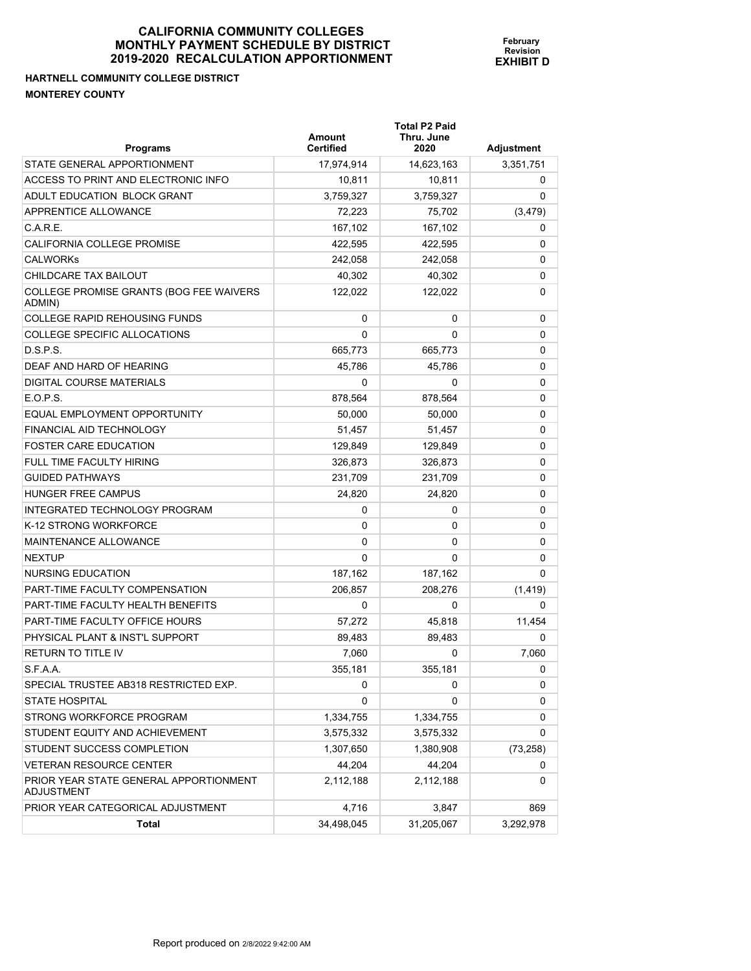# **HARTNELL COMMUNITY COLLEGE DISTRICT MONTEREY COUNTY**

| <b>Programs</b>                                             | Amount<br><b>Certified</b> | <b>Total P2 Paid</b><br>Thru. June<br>2020 | <b>Adjustment</b> |
|-------------------------------------------------------------|----------------------------|--------------------------------------------|-------------------|
| STATE GENERAL APPORTIONMENT                                 | 17,974,914                 | 14,623,163                                 | 3,351,751         |
| ACCESS TO PRINT AND ELECTRONIC INFO                         | 10,811                     | 10,811                                     | 0                 |
| ADULT EDUCATION BLOCK GRANT                                 | 3,759,327                  | 3,759,327                                  | 0                 |
| APPRENTICE ALLOWANCE                                        | 72,223                     | 75,702                                     | (3, 479)          |
| C.A.R.E.                                                    | 167,102                    | 167,102                                    | 0                 |
| CALIFORNIA COLLEGE PROMISE                                  | 422,595                    | 422,595                                    | 0                 |
| <b>CALWORKS</b>                                             | 242,058                    | 242,058                                    | 0                 |
| CHILDCARE TAX BAILOUT                                       | 40,302                     | 40,302                                     | 0                 |
| COLLEGE PROMISE GRANTS (BOG FEE WAIVERS<br>ADMIN)           | 122.022                    | 122,022                                    | 0                 |
| <b>COLLEGE RAPID REHOUSING FUNDS</b>                        | 0                          | 0                                          | 0                 |
| COLLEGE SPECIFIC ALLOCATIONS                                | $\Omega$                   | 0                                          | 0                 |
| D.S.P.S.                                                    | 665,773                    | 665,773                                    | 0                 |
| DEAF AND HARD OF HEARING                                    | 45,786                     | 45,786                                     | 0                 |
| DIGITAL COURSE MATERIALS                                    | 0                          | 0                                          | 0                 |
| E.O.P.S.                                                    | 878,564                    | 878,564                                    | 0                 |
| EQUAL EMPLOYMENT OPPORTUNITY                                | 50,000                     | 50,000                                     | 0                 |
| FINANCIAL AID TECHNOLOGY                                    | 51,457                     | 51,457                                     | 0                 |
| <b>FOSTER CARE EDUCATION</b>                                | 129,849                    | 129,849                                    | 0                 |
| FULL TIME FACULTY HIRING                                    | 326,873                    | 326,873                                    | 0                 |
| <b>GUIDED PATHWAYS</b>                                      | 231,709                    | 231,709                                    | 0                 |
| <b>HUNGER FREE CAMPUS</b>                                   | 24,820                     | 24,820                                     | 0                 |
| INTEGRATED TECHNOLOGY PROGRAM                               | 0                          | 0                                          | 0                 |
| K-12 STRONG WORKFORCE                                       | 0                          | 0                                          | 0                 |
| MAINTENANCE ALLOWANCE                                       | $\Omega$                   | 0                                          | 0                 |
| <b>NEXTUP</b>                                               | $\Omega$                   | $\Omega$                                   | 0                 |
| NURSING EDUCATION                                           | 187,162                    | 187,162                                    | 0                 |
| <b>PART-TIME FACULTY COMPENSATION</b>                       | 206,857                    | 208,276                                    | (1, 419)          |
| PART-TIME FACULTY HEALTH BENEFITS                           | 0                          | 0                                          | 0                 |
| PART-TIME FACULTY OFFICE HOURS                              | 57.272                     | 45,818                                     | 11,454            |
| PHYSICAL PLANT & INST'L SUPPORT                             | 89.483                     | 89,483                                     | 0                 |
| <b>RETURN TO TITLE IV</b>                                   | 7,060                      | 0                                          | 7,060             |
| S.F.A.A.                                                    | 355,181                    | 355,181                                    | υ                 |
| SPECIAL TRUSTEE AB318 RESTRICTED EXP.                       | 0                          | 0                                          | 0                 |
| <b>STATE HOSPITAL</b>                                       | 0                          | 0                                          | 0                 |
| STRONG WORKFORCE PROGRAM                                    | 1,334,755                  | 1,334,755                                  | 0                 |
| STUDENT EQUITY AND ACHIEVEMENT                              | 3,575,332                  | 3,575,332                                  | 0                 |
| STUDENT SUCCESS COMPLETION                                  | 1,307,650                  | 1,380,908                                  | (73, 258)         |
| <b>VETERAN RESOURCE CENTER</b>                              | 44,204                     | 44,204                                     | 0                 |
| PRIOR YEAR STATE GENERAL APPORTIONMENT<br><b>ADJUSTMENT</b> | 2,112,188                  | 2,112,188                                  | 0                 |
| PRIOR YEAR CATEGORICAL ADJUSTMENT                           | 4,716                      | 3,847                                      | 869               |
| Total                                                       | 34,498,045                 | 31,205,067                                 | 3,292,978         |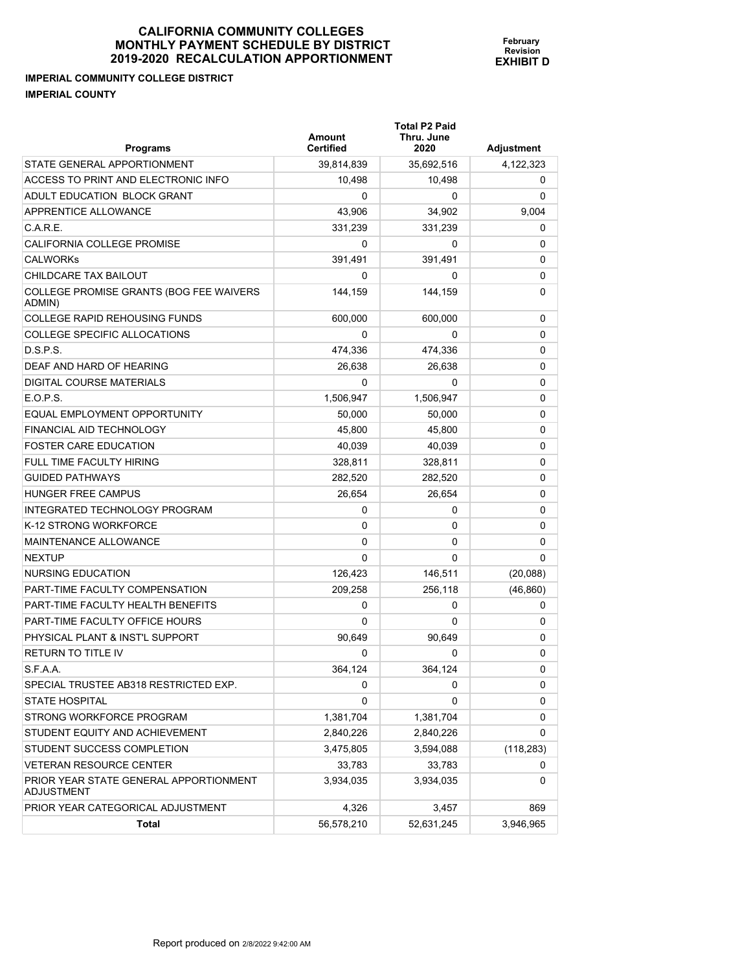**IMPERIAL COMMUNITY COLLEGE DISTRICT IMPERIAL COUNTY** 

| <b>Programs</b>                                             | Amount<br><b>Certified</b> | <b>Total P2 Paid</b><br>Thru. June<br>2020 | Adjustment |
|-------------------------------------------------------------|----------------------------|--------------------------------------------|------------|
| STATE GENERAL APPORTIONMENT                                 | 39,814,839                 | 35,692,516                                 | 4,122,323  |
| ACCESS TO PRINT AND ELECTRONIC INFO                         | 10,498                     | 10,498                                     | 0          |
| ADULT EDUCATION BLOCK GRANT                                 | 0                          | 0                                          | 0          |
| APPRENTICE ALLOWANCE                                        | 43,906                     | 34,902                                     | 9,004      |
| C.A.R.E.                                                    | 331,239                    | 331,239                                    | 0          |
| <b>CALIFORNIA COLLEGE PROMISE</b>                           | 0                          | 0                                          | 0          |
| <b>CALWORKS</b>                                             | 391,491                    | 391,491                                    | 0          |
| CHILDCARE TAX BAILOUT                                       | 0                          | 0                                          | 0          |
| COLLEGE PROMISE GRANTS (BOG FEE WAIVERS<br>ADMIN)           | 144.159                    | 144,159                                    | 0          |
| <b>COLLEGE RAPID REHOUSING FUNDS</b>                        | 600,000                    | 600,000                                    | 0          |
| COLLEGE SPECIFIC ALLOCATIONS                                | 0                          | 0                                          | 0          |
| D.S.P.S.                                                    | 474,336                    | 474,336                                    | 0          |
| DEAF AND HARD OF HEARING                                    | 26,638                     | 26,638                                     | 0          |
| DIGITAL COURSE MATERIALS                                    | 0                          | 0                                          | 0          |
| E.O.P.S.                                                    | 1,506,947                  | 1,506,947                                  | 0          |
| EQUAL EMPLOYMENT OPPORTUNITY                                | 50,000                     | 50,000                                     | 0          |
| FINANCIAL AID TECHNOLOGY                                    | 45,800                     | 45,800                                     | 0          |
| <b>FOSTER CARE EDUCATION</b>                                | 40,039                     | 40,039                                     | 0          |
| <b>FULL TIME FACULTY HIRING</b>                             | 328,811                    | 328,811                                    | 0          |
| <b>GUIDED PATHWAYS</b>                                      | 282,520                    | 282,520                                    | 0          |
| <b>HUNGER FREE CAMPUS</b>                                   | 26,654                     | 26,654                                     | 0          |
| INTEGRATED TECHNOLOGY PROGRAM                               | 0                          | 0                                          | 0          |
| K-12 STRONG WORKFORCE                                       | 0                          | 0                                          | 0          |
| MAINTENANCE ALLOWANCE                                       | 0                          | 0                                          | 0          |
| <b>NEXTUP</b>                                               | $\Omega$                   | 0                                          | 0          |
| NURSING EDUCATION                                           | 126,423                    | 146,511                                    | (20,088)   |
| <b>PART-TIME FACULTY COMPENSATION</b>                       | 209,258                    | 256,118                                    | (46, 860)  |
| PART-TIME FACULTY HEALTH BENEFITS                           | 0                          | 0                                          | 0          |
| PART-TIME FACULTY OFFICE HOURS                              | 0                          | 0                                          | 0          |
| PHYSICAL PLANT & INST'L SUPPORT                             | 90.649                     | 90,649                                     | 0          |
| <b>RETURN TO TITLE IV</b>                                   | 0                          | 0                                          | 0          |
| S.F.A.A.                                                    | 364,124                    | 364,124                                    | 0          |
| SPECIAL TRUSTEE AB318 RESTRICTED EXP.                       | 0                          | 0                                          | 0          |
| <b>STATE HOSPITAL</b>                                       | 0                          | 0                                          | 0          |
| STRONG WORKFORCE PROGRAM                                    | 1,381,704                  | 1,381,704                                  | 0          |
| STUDENT EQUITY AND ACHIEVEMENT                              | 2,840,226                  | 2,840,226                                  | 0          |
| STUDENT SUCCESS COMPLETION                                  | 3,475,805                  | 3,594,088                                  | (118, 283) |
| <b>VETERAN RESOURCE CENTER</b>                              | 33,783                     | 33,783                                     | 0          |
| PRIOR YEAR STATE GENERAL APPORTIONMENT<br><b>ADJUSTMENT</b> | 3,934,035                  | 3,934,035                                  | 0          |
| PRIOR YEAR CATEGORICAL ADJUSTMENT                           | 4,326                      | 3,457                                      | 869        |
| Total                                                       | 56,578,210                 | 52,631,245                                 | 3,946,965  |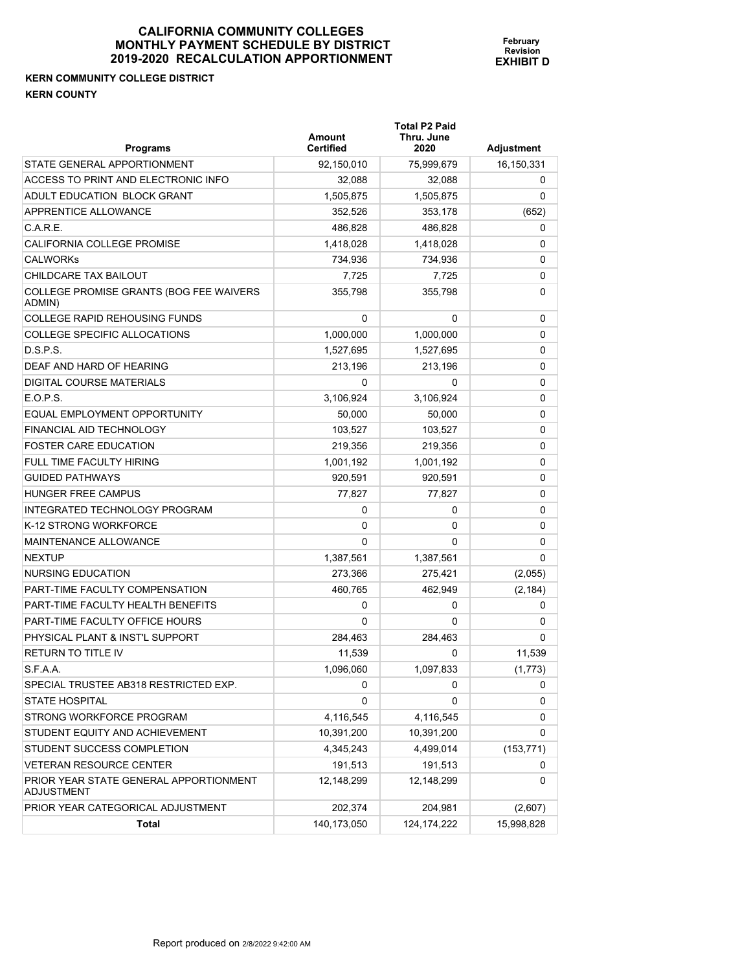## **KERN COMMUNITY COLLEGE DISTRICT KERN COUNTY**

| <b>Programs</b>                                      | Amount<br><b>Certified</b> | <b>Total P2 Paid</b><br>Thru. June<br>2020 | Adjustment |
|------------------------------------------------------|----------------------------|--------------------------------------------|------------|
| STATE GENERAL APPORTIONMENT                          | 92,150,010                 | 75,999,679                                 | 16,150,331 |
| ACCESS TO PRINT AND ELECTRONIC INFO                  | 32,088                     | 32,088                                     | 0          |
| ADULT EDUCATION BLOCK GRANT                          | 1.505.875                  | 1,505,875                                  | 0          |
| APPRENTICE ALLOWANCE                                 | 352,526                    | 353,178                                    | (652)      |
| C.A.R.E.                                             | 486,828                    | 486,828                                    | 0          |
| CALIFORNIA COLLEGE PROMISE                           | 1,418,028                  | 1,418,028                                  | 0          |
| <b>CALWORKS</b>                                      | 734,936                    | 734,936                                    | 0          |
| CHILDCARE TAX BAILOUT                                | 7,725                      | 7,725                                      | 0          |
| COLLEGE PROMISE GRANTS (BOG FEE WAIVERS<br>ADMIN)    | 355,798                    | 355,798                                    | 0          |
| <b>COLLEGE RAPID REHOUSING FUNDS</b>                 | 0                          | 0                                          | 0          |
| COLLEGE SPECIFIC ALLOCATIONS                         | 1,000,000                  | 1,000,000                                  | 0          |
| D.S.P.S.                                             | 1,527,695                  | 1,527,695                                  | 0          |
| DEAF AND HARD OF HEARING                             | 213,196                    | 213,196                                    | 0          |
| DIGITAL COURSE MATERIALS                             | 0                          | 0                                          | 0          |
| E.O.P.S.                                             | 3,106,924                  | 3,106,924                                  | 0          |
| EQUAL EMPLOYMENT OPPORTUNITY                         | 50,000                     | 50,000                                     | 0          |
| FINANCIAL AID TECHNOLOGY                             | 103,527                    | 103,527                                    | 0          |
| <b>FOSTER CARE EDUCATION</b>                         | 219,356                    | 219,356                                    | 0          |
| FULL TIME FACULTY HIRING                             | 1,001,192                  | 1,001,192                                  | 0          |
| <b>GUIDED PATHWAYS</b>                               | 920,591                    | 920,591                                    | 0          |
| <b>HUNGER FREE CAMPUS</b>                            | 77,827                     | 77,827                                     | 0          |
| INTEGRATED TECHNOLOGY PROGRAM                        | 0                          | 0                                          | 0          |
| K-12 STRONG WORKFORCE                                | 0                          | 0                                          | 0          |
| <b>MAINTENANCE ALLOWANCE</b>                         | 0                          | 0                                          | 0          |
| <b>NEXTUP</b>                                        | 1,387,561                  | 1,387,561                                  | 0          |
| NURSING EDUCATION                                    | 273,366                    | 275,421                                    | (2,055)    |
| PART-TIME FACULTY COMPENSATION                       | 460,765                    | 462,949                                    | (2, 184)   |
| PART-TIME FACULTY HEALTH BENEFITS                    | 0                          | 0                                          | 0          |
| PART-TIME FACULTY OFFICE HOURS                       | 0                          | 0                                          | 0          |
| PHYSICAL PLANT & INST'L SUPPORT                      | 284,463                    | 284,463                                    | 0          |
| <b>RETURN TO TITLE IV</b>                            | 11,539                     | 0                                          | 11,539     |
| S.F.A.A.                                             | 1,096,060                  | 1,097,833                                  | (1, 773)   |
| SPECIAL TRUSTEE AB318 RESTRICTED EXP.                | 0                          | 0                                          | 0          |
| <b>STATE HOSPITAL</b>                                | 0                          | 0                                          | 0          |
| STRONG WORKFORCE PROGRAM                             | 4,116,545                  | 4,116,545                                  | 0          |
| STUDENT EQUITY AND ACHIEVEMENT                       | 10,391,200                 | 10,391,200                                 | 0          |
| STUDENT SUCCESS COMPLETION                           | 4,345,243                  | 4,499,014                                  | (153, 771) |
| <b>VETERAN RESOURCE CENTER</b>                       | 191,513                    | 191,513                                    | 0          |
| PRIOR YEAR STATE GENERAL APPORTIONMENT<br>ADJUSTMENT | 12,148,299                 | 12,148,299                                 | 0          |
| PRIOR YEAR CATEGORICAL ADJUSTMENT                    | 202,374                    | 204,981                                    | (2,607)    |
| <b>Total</b>                                         | 140,173,050                | 124, 174, 222                              | 15,998,828 |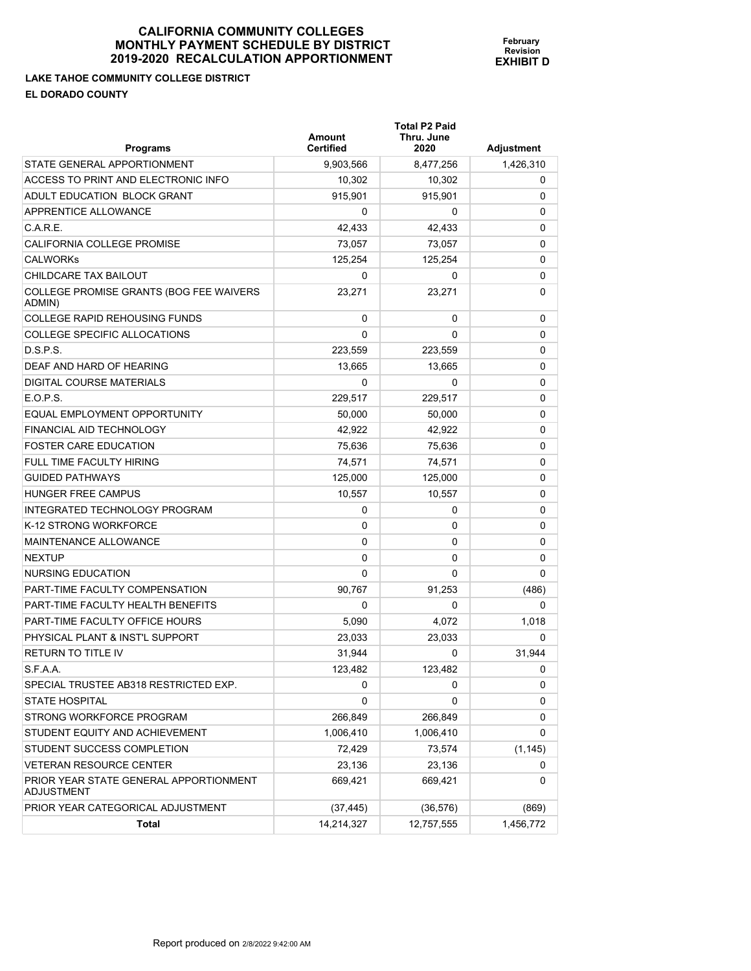**LAKE TAHOE COMMUNITY COLLEGE DISTRICT EL DORADO COUNTY** 

| <b>Programs</b>                                             | Amount<br><b>Certified</b> | <b>Total P2 Paid</b><br>Thru. June<br>2020 | Adjustment |
|-------------------------------------------------------------|----------------------------|--------------------------------------------|------------|
| STATE GENERAL APPORTIONMENT                                 | 9,903,566                  | 8,477,256                                  | 1,426,310  |
| ACCESS TO PRINT AND ELECTRONIC INFO                         | 10,302                     | 10,302                                     | 0          |
| ADULT EDUCATION BLOCK GRANT                                 | 915,901                    | 915,901                                    | 0          |
| <b>APPRENTICE ALLOWANCE</b>                                 | 0                          | 0                                          | 0          |
| C.A.R.E.                                                    | 42,433                     | 42,433                                     | 0          |
| CALIFORNIA COLLEGE PROMISE                                  | 73,057                     | 73,057                                     | 0          |
| <b>CALWORKS</b>                                             | 125.254                    | 125,254                                    | 0          |
| CHILDCARE TAX BAILOUT                                       | 0                          | 0                                          | 0          |
| COLLEGE PROMISE GRANTS (BOG FEE WAIVERS<br>ADMIN)           | 23,271                     | 23,271                                     | 0          |
| <b>COLLEGE RAPID REHOUSING FUNDS</b>                        | 0                          | 0                                          | 0          |
| COLLEGE SPECIFIC ALLOCATIONS                                | 0                          | 0                                          | 0          |
| D.S.P.S.                                                    | 223,559                    | 223,559                                    | 0          |
| DEAF AND HARD OF HEARING                                    | 13,665                     | 13,665                                     | 0          |
| DIGITAL COURSE MATERIALS                                    | 0                          | 0                                          | 0          |
| E.O.P.S.                                                    | 229,517                    | 229,517                                    | 0          |
| EQUAL EMPLOYMENT OPPORTUNITY                                | 50,000                     | 50,000                                     | 0          |
| FINANCIAL AID TECHNOLOGY                                    | 42.922                     | 42,922                                     | 0          |
| <b>FOSTER CARE EDUCATION</b>                                | 75,636                     | 75,636                                     | 0          |
| <b>FULL TIME FACULTY HIRING</b>                             | 74,571                     | 74,571                                     | 0          |
| <b>GUIDED PATHWAYS</b>                                      | 125,000                    | 125,000                                    | 0          |
| <b>HUNGER FREE CAMPUS</b>                                   | 10,557                     | 10,557                                     | 0          |
| INTEGRATED TECHNOLOGY PROGRAM                               | 0                          | 0                                          | 0          |
| K-12 STRONG WORKFORCE                                       | 0                          | 0                                          | 0          |
| MAINTENANCE ALLOWANCE                                       | 0                          | 0                                          | 0          |
| <b>NEXTUP</b>                                               | 0                          | 0                                          | 0          |
| NURSING EDUCATION                                           | 0                          | 0                                          | 0          |
| PART-TIME FACULTY COMPENSATION                              | 90,767                     | 91,253                                     | (486)      |
| PART-TIME FACULTY HEALTH BENEFITS                           | 0                          | 0                                          | 0          |
| PART-TIME FACULTY OFFICE HOURS                              | 5,090                      | 4,072                                      | 1,018      |
| PHYSICAL PLANT & INST'L SUPPORT                             | 23,033                     | 23,033                                     | 0          |
| <b>RETURN TO TITLE IV</b>                                   | 31,944                     | 0                                          | 31,944     |
| S.F.A.A.                                                    | 123,482                    | 123,482                                    | 0          |
| SPECIAL TRUSTEE AB318 RESTRICTED EXP.                       | 0                          | 0                                          | 0          |
| <b>STATE HOSPITAL</b>                                       | 0                          | 0                                          | 0          |
| STRONG WORKFORCE PROGRAM                                    | 266,849                    | 266,849                                    | 0          |
| STUDENT EQUITY AND ACHIEVEMENT                              | 1,006,410                  | 1,006,410                                  | 0          |
| STUDENT SUCCESS COMPLETION                                  | 72,429                     | 73,574                                     | (1, 145)   |
| <b>VETERAN RESOURCE CENTER</b>                              | 23,136                     | 23,136                                     | 0          |
| PRIOR YEAR STATE GENERAL APPORTIONMENT<br><b>ADJUSTMENT</b> | 669,421                    | 669,421                                    | 0          |
| PRIOR YEAR CATEGORICAL ADJUSTMENT                           | (37, 445)                  | (36, 576)                                  | (869)      |
| Total                                                       | 14,214,327                 | 12,757,555                                 | 1,456,772  |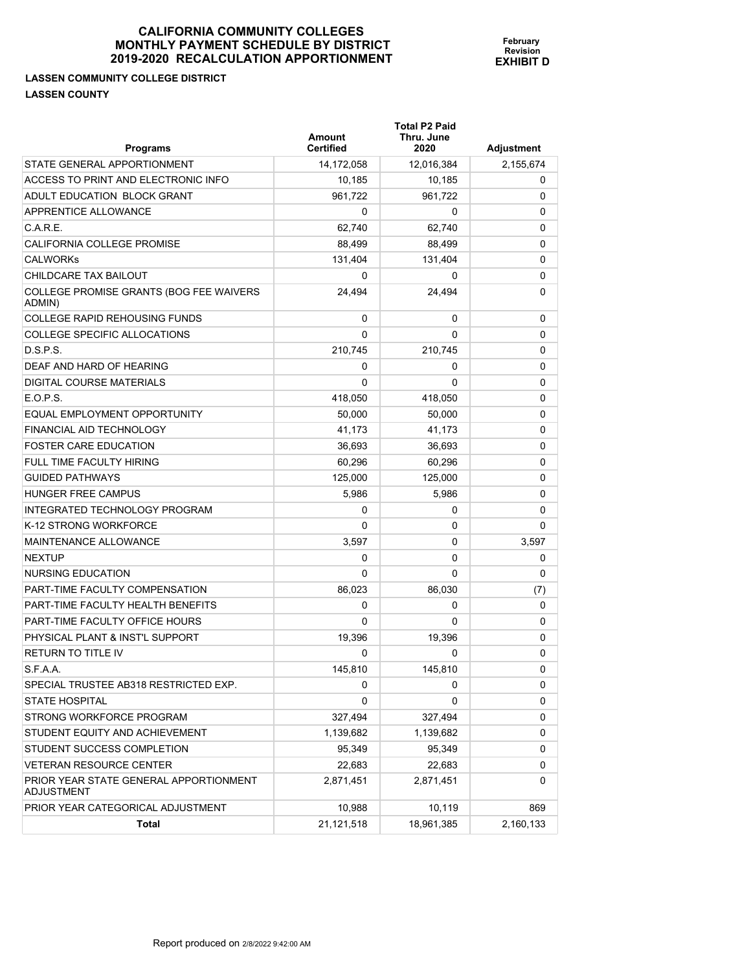## **LASSEN COMMUNITY COLLEGE DISTRICT LASSEN COUNTY**

| Programs                                                    | <b>Amount</b><br><b>Certified</b> | <b>Total P2 Paid</b><br>Thru. June<br>2020 | Adjustment |
|-------------------------------------------------------------|-----------------------------------|--------------------------------------------|------------|
| STATE GENERAL APPORTIONMENT                                 | 14,172,058                        | 12,016,384                                 | 2,155,674  |
| ACCESS TO PRINT AND ELECTRONIC INFO                         | 10,185                            | 10,185                                     | 0          |
| ADULT EDUCATION BLOCK GRANT                                 | 961,722                           | 961.722                                    | 0          |
| APPRENTICE ALLOWANCE                                        | 0                                 | 0                                          | 0          |
| C.A.R.E.                                                    | 62,740                            | 62,740                                     | 0          |
| CALIFORNIA COLLEGE PROMISE                                  | 88,499                            | 88.499                                     | 0          |
| <b>CALWORKS</b>                                             | 131,404                           | 131,404                                    | 0          |
| CHILDCARE TAX BAILOUT                                       | 0                                 | 0                                          | 0          |
| COLLEGE PROMISE GRANTS (BOG FEE WAIVERS<br>ADMIN)           | 24,494                            | 24.494                                     | 0          |
| <b>COLLEGE RAPID REHOUSING FUNDS</b>                        | 0                                 | 0                                          | 0          |
| COLLEGE SPECIFIC ALLOCATIONS                                | 0                                 | 0                                          | 0          |
| D.S.P.S.                                                    | 210,745                           | 210,745                                    | 0          |
| DEAF AND HARD OF HEARING                                    | 0                                 | 0                                          | 0          |
| <b>DIGITAL COURSE MATERIALS</b>                             | 0                                 | 0                                          | 0          |
| E.O.P.S.                                                    | 418,050                           | 418,050                                    | 0          |
| EQUAL EMPLOYMENT OPPORTUNITY                                | 50.000                            | 50,000                                     | 0          |
| FINANCIAL AID TECHNOLOGY                                    | 41.173                            | 41,173                                     | 0          |
| <b>FOSTER CARE EDUCATION</b>                                | 36,693                            | 36,693                                     | 0          |
| <b>FULL TIME FACULTY HIRING</b>                             | 60,296                            | 60,296                                     | 0          |
| <b>GUIDED PATHWAYS</b>                                      | 125,000                           | 125,000                                    | 0          |
| <b>HUNGER FREE CAMPUS</b>                                   | 5,986                             | 5,986                                      | 0          |
| INTEGRATED TECHNOLOGY PROGRAM                               | 0                                 | 0                                          | 0          |
| K-12 STRONG WORKFORCE                                       | 0                                 | 0                                          | 0          |
| <b>MAINTENANCE ALLOWANCE</b>                                | 3,597                             | 0                                          | 3,597      |
| <b>NEXTUP</b>                                               | 0                                 | 0                                          | 0          |
| NURSING EDUCATION                                           | 0                                 | 0                                          | 0          |
| <b>PART-TIME FACULTY COMPENSATION</b>                       | 86,023                            | 86,030                                     | (7)        |
| PART-TIME FACULTY HEALTH BENEFITS                           | 0                                 | 0                                          | 0          |
| PART-TIME FACULTY OFFICE HOURS                              | 0                                 | 0                                          | 0          |
| PHYSICAL PLANT & INST'L SUPPORT                             | 19,396                            | 19,396                                     | 0          |
| <b>RETURN TO TITLE IV</b>                                   | 0                                 | 0                                          | 0          |
| S.F.A.A.                                                    | 145,810                           | 145,810                                    | U          |
| SPECIAL TRUSTEE AB318 RESTRICTED EXP.                       | 0                                 | 0                                          | 0          |
| <b>STATE HOSPITAL</b>                                       | 0                                 | 0                                          | 0          |
| STRONG WORKFORCE PROGRAM                                    | 327,494                           | 327,494                                    | 0          |
| STUDENT EQUITY AND ACHIEVEMENT                              | 1,139,682                         | 1,139,682                                  | 0          |
| STUDENT SUCCESS COMPLETION                                  | 95,349                            | 95,349                                     | 0          |
| <b>VETERAN RESOURCE CENTER</b>                              | 22,683                            | 22,683                                     | 0          |
| PRIOR YEAR STATE GENERAL APPORTIONMENT<br><b>ADJUSTMENT</b> | 2,871,451                         | 2,871,451                                  | 0          |
| PRIOR YEAR CATEGORICAL ADJUSTMENT                           | 10,988                            | 10,119                                     | 869        |
| Total                                                       | 21,121,518                        | 18,961,385                                 | 2,160,133  |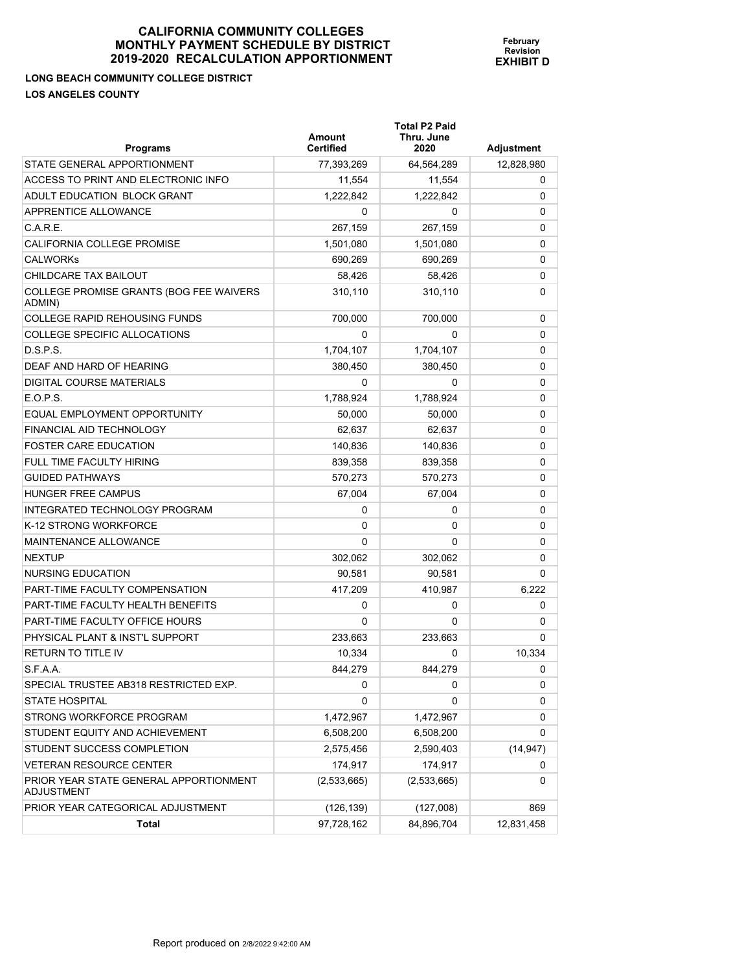**LONG BEACH COMMUNITY COLLEGE DISTRICT LOS ANGELES COUNTY** 

**Total P2 Paid** 

| <b>Programs</b>                                             | <b>Amount</b><br><b>Certified</b> | Thru. June<br>2020 | Adjustment |
|-------------------------------------------------------------|-----------------------------------|--------------------|------------|
| STATE GENERAL APPORTIONMENT                                 | 77,393,269                        | 64,564,289         | 12,828,980 |
| ACCESS TO PRINT AND ELECTRONIC INFO                         | 11,554                            | 11,554             | 0          |
| ADULT EDUCATION BLOCK GRANT                                 | 1,222,842                         | 1,222,842          | 0          |
| <b>APPRENTICE ALLOWANCE</b>                                 | 0                                 | 0                  | 0          |
| C.A.R.E.                                                    | 267,159                           | 267,159            | 0          |
| CALIFORNIA COLLEGE PROMISE                                  | 1,501,080                         | 1,501,080          | 0          |
| <b>CALWORKS</b>                                             | 690,269                           | 690,269            | 0          |
| CHILDCARE TAX BAILOUT                                       | 58,426                            | 58.426             | 0          |
| COLLEGE PROMISE GRANTS (BOG FEE WAIVERS<br>ADMIN)           | 310,110                           | 310.110            | 0          |
| <b>COLLEGE RAPID REHOUSING FUNDS</b>                        | 700,000                           | 700,000            | 0          |
| COLLEGE SPECIFIC ALLOCATIONS                                | 0                                 | 0                  | 0          |
| D.S.P.S.                                                    | 1,704,107                         | 1,704,107          | 0          |
| DEAF AND HARD OF HEARING                                    | 380,450                           | 380,450            | 0          |
| <b>DIGITAL COURSE MATERIALS</b>                             | 0                                 | 0                  | 0          |
| E.O.P.S.                                                    | 1.788.924                         | 1,788,924          | 0          |
| EQUAL EMPLOYMENT OPPORTUNITY                                | 50,000                            | 50,000             | 0          |
| FINANCIAL AID TECHNOLOGY                                    | 62,637                            | 62,637             | 0          |
| <b>FOSTER CARE EDUCATION</b>                                | 140,836                           | 140.836            | 0          |
| FULL TIME FACULTY HIRING                                    | 839,358                           | 839,358            | 0          |
| <b>GUIDED PATHWAYS</b>                                      | 570,273                           | 570.273            | 0          |
| <b>HUNGER FREE CAMPUS</b>                                   | 67,004                            | 67,004             | 0          |
| INTEGRATED TECHNOLOGY PROGRAM                               | 0                                 | 0                  | 0          |
| K-12 STRONG WORKFORCE                                       | 0                                 | 0                  | 0          |
| <b>MAINTENANCE ALLOWANCE</b>                                | 0                                 | 0                  | 0          |
| <b>NEXTUP</b>                                               | 302,062                           | 302,062            | 0          |
| NURSING EDUCATION                                           | 90,581                            | 90,581             | 0          |
| <b>PART-TIME FACULTY COMPENSATION</b>                       | 417,209                           | 410,987            | 6,222      |
| PART-TIME FACULTY HEALTH BENEFITS                           | 0                                 | 0                  | 0          |
| PART-TIME FACULTY OFFICE HOURS                              | 0                                 | 0                  | 0          |
| PHYSICAL PLANT & INST'L SUPPORT                             | 233,663                           | 233,663            | 0          |
| <b>RETURN TO TITLE IV</b>                                   | 10,334                            | 0                  | 10,334     |
| S.F.A.A.                                                    | 844,279                           | 844.279            | 0          |
| SPECIAL TRUSTEE AB318 RESTRICTED EXP.                       | 0                                 | 0                  | 0          |
| <b>STATE HOSPITAL</b>                                       | 0                                 | 0                  | 0          |
| STRONG WORKFORCE PROGRAM                                    | 1,472,967                         | 1,472,967          | 0          |
| STUDENT EQUITY AND ACHIEVEMENT                              | 6,508,200                         | 6,508,200          | 0          |
| STUDENT SUCCESS COMPLETION                                  | 2,575,456                         | 2,590,403          | (14, 947)  |
| <b>VETERAN RESOURCE CENTER</b>                              | 174,917                           | 174,917            | 0          |
| PRIOR YEAR STATE GENERAL APPORTIONMENT<br><b>ADJUSTMENT</b> | (2,533,665)                       | (2,533,665)        | 0          |
| PRIOR YEAR CATEGORICAL ADJUSTMENT                           | (126, 139)                        | (127,008)          | 869        |
| <b>Total</b>                                                | 97,728,162                        | 84,896,704         | 12,831,458 |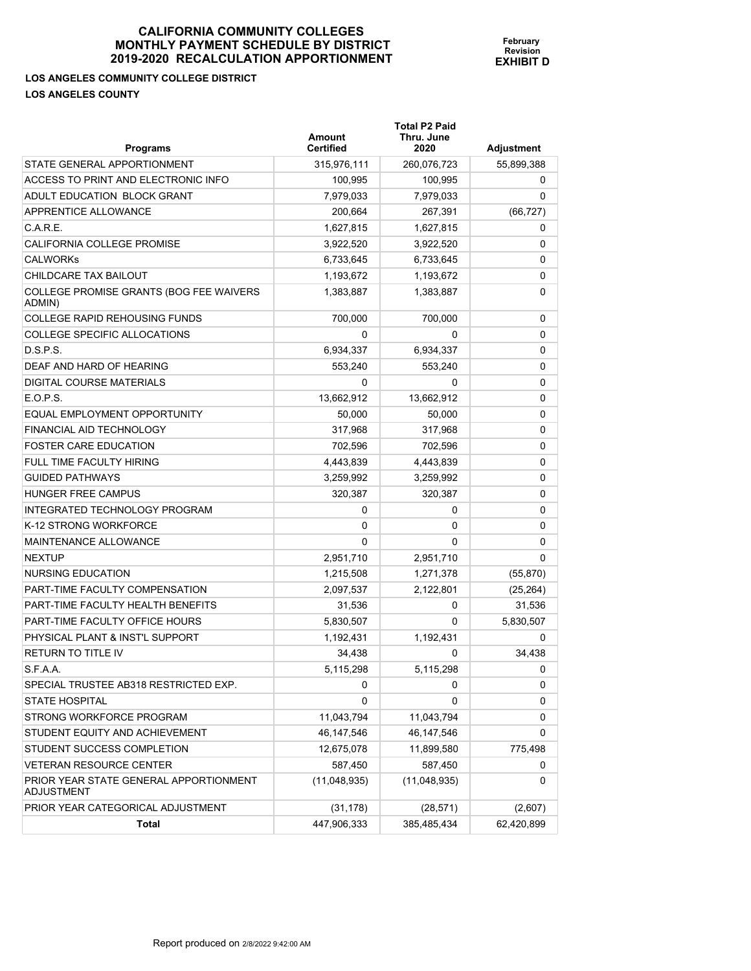**LOS ANGELES COMMUNITY COLLEGE DISTRICT LOS ANGELES COUNTY** 

| -LJLJ            | February         |
|------------------|------------------|
| Y DISTRICT       | <b>Revision</b>  |
| <b>?TIONMENT</b> | <b>EXHIBIT D</b> |
|                  |                  |

**Total P2 Paid** 

| <b>Programs</b>                                             | <b>Amount</b><br><b>Certified</b> | Thru. June<br>2020 | Adjustment |
|-------------------------------------------------------------|-----------------------------------|--------------------|------------|
| STATE GENERAL APPORTIONMENT                                 | 315,976,111                       | 260,076,723        | 55,899,388 |
| ACCESS TO PRINT AND ELECTRONIC INFO                         | 100,995                           | 100,995            | 0          |
| ADULT EDUCATION BLOCK GRANT                                 | 7,979,033                         | 7,979,033          | 0          |
| APPRENTICE ALLOWANCE                                        | 200.664                           | 267,391            | (66, 727)  |
| C.A.R.E.                                                    | 1,627,815                         | 1,627,815          | 0          |
| CALIFORNIA COLLEGE PROMISE                                  | 3,922,520                         | 3,922,520          | 0          |
| <b>CALWORKS</b>                                             | 6,733,645                         | 6,733,645          | 0          |
| CHILDCARE TAX BAILOUT                                       | 1,193,672                         | 1,193,672          | 0          |
| COLLEGE PROMISE GRANTS (BOG FEE WAIVERS<br>ADMIN)           | 1,383,887                         | 1,383,887          | 0          |
| <b>COLLEGE RAPID REHOUSING FUNDS</b>                        | 700,000                           | 700,000            | 0          |
| COLLEGE SPECIFIC ALLOCATIONS                                | 0                                 | 0                  | 0          |
| D.S.P.S.                                                    | 6,934,337                         | 6,934,337          | 0          |
| DEAF AND HARD OF HEARING                                    | 553,240                           | 553,240            | 0          |
| DIGITAL COURSE MATERIALS                                    | 0                                 | 0                  | 0          |
| E.O.P.S.                                                    | 13,662,912                        | 13,662,912         | 0          |
| EQUAL EMPLOYMENT OPPORTUNITY                                | 50.000                            | 50,000             | 0          |
| FINANCIAL AID TECHNOLOGY                                    | 317,968                           | 317,968            | 0          |
| <b>FOSTER CARE EDUCATION</b>                                | 702,596                           | 702,596            | 0          |
| FULL TIME FACULTY HIRING                                    | 4,443,839                         | 4,443,839          | 0          |
| <b>GUIDED PATHWAYS</b>                                      | 3,259,992                         | 3,259,992          | 0          |
| <b>HUNGER FREE CAMPUS</b>                                   | 320,387                           | 320,387            | 0          |
| INTEGRATED TECHNOLOGY PROGRAM                               | 0                                 | 0                  | 0          |
| K-12 STRONG WORKFORCE                                       | 0                                 | 0                  | 0          |
| MAINTENANCE ALLOWANCE                                       | 0                                 | 0                  | 0          |
| <b>NEXTUP</b>                                               | 2,951,710                         | 2,951,710          | 0          |
| NURSING EDUCATION                                           | 1,215,508                         | 1,271,378          | (55, 870)  |
| PART-TIME FACULTY COMPENSATION                              | 2,097,537                         | 2,122,801          | (25, 264)  |
| PART-TIME FACULTY HEALTH BENEFITS                           | 31,536                            | 0                  | 31,536     |
| PART-TIME FACULTY OFFICE HOURS                              | 5,830,507                         | 0                  | 5,830,507  |
| PHYSICAL PLANT & INST'L SUPPORT                             | 1,192,431                         | 1,192,431          | 0          |
| <b>RETURN TO TITLE IV</b>                                   | 34,438                            | 0                  | 34.438     |
| S.F.A.A.                                                    | 5,115,298                         | 5,115,298          | 0          |
| SPECIAL TRUSTEE AB318 RESTRICTED EXP.                       | 0                                 | 0                  | 0          |
| <b>STATE HOSPITAL</b>                                       | 0                                 | 0                  | 0          |
| STRONG WORKFORCE PROGRAM                                    | 11,043,794                        | 11,043,794         | 0          |
| STUDENT EQUITY AND ACHIEVEMENT                              | 46, 147, 546                      | 46, 147, 546       | 0          |
| STUDENT SUCCESS COMPLETION                                  | 12,675,078                        | 11,899,580         | 775,498    |
| <b>VETERAN RESOURCE CENTER</b>                              | 587,450                           | 587,450            | 0          |
| PRIOR YEAR STATE GENERAL APPORTIONMENT<br><b>ADJUSTMENT</b> | (11,048,935)                      | (11,048,935)       | 0          |
| PRIOR YEAR CATEGORICAL ADJUSTMENT                           | (31, 178)                         | (28, 571)          | (2,607)    |
| Total                                                       | 447,906,333                       | 385,485,434        | 62,420,899 |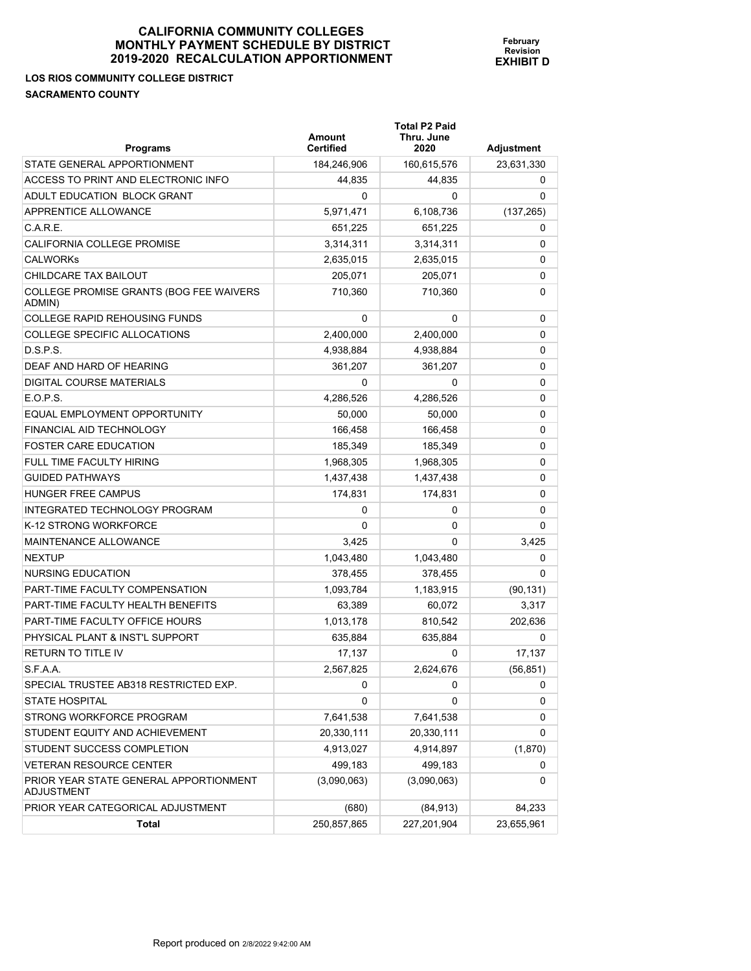# **LOS RIOS COMMUNITY COLLEGE DISTRICT SACRAMENTO COUNTY**

| <b>Programs</b>                                      | Amount<br><b>Certified</b> | <b>Total P2 Paid</b><br>Thru. June<br>2020 | Adjustment |
|------------------------------------------------------|----------------------------|--------------------------------------------|------------|
| STATE GENERAL APPORTIONMENT                          | 184,246,906                | 160,615,576                                | 23,631,330 |
| ACCESS TO PRINT AND ELECTRONIC INFO                  | 44,835                     | 44,835                                     | 0          |
| ADULT EDUCATION BLOCK GRANT                          | 0                          | 0                                          | 0          |
| APPRENTICE ALLOWANCE                                 | 5,971,471                  | 6,108,736                                  | (137, 265) |
| C.A.R.E.                                             | 651,225                    | 651,225                                    | 0          |
| <b>CALIFORNIA COLLEGE PROMISE</b>                    | 3,314,311                  | 3,314,311                                  | 0          |
| <b>CALWORKs</b>                                      | 2,635,015                  | 2,635,015                                  | 0          |
| CHILDCARE TAX BAILOUT                                | 205,071                    | 205,071                                    | 0          |
| COLLEGE PROMISE GRANTS (BOG FEE WAIVERS<br>ADMIN)    | 710,360                    | 710.360                                    | 0          |
| <b>COLLEGE RAPID REHOUSING FUNDS</b>                 | 0                          | 0                                          | 0          |
| <b>COLLEGE SPECIFIC ALLOCATIONS</b>                  | 2,400,000                  | 2,400,000                                  | 0          |
| D.S.P.S.                                             | 4,938,884                  | 4,938,884                                  | 0          |
| DEAF AND HARD OF HEARING                             | 361,207                    | 361,207                                    | 0          |
| DIGITAL COURSE MATERIALS                             | 0                          | 0                                          | 0          |
| E.O.P.S.                                             | 4,286,526                  | 4,286,526                                  | 0          |
| EQUAL EMPLOYMENT OPPORTUNITY                         | 50,000                     | 50,000                                     | 0          |
| FINANCIAL AID TECHNOLOGY                             | 166,458                    | 166,458                                    | 0          |
| <b>FOSTER CARE EDUCATION</b>                         | 185,349                    | 185,349                                    | 0          |
| FULL TIME FACULTY HIRING                             | 1,968,305                  | 1,968,305                                  | 0          |
| <b>GUIDED PATHWAYS</b>                               | 1,437,438                  | 1,437,438                                  | 0          |
| <b>HUNGER FREE CAMPUS</b>                            | 174,831                    | 174,831                                    | 0          |
| INTEGRATED TECHNOLOGY PROGRAM                        | 0                          | 0                                          | 0          |
| K-12 STRONG WORKFORCE                                | 0                          | 0                                          | 0          |
| MAINTENANCE ALLOWANCE                                | 3,425                      | 0                                          | 3,425      |
| <b>NEXTUP</b>                                        | 1,043,480                  | 1,043,480                                  | 0          |
| NURSING EDUCATION                                    | 378,455                    | 378,455                                    | 0          |
| PART-TIME FACULTY COMPENSATION                       | 1,093,784                  | 1,183,915                                  | (90, 131)  |
| PART-TIME FACULTY HEALTH BENEFITS                    | 63,389                     | 60,072                                     | 3,317      |
| PART-TIME FACULTY OFFICE HOURS                       | 1,013,178                  | 810,542                                    | 202,636    |
| PHYSICAL PLANT & INST'L SUPPORT                      | 635,884                    | 635,884                                    | 0          |
| <b>RETURN TO TITLE IV</b>                            | 17,137                     | 0                                          | 17,137     |
| S.F.A.A.                                             | 2,567,825                  | 2,624,676                                  | (56, 851)  |
| SPECIAL TRUSTEE AB318 RESTRICTED EXP.                | 0                          | 0                                          | 0          |
| <b>STATE HOSPITAL</b>                                | 0                          | 0                                          | 0          |
| STRONG WORKFORCE PROGRAM                             | 7,641,538                  | 7,641,538                                  | 0          |
| STUDENT EQUITY AND ACHIEVEMENT                       | 20,330,111                 | 20,330,111                                 | 0          |
| STUDENT SUCCESS COMPLETION                           | 4,913,027                  | 4,914,897                                  | (1,870)    |
| <b>VETERAN RESOURCE CENTER</b>                       | 499,183                    | 499,183                                    | 0          |
| PRIOR YEAR STATE GENERAL APPORTIONMENT<br>ADJUSTMENT | (3,090,063)                | (3,090,063)                                | 0          |
| PRIOR YEAR CATEGORICAL ADJUSTMENT                    | (680)                      | (84, 913)                                  | 84,233     |
| Total                                                | 250,857,865                | 227,201,904                                | 23,655,961 |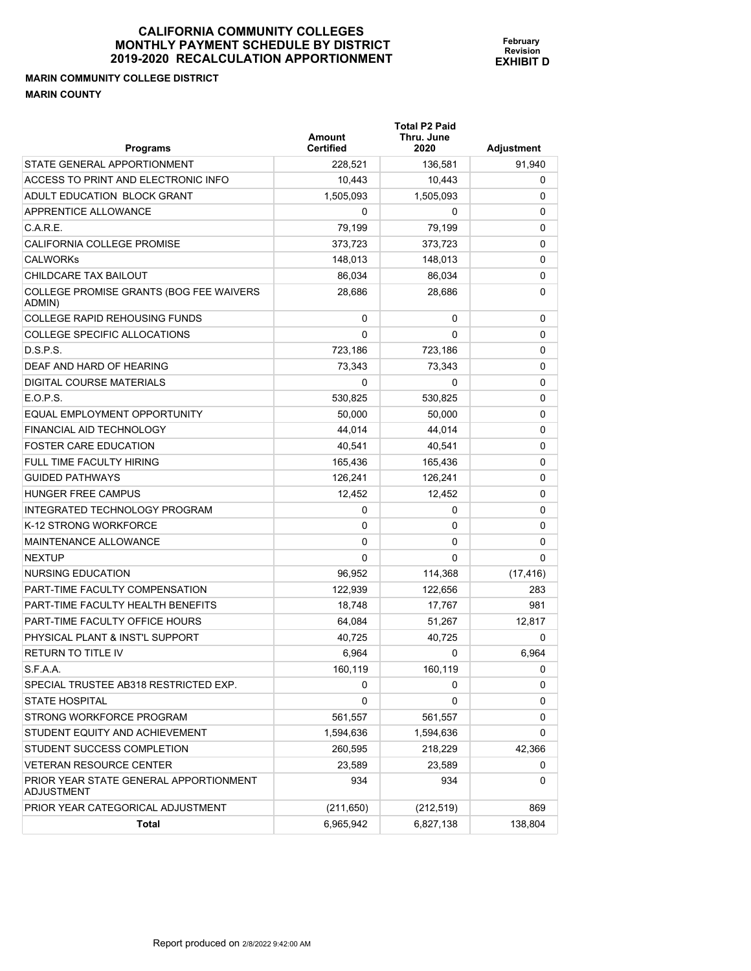## **MARIN COMMUNITY COLLEGE DISTRICT MARIN COUNTY**

| <b>Programs</b>                                      | <b>Amount</b><br><b>Certified</b> | <b>Total P2 Paid</b><br>Thru. June<br>2020 | Adjustment |
|------------------------------------------------------|-----------------------------------|--------------------------------------------|------------|
| STATE GENERAL APPORTIONMENT                          | 228,521                           | 136,581                                    | 91.940     |
| ACCESS TO PRINT AND ELECTRONIC INFO                  | 10,443                            | 10,443                                     | 0          |
| ADULT EDUCATION BLOCK GRANT                          | 1,505,093                         | 1.505.093                                  | 0          |
| <b>APPRENTICE ALLOWANCE</b>                          | 0                                 | 0                                          | 0          |
| C.A.R.E.                                             | 79,199                            | 79,199                                     | 0          |
| <b>CALIFORNIA COLLEGE PROMISE</b>                    | 373,723                           | 373,723                                    | 0          |
| <b>CALWORKS</b>                                      | 148,013                           | 148,013                                    | 0          |
| CHILDCARE TAX BAILOUT                                | 86,034                            | 86,034                                     | 0          |
| COLLEGE PROMISE GRANTS (BOG FEE WAIVERS<br>ADMIN)    | 28,686                            | 28,686                                     | 0          |
| <b>COLLEGE RAPID REHOUSING FUNDS</b>                 | 0                                 | 0                                          | 0          |
| <b>COLLEGE SPECIFIC ALLOCATIONS</b>                  | 0                                 | 0                                          | 0          |
| D.S.P.S.                                             | 723,186                           | 723,186                                    | 0          |
| DEAF AND HARD OF HEARING                             | 73,343                            | 73,343                                     | 0          |
| DIGITAL COURSE MATERIALS                             | 0                                 | 0                                          | 0          |
| E.O.P.S.                                             | 530,825                           | 530,825                                    | 0          |
| EQUAL EMPLOYMENT OPPORTUNITY                         | 50,000                            | 50,000                                     | 0          |
| FINANCIAL AID TECHNOLOGY                             | 44,014                            | 44,014                                     | 0          |
| <b>FOSTER CARE EDUCATION</b>                         | 40,541                            | 40,541                                     | 0          |
| <b>FULL TIME FACULTY HIRING</b>                      | 165,436                           | 165.436                                    | 0          |
| <b>GUIDED PATHWAYS</b>                               | 126,241                           | 126,241                                    | 0          |
| <b>HUNGER FREE CAMPUS</b>                            | 12,452                            | 12,452                                     | 0          |
| INTEGRATED TECHNOLOGY PROGRAM                        | 0                                 | 0                                          | 0          |
| K-12 STRONG WORKFORCE                                | 0                                 | 0                                          | 0          |
| <b>MAINTENANCE ALLOWANCE</b>                         | 0                                 | 0                                          | 0          |
| <b>NEXTUP</b>                                        | $\Omega$                          | 0                                          | 0          |
| NURSING EDUCATION                                    | 96,952                            | 114,368                                    | (17, 416)  |
| <b>PART-TIME FACULTY COMPENSATION</b>                | 122,939                           | 122,656                                    | 283        |
| PART-TIME FACULTY HEALTH BENEFITS                    | 18,748                            | 17.767                                     | 981        |
| PART-TIME FACULTY OFFICE HOURS                       | 64,084                            | 51,267                                     | 12.817     |
| PHYSICAL PLANT & INST'L SUPPORT                      | 40,725                            | 40,725                                     | 0          |
| <b>RETURN TO TITLE IV</b>                            | 6,964                             | 0                                          | 6,964      |
| S.F.A.A.                                             | 160,119                           | 160,119                                    | 0          |
| SPECIAL TRUSTEE AB318 RESTRICTED EXP.                | 0                                 | 0                                          | 0          |
| <b>STATE HOSPITAL</b>                                | 0                                 | 0                                          | 0          |
| STRONG WORKFORCE PROGRAM                             | 561,557                           | 561,557                                    | 0          |
| STUDENT EQUITY AND ACHIEVEMENT                       | 1,594,636                         | 1,594,636                                  | 0          |
| STUDENT SUCCESS COMPLETION                           | 260,595                           | 218,229                                    | 42,366     |
| <b>VETERAN RESOURCE CENTER</b>                       | 23,589                            | 23,589                                     | 0          |
| PRIOR YEAR STATE GENERAL APPORTIONMENT<br>ADJUSTMENT | 934                               | 934                                        | 0          |
| PRIOR YEAR CATEGORICAL ADJUSTMENT                    | (211, 650)                        | (212, 519)                                 | 869        |
| Total                                                | 6,965,942                         | 6,827,138                                  | 138,804    |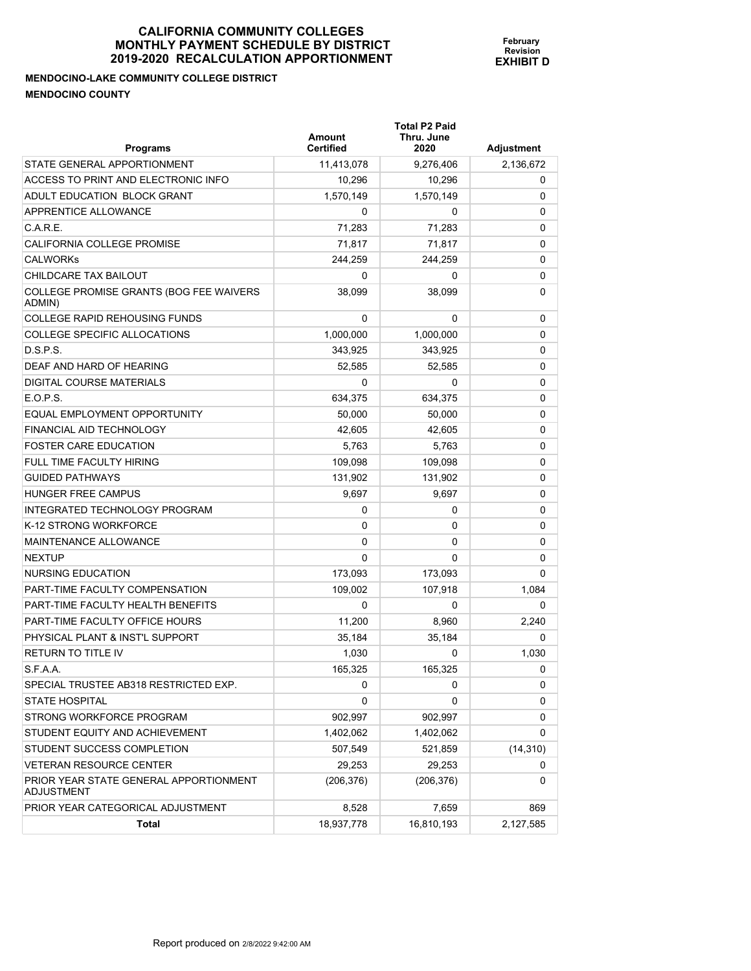**Total P2 Paid** 

**February Revision EXHIBIT D**

**MENDOCINO-LAKE COMMUNITY COLLEGE DISTRICT MENDOCINO COUNTY** 

| <b>Programs</b>                                      | Amount<br><b>Certified</b> | Thru. June<br>2020 | <b>Adjustment</b> |
|------------------------------------------------------|----------------------------|--------------------|-------------------|
| STATE GENERAL APPORTIONMENT                          | 11,413,078                 | 9,276,406          | 2,136,672         |
| ACCESS TO PRINT AND ELECTRONIC INFO                  | 10,296                     | 10,296             | 0                 |
| ADULT EDUCATION BLOCK GRANT                          | 1,570,149                  | 1,570,149          | 0                 |
| APPRENTICE ALLOWANCE                                 | 0                          | 0                  | 0                 |
| C.A.R.E.                                             | 71,283                     | 71,283             | 0                 |
| CALIFORNIA COLLEGE PROMISE                           | 71,817                     | 71,817             | 0                 |
| <b>CALWORKs</b>                                      | 244,259                    | 244,259            | 0                 |
| CHILDCARE TAX BAILOUT                                | 0                          | 0                  | 0                 |
| COLLEGE PROMISE GRANTS (BOG FEE WAIVERS<br>ADMIN)    | 38,099                     | 38,099             | 0                 |
| <b>COLLEGE RAPID REHOUSING FUNDS</b>                 | $\Omega$                   | $\Omega$           | 0                 |
| COLLEGE SPECIFIC ALLOCATIONS                         | 1,000,000                  | 1,000,000          | 0                 |
| D.S.P.S.                                             | 343,925                    | 343,925            | 0                 |
| DEAF AND HARD OF HEARING                             | 52,585                     | 52,585             | 0                 |
| <b>DIGITAL COURSE MATERIALS</b>                      | 0                          | 0                  | 0                 |
| E.O.P.S.                                             | 634,375                    | 634,375            | 0                 |
| EQUAL EMPLOYMENT OPPORTUNITY                         | 50,000                     | 50,000             | 0                 |
| FINANCIAL AID TECHNOLOGY                             | 42,605                     | 42.605             | 0                 |
| <b>FOSTER CARE EDUCATION</b>                         | 5,763                      | 5,763              | 0                 |
| FULL TIME FACULTY HIRING                             | 109.098                    | 109,098            | 0                 |
| <b>GUIDED PATHWAYS</b>                               | 131,902                    | 131,902            | 0                 |
| <b>HUNGER FREE CAMPUS</b>                            | 9,697                      | 9,697              | 0                 |
| INTEGRATED TECHNOLOGY PROGRAM                        | 0                          | 0                  | 0                 |
| K-12 STRONG WORKFORCE                                | 0                          | 0                  | 0                 |
| <b>MAINTENANCE ALLOWANCE</b>                         | 0                          | 0                  | 0                 |
| <b>NEXTUP</b>                                        | 0                          | 0                  | 0                 |
| NURSING EDUCATION                                    | 173,093                    | 173,093            | 0                 |
| PART-TIME FACULTY COMPENSATION                       | 109,002                    | 107,918            | 1,084             |
| PART-TIME FACULTY HEALTH BENEFITS                    | 0                          | 0                  | 0                 |
| <b>PART-TIME FACULTY OFFICE HOURS</b>                | 11,200                     | 8,960              | 2,240             |
| PHYSICAL PLANT & INST'L SUPPORT                      | 35,184                     | 35,184             | 0                 |
| <b>RETURN TO TITLE IV</b>                            | 1,030                      | 0                  | 1,030             |
| S.F.A.A.                                             | 165,325                    | 165,325            | 0                 |
| SPECIAL TRUSTEE AB318 RESTRICTED EXP.                | 0                          | 0                  | 0                 |
| <b>STATE HOSPITAL</b>                                | 0                          | 0                  | 0                 |
| STRONG WORKFORCE PROGRAM                             | 902,997                    | 902,997            | 0                 |
| STUDENT EQUITY AND ACHIEVEMENT                       | 1,402,062                  | 1,402,062          | 0                 |
| STUDENT SUCCESS COMPLETION                           | 507,549                    | 521,859            | (14, 310)         |
| <b>VETERAN RESOURCE CENTER</b>                       | 29,253                     | 29,253             | 0                 |
| PRIOR YEAR STATE GENERAL APPORTIONMENT<br>ADJUSTMENT | (206,376)                  | (206, 376)         | 0                 |
| PRIOR YEAR CATEGORICAL ADJUSTMENT                    | 8,528                      | 7,659              | 869               |
| <b>Total</b>                                         | 18,937,778                 | 16,810,193         | 2,127,585         |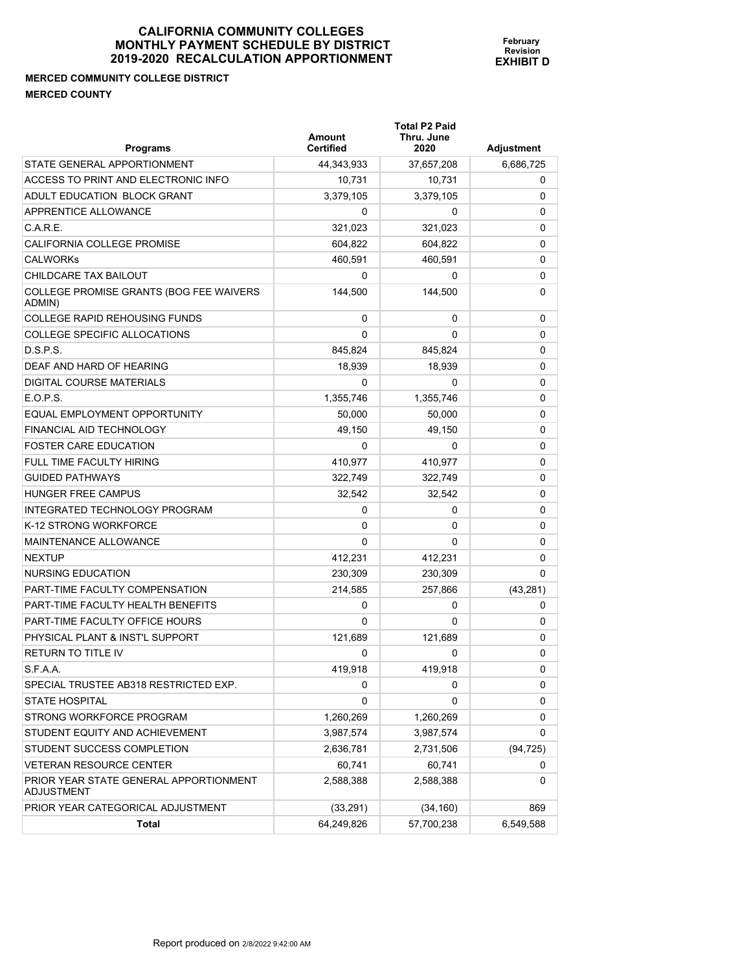# **MERCED COMMUNITY COLLEGE DISTRICT MERCED COUNTY**

| <b>Programs</b>                                      | Amount<br><b>Certified</b> | <b>Total P2 Paid</b><br>Thru. June<br>2020 | Adjustment |
|------------------------------------------------------|----------------------------|--------------------------------------------|------------|
| STATE GENERAL APPORTIONMENT                          | 44,343,933                 | 37,657,208                                 | 6,686,725  |
| ACCESS TO PRINT AND ELECTRONIC INFO                  | 10,731                     | 10,731                                     | 0          |
| ADULT EDUCATION BLOCK GRANT                          | 3,379,105                  | 3,379,105                                  | 0          |
| APPRENTICE ALLOWANCE                                 | 0                          | 0                                          | 0          |
| C.A.R.E.                                             | 321,023                    | 321,023                                    | 0          |
| CALIFORNIA COLLEGE PROMISE                           | 604,822                    | 604,822                                    | 0          |
| <b>CALWORKs</b>                                      | 460,591                    | 460,591                                    | 0          |
| CHILDCARE TAX BAILOUT                                | 0                          | 0                                          | 0          |
| COLLEGE PROMISE GRANTS (BOG FEE WAIVERS<br>ADMIN)    | 144.500                    | 144,500                                    | 0          |
| <b>COLLEGE RAPID REHOUSING FUNDS</b>                 | 0                          | 0                                          | 0          |
| <b>COLLEGE SPECIFIC ALLOCATIONS</b>                  | 0                          | 0                                          | 0          |
| D.S.P.S.                                             | 845,824                    | 845,824                                    | 0          |
| DEAF AND HARD OF HEARING                             | 18,939                     | 18,939                                     | 0          |
| DIGITAL COURSE MATERIALS                             | 0                          | 0                                          | 0          |
| E.O.P.S.                                             | 1,355,746                  | 1,355,746                                  | 0          |
| EQUAL EMPLOYMENT OPPORTUNITY                         | 50.000                     | 50,000                                     | 0          |
| FINANCIAL AID TECHNOLOGY                             | 49.150                     | 49,150                                     | 0          |
| <b>FOSTER CARE EDUCATION</b>                         | 0                          | 0                                          | 0          |
| <b>FULL TIME FACULTY HIRING</b>                      | 410,977                    | 410,977                                    | 0          |
| <b>GUIDED PATHWAYS</b>                               | 322,749                    | 322,749                                    | 0          |
| <b>HUNGER FREE CAMPUS</b>                            | 32,542                     | 32,542                                     | 0          |
| INTEGRATED TECHNOLOGY PROGRAM                        | 0                          | 0                                          | 0          |
| K-12 STRONG WORKFORCE                                | 0                          | 0                                          | 0          |
| MAINTENANCE ALLOWANCE                                | 0                          | 0                                          | 0          |
| <b>NEXTUP</b>                                        | 412,231                    | 412,231                                    | 0          |
| NURSING EDUCATION                                    | 230,309                    | 230,309                                    | 0          |
| <b>PART-TIME FACULTY COMPENSATION</b>                | 214,585                    | 257,866                                    | (43, 281)  |
| PART-TIME FACULTY HEALTH BENEFITS                    | 0                          | 0                                          | 0          |
| PART-TIME FACULTY OFFICE HOURS                       | 0                          | 0                                          | 0          |
| PHYSICAL PLANT & INST'L SUPPORT                      | 121,689                    | 121.689                                    | 0          |
| <b>RETURN TO TITLE IV</b>                            | 0                          | 0                                          | 0          |
| S.F.A.A.                                             | 419,918                    | 419,918                                    | 0          |
| SPECIAL TRUSTEE AB318 RESTRICTED EXP.                | 0                          | 0                                          | 0          |
| <b>STATE HOSPITAL</b>                                | 0                          | 0                                          | 0          |
| STRONG WORKFORCE PROGRAM                             | 1,260,269                  | 1,260,269                                  | 0          |
| STUDENT EQUITY AND ACHIEVEMENT                       | 3,987,574                  | 3,987,574                                  | 0          |
| STUDENT SUCCESS COMPLETION                           | 2,636,781                  | 2,731,506                                  | (94, 725)  |
| <b>VETERAN RESOURCE CENTER</b>                       | 60,741                     | 60,741                                     | 0          |
| PRIOR YEAR STATE GENERAL APPORTIONMENT<br>ADJUSTMENT | 2,588,388                  | 2,588,388                                  | 0          |
| PRIOR YEAR CATEGORICAL ADJUSTMENT                    | (33, 291)                  | (34, 160)                                  | 869        |
| Total                                                | 64,249,826                 | 57,700,238                                 | 6,549,588  |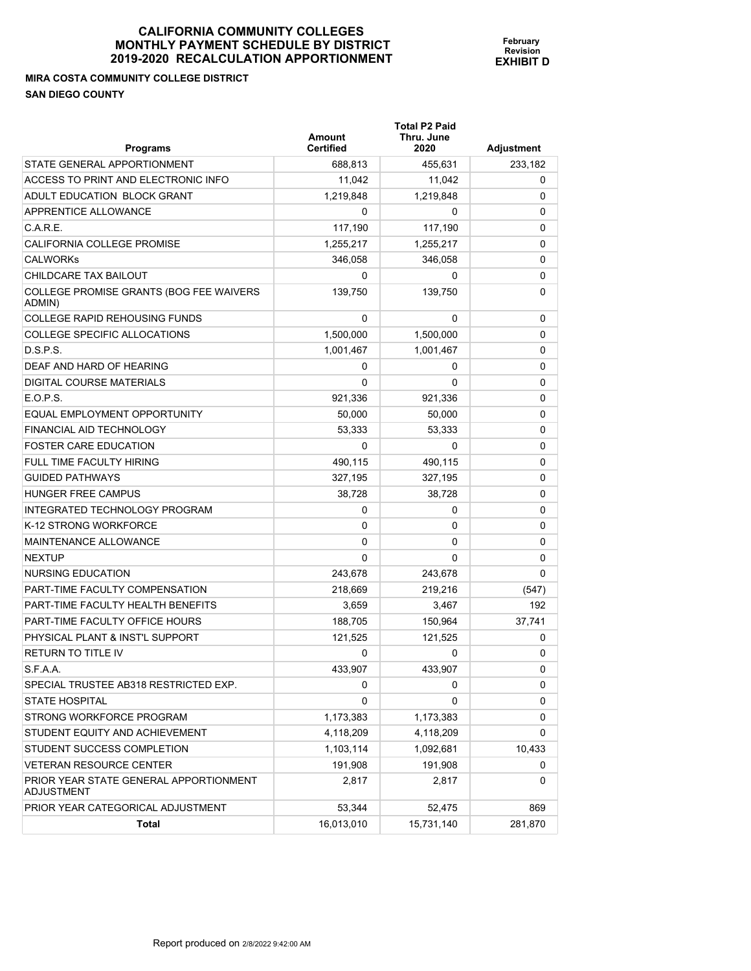**MIRA COSTA COMMUNITY COLLEGE DISTRICT SAN DIEGO COUNTY** 

**Total P2 Paid** 

| <b>Programs</b>                                      | Amount<br><b>Certified</b> | Thru. June<br>2020 | <b>Adjustment</b> |
|------------------------------------------------------|----------------------------|--------------------|-------------------|
| STATE GENERAL APPORTIONMENT                          | 688,813                    | 455,631            | 233,182           |
| ACCESS TO PRINT AND ELECTRONIC INFO                  | 11.042                     | 11.042             | 0                 |
| ADULT EDUCATION BLOCK GRANT                          | 1,219,848                  | 1,219,848          | 0                 |
| APPRENTICE ALLOWANCE                                 | 0                          | 0                  | 0                 |
| C.A.R.E.                                             | 117,190                    | 117,190            | 0                 |
| CALIFORNIA COLLEGE PROMISE                           | 1,255,217                  | 1,255,217          | 0                 |
| <b>CALWORKs</b>                                      | 346,058                    | 346,058            | 0                 |
| CHILDCARE TAX BAILOUT                                | 0                          | 0                  | 0                 |
| COLLEGE PROMISE GRANTS (BOG FEE WAIVERS<br>ADMIN)    | 139,750                    | 139,750            | 0                 |
| <b>COLLEGE RAPID REHOUSING FUNDS</b>                 | 0                          | 0                  | 0                 |
| COLLEGE SPECIFIC ALLOCATIONS                         | 1,500,000                  | 1,500,000          | 0                 |
| D.S.P.S.                                             | 1,001,467                  | 1,001,467          | 0                 |
| DEAF AND HARD OF HEARING                             | 0                          | 0                  | 0                 |
| DIGITAL COURSE MATERIALS                             | 0                          | 0                  | 0                 |
| E.O.P.S.                                             | 921,336                    | 921,336            | 0                 |
| EQUAL EMPLOYMENT OPPORTUNITY                         | 50,000                     | 50,000             | 0                 |
| FINANCIAL AID TECHNOLOGY                             | 53,333                     | 53,333             | 0                 |
| <b>FOSTER CARE EDUCATION</b>                         | 0                          | 0                  | 0                 |
| <b>FULL TIME FACULTY HIRING</b>                      | 490,115                    | 490,115            | 0                 |
| <b>GUIDED PATHWAYS</b>                               | 327,195                    | 327,195            | 0                 |
| <b>HUNGER FREE CAMPUS</b>                            | 38,728                     | 38,728             | 0                 |
| INTEGRATED TECHNOLOGY PROGRAM                        | 0                          | 0                  | 0                 |
| K-12 STRONG WORKFORCE                                | 0                          | 0                  | 0                 |
| <b>MAINTENANCE ALLOWANCE</b>                         | 0                          | 0                  | 0                 |
| <b>NEXTUP</b>                                        | 0                          | 0                  | 0                 |
| NURSING EDUCATION                                    | 243,678                    | 243,678            | 0                 |
| PART-TIME FACULTY COMPENSATION                       | 218,669                    | 219,216            | (547)             |
| PART-TIME FACULTY HEALTH BENEFITS                    | 3,659                      | 3,467              | 192               |
| PART-TIME FACULTY OFFICE HOURS                       | 188,705                    | 150,964            | 37,741            |
| PHYSICAL PLANT & INST'L SUPPORT                      | 121,525                    | 121,525            | 0                 |
| <b>RETURN TO TITLE IV</b>                            | 0                          | 0                  | 0                 |
| S.F.A.A.                                             | 433,907                    | 433.907            | 0                 |
| SPECIAL TRUSTEE AB318 RESTRICTED EXP.                | 0                          | 0                  | 0                 |
| <b>STATE HOSPITAL</b>                                | 0                          | 0                  | 0                 |
| STRONG WORKFORCE PROGRAM                             | 1,173,383                  | 1,173,383          | 0                 |
| STUDENT EQUITY AND ACHIEVEMENT                       | 4,118,209                  | 4,118,209          | 0                 |
| STUDENT SUCCESS COMPLETION                           | 1,103,114                  | 1,092,681          | 10,433            |
| <b>VETERAN RESOURCE CENTER</b>                       | 191,908                    | 191,908            | 0                 |
| PRIOR YEAR STATE GENERAL APPORTIONMENT<br>ADJUSTMENT | 2,817                      | 2,817              | 0                 |
| PRIOR YEAR CATEGORICAL ADJUSTMENT                    | 53,344                     | 52,475             | 869               |
| <b>Total</b>                                         | 16,013,010                 | 15,731,140         | 281,870           |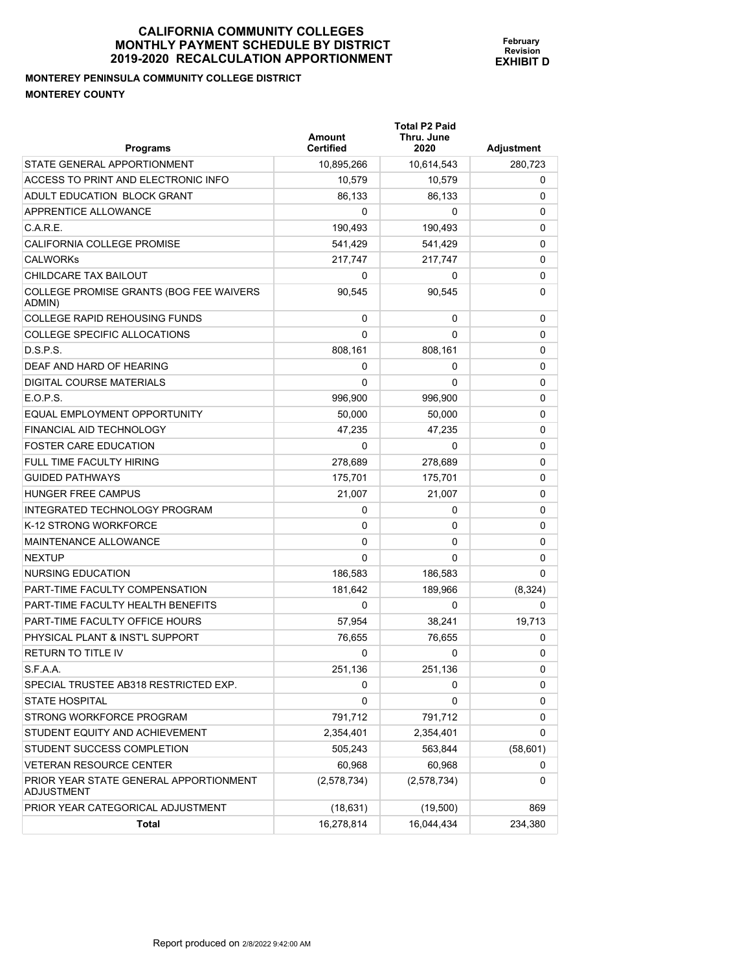## **MONTEREY PENINSULA COMMUNITY COLLEGE DISTRICT MONTEREY COUNTY**

| <b>Programs</b>                                      | Amount<br><b>Certified</b> | <b>Total P2 Paid</b><br>Thru. June<br>2020 | Adjustment |
|------------------------------------------------------|----------------------------|--------------------------------------------|------------|
| STATE GENERAL APPORTIONMENT                          | 10,895,266                 | 10,614,543                                 | 280,723    |
| ACCESS TO PRINT AND ELECTRONIC INFO                  | 10,579                     | 10,579                                     | 0          |
| ADULT EDUCATION BLOCK GRANT                          | 86,133                     | 86,133                                     | 0          |
| APPRENTICE ALLOWANCE                                 | 0                          | 0                                          | 0          |
| C.A.R.E.                                             | 190,493                    | 190,493                                    | 0          |
| CALIFORNIA COLLEGE PROMISE                           | 541,429                    | 541,429                                    | 0          |
| <b>CALWORKS</b>                                      | 217,747                    | 217,747                                    | 0          |
| CHILDCARE TAX BAILOUT                                | 0                          | 0                                          | 0          |
| COLLEGE PROMISE GRANTS (BOG FEE WAIVERS<br>ADMIN)    | 90,545                     | 90,545                                     | 0          |
| <b>COLLEGE RAPID REHOUSING FUNDS</b>                 | 0                          | 0                                          | 0          |
| COLLEGE SPECIFIC ALLOCATIONS                         | $\Omega$                   | 0                                          | 0          |
| D.S.P.S.                                             | 808,161                    | 808,161                                    | 0          |
| DEAF AND HARD OF HEARING                             | 0                          | 0                                          | 0          |
| DIGITAL COURSE MATERIALS                             | 0                          | 0                                          | 0          |
| E.O.P.S.                                             | 996,900                    | 996,900                                    | 0          |
| EQUAL EMPLOYMENT OPPORTUNITY                         | 50,000                     | 50,000                                     | 0          |
| FINANCIAL AID TECHNOLOGY                             | 47.235                     | 47,235                                     | 0          |
| <b>FOSTER CARE EDUCATION</b>                         | 0                          | 0                                          | 0          |
| FULL TIME FACULTY HIRING                             | 278.689                    | 278,689                                    | 0          |
| <b>GUIDED PATHWAYS</b>                               | 175,701                    | 175,701                                    | 0          |
| <b>HUNGER FREE CAMPUS</b>                            | 21,007                     | 21,007                                     | 0          |
| INTEGRATED TECHNOLOGY PROGRAM                        | 0                          | 0                                          | 0          |
| K-12 STRONG WORKFORCE                                | 0                          | 0                                          | 0          |
| MAINTENANCE ALLOWANCE                                | 0                          | 0                                          | 0          |
| <b>NEXTUP</b>                                        | $\Omega$                   | 0                                          | 0          |
| NURSING EDUCATION                                    | 186,583                    | 186,583                                    | 0          |
| PART-TIME FACULTY COMPENSATION                       | 181,642                    | 189,966                                    | (8,324)    |
| PART-TIME FACULTY HEALTH BENEFITS                    | 0                          | 0                                          | 0          |
| PART-TIME FACULTY OFFICE HOURS                       | 57,954                     | 38,241                                     | 19,713     |
| PHYSICAL PLANT & INST'L SUPPORT                      | 76.655                     | 76,655                                     | 0          |
| <b>RETURN TO TITLE IV</b>                            | 0                          | 0                                          | 0          |
| S.F.A.A.                                             | 251,136                    | 251,136                                    | 0          |
| SPECIAL TRUSTEE AB318 RESTRICTED EXP.                | 0                          | 0                                          | 0          |
| <b>STATE HOSPITAL</b>                                | 0                          | 0                                          | 0          |
| STRONG WORKFORCE PROGRAM                             | 791,712                    | 791,712                                    | 0          |
| STUDENT EQUITY AND ACHIEVEMENT                       | 2,354,401                  | 2,354,401                                  | 0          |
| STUDENT SUCCESS COMPLETION                           | 505,243                    | 563,844                                    | (58, 601)  |
| <b>VETERAN RESOURCE CENTER</b>                       | 60,968                     | 60,968                                     | 0          |
| PRIOR YEAR STATE GENERAL APPORTIONMENT<br>ADJUSTMENT | (2,578,734)                | (2,578,734)                                | 0          |
| PRIOR YEAR CATEGORICAL ADJUSTMENT                    | (18, 631)                  | (19,500)                                   | 869        |
| Total                                                | 16,278,814                 | 16,044,434                                 | 234,380    |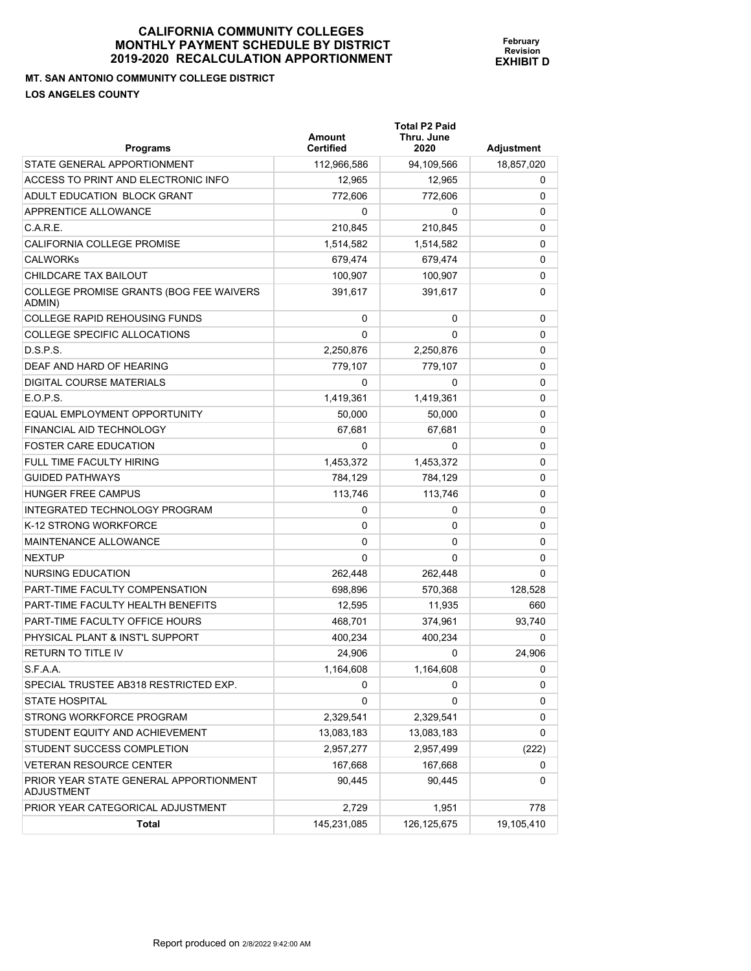**MT. SAN ANTONIO COMMUNITY COLLEGE DISTRICT LOS ANGELES COUNTY** 

**Programs Certified 2020 Adjustment**  STATE GENERAL APPORTIONMENT 112,966,586 94,109,566 18,857,020 ACCESS TO PRINT AND ELECTRONIC INFO 12,965 12,965 12,965 12,965 12,965 ADULT EDUCATION BLOCK GRANT  $772,606$   $772,606$  0 APPRENTICE ALLOWANCE  $\begin{array}{ccccccc} 0 & 0 & 0 & 0 & 0 \end{array}$  $\text{C.A.R.E.}} \hspace{1.5cm} 210,845 \hspace{1.5cm} 210,845 \hspace{1.5cm} 210,845 \hspace{1.5cm} 0$ CALIFORNIA COLLEGE PROMISE  $1,514,582$   $1,514,582$   $1,514,582$  0  $\textsf{CALWORKs} \quad \textcolor{red}{\mathbf{679.474}} \quad \textcolor{red}{\mathbf{679.474}} \quad \textcolor{red}{\mathbf{679.474}} \quad \textcolor{red}{\mathbf{679.474}} \quad \textcolor{red}{\mathbf{679.474}} \quad \textcolor{red}{\mathbf{0}}$ S.F.A.A. 1,164,608 1,164,608 1,164,608 1,164,608 0 SPECIAL TRUSTEE AB318 RESTRICTED EXP. 0 0 0 STATE HOSPITAL 0 0 0 STRONG WORKFORCE PROGRAM 2.329.541 2.329.541 2.329.541 STUDENT EQUITY AND ACHIEVEMENT 13,083,183 13,083,183 13,083,183 13,083,183

STUDENT SUCCESS COMPLETION  $2,957,277$   $2,957,499$  (222) VETERAN RESOURCE CENTER 167,668 167,668 0

PRIOR YEAR CATEGORICAL ADJUSTMENT 2,729 1,951 1,951 778

**Total** 19,105,410

90,445 90,445 0

CHILDCARE TAX BAILOUT CHILDCARE TAX BAILOUT CHILDCARE TAX BAILOUT COLLEGE PROMISE GRANTS (BOG FEE WAIVERS ADMIN) 391,617 391,617 0 COLLEGE RAPID REHOUSING FUNDS 0 0 0 COLLEGE SPECIFIC ALLOCATIONS  $\begin{array}{ccc} & & & 0 & \quad & 0 \\ \end{array}$ D.S.P.S. 2,250,876 2,250,876 0 DEAF AND HARD OF HEARING 779,107 779,107 0 DIGITAL COURSE MATERIALS  $\begin{array}{ccc} 0 & 0 & 0 \end{array}$ E.O.P.S. 1,419,361 1,419,361 0 EQUAL EMPLOYMENT OPPORTUNITY  $\qquad \qquad 50.000 \qquad \qquad 50.000$   $\qquad \qquad 0$ FINANCIAL AID TECHNOLOGY 67,681 67,681 0 FOSTER CARE EDUCATION  $\begin{array}{ccc} & & & & 0 & \quad & & 0 \end{array}$ FULL TIME FACULTY HIRING  $\begin{array}{|c|c|c|c|c|c|c|c|c|} \hline \text{1,453,372} & \text{1,453,372} & \text{2,453,372} \hline \end{array}$ GUIDED PATHWAYS 784,129 784,129 0 HUNGER FREE CAMPUS 113,746 113,746 113,746 0 INTEGRATED TECHNOLOGY PROGRAM 0 0 0 K-12 STRONG WORKFORCE 0 0 0 MAINTENANCE ALLOWANCE 0 0 0 NEXTUP  $\begin{array}{ccccccc} 0 & 0 & 0 & 0 \end{array}$ NURSING EDUCATION 262,448 262,448 0 PART-TIME FACULTY COMPENSATION 698,896 570,368 128,528 PART-TIME FACULTY HEALTH BENEFITS 12,595 11,935 11,935 660 PART-TIME FACULTY OFFICE HOURS THE RESERVED ASSAULT A 468,701 NARRY 374,961 NARRY 93,740 PHYSICAL PLANT & INST'L SUPPORT 400,234 400,234 0 RETURN TO TITLE IV 24,906 0 24,906

**February Revision EXHIBIT D**

PRIOR YEAR STATE GENERAL APPORTIONMENT

ADJUSTMENT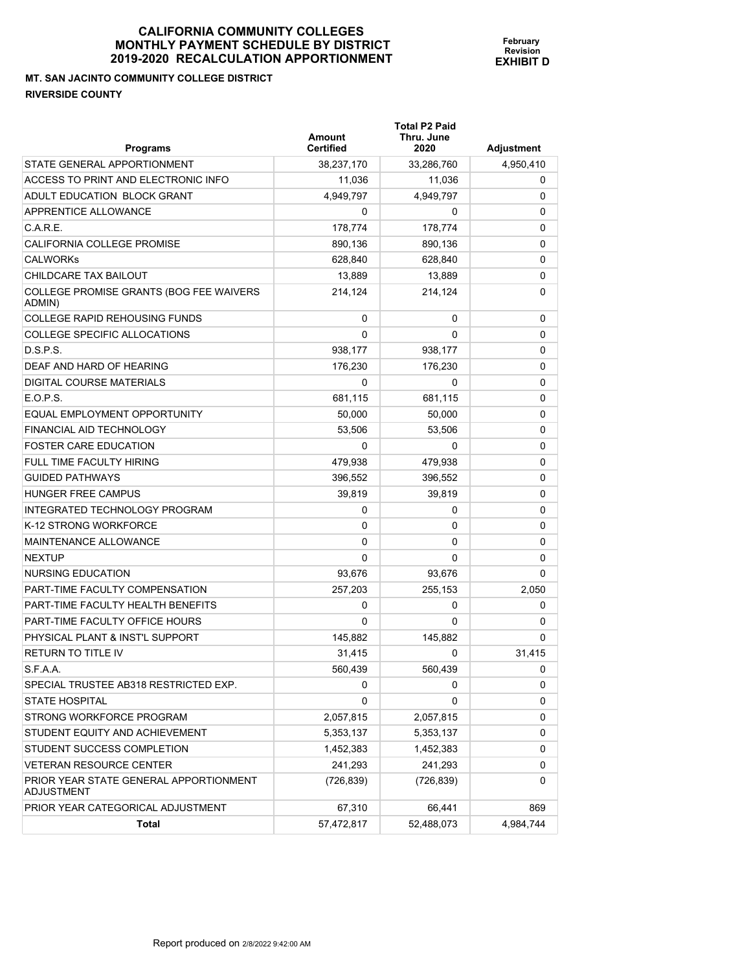**MT. SAN JACINTO COMMUNITY COLLEGE DISTRICT RIVERSIDE COUNTY** 

| Programs                                          | Amount<br><b>Certified</b> | <b>Total P2 Paid</b><br>Thru. June<br>2020 | Adjustment |
|---------------------------------------------------|----------------------------|--------------------------------------------|------------|
| STATE GENERAL APPORTIONMENT                       | 38,237,170                 | 33,286,760                                 | 4.950.410  |
| ACCESS TO PRINT AND ELECTRONIC INFO               | 11,036                     | 11,036                                     | 0          |
| ADULT EDUCATION BLOCK GRANT                       | 4,949,797                  | 4,949,797                                  | 0          |
| APPRENTICE ALLOWANCE                              | 0                          | 0                                          | 0          |
| C.A.R.E.                                          | 178,774                    | 178,774                                    | 0          |
| <b>CALIFORNIA COLLEGE PROMISE</b>                 | 890,136                    | 890,136                                    | 0          |
| <b>CALWORKS</b>                                   | 628,840                    | 628,840                                    | 0          |
| CHILDCARE TAX BAILOUT                             | 13.889                     | 13.889                                     | 0          |
| COLLEGE PROMISE GRANTS (BOG FEE WAIVERS<br>ADMIN) | 214,124                    | 214,124                                    | 0          |
| <b>COLLEGE RAPID REHOUSING FUNDS</b>              | 0                          | 0                                          | 0          |
| COLLEGE SPECIFIC ALLOCATIONS                      | 0                          | 0                                          | 0          |
| D.S.P.S.                                          | 938,177                    | 938,177                                    | 0          |
| DEAF AND HARD OF HEARING                          | 176,230                    | 176,230                                    | 0          |
| DIGITAL COURSE MATERIALS                          | 0                          | 0                                          | 0          |
| E.O.P.S.                                          | 681,115                    | 681,115                                    | 0          |
| EQUAL EMPLOYMENT OPPORTUNITY                      | 50,000                     | 50,000                                     | 0          |
| FINANCIAL AID TECHNOLOGY                          | 53,506                     | 53,506                                     | 0          |
| <b>FOSTER CARE EDUCATION</b>                      | 0                          | 0                                          | 0          |
| FULL TIME FACULTY HIRING                          | 479,938                    | 479,938                                    | 0          |
| <b>GUIDED PATHWAYS</b>                            | 396,552                    | 396,552                                    | 0          |
| HUNGER FREE CAMPUS                                | 39,819                     | 39,819                                     | 0          |
| INTEGRATED TECHNOLOGY PROGRAM                     | 0                          | 0                                          | 0          |
| K-12 STRONG WORKFORCE                             | 0                          | 0                                          | 0          |
| MAINTENANCE ALLOWANCE                             | 0                          | 0                                          | 0          |
| <b>NEXTUP</b>                                     | 0                          | 0                                          | 0          |
| NURSING EDUCATION                                 | 93,676                     | 93,676                                     | 0          |
| PART-TIME FACULTY COMPENSATION                    | 257,203                    | 255,153                                    | 2,050      |
| PART-TIME FACULTY HEALTH BENEFITS                 | 0                          | 0                                          | 0          |
| PART-TIME FACULTY OFFICE HOURS                    | 0                          | 0                                          | 0          |
| PHYSICAL PLANT & INST'L SUPPORT                   | 145,882                    | 145,882                                    | 0          |
| <b>RETURN TO TITLE IV</b>                         | 31,415                     | 0                                          | 31,415     |
| S.F.A.A.                                          | 560,439                    | 560,439                                    | 0          |
| SPECIAL TRUSTEE AB318 RESTRICTED EXP.             | 0                          | 0                                          | 0          |
| <b>STATE HOSPITAL</b>                             | 0                          | 0                                          | 0          |
| STRONG WORKFORCE PROGRAM                          | 2,057,815                  | 2,057,815                                  | 0          |
| STUDENT EQUITY AND ACHIEVEMENT                    | 5,353,137                  | 5,353,137                                  | 0          |
| STUDENT SUCCESS COMPLETION                        | 1,452,383                  | 1,452,383                                  | 0          |
| <b>VETERAN RESOURCE CENTER</b>                    | 241,293                    | 241,293                                    | 0          |

PRIOR YEAR CATEGORICAL ADJUSTMENT 67,310 66,441 869

Total 57,472,817 52,488,073 4,984,744

(726,839) (726,839) 0

**February Revision EXHIBIT D**

PRIOR YEAR STATE GENERAL APPORTIONMENT

ADJUSTMENT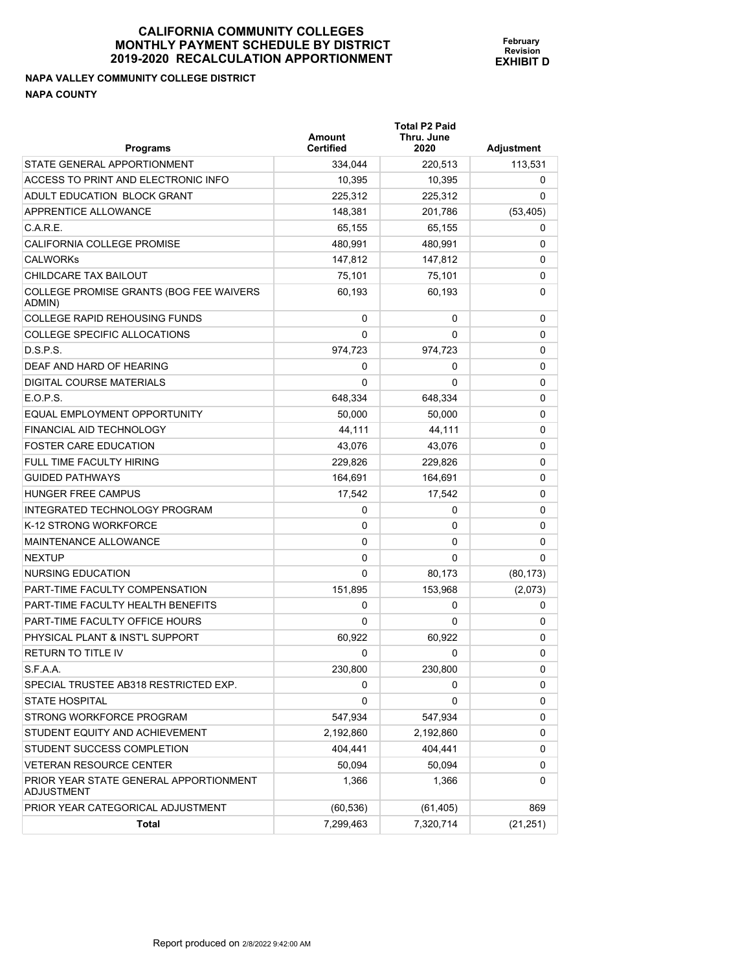# **NAPA VALLEY COMMUNITY COLLEGE DISTRICT NAPA COUNTY**

| <b>Programs</b>                                             | Amount<br><b>Certified</b> | <b>Total P2 Paid</b><br>Thru. June<br>2020 | <b>Adjustment</b> |
|-------------------------------------------------------------|----------------------------|--------------------------------------------|-------------------|
| STATE GENERAL APPORTIONMENT                                 | 334,044                    | 220,513                                    | 113,531           |
| ACCESS TO PRINT AND ELECTRONIC INFO                         | 10,395                     | 10.395                                     | 0                 |
| ADULT EDUCATION BLOCK GRANT                                 | 225.312                    | 225,312                                    | 0                 |
| APPRENTICE ALLOWANCE                                        | 148,381                    | 201,786                                    | (53, 405)         |
| C.A.R.E.                                                    | 65,155                     | 65,155                                     | 0                 |
| CALIFORNIA COLLEGE PROMISE                                  | 480,991                    | 480,991                                    | 0                 |
| <b>CALWORKS</b>                                             | 147,812                    | 147,812                                    | 0                 |
| CHILDCARE TAX BAILOUT                                       | 75,101                     | 75,101                                     | 0                 |
| COLLEGE PROMISE GRANTS (BOG FEE WAIVERS<br>ADMIN)           | 60,193                     | 60.193                                     | 0                 |
| <b>COLLEGE RAPID REHOUSING FUNDS</b>                        | 0                          | 0                                          | 0                 |
| COLLEGE SPECIFIC ALLOCATIONS                                | 0                          | 0                                          | 0                 |
| D.S.P.S.                                                    | 974,723                    | 974,723                                    | 0                 |
| DEAF AND HARD OF HEARING                                    | 0                          | 0                                          | 0                 |
| DIGITAL COURSE MATERIALS                                    | 0                          | 0                                          | 0                 |
| E.O.P.S.                                                    | 648,334                    | 648,334                                    | 0                 |
| EQUAL EMPLOYMENT OPPORTUNITY                                | 50,000                     | 50,000                                     | 0                 |
| FINANCIAL AID TECHNOLOGY                                    | 44,111                     | 44,111                                     | 0                 |
| <b>FOSTER CARE EDUCATION</b>                                | 43,076                     | 43,076                                     | 0                 |
| FULL TIME FACULTY HIRING                                    | 229,826                    | 229,826                                    | 0                 |
| <b>GUIDED PATHWAYS</b>                                      | 164,691                    | 164,691                                    | 0                 |
| <b>HUNGER FREE CAMPUS</b>                                   | 17,542                     | 17,542                                     | 0                 |
| INTEGRATED TECHNOLOGY PROGRAM                               | 0                          | 0                                          | 0                 |
| K-12 STRONG WORKFORCE                                       | 0                          | 0                                          | 0                 |
| MAINTENANCE ALLOWANCE                                       | 0                          | 0                                          | 0                 |
| <b>NEXTUP</b>                                               | 0                          | 0                                          | 0                 |
| NURSING EDUCATION                                           | 0                          | 80,173                                     | (80, 173)         |
| PART-TIME FACULTY COMPENSATION                              | 151,895                    | 153,968                                    | (2,073)           |
| PART-TIME FACULTY HEALTH BENEFITS                           | 0                          | 0                                          | 0                 |
| PART-TIME FACULTY OFFICE HOURS                              | 0                          | 0                                          | 0                 |
| PHYSICAL PLANT & INST'L SUPPORT                             | 60,922                     | 60,922                                     | 0                 |
| <b>RETURN TO TITLE IV</b>                                   | 0                          | 0                                          | 0                 |
| S.F.A.A.                                                    | 230,800                    | 230,800                                    | 0                 |
| SPECIAL TRUSTEE AB318 RESTRICTED EXP.                       | 0                          | 0                                          | 0                 |
| <b>STATE HOSPITAL</b>                                       | 0                          | 0                                          | 0                 |
| STRONG WORKFORCE PROGRAM                                    | 547,934                    | 547,934                                    | 0                 |
| STUDENT EQUITY AND ACHIEVEMENT                              | 2,192,860                  | 2,192,860                                  | 0                 |
| STUDENT SUCCESS COMPLETION                                  | 404,441                    | 404,441                                    | 0                 |
| <b>VETERAN RESOURCE CENTER</b>                              | 50,094                     | 50,094                                     | 0                 |
| PRIOR YEAR STATE GENERAL APPORTIONMENT<br><b>ADJUSTMENT</b> | 1,366                      | 1,366                                      | 0                 |
| PRIOR YEAR CATEGORICAL ADJUSTMENT                           | (60, 536)                  | (61, 405)                                  | 869               |
| Total                                                       | 7,299,463                  | 7,320,714                                  | (21, 251)         |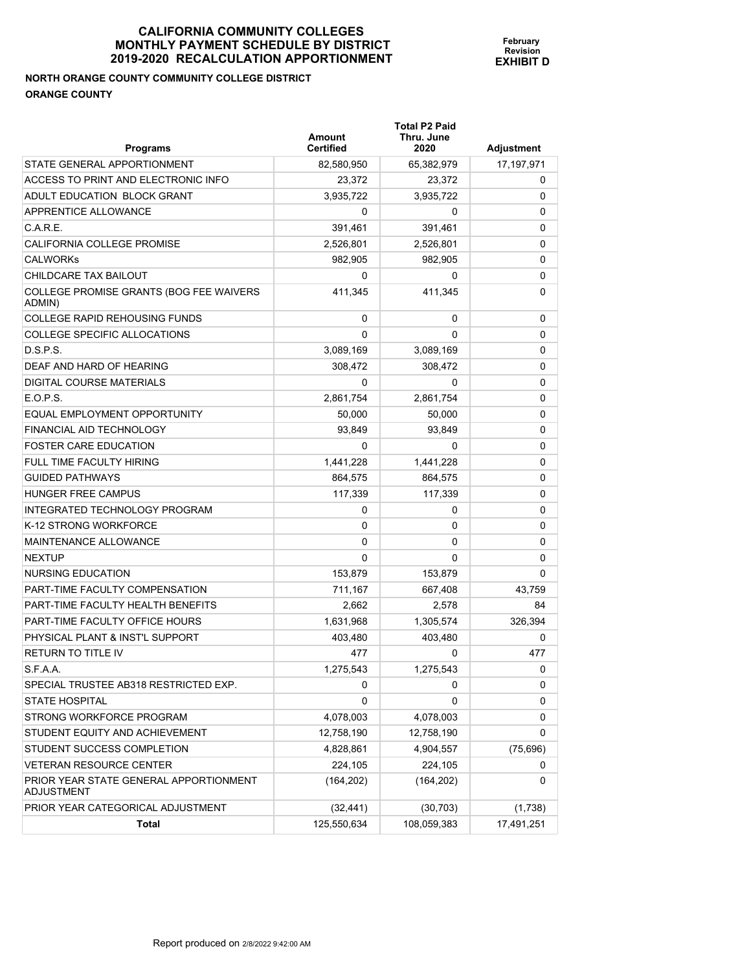# **NORTH ORANGE COUNTY COMMUNITY COLLEGE DISTRICT ORANGE COUNTY**

| <b>Programs</b>                                      | <b>Amount</b><br><b>Certified</b> | <b>Total P2 Paid</b><br>Thru. June<br>2020 | Adjustment |
|------------------------------------------------------|-----------------------------------|--------------------------------------------|------------|
| STATE GENERAL APPORTIONMENT                          | 82,580,950                        | 65,382,979                                 | 17,197,971 |
| ACCESS TO PRINT AND ELECTRONIC INFO                  | 23,372                            | 23,372                                     | 0          |
| ADULT EDUCATION BLOCK GRANT                          | 3,935,722                         | 3.935.722                                  | 0          |
| APPRENTICE ALLOWANCE                                 | 0                                 | 0                                          | 0          |
| C.A.R.E.                                             | 391,461                           | 391,461                                    | 0          |
| CALIFORNIA COLLEGE PROMISE                           | 2,526,801                         | 2,526,801                                  | 0          |
| <b>CALWORKS</b>                                      | 982,905                           | 982.905                                    | 0          |
| CHILDCARE TAX BAILOUT                                | 0                                 | 0                                          | 0          |
| COLLEGE PROMISE GRANTS (BOG FEE WAIVERS<br>ADMIN)    | 411,345                           | 411,345                                    | 0          |
| <b>COLLEGE RAPID REHOUSING FUNDS</b>                 | 0                                 | 0                                          | 0          |
| COLLEGE SPECIFIC ALLOCATIONS                         | $\Omega$                          | 0                                          | 0          |
| D.S.P.S.                                             | 3,089,169                         | 3,089,169                                  | 0          |
| DEAF AND HARD OF HEARING                             | 308,472                           | 308,472                                    | 0          |
| <b>DIGITAL COURSE MATERIALS</b>                      | 0                                 | 0                                          | 0          |
| E.O.P.S.                                             | 2,861,754                         | 2,861,754                                  | 0          |
| EQUAL EMPLOYMENT OPPORTUNITY                         | 50,000                            | 50,000                                     | 0          |
| FINANCIAL AID TECHNOLOGY                             | 93,849                            | 93,849                                     | 0          |
| <b>FOSTER CARE EDUCATION</b>                         | 0                                 | 0                                          | 0          |
| <b>FULL TIME FACULTY HIRING</b>                      | 1,441,228                         | 1,441,228                                  | 0          |
| <b>GUIDED PATHWAYS</b>                               | 864,575                           | 864,575                                    | 0          |
| <b>HUNGER FREE CAMPUS</b>                            | 117,339                           | 117,339                                    | 0          |
| INTEGRATED TECHNOLOGY PROGRAM                        | 0                                 | 0                                          | 0          |
| K-12 STRONG WORKFORCE                                | 0                                 | 0                                          | 0          |
| MAINTENANCE ALLOWANCE                                | 0                                 | 0                                          | 0          |
| <b>NEXTUP</b>                                        | 0                                 | $\Omega$                                   | 0          |
| NURSING EDUCATION                                    | 153,879                           | 153,879                                    | 0          |
| PART-TIME FACULTY COMPENSATION                       | 711,167                           | 667,408                                    | 43,759     |
| PART-TIME FACULTY HEALTH BENEFITS                    | 2,662                             | 2,578                                      | 84         |
| PART-TIME FACULTY OFFICE HOURS                       | 1,631,968                         | 1,305,574                                  | 326,394    |
| PHYSICAL PLANT & INST'L SUPPORT                      | 403,480                           | 403,480                                    | 0          |
| <b>RETURN TO TITLE IV</b>                            | 477                               | 0                                          | 477        |
| S.F.A.A.                                             | 1,275,543                         | 1,275,543                                  | 0          |
| SPECIAL TRUSTEE AB318 RESTRICTED EXP.                | 0                                 | 0                                          | 0          |
| <b>STATE HOSPITAL</b>                                | 0                                 | 0                                          | 0          |
| STRONG WORKFORCE PROGRAM                             | 4,078,003                         | 4,078,003                                  | 0          |
| STUDENT EQUITY AND ACHIEVEMENT                       | 12,758,190                        | 12,758,190                                 | 0          |
| STUDENT SUCCESS COMPLETION                           | 4,828,861                         | 4,904,557                                  | (75, 696)  |
| <b>VETERAN RESOURCE CENTER</b>                       | 224,105                           | 224,105                                    | 0          |
| PRIOR YEAR STATE GENERAL APPORTIONMENT<br>ADJUSTMENT | (164, 202)                        | (164, 202)                                 | 0          |
| PRIOR YEAR CATEGORICAL ADJUSTMENT                    | (32, 441)                         | (30, 703)                                  | (1,738)    |
| Total                                                | 125,550,634                       | 108,059,383                                | 17,491,251 |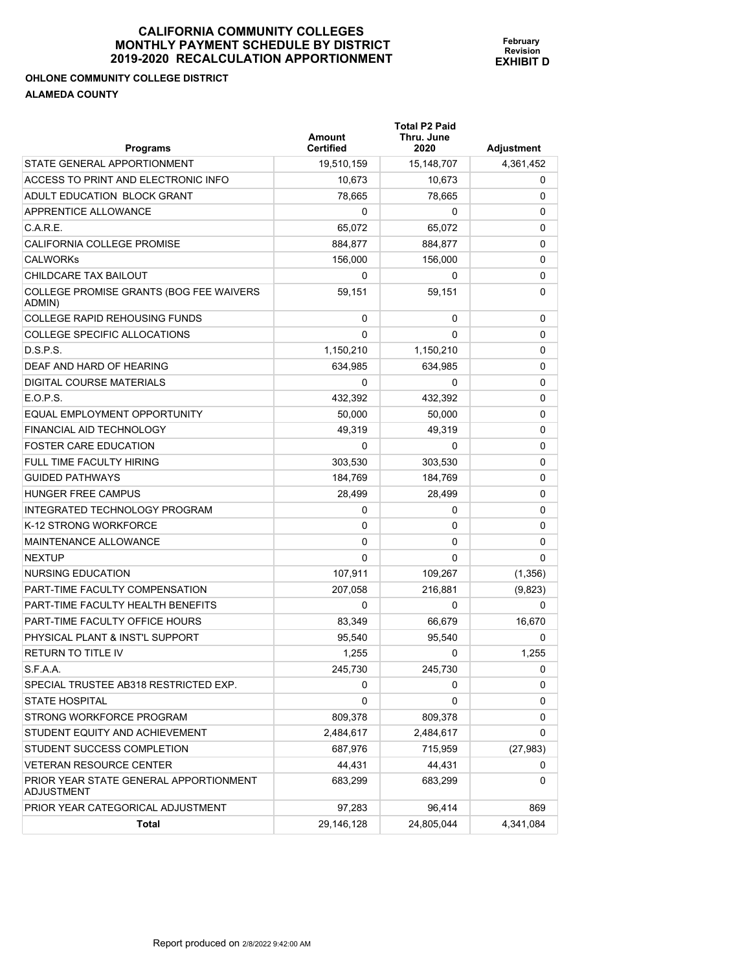#### **OHLONE COMMUNITY COLLEGE DISTRICT ALAMEDA COUNTY**

| <b>Programs</b>                                             | Amount<br><b>Certified</b> | <b>Total P2 Paid</b><br>Thru. June<br>2020 | Adjustment |
|-------------------------------------------------------------|----------------------------|--------------------------------------------|------------|
| STATE GENERAL APPORTIONMENT                                 | 19,510,159                 | 15, 148, 707                               | 4,361,452  |
| ACCESS TO PRINT AND ELECTRONIC INFO                         | 10,673                     | 10.673                                     | 0          |
| ADULT EDUCATION BLOCK GRANT                                 | 78,665                     | 78,665                                     | 0          |
| APPRENTICE ALLOWANCE                                        | 0                          | 0                                          | 0          |
| C.A.R.E.                                                    | 65,072                     | 65,072                                     | 0          |
| CALIFORNIA COLLEGE PROMISE                                  | 884,877                    | 884,877                                    | 0          |
| <b>CALWORKS</b>                                             | 156,000                    | 156,000                                    | 0          |
| CHILDCARE TAX BAILOUT                                       | 0                          | 0                                          | 0          |
| COLLEGE PROMISE GRANTS (BOG FEE WAIVERS<br>ADMIN)           | 59,151                     | 59,151                                     | 0          |
| <b>COLLEGE RAPID REHOUSING FUNDS</b>                        | 0                          | 0                                          | 0          |
| COLLEGE SPECIFIC ALLOCATIONS                                | $\Omega$                   | 0                                          | 0          |
| D.S.P.S.                                                    | 1,150,210                  | 1,150,210                                  | 0          |
| DEAF AND HARD OF HEARING                                    | 634,985                    | 634,985                                    | 0          |
| <b>DIGITAL COURSE MATERIALS</b>                             | 0                          | 0                                          | 0          |
| E.O.P.S.                                                    | 432,392                    | 432,392                                    | 0          |
| EQUAL EMPLOYMENT OPPORTUNITY                                | 50,000                     | 50,000                                     | 0          |
| FINANCIAL AID TECHNOLOGY                                    | 49.319                     | 49,319                                     | 0          |
| <b>FOSTER CARE EDUCATION</b>                                | 0                          | 0                                          | 0          |
| FULL TIME FACULTY HIRING                                    | 303.530                    | 303,530                                    | 0          |
| <b>GUIDED PATHWAYS</b>                                      | 184,769                    | 184,769                                    | 0          |
| <b>HUNGER FREE CAMPUS</b>                                   | 28,499                     | 28,499                                     | 0          |
| INTEGRATED TECHNOLOGY PROGRAM                               | 0                          | 0                                          | 0          |
| K-12 STRONG WORKFORCE                                       | 0                          | 0                                          | 0          |
| MAINTENANCE ALLOWANCE                                       | 0                          | 0                                          | 0          |
| <b>NEXTUP</b>                                               | 0                          | 0                                          | 0          |
| NURSING EDUCATION                                           | 107,911                    | 109,267                                    | (1,356)    |
| PART-TIME FACULTY COMPENSATION                              | 207,058                    | 216,881                                    | (9,823)    |
| PART-TIME FACULTY HEALTH BENEFITS                           | 0                          | 0                                          | 0          |
| PART-TIME FACULTY OFFICE HOURS                              | 83,349                     | 66.679                                     | 16,670     |
| PHYSICAL PLANT & INST'L SUPPORT                             | 95,540                     | 95,540                                     | 0          |
| <b>RETURN TO TITLE IV</b>                                   | 1,255                      | 0                                          | 1,255      |
| S.F.A.A.                                                    | 245,730                    | 245,730                                    | 0          |
| SPECIAL TRUSTEE AB318 RESTRICTED EXP.                       | 0                          | 0                                          | 0          |
| <b>STATE HOSPITAL</b>                                       | 0                          | 0                                          | 0          |
| STRONG WORKFORCE PROGRAM                                    | 809,378                    | 809,378                                    | 0          |
| STUDENT EQUITY AND ACHIEVEMENT                              | 2,484,617                  | 2,484,617                                  | 0          |
| STUDENT SUCCESS COMPLETION                                  | 687,976                    | 715,959                                    | (27, 983)  |
| <b>VETERAN RESOURCE CENTER</b>                              | 44,431                     | 44,431                                     | 0          |
| PRIOR YEAR STATE GENERAL APPORTIONMENT<br><b>ADJUSTMENT</b> | 683,299                    | 683,299                                    | 0          |
| PRIOR YEAR CATEGORICAL ADJUSTMENT                           | 97,283                     | 96,414                                     | 869        |
| Total                                                       | 29,146,128                 | 24,805,044                                 | 4,341,084  |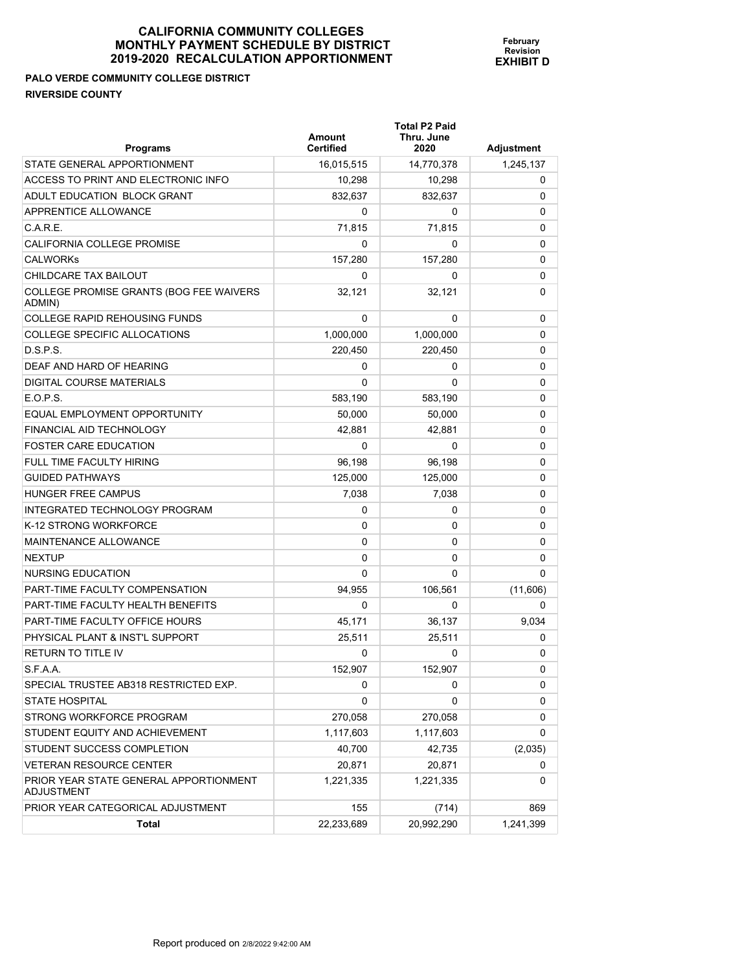#### **CALIFORNIA COMMUNITY COLLEGES MONTHLY PAYMENT SCHEDU 2019-2020 RECALCULATION A**

**PALO VERDE COMMUNITY COLLEGE DISTRICT RIVERSIDE COUNTY** 

| <b>Programs</b>                                             | Amount<br><b>Certified</b> | <b>Total P2 Paid</b><br>Thru. June<br>2020 | Adjustment |
|-------------------------------------------------------------|----------------------------|--------------------------------------------|------------|
| STATE GENERAL APPORTIONMENT                                 | 16,015,515                 | 14,770,378                                 | 1,245,137  |
| ACCESS TO PRINT AND ELECTRONIC INFO                         | 10,298                     | 10,298                                     | 0          |
| ADULT EDUCATION BLOCK GRANT                                 | 832,637                    | 832,637                                    | 0          |
| APPRENTICE ALLOWANCE                                        | 0                          | 0                                          | 0          |
| C.A.R.E.                                                    | 71,815                     | 71,815                                     | 0          |
| CALIFORNIA COLLEGE PROMISE                                  | 0                          | 0                                          | 0          |
| <b>CALWORKs</b>                                             | 157,280                    | 157,280                                    | 0          |
| CHILDCARE TAX BAILOUT                                       | 0                          | 0                                          | 0          |
| COLLEGE PROMISE GRANTS (BOG FEE WAIVERS<br>ADMIN)           | 32,121                     | 32,121                                     | 0          |
| <b>COLLEGE RAPID REHOUSING FUNDS</b>                        | 0                          | 0                                          | 0          |
| COLLEGE SPECIFIC ALLOCATIONS                                | 1,000,000                  | 1,000,000                                  | 0          |
| D.S.P.S.                                                    | 220,450                    | 220,450                                    | 0          |
| DEAF AND HARD OF HEARING                                    | 0                          | 0                                          | 0          |
| DIGITAL COURSE MATERIALS                                    | 0                          | 0                                          | 0          |
| $E$ O.P.S.                                                  | 583,190                    | 583,190                                    | 0          |
| EQUAL EMPLOYMENT OPPORTUNITY                                | 50,000                     | 50,000                                     | 0          |
| FINANCIAL AID TECHNOLOGY                                    | 42,881                     | 42,881                                     | 0          |
| <b>FOSTER CARE EDUCATION</b>                                | 0                          | 0                                          | 0          |
| FULL TIME FACULTY HIRING                                    | 96.198                     | 96,198                                     | 0          |
| <b>GUIDED PATHWAYS</b>                                      | 125,000                    | 125,000                                    | 0          |
| <b>HUNGER FREE CAMPUS</b>                                   | 7,038                      | 7,038                                      | 0          |
| INTEGRATED TECHNOLOGY PROGRAM                               | 0                          | 0                                          | 0          |
| K-12 STRONG WORKFORCE                                       | 0                          | 0                                          | 0          |
| <b>MAINTENANCE ALLOWANCE</b>                                | 0                          | 0                                          | 0          |
| <b>NEXTUP</b>                                               | 0                          | 0                                          | 0          |
| NURSING EDUCATION                                           | 0                          | 0                                          | 0          |
| <b>PART-TIME FACULTY COMPENSATION</b>                       | 94,955                     | 106,561                                    | (11,606)   |
| PART-TIME FACULTY HEALTH BENEFITS                           | 0                          | 0                                          | 0          |
| <b>PART-TIME FACULTY OFFICE HOURS</b>                       | 45,171                     | 36,137                                     | 9,034      |
| PHYSICAL PLANT & INST'L SUPPORT                             | 25,511                     | 25,511                                     | 0          |
| <b>RETURN TO TITLE IV</b>                                   | 0                          | 0                                          | 0          |
| S.F.A.A.                                                    | 152,907                    | 152,907                                    | 0          |
| SPECIAL TRUSTEE AB318 RESTRICTED EXP.                       | 0                          | 0                                          | 0          |
| <b>STATE HOSPITAL</b>                                       | 0                          | 0                                          | 0          |
| STRONG WORKFORCE PROGRAM                                    | 270,058                    | 270,058                                    | 0          |
| STUDENT EQUITY AND ACHIEVEMENT                              | 1,117,603                  | 1,117,603                                  | 0          |
| STUDENT SUCCESS COMPLETION                                  | 40,700                     | 42,735                                     | (2,035)    |
| VETERAN RESOURCE CENTER                                     | 20,871                     | 20,871                                     | 0          |
| PRIOR YEAR STATE GENERAL APPORTIONMENT<br><b>ADJUSTMENT</b> | 1,221,335                  | 1,221,335                                  | 0          |
| PRIOR YEAR CATEGORICAL ADJUSTMENT                           | 155                        | (714)                                      | 869        |
| <b>Total</b>                                                | 22,233,689                 | 20,992,290                                 | 1,241,399  |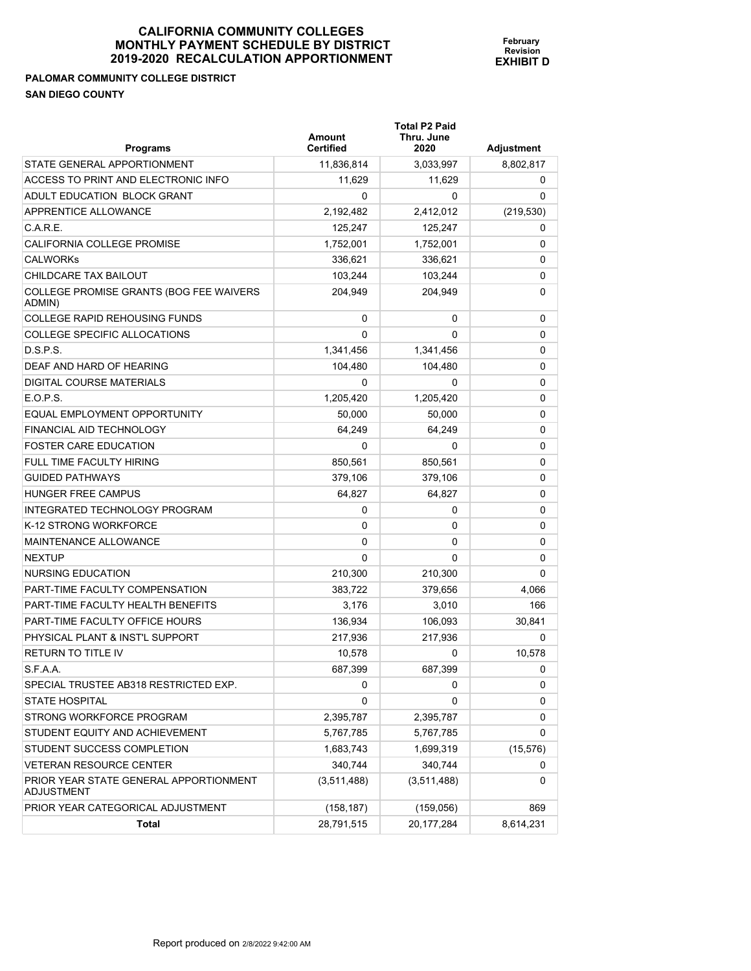#### **PALOMAR COMMUNITY COLLEGE DISTRICT SAN DIEGO COUNTY**

| <b>Programs</b>                                      | Amount<br><b>Certified</b> | <b>Total P2 Paid</b><br>Thru. June<br>2020 | Adjustment |
|------------------------------------------------------|----------------------------|--------------------------------------------|------------|
| STATE GENERAL APPORTIONMENT                          | 11,836,814                 | 3,033,997                                  | 8,802,817  |
| ACCESS TO PRINT AND ELECTRONIC INFO                  | 11,629                     | 11,629                                     | 0          |
| ADULT EDUCATION BLOCK GRANT                          | 0                          | 0                                          | 0          |
| <b>APPRENTICE ALLOWANCE</b>                          | 2,192,482                  | 2,412,012                                  | (219, 530) |
| C.A.R.E.                                             | 125,247                    | 125,247                                    | 0          |
| CALIFORNIA COLLEGE PROMISE                           | 1,752,001                  | 1,752,001                                  | 0          |
| <b>CALWORKS</b>                                      | 336.621                    | 336,621                                    | 0          |
| CHILDCARE TAX BAILOUT                                | 103,244                    | 103,244                                    | 0          |
| COLLEGE PROMISE GRANTS (BOG FEE WAIVERS<br>ADMIN)    | 204.949                    | 204,949                                    | 0          |
| <b>COLLEGE RAPID REHOUSING FUNDS</b>                 | 0                          | 0                                          | 0          |
| <b>COLLEGE SPECIFIC ALLOCATIONS</b>                  | 0                          | 0                                          | 0          |
| D.S.P.S.                                             | 1,341,456                  | 1,341,456                                  | 0          |
| DEAF AND HARD OF HEARING                             | 104,480                    | 104,480                                    | 0          |
| DIGITAL COURSE MATERIALS                             | 0                          | 0                                          | 0          |
| E.O.P.S.                                             | 1,205,420                  | 1,205,420                                  | 0          |
| EQUAL EMPLOYMENT OPPORTUNITY                         | 50,000                     | 50,000                                     | 0          |
| FINANCIAL AID TECHNOLOGY                             | 64.249                     | 64.249                                     | 0          |
| <b>FOSTER CARE EDUCATION</b>                         | 0                          | 0                                          | 0          |
| <b>FULL TIME FACULTY HIRING</b>                      | 850,561                    | 850,561                                    | 0          |
| <b>GUIDED PATHWAYS</b>                               | 379,106                    | 379,106                                    | 0          |
| <b>HUNGER FREE CAMPUS</b>                            | 64,827                     | 64,827                                     | 0          |
| INTEGRATED TECHNOLOGY PROGRAM                        | 0                          | 0                                          | 0          |
| K-12 STRONG WORKFORCE                                | 0                          | 0                                          | 0          |
| MAINTENANCE ALLOWANCE                                | 0                          | 0                                          | 0          |
| <b>NEXTUP</b>                                        | 0                          | 0                                          | 0          |
| NURSING EDUCATION                                    | 210,300                    | 210,300                                    | 0          |
| PART-TIME FACULTY COMPENSATION                       | 383,722                    | 379,656                                    | 4,066      |
| PART-TIME FACULTY HEALTH BENEFITS                    | 3,176                      | 3,010                                      | 166        |
| PART-TIME FACULTY OFFICE HOURS                       | 136,934                    | 106,093                                    | 30,841     |
| PHYSICAL PLANT & INST'L SUPPORT                      | 217,936                    | 217,936                                    | $\Omega$   |
| <b>RETURN TO TITLE IV</b>                            | 10,578                     | 0                                          | 10,578     |
| S.F.A.A.                                             | 687,399                    | 687,399                                    | 0          |
| SPECIAL TRUSTEE AB318 RESTRICTED EXP.                | 0                          | 0                                          | 0          |
| <b>STATE HOSPITAL</b>                                | 0                          | 0                                          | 0          |
| STRONG WORKFORCE PROGRAM                             | 2,395,787                  | 2,395,787                                  | 0          |
| STUDENT EQUITY AND ACHIEVEMENT                       | 5,767,785                  | 5,767,785                                  | 0          |
| STUDENT SUCCESS COMPLETION                           | 1,683,743                  | 1,699,319                                  | (15, 576)  |
| <b>VETERAN RESOURCE CENTER</b>                       | 340,744                    | 340,744                                    | 0          |
| PRIOR YEAR STATE GENERAL APPORTIONMENT<br>ADJUSTMENT | (3,511,488)                | (3,511,488)                                | 0          |
| PRIOR YEAR CATEGORICAL ADJUSTMENT                    | (158, 187)                 | (159, 056)                                 | 869        |
| <b>Total</b>                                         | 28,791,515                 | 20,177,284                                 | 8,614,231  |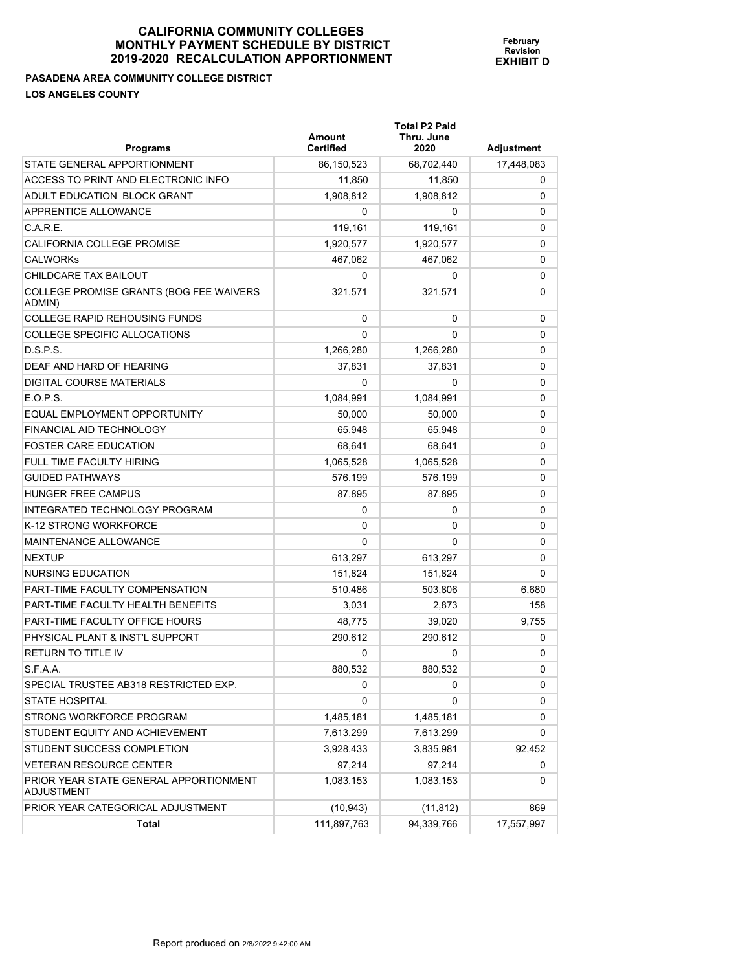**PASADENA AREA COMMUNITY COLLEGE DISTRICT LOS ANGELES COUNTY** 

| וטוווטוס וטבע           |  |
|-------------------------|--|
| <b>IN APPORTIONMENT</b> |  |
|                         |  |
|                         |  |
|                         |  |

**February Revision EXHIBIT D**

| <b>Programs</b>                                             | Amount<br><b>Certified</b> | <b>Total P2 Paid</b><br>Thru. June<br>2020 | Adjustment |
|-------------------------------------------------------------|----------------------------|--------------------------------------------|------------|
| STATE GENERAL APPORTIONMENT                                 | 86,150,523                 | 68,702,440                                 | 17,448,083 |
| ACCESS TO PRINT AND ELECTRONIC INFO                         | 11,850                     | 11,850                                     | 0          |
| ADULT EDUCATION BLOCK GRANT                                 | 1.908.812                  | 1,908,812                                  | 0          |
| APPRENTICE ALLOWANCE                                        | 0                          | 0                                          | 0          |
| C.A.R.E.                                                    | 119,161                    | 119,161                                    | 0          |
| CALIFORNIA COLLEGE PROMISE                                  | 1,920,577                  | 1,920,577                                  | 0          |
| <b>CALWORKS</b>                                             | 467,062                    | 467,062                                    | 0          |
| CHILDCARE TAX BAILOUT                                       | 0                          | 0                                          | 0          |
| COLLEGE PROMISE GRANTS (BOG FEE WAIVERS<br>ADMIN)           | 321,571                    | 321,571                                    | 0          |
| <b>COLLEGE RAPID REHOUSING FUNDS</b>                        | 0                          | 0                                          | 0          |
| COLLEGE SPECIFIC ALLOCATIONS                                | 0                          | 0                                          | 0          |
| D.S.P.S.                                                    | 1,266,280                  | 1,266,280                                  | 0          |
| DEAF AND HARD OF HEARING                                    | 37,831                     | 37,831                                     | 0          |
| DIGITAL COURSE MATERIALS                                    | 0                          | 0                                          | 0          |
| E.O.P.S.                                                    | 1,084,991                  | 1,084,991                                  | 0          |
| EQUAL EMPLOYMENT OPPORTUNITY                                | 50,000                     | 50,000                                     | 0          |
| FINANCIAL AID TECHNOLOGY                                    | 65.948                     | 65,948                                     | 0          |
| <b>FOSTER CARE EDUCATION</b>                                | 68,641                     | 68,641                                     | 0          |
| FULL TIME FACULTY HIRING                                    | 1,065,528                  | 1,065,528                                  | 0          |
| <b>GUIDED PATHWAYS</b>                                      | 576,199                    | 576,199                                    | 0          |
| <b>HUNGER FREE CAMPUS</b>                                   | 87,895                     | 87,895                                     | 0          |
| INTEGRATED TECHNOLOGY PROGRAM                               | 0                          | 0                                          | 0          |
| K-12 STRONG WORKFORCE                                       | 0                          | 0                                          | 0          |
| MAINTENANCE ALLOWANCE                                       | 0                          | 0                                          | 0          |
| <b>NEXTUP</b>                                               | 613,297                    | 613,297                                    | 0          |
| NURSING EDUCATION                                           | 151,824                    | 151,824                                    | 0          |
| PART-TIME FACULTY COMPENSATION                              | 510,486                    | 503,806                                    | 6,680      |
| PART-TIME FACULTY HEALTH BENEFITS                           | 3,031                      | 2,873                                      | 158        |
| PART-TIME FACULTY OFFICE HOURS                              | 48.775                     | 39,020                                     | 9,755      |
| PHYSICAL PLANT & INST'L SUPPORT                             | 290,612                    | 290,612                                    | 0          |
| <b>RETURN TO TITLE IV</b>                                   | 0                          | 0                                          | 0          |
| S.F.A.A.                                                    | 880,532                    | 880,532                                    | 0          |
| SPECIAL TRUSTEE AB318 RESTRICTED EXP.                       | 0                          | 0                                          | 0          |
| <b>STATE HOSPITAL</b>                                       | 0                          | 0                                          | 0          |
| STRONG WORKFORCE PROGRAM                                    | 1,485,181                  | 1,485,181                                  | 0          |
| STUDENT EQUITY AND ACHIEVEMENT                              | 7,613,299                  | 7,613,299                                  | 0          |
| STUDENT SUCCESS COMPLETION                                  | 3,928,433                  | 3,835,981                                  | 92,452     |
| <b>VETERAN RESOURCE CENTER</b>                              | 97,214                     | 97,214                                     | 0          |
| PRIOR YEAR STATE GENERAL APPORTIONMENT<br><b>ADJUSTMENT</b> | 1,083,153                  | 1,083,153                                  | 0          |
| PRIOR YEAR CATEGORICAL ADJUSTMENT                           | (10, 943)                  | (11, 812)                                  | 869        |
| Total                                                       | 111,897,763                | 94,339,766                                 | 17,557,997 |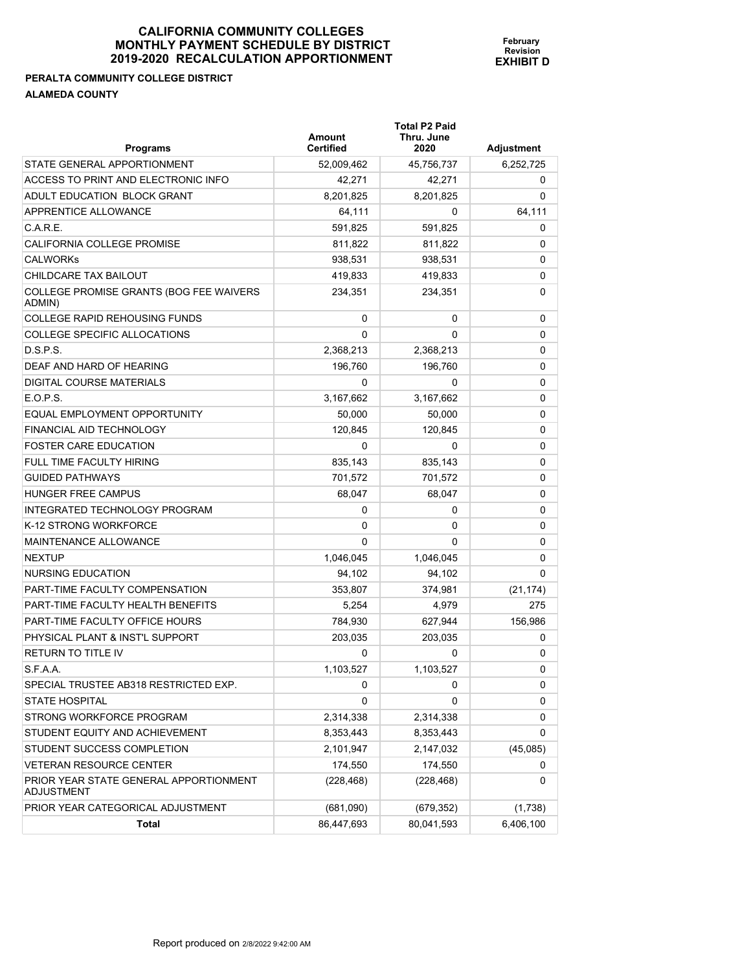#### **PERALTA COMMUNITY COLLEGE DISTRICT ALAMEDA COUNTY**

| <b>Programs</b>                                             | Amount<br><b>Certified</b> | <b>Total P2 Paid</b><br>Thru. June<br>2020 | Adjustment |
|-------------------------------------------------------------|----------------------------|--------------------------------------------|------------|
| STATE GENERAL APPORTIONMENT                                 | 52,009,462                 | 45,756,737                                 | 6,252,725  |
| ACCESS TO PRINT AND ELECTRONIC INFO                         | 42,271                     | 42,271                                     | 0          |
| ADULT EDUCATION BLOCK GRANT                                 | 8,201,825                  | 8,201,825                                  | 0          |
| APPRENTICE ALLOWANCE                                        | 64,111                     | 0                                          | 64,111     |
| C.A.R.E.                                                    | 591,825                    | 591,825                                    | 0          |
| CALIFORNIA COLLEGE PROMISE                                  | 811,822                    | 811,822                                    | 0          |
| <b>CALWORKS</b>                                             | 938,531                    | 938,531                                    | 0          |
| CHILDCARE TAX BAILOUT                                       | 419,833                    | 419,833                                    | 0          |
| COLLEGE PROMISE GRANTS (BOG FEE WAIVERS<br>ADMIN)           | 234,351                    | 234,351                                    | 0          |
| <b>COLLEGE RAPID REHOUSING FUNDS</b>                        | 0                          | 0                                          | 0          |
| COLLEGE SPECIFIC ALLOCATIONS                                | $\Omega$                   | 0                                          | 0          |
| D.S.P.S.                                                    | 2,368,213                  | 2,368,213                                  | 0          |
| DEAF AND HARD OF HEARING                                    | 196.760                    | 196,760                                    | 0          |
| DIGITAL COURSE MATERIALS                                    | 0                          | 0                                          | 0          |
| E.O.P.S.                                                    | 3,167,662                  | 3,167,662                                  | 0          |
| EQUAL EMPLOYMENT OPPORTUNITY                                | 50,000                     | 50,000                                     | 0          |
| FINANCIAL AID TECHNOLOGY                                    | 120.845                    | 120.845                                    | 0          |
| <b>FOSTER CARE EDUCATION</b>                                | 0                          | 0                                          | 0          |
| FULL TIME FACULTY HIRING                                    | 835.143                    | 835,143                                    | 0          |
| <b>GUIDED PATHWAYS</b>                                      | 701,572                    | 701,572                                    | 0          |
| <b>HUNGER FREE CAMPUS</b>                                   | 68,047                     | 68,047                                     | 0          |
| INTEGRATED TECHNOLOGY PROGRAM                               | 0                          | 0                                          | 0          |
| K-12 STRONG WORKFORCE                                       | 0                          | 0                                          | 0          |
| MAINTENANCE ALLOWANCE                                       | $\Omega$                   | 0                                          | 0          |
| <b>NEXTUP</b>                                               | 1,046,045                  | 1,046,045                                  | 0          |
| NURSING EDUCATION                                           | 94,102                     | 94,102                                     | 0          |
| <b>PART-TIME FACULTY COMPENSATION</b>                       | 353,807                    | 374,981                                    | (21, 174)  |
| PART-TIME FACULTY HEALTH BENEFITS                           | 5.254                      | 4,979                                      | 275        |
| PART-TIME FACULTY OFFICE HOURS                              | 784,930                    | 627,944                                    | 156,986    |
| PHYSICAL PLANT & INST'L SUPPORT                             | 203,035                    | 203,035                                    | 0          |
| <b>RETURN TO TITLE IV</b>                                   | 0                          | 0                                          | 0          |
| S.F.A.A.                                                    | 1,103,527                  | 1,103,527                                  | 0          |
| SPECIAL TRUSTEE AB318 RESTRICTED EXP.                       | 0                          | 0                                          | 0          |
| <b>STATE HOSPITAL</b>                                       | 0                          | 0                                          | 0          |
| STRONG WORKFORCE PROGRAM                                    | 2,314,338                  | 2,314,338                                  | 0          |
| STUDENT EQUITY AND ACHIEVEMENT                              | 8,353,443                  | 8,353,443                                  | 0          |
| STUDENT SUCCESS COMPLETION                                  | 2,101,947                  | 2,147,032                                  | (45,085)   |
| <b>VETERAN RESOURCE CENTER</b>                              | 174,550                    | 174,550                                    | 0          |
| PRIOR YEAR STATE GENERAL APPORTIONMENT<br><b>ADJUSTMENT</b> | (228, 468)                 | (228, 468)                                 | 0          |
| PRIOR YEAR CATEGORICAL ADJUSTMENT                           | (681,090)                  | (679, 352)                                 | (1,738)    |
| <b>Total</b>                                                | 86,447,693                 | 80,041,593                                 | 6,406,100  |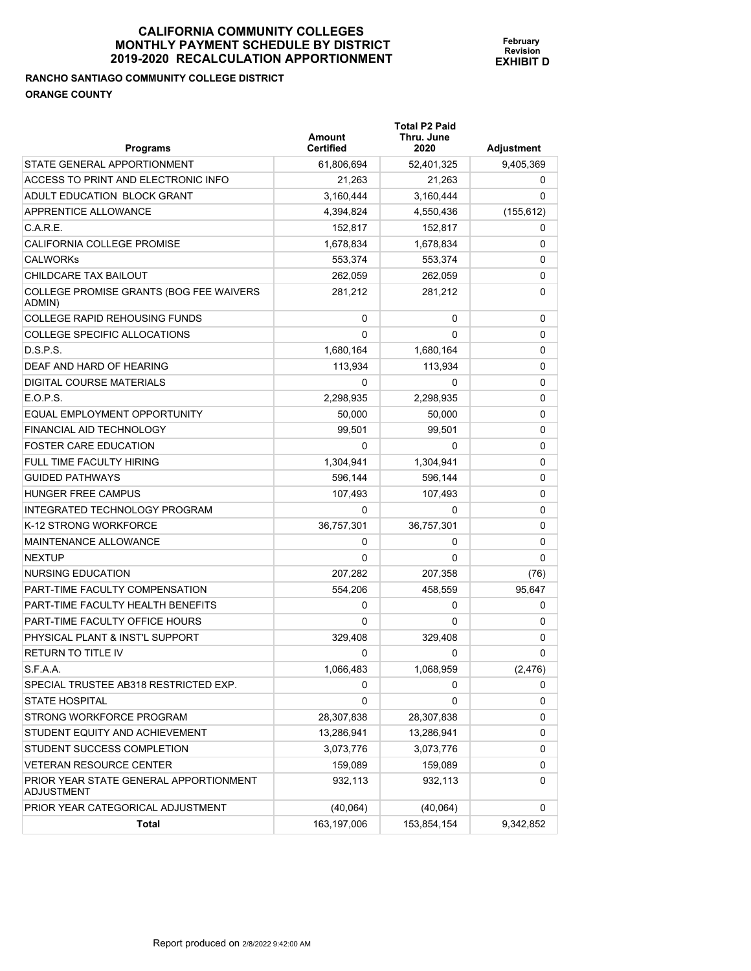# **RANCHO SANTIAGO COMMUNITY COLLEGE DISTRICT ORANGE COUNTY**

| <b>Programs</b>                                      | Amount<br><b>Certified</b> | <b>Total P2 Paid</b><br>Thru. June<br>2020 | Adjustment |
|------------------------------------------------------|----------------------------|--------------------------------------------|------------|
| STATE GENERAL APPORTIONMENT                          | 61,806,694                 | 52,401,325                                 | 9,405,369  |
| ACCESS TO PRINT AND ELECTRONIC INFO                  | 21,263                     | 21,263                                     | 0          |
| ADULT EDUCATION BLOCK GRANT                          | 3,160,444                  | 3,160,444                                  | 0          |
| APPRENTICE ALLOWANCE                                 | 4,394,824                  | 4,550,436                                  | (155, 612) |
| C.A.R.E.                                             | 152,817                    | 152,817                                    | 0          |
| CALIFORNIA COLLEGE PROMISE                           | 1,678,834                  | 1,678,834                                  | 0          |
| <b>CALWORKS</b>                                      | 553.374                    | 553,374                                    | 0          |
| CHILDCARE TAX BAILOUT                                | 262,059                    | 262,059                                    | 0          |
| COLLEGE PROMISE GRANTS (BOG FEE WAIVERS<br>ADMIN)    | 281,212                    | 281,212                                    | 0          |
| <b>COLLEGE RAPID REHOUSING FUNDS</b>                 | 0                          | 0                                          | 0          |
| COLLEGE SPECIFIC ALLOCATIONS                         | $\Omega$                   | 0                                          | 0          |
| D.S.P.S.                                             | 1,680,164                  | 1,680,164                                  | 0          |
| DEAF AND HARD OF HEARING                             | 113,934                    | 113,934                                    | 0          |
| DIGITAL COURSE MATERIALS                             | 0                          | 0                                          | 0          |
| E.O.P.S.                                             | 2,298,935                  | 2,298,935                                  | 0          |
| EQUAL EMPLOYMENT OPPORTUNITY                         | 50,000                     | 50,000                                     | 0          |
| FINANCIAL AID TECHNOLOGY                             | 99,501                     | 99,501                                     | 0          |
| <b>FOSTER CARE EDUCATION</b>                         | 0                          | 0                                          | 0          |
| FULL TIME FACULTY HIRING                             | 1,304,941                  | 1,304,941                                  | 0          |
| <b>GUIDED PATHWAYS</b>                               | 596,144                    | 596,144                                    | 0          |
| <b>HUNGER FREE CAMPUS</b>                            | 107,493                    | 107,493                                    | 0          |
| INTEGRATED TECHNOLOGY PROGRAM                        | 0                          | 0                                          | 0          |
| K-12 STRONG WORKFORCE                                | 36,757,301                 | 36,757,301                                 | 0          |
| <b>MAINTENANCE ALLOWANCE</b>                         | 0                          | 0                                          | 0          |
| <b>NEXTUP</b>                                        | 0                          | 0                                          | 0          |
| NURSING EDUCATION                                    | 207,282                    | 207,358                                    | (76)       |
| PART-TIME FACULTY COMPENSATION                       | 554,206                    | 458,559                                    | 95,647     |
| PART-TIME FACULTY HEALTH BENEFITS                    | 0                          | 0                                          | 0          |
| PART-TIME FACULTY OFFICE HOURS                       | 0                          | 0                                          | 0          |
| PHYSICAL PLANT & INST'L SUPPORT                      | 329,408                    | 329,408                                    | 0          |
| <b>RETURN TO TITLE IV</b>                            | 0                          | 0                                          | 0          |
| S.F.A.A.                                             | 1,066,483                  | 1,068,959                                  | (2, 476)   |
| SPECIAL TRUSTEE AB318 RESTRICTED EXP.                | 0                          | 0                                          | 0          |
| <b>STATE HOSPITAL</b>                                | 0                          | 0                                          | 0          |
| STRONG WORKFORCE PROGRAM                             | 28,307,838                 | 28,307,838                                 | 0          |
| STUDENT EQUITY AND ACHIEVEMENT                       | 13,286,941                 | 13,286,941                                 | 0          |
| STUDENT SUCCESS COMPLETION                           | 3,073,776                  | 3,073,776                                  | 0          |
| <b>VETERAN RESOURCE CENTER</b>                       | 159,089                    | 159,089                                    | 0          |
| PRIOR YEAR STATE GENERAL APPORTIONMENT<br>ADJUSTMENT | 932,113                    | 932,113                                    | 0          |
| PRIOR YEAR CATEGORICAL ADJUSTMENT                    | (40, 064)                  | (40, 064)                                  | 0          |
| Total                                                | 163,197,006                | 153,854,154                                | 9,342,852  |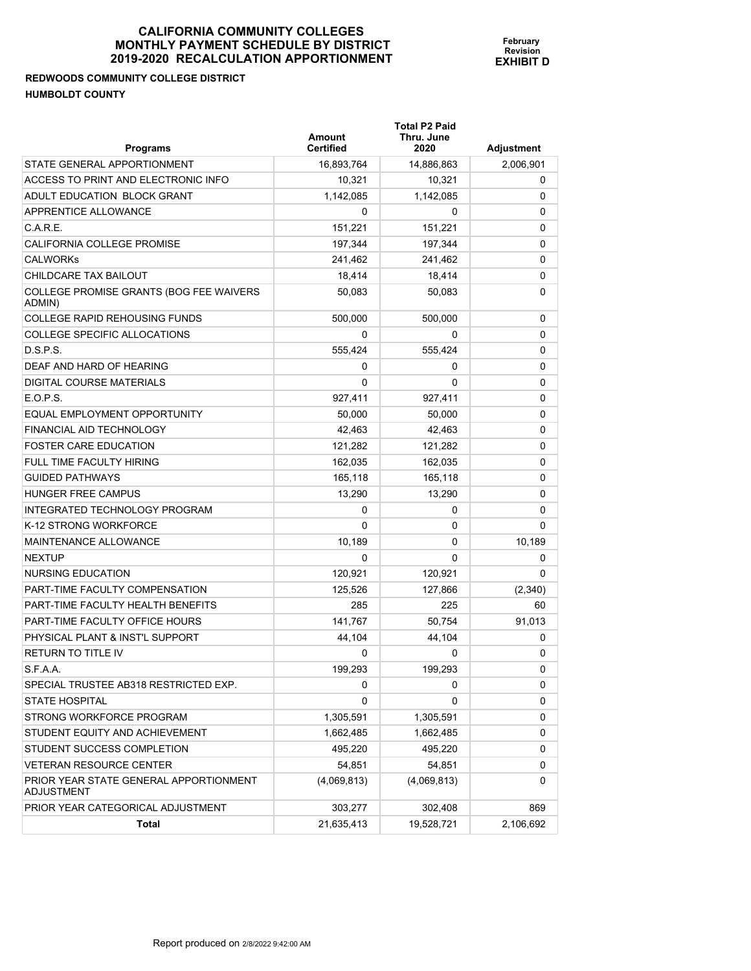**REDWOODS COMMUNITY COLLEGE DISTRICT HUMBOLDT COUNTY** 

**Total P2 Paid** 

| <b>Programs</b>                                             | Amount<br><b>Certified</b> | Thru. June<br>2020 | Adjustment |
|-------------------------------------------------------------|----------------------------|--------------------|------------|
| STATE GENERAL APPORTIONMENT                                 | 16,893,764                 | 14,886,863         | 2,006,901  |
| ACCESS TO PRINT AND ELECTRONIC INFO                         | 10,321                     | 10,321             | 0          |
| ADULT EDUCATION BLOCK GRANT                                 | 1,142,085                  | 1,142,085          | 0          |
| APPRENTICE ALLOWANCE                                        | 0                          | 0                  | 0          |
| C.A.R.E.                                                    | 151,221                    | 151,221            | 0          |
| <b>CALIFORNIA COLLEGE PROMISE</b>                           | 197,344                    | 197,344            | 0          |
| <b>CALWORKS</b>                                             | 241.462                    | 241,462            | 0          |
| CHILDCARE TAX BAILOUT                                       | 18,414                     | 18,414             | 0          |
| COLLEGE PROMISE GRANTS (BOG FEE WAIVERS<br>ADMIN)           | 50.083                     | 50,083             | 0          |
| <b>COLLEGE RAPID REHOUSING FUNDS</b>                        | 500,000                    | 500,000            | 0          |
| COLLEGE SPECIFIC ALLOCATIONS                                | 0                          | 0                  | 0          |
| D.S.P.S.                                                    | 555,424                    | 555,424            | 0          |
| DEAF AND HARD OF HEARING                                    | 0                          | 0                  | 0          |
| <b>DIGITAL COURSE MATERIALS</b>                             | $\Omega$                   | $\Omega$           | 0          |
| $E$ O.P.S.                                                  | 927.411                    | 927,411            | 0          |
| EQUAL EMPLOYMENT OPPORTUNITY                                | 50,000                     | 50,000             | 0          |
| FINANCIAL AID TECHNOLOGY                                    | 42,463                     | 42,463             | 0          |
| <b>FOSTER CARE EDUCATION</b>                                | 121,282                    | 121,282            | 0          |
| FULL TIME FACULTY HIRING                                    | 162,035                    | 162,035            | 0          |
| <b>GUIDED PATHWAYS</b>                                      | 165,118                    | 165,118            | 0          |
| <b>HUNGER FREE CAMPUS</b>                                   | 13,290                     | 13,290             | 0          |
| INTEGRATED TECHNOLOGY PROGRAM                               | 0                          | 0                  | 0          |
| K-12 STRONG WORKFORCE                                       | $\Omega$                   | 0                  | 0          |
| <b>MAINTENANCE ALLOWANCE</b>                                | 10,189                     | 0                  | 10,189     |
| <b>NEXTUP</b>                                               | 0                          | 0                  | 0          |
| NURSING EDUCATION                                           | 120,921                    | 120,921            | 0          |
| PART-TIME FACULTY COMPENSATION                              | 125,526                    | 127,866            | (2,340)    |
| PART-TIME FACULTY HEALTH BENEFITS                           | 285                        | 225                | 60         |
| <b>PART-TIME FACULTY OFFICE HOURS</b>                       | 141.767                    | 50,754             | 91,013     |
| PHYSICAL PLANT & INST'L SUPPORT                             | 44,104                     | 44,104             | 0          |
| <b>RETURN TO TITLE IV</b>                                   | $\Omega$                   | 0                  | 0          |
| S.F.A.A.                                                    | 199.293                    | 199,293            | 0          |
| SPECIAL TRUSTEE AB318 RESTRICTED EXP.                       | U                          | U                  | U          |
| STATE HOSPITAL                                              | 0                          | 0                  | 0          |
| STRONG WORKFORCE PROGRAM                                    | 1,305,591                  | 1,305,591          | 0          |
| STUDENT EQUITY AND ACHIEVEMENT                              | 1,662,485                  | 1,662,485          | 0          |
| STUDENT SUCCESS COMPLETION                                  | 495,220                    | 495,220            | 0          |
| <b>VETERAN RESOURCE CENTER</b>                              | 54,851                     | 54,851             | 0          |
| PRIOR YEAR STATE GENERAL APPORTIONMENT<br><b>ADJUSTMENT</b> | (4,069,813)                | (4,069,813)        | 0          |
| PRIOR YEAR CATEGORICAL ADJUSTMENT                           | 303,277                    | 302,408            | 869        |
| Total                                                       | 21,635,413                 | 19,528,721         | 2,106,692  |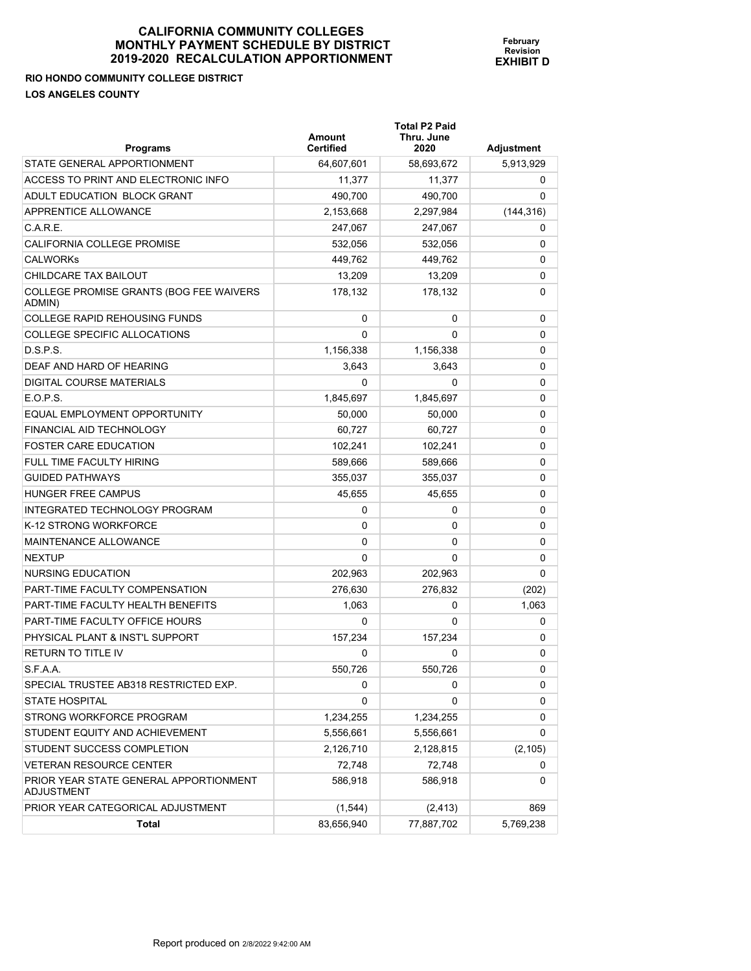| 2019-2020 RECALCOLATION APPORTIONMENT                                    |                            |                                            | <b>EXHIBIT D</b>  |  |
|--------------------------------------------------------------------------|----------------------------|--------------------------------------------|-------------------|--|
| <b>RIO HONDO COMMUNITY COLLEGE DISTRICT</b><br><b>LOS ANGELES COUNTY</b> |                            |                                            |                   |  |
| <b>Programs</b>                                                          | Amount<br><b>Certified</b> | <b>Total P2 Paid</b><br>Thru. June<br>2020 | <b>Adjustment</b> |  |
| STATE GENERAL APPORTIONMENT                                              | 64,607,601                 | 58,693,672                                 | 5,913,929         |  |
| ACCESS TO PRINT AND ELECTRONIC INFO                                      | 11,377                     | 11,377                                     | 0                 |  |
| <b>ADULT EDUCATION BLOCK GRANT</b>                                       | 490,700                    | 490,700                                    | 0                 |  |
| <b>APPRENTICE ALLOWANCE</b>                                              | 2,153,668                  | 2,297,984                                  | (144, 316)        |  |
| C.A.R.E.                                                                 | 247,067                    | 247,067                                    | $\Omega$          |  |
| <b>CALIFORNIA COLLEGE PROMISE</b>                                        | 532.056                    | 532,056                                    | $\Omega$          |  |
| <b>CALWORKS</b>                                                          | 449,762                    | 449,762                                    | $\Omega$          |  |
|                                                                          |                            |                                            |                   |  |

**February Revision**

| ADULT EDUCATION BLOCK GRANT                          | 490.700    | 490,700    | 0          |
|------------------------------------------------------|------------|------------|------------|
| APPRENTICE ALLOWANCE                                 | 2,153,668  | 2,297,984  | (144, 316) |
| C.A.R.E.                                             | 247,067    | 247,067    | 0          |
| CALIFORNIA COLLEGE PROMISE                           | 532,056    | 532,056    | 0          |
| <b>CALWORKS</b>                                      | 449,762    | 449,762    | 0          |
| CHILDCARE TAX BAILOUT                                | 13,209     | 13,209     | 0          |
| COLLEGE PROMISE GRANTS (BOG FEE WAIVERS<br>ADMIN)    | 178,132    | 178,132    | 0          |
| <b>COLLEGE RAPID REHOUSING FUNDS</b>                 | 0          | 0          | 0          |
| COLLEGE SPECIFIC ALLOCATIONS                         | $\Omega$   | 0          | 0          |
| D.S.P.S.                                             | 1,156,338  | 1,156,338  | 0          |
| DEAF AND HARD OF HEARING                             | 3,643      | 3,643      | 0          |
| <b>DIGITAL COURSE MATERIALS</b>                      | 0          | 0          | 0          |
| E.O.P.S.                                             | 1,845,697  | 1,845,697  | 0          |
| EQUAL EMPLOYMENT OPPORTUNITY                         | 50,000     | 50,000     | 0          |
| <b>FINANCIAL AID TECHNOLOGY</b>                      | 60,727     | 60,727     | 0          |
| <b>FOSTER CARE EDUCATION</b>                         | 102,241    | 102.241    | 0          |
| FULL TIME FACULTY HIRING                             | 589,666    | 589,666    | 0          |
| <b>GUIDED PATHWAYS</b>                               | 355,037    | 355,037    | 0          |
| <b>HUNGER FREE CAMPUS</b>                            | 45,655     | 45,655     | 0          |
| INTEGRATED TECHNOLOGY PROGRAM                        | 0          | 0          | 0          |
| K-12 STRONG WORKFORCE                                | 0          | 0          | 0          |
| <b>MAINTENANCE ALLOWANCE</b>                         | 0          | 0          | 0          |
| <b>NEXTUP</b>                                        | 0          | 0          | 0          |
| NURSING EDUCATION                                    | 202,963    | 202,963    | 0          |
| PART-TIME FACULTY COMPENSATION                       | 276,630    | 276,832    | (202)      |
| PART-TIME FACULTY HEALTH BENEFITS                    | 1,063      | 0          | 1,063      |
| PART-TIME FACULTY OFFICE HOURS                       | 0          | 0          | 0          |
| PHYSICAL PLANT & INST'L SUPPORT                      | 157,234    | 157,234    | 0          |
| RETURN TO TITLE IV                                   | 0          | 0          | 0          |
| S.F.A.A.                                             | 550,726    | 550,726    | 0          |
| SPECIAL TRUSTEE AB318 RESTRICTED EXP.                | 0          | 0          | 0          |
| <b>STATE HOSPITAL</b>                                | 0          | 0          | 0          |
| STRONG WORKFORCE PROGRAM                             | 1,234,255  | 1,234,255  | 0          |
| STUDENT EQUITY AND ACHIEVEMENT                       | 5,556,661  | 5,556,661  | 0          |
| STUDENT SUCCESS COMPLETION                           | 2,126,710  | 2,128,815  | (2, 105)   |
| <b>VETERAN RESOURCE CENTER</b>                       | 72,748     | 72,748     | 0          |
| PRIOR YEAR STATE GENERAL APPORTIONMENT<br>ADJUSTMENT | 586,918    | 586,918    | 0          |
| PRIOR YEAR CATEGORICAL ADJUSTMENT                    | (1, 544)   | (2, 413)   | 869        |
| <b>Total</b>                                         | 83,656,940 | 77,887,702 | 5,769,238  |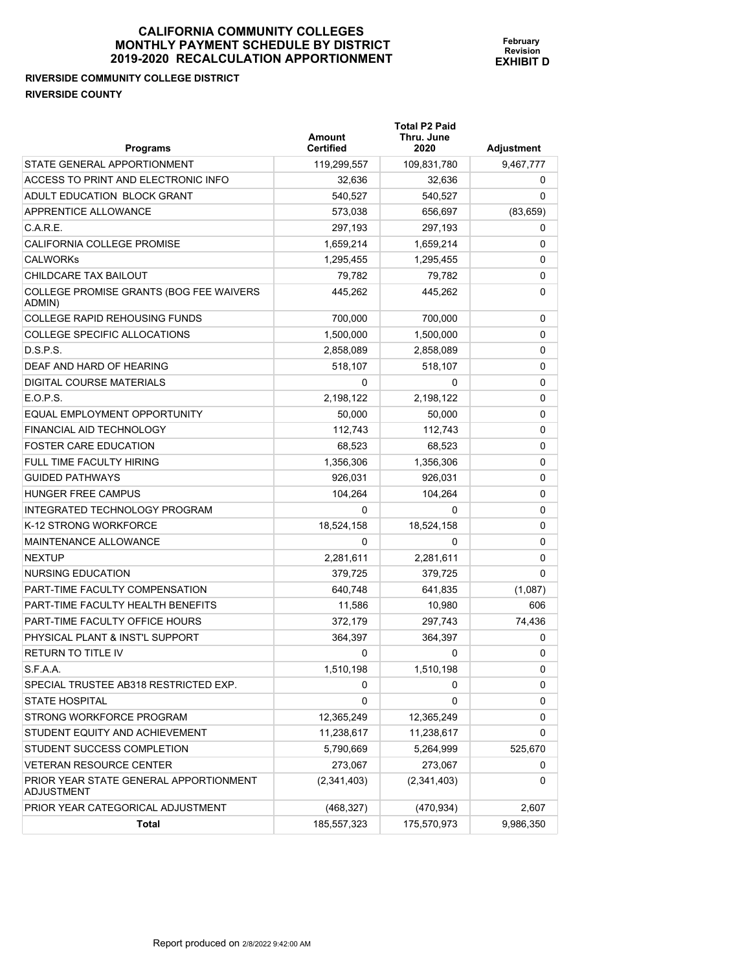# **RIVERSIDE COMMUNITY COLLEGE DISTRICT RIVERSIDE COUNTY**

| <b>Programs</b>                                      | <b>Amount</b><br><b>Certified</b> | <b>Total P2 Paid</b><br>Thru. June<br>2020 | <b>Adjustment</b> |
|------------------------------------------------------|-----------------------------------|--------------------------------------------|-------------------|
| STATE GENERAL APPORTIONMENT                          | 119,299,557                       | 109,831,780                                | 9,467,777         |
| ACCESS TO PRINT AND ELECTRONIC INFO                  | 32,636                            | 32,636                                     | 0                 |
| ADULT EDUCATION BLOCK GRANT                          | 540,527                           | 540,527                                    | 0                 |
| APPRENTICE ALLOWANCE                                 | 573,038                           | 656,697                                    | (83, 659)         |
| C.A.R.E.                                             | 297,193                           | 297,193                                    | 0                 |
| <b>CALIFORNIA COLLEGE PROMISE</b>                    | 1,659,214                         | 1,659,214                                  | 0                 |
| <b>CALWORKS</b>                                      | 1,295,455                         | 1,295,455                                  | 0                 |
| CHILDCARE TAX BAILOUT                                | 79,782                            | 79,782                                     | 0                 |
| COLLEGE PROMISE GRANTS (BOG FEE WAIVERS<br>ADMIN)    | 445,262                           | 445,262                                    | 0                 |
| <b>COLLEGE RAPID REHOUSING FUNDS</b>                 | 700,000                           | 700,000                                    | 0                 |
| COLLEGE SPECIFIC ALLOCATIONS                         | 1,500,000                         | 1,500,000                                  | 0                 |
| D.S.P.S.                                             | 2,858,089                         | 2,858,089                                  | 0                 |
| DEAF AND HARD OF HEARING                             | 518,107                           | 518,107                                    | 0                 |
| DIGITAL COURSE MATERIALS                             | 0                                 | 0                                          | 0                 |
| E.O.P.S.                                             | 2,198,122                         | 2,198,122                                  | 0                 |
| EQUAL EMPLOYMENT OPPORTUNITY                         | 50,000                            | 50,000                                     | 0                 |
| FINANCIAL AID TECHNOLOGY                             | 112,743                           | 112.743                                    | 0                 |
| <b>FOSTER CARE EDUCATION</b>                         | 68,523                            | 68,523                                     | 0                 |
| FULL TIME FACULTY HIRING                             | 1,356,306                         | 1,356,306                                  | 0                 |
| <b>GUIDED PATHWAYS</b>                               | 926,031                           | 926,031                                    | 0                 |
| <b>HUNGER FREE CAMPUS</b>                            | 104,264                           | 104,264                                    | 0                 |
| INTEGRATED TECHNOLOGY PROGRAM                        | 0                                 | 0                                          | 0                 |
| K-12 STRONG WORKFORCE                                | 18,524,158                        | 18,524,158                                 | 0                 |
| MAINTENANCE ALLOWANCE                                | 0                                 | 0                                          | 0                 |
| <b>NEXTUP</b>                                        | 2,281,611                         | 2,281,611                                  | 0                 |
| NURSING EDUCATION                                    | 379,725                           | 379,725                                    | 0                 |
| PART-TIME FACULTY COMPENSATION                       | 640,748                           | 641,835                                    | (1,087)           |
| PART-TIME FACULTY HEALTH BENEFITS                    | 11,586                            | 10,980                                     | 606               |
| PART-TIME FACULTY OFFICE HOURS                       | 372,179                           | 297,743                                    | 74,436            |
| PHYSICAL PLANT & INST'L SUPPORT                      | 364,397                           | 364,397                                    | 0                 |
| <b>RETURN TO TITLE IV</b>                            | 0                                 | 0                                          | 0                 |
| S.F.A.A.                                             | 1,510,198                         | 1,510,198                                  | 0                 |
| SPECIAL TRUSTEE AB318 RESTRICTED EXP.                | 0                                 | 0                                          | 0                 |
| <b>STATE HOSPITAL</b>                                | 0                                 | 0                                          | 0                 |
| STRONG WORKFORCE PROGRAM                             | 12,365,249                        | 12,365,249                                 | 0                 |
| STUDENT EQUITY AND ACHIEVEMENT                       | 11,238,617                        | 11,238,617                                 | 0                 |
| STUDENT SUCCESS COMPLETION                           | 5,790,669                         | 5,264,999                                  | 525,670           |
| <b>VETERAN RESOURCE CENTER</b>                       | 273,067                           | 273,067                                    | 0                 |
| PRIOR YEAR STATE GENERAL APPORTIONMENT<br>ADJUSTMENT | (2,341,403)                       | (2,341,403)                                | 0                 |
| PRIOR YEAR CATEGORICAL ADJUSTMENT                    | (468, 327)                        | (470, 934)                                 | 2,607             |
| Total                                                | 185,557,323                       | 175,570,973                                | 9,986,350         |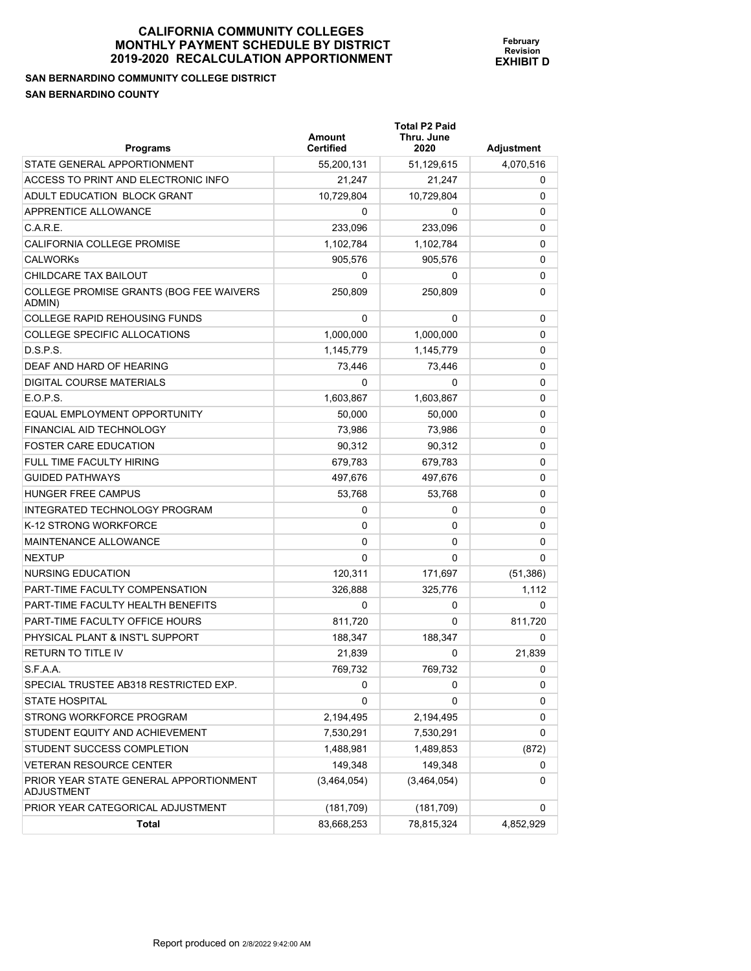**February Revision EXHIBIT D**

**SAN BERNARDINO COMMUNITY COLLEGE DISTRICT SAN BERNARDINO COUNTY** 

| <b>Programs</b>                                      | Amount<br><b>Certified</b> | <b>Total P2 Paid</b><br>Thru. June<br>2020 | Adjustment |
|------------------------------------------------------|----------------------------|--------------------------------------------|------------|
| STATE GENERAL APPORTIONMENT                          | 55,200,131                 | 51,129,615                                 | 4,070,516  |
| ACCESS TO PRINT AND ELECTRONIC INFO                  | 21,247                     | 21,247                                     | 0          |
| ADULT EDUCATION BLOCK GRANT                          | 10,729,804                 | 10,729,804                                 | 0          |
| <b>APPRENTICE ALLOWANCE</b>                          | 0                          | 0                                          | 0          |
| C.A.R.E.                                             | 233,096                    | 233,096                                    | 0          |
| CALIFORNIA COLLEGE PROMISE                           | 1,102,784                  | 1,102,784                                  | 0          |
| <b>CALWORKs</b>                                      | 905.576                    | 905,576                                    | 0          |
| CHILDCARE TAX BAILOUT                                | 0                          | 0                                          | 0          |
| COLLEGE PROMISE GRANTS (BOG FEE WAIVERS<br>ADMIN)    | 250,809                    | 250,809                                    | 0          |
| COLLEGE RAPID REHOUSING FUNDS                        | 0                          | 0                                          | 0          |
| COLLEGE SPECIFIC ALLOCATIONS                         | 1,000,000                  | 1,000,000                                  | 0          |
| D.S.P.S.                                             | 1,145,779                  | 1,145,779                                  | 0          |
| DEAF AND HARD OF HEARING                             | 73,446                     | 73,446                                     | 0          |
| DIGITAL COURSE MATERIALS                             | 0                          | 0                                          | 0          |
| E.O.P.S.                                             | 1,603,867                  | 1,603,867                                  | 0          |
| EQUAL EMPLOYMENT OPPORTUNITY                         | 50,000                     | 50,000                                     | 0          |
| FINANCIAL AID TECHNOLOGY                             | 73,986                     | 73,986                                     | 0          |
| <b>FOSTER CARE EDUCATION</b>                         | 90,312                     | 90,312                                     | 0          |
| FULL TIME FACULTY HIRING                             | 679,783                    | 679,783                                    | 0          |
| <b>GUIDED PATHWAYS</b>                               | 497,676                    | 497,676                                    | 0          |
| HUNGER FREE CAMPUS                                   | 53,768                     | 53,768                                     | 0          |
| INTEGRATED TECHNOLOGY PROGRAM                        | 0                          | 0                                          | 0          |
| K-12 STRONG WORKFORCE                                | 0                          | 0                                          | 0          |
| MAINTENANCE ALLOWANCE                                | 0                          | 0                                          | 0          |
| NEXTUP                                               | $\Omega$                   | 0                                          | 0          |
| NURSING EDUCATION                                    | 120,311                    | 171,697                                    | (51, 386)  |
| PART-TIME FACULTY COMPENSATION                       | 326,888                    | 325,776                                    | 1,112      |
| PART-TIME FACULTY HEALTH BENEFITS                    | 0                          | 0                                          | 0          |
| PART-TIME FACULTY OFFICE HOURS                       | 811,720                    | 0                                          | 811,720    |
| PHYSICAL PLANT & INST'L SUPPORT                      | 188.347                    | 188.347                                    | 0          |
| RETURN TO TITLE IV                                   | 21,839                     | 0                                          | 21,839     |
| S.F.A.A.                                             | 769,732                    | 769,732                                    | o          |
| SPECIAL TRUSTEE AB318 RESTRICTED EXP.                | 0                          | 0                                          | 0          |
| STATE HOSPITAL                                       | 0                          | 0                                          | 0          |
| STRONG WORKFORCE PROGRAM                             | 2,194,495                  | 2,194,495                                  | 0          |
| STUDENT EQUITY AND ACHIEVEMENT                       | 7,530,291                  | 7,530,291                                  | 0          |
| STUDENT SUCCESS COMPLETION                           | 1,488,981                  | 1,489,853                                  | (872)      |
| VETERAN RESOURCE CENTER                              | 149,348                    | 149,348                                    | 0          |
| PRIOR YEAR STATE GENERAL APPORTIONMENT<br>ADJUSTMENT | (3,464,054)                | (3,464,054)                                | 0          |
| PRIOR YEAR CATEGORICAL ADJUSTMENT                    | (181, 709)                 | (181, 709)                                 | 0          |
| Total                                                | 83,668,253                 | 78,815,324                                 | 4,852,929  |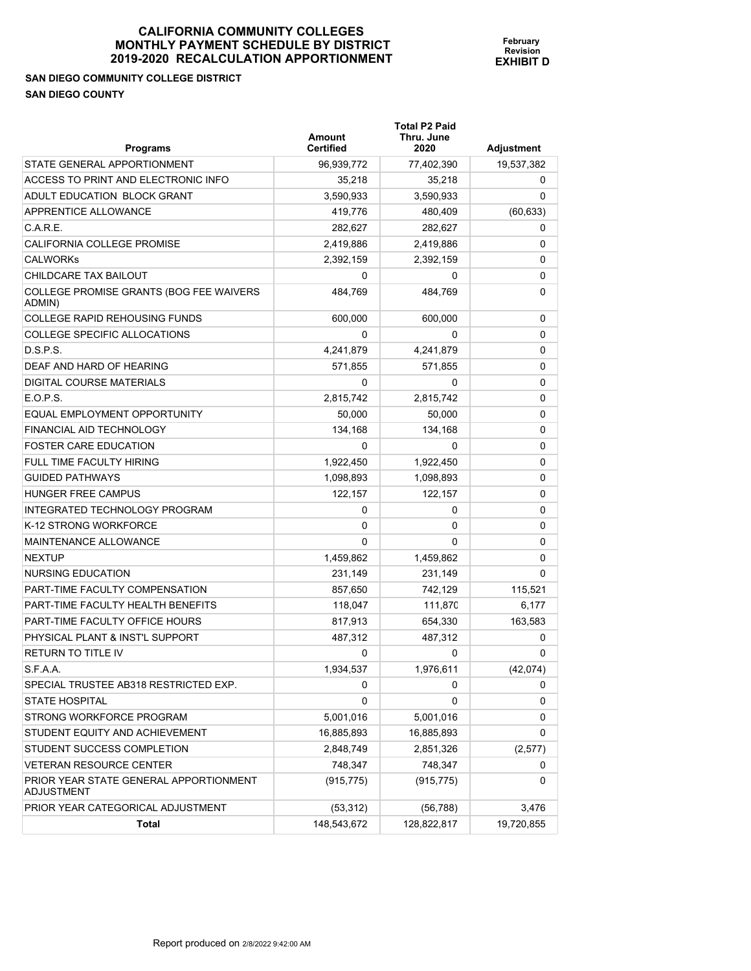## **SAN DIEGO COMMUNITY COLLEGE DISTRICT SAN DIEGO COUNTY**

| <b>Programs</b>                                             | Amount<br><b>Certified</b> | <b>Total P2 Paid</b><br>Thru. June<br>2020 | <b>Adjustment</b> |
|-------------------------------------------------------------|----------------------------|--------------------------------------------|-------------------|
| STATE GENERAL APPORTIONMENT                                 | 96,939,772                 | 77,402,390                                 | 19,537,382        |
| ACCESS TO PRINT AND ELECTRONIC INFO                         | 35,218                     | 35.218                                     | 0                 |
| ADULT EDUCATION BLOCK GRANT                                 | 3.590.933                  | 3,590,933                                  | 0                 |
| APPRENTICE ALLOWANCE                                        | 419,776                    | 480,409                                    | (60, 633)         |
| C.A.R.E.                                                    | 282,627                    | 282,627                                    | 0                 |
| CALIFORNIA COLLEGE PROMISE                                  | 2,419,886                  | 2,419,886                                  | 0                 |
| <b>CALWORKS</b>                                             | 2,392,159                  | 2,392,159                                  | 0                 |
| CHILDCARE TAX BAILOUT                                       | 0                          | 0                                          | 0                 |
| COLLEGE PROMISE GRANTS (BOG FEE WAIVERS<br>ADMIN)           | 484,769                    | 484,769                                    | 0                 |
| <b>COLLEGE RAPID REHOUSING FUNDS</b>                        | 600,000                    | 600,000                                    | 0                 |
| <b>COLLEGE SPECIFIC ALLOCATIONS</b>                         | 0                          | 0                                          | 0                 |
| D.S.P.S.                                                    | 4,241,879                  | 4,241,879                                  | 0                 |
| DEAF AND HARD OF HEARING                                    | 571,855                    | 571,855                                    | 0                 |
| DIGITAL COURSE MATERIALS                                    | 0                          | 0                                          | 0                 |
| E.O.P.S.                                                    | 2,815,742                  | 2,815,742                                  | 0                 |
| EQUAL EMPLOYMENT OPPORTUNITY                                | 50,000                     | 50,000                                     | 0                 |
| FINANCIAL AID TECHNOLOGY                                    | 134,168                    | 134,168                                    | 0                 |
| <b>FOSTER CARE EDUCATION</b>                                | 0                          | 0                                          | 0                 |
| FULL TIME FACULTY HIRING                                    | 1,922,450                  | 1,922,450                                  | 0                 |
| <b>GUIDED PATHWAYS</b>                                      | 1,098,893                  | 1,098,893                                  | 0                 |
| <b>HUNGER FREE CAMPUS</b>                                   | 122,157                    | 122,157                                    | 0                 |
| INTEGRATED TECHNOLOGY PROGRAM                               | 0                          | 0                                          | 0                 |
| K-12 STRONG WORKFORCE                                       | 0                          | 0                                          | 0                 |
| MAINTENANCE ALLOWANCE                                       | $\Omega$                   | 0                                          | 0                 |
| <b>NEXTUP</b>                                               | 1,459,862                  | 1,459,862                                  | 0                 |
| NURSING EDUCATION                                           | 231,149                    | 231,149                                    | 0                 |
| <b>PART-TIME FACULTY COMPENSATION</b>                       | 857,650                    | 742,129                                    | 115,521           |
| PART-TIME FACULTY HEALTH BENEFITS                           | 118,047                    | 111,870                                    | 6,177             |
| PART-TIME FACULTY OFFICE HOURS                              | 817,913                    | 654,330                                    | 163,583           |
| PHYSICAL PLANT & INST'L SUPPORT                             | 487,312                    | 487,312                                    | 0                 |
| <b>RETURN TO TITLE IV</b>                                   | 0                          | 0                                          | 0                 |
| S.F.A.A.                                                    | 1,934,537                  | 1,976,611                                  | (42, 074)         |
| SPECIAL TRUSTEE AB318 RESTRICTED EXP.                       | 0                          | 0                                          | 0                 |
| <b>STATE HOSPITAL</b>                                       | 0                          | 0                                          | 0                 |
| STRONG WORKFORCE PROGRAM                                    | 5,001,016                  | 5,001,016                                  | 0                 |
| STUDENT EQUITY AND ACHIEVEMENT                              | 16,885,893                 | 16,885,893                                 | 0                 |
| STUDENT SUCCESS COMPLETION                                  | 2,848,749                  | 2,851,326                                  | (2,577)           |
| <b>VETERAN RESOURCE CENTER</b>                              | 748,347                    | 748,347                                    | 0                 |
| PRIOR YEAR STATE GENERAL APPORTIONMENT<br><b>ADJUSTMENT</b> | (915, 775)                 | (915, 775)                                 | 0                 |
| PRIOR YEAR CATEGORICAL ADJUSTMENT                           | (53, 312)                  | (56, 788)                                  | 3,476             |
| Total                                                       | 148,543,672                | 128,822,817                                | 19,720,855        |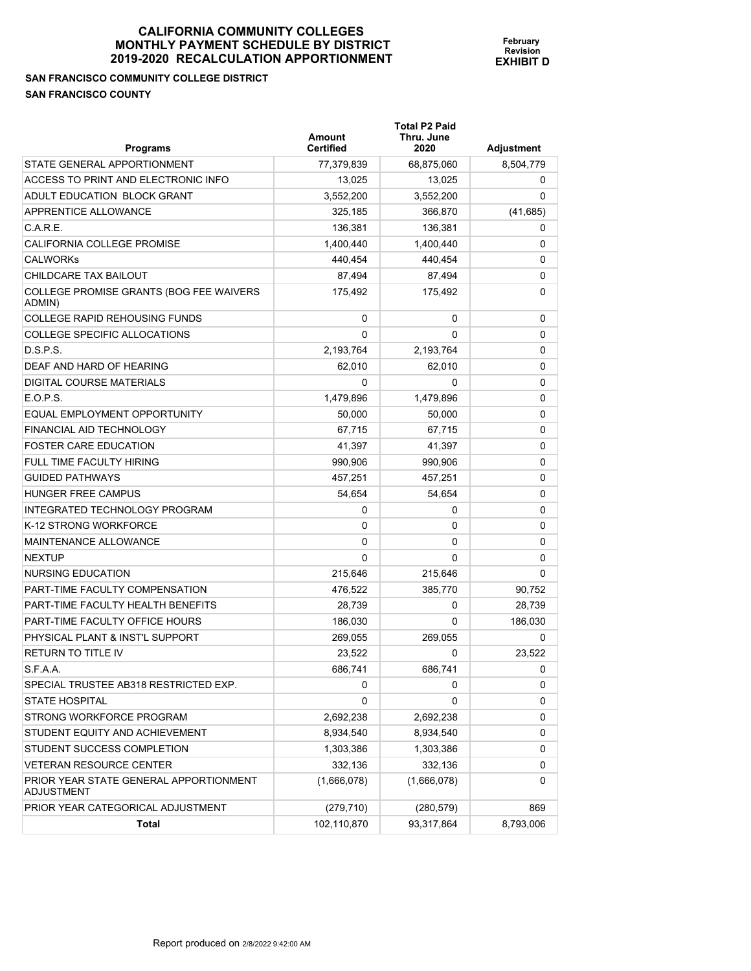**SAN FRANCISCO COMMUNITY COLLEGE DISTRICT SAN FRANCISCO COUNTY** 

| <b>Programs</b>                                   | Amount<br><b>Certified</b> | <b>Total P2 Paid</b><br>Thru. June<br>2020 | Adjustment |
|---------------------------------------------------|----------------------------|--------------------------------------------|------------|
| STATE GENERAL APPORTIONMENT                       | 77,379,839                 | 68,875,060                                 | 8,504,779  |
| ACCESS TO PRINT AND ELECTRONIC INFO               | 13.025                     | 13,025                                     | 0          |
| ADULT EDUCATION BLOCK GRANT                       | 3.552.200                  | 3,552,200                                  | 0          |
| APPRENTICE ALLOWANCE                              | 325,185                    | 366,870                                    | (41, 685)  |
| C.A.R.E.                                          | 136,381                    | 136,381                                    | 0          |
| CALIFORNIA COLLEGE PROMISE                        | 1,400,440                  | 1,400,440                                  | 0          |
| <b>CALWORKS</b>                                   | 440,454                    | 440.454                                    | 0          |
| CHILDCARE TAX BAILOUT                             | 87.494                     | 87.494                                     | 0          |
| COLLEGE PROMISE GRANTS (BOG FEE WAIVERS<br>ADMIN) | 175,492                    | 175,492                                    | 0          |
| <b>COLLEGE RAPID REHOUSING FUNDS</b>              | 0                          | 0                                          | 0          |
| COLLEGE SPECIFIC ALLOCATIONS                      | 0                          | 0                                          | 0          |
| D.S.P.S.                                          | 2,193,764                  | 2,193,764                                  | 0          |
| DEAF AND HARD OF HEARING                          | 62,010                     | 62,010                                     | 0          |
| DIGITAL COURSE MATERIALS                          | 0                          | 0                                          | 0          |
| E.O.P.S.                                          | 1,479,896                  | 1,479,896                                  | 0          |
| EQUAL EMPLOYMENT OPPORTUNITY                      | 50,000                     | 50,000                                     | 0          |
| FINANCIAL AID TECHNOLOGY                          | 67,715                     | 67.715                                     | 0          |
| <b>FOSTER CARE EDUCATION</b>                      | 41.397                     | 41,397                                     | 0          |
| FULL TIME FACULTY HIRING                          | 990,906                    | 990.906                                    | 0          |
| <b>GUIDED PATHWAYS</b>                            | 457,251                    | 457,251                                    | 0          |
| HUNGER FREE CAMPUS                                | 54,654                     | 54,654                                     | 0          |
| INTEGRATED TECHNOLOGY PROGRAM                     | 0                          | 0                                          | 0          |
| K-12 STRONG WORKFORCE                             | 0                          | 0                                          | 0          |
| MAINTENANCE ALLOWANCE                             | 0                          | 0                                          | 0          |
| <b>NEXTUP</b>                                     | 0                          | 0                                          | 0          |
| NURSING EDUCATION                                 | 215,646                    | 215,646                                    | 0          |
| PART-TIME FACULTY COMPENSATION                    | 476,522                    | 385,770                                    | 90,752     |
| PART-TIME FACULTY HEALTH BENEFITS                 | 28,739                     | 0                                          | 28,739     |
| PART-TIME FACULTY OFFICE HOURS                    | 186,030                    | 0                                          | 186,030    |
| PHYSICAL PLANT & INST'L SUPPORT                   | 269,055                    | 269,055                                    | 0          |
| <b>RETURN TO TITLE IV</b>                         | 23,522                     | 0                                          | 23,522     |
| S.F.A.A.                                          | 686,741                    | 686,741                                    | 0          |
| SPECIAL TRUSTEE AB318 RESTRICTED EXP.             | 0                          | 0                                          | 0          |
| <b>STATE HOSPITAL</b>                             | 0                          | 0                                          | 0          |
| STRONG WORKFORCE PROGRAM                          | 2,692,238                  | 2,692,238                                  | 0          |
| STUDENT EQUITY AND ACHIEVEMENT                    | 8,934,540                  | 8,934,540                                  | 0          |
| STUDENT SUCCESS COMPLETION                        | 1,303,386                  | 1,303,386                                  | 0          |
| VETERAN RESOURCE CENTER                           | 332,136                    | 332,136                                    | 0          |

 $(1,666,078)$   $(1,666,078)$  0

**February Revision EXHIBIT D**

Report produced on 2/8/2022 9:42:00 AM

PRIOR YEAR CATEGORICAL ADJUSTMENT (279,710) (280,579) (280,579)

**Total** 102,110,870 93,317,864 8,793,006

PRIOR YEAR STATE GENERAL APPORTIONMENT

ADJUSTMENT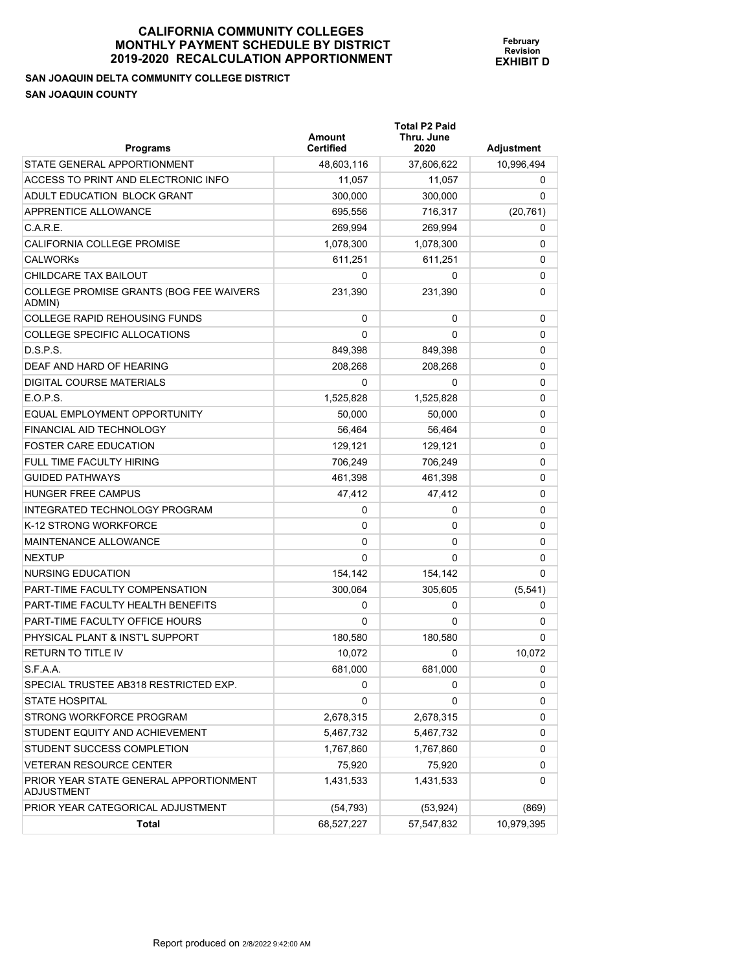**February Revision EXHIBIT D**

**SAN JOAQUIN DELTA COMMUNITY COLLEGE DISTRICT SAN JOAQUIN COUNTY** 

| <b>Programs</b>                                      | Amount<br><b>Certified</b> | <b>Total P2 Paid</b><br>Thru. June<br>2020 | Adjustment |
|------------------------------------------------------|----------------------------|--------------------------------------------|------------|
| STATE GENERAL APPORTIONMENT                          | 48,603,116                 | 37,606,622                                 | 10,996,494 |
| ACCESS TO PRINT AND ELECTRONIC INFO                  | 11,057                     | 11,057                                     | 0          |
| ADULT EDUCATION BLOCK GRANT                          | 300,000                    | 300,000                                    | 0          |
| <b>APPRENTICE ALLOWANCE</b>                          | 695,556                    | 716,317                                    | (20, 761)  |
| C.A.R.E.                                             | 269,994                    | 269,994                                    | 0          |
| CALIFORNIA COLLEGE PROMISE                           | 1,078,300                  | 1,078,300                                  | 0          |
| <b>CALWORKs</b>                                      | 611,251                    | 611,251                                    | 0          |
| CHILDCARE TAX BAILOUT                                | 0                          | 0                                          | 0          |
| COLLEGE PROMISE GRANTS (BOG FEE WAIVERS<br>ADMIN)    | 231,390                    | 231,390                                    | 0          |
| COLLEGE RAPID REHOUSING FUNDS                        | 0                          | 0                                          | 0          |
| COLLEGE SPECIFIC ALLOCATIONS                         | 0                          | 0                                          | 0          |
| D.S.P.S.                                             | 849,398                    | 849,398                                    | 0          |
| DEAF AND HARD OF HEARING                             | 208,268                    | 208,268                                    | 0          |
| DIGITAL COURSE MATERIALS                             | 0                          | 0                                          | 0          |
| E.O.P.S.                                             | 1,525,828                  | 1,525,828                                  | 0          |
| EQUAL EMPLOYMENT OPPORTUNITY                         | 50,000                     | 50,000                                     | 0          |
| FINANCIAL AID TECHNOLOGY                             | 56,464                     | 56,464                                     | 0          |
| <b>FOSTER CARE EDUCATION</b>                         | 129,121                    | 129,121                                    | 0          |
| FULL TIME FACULTY HIRING                             | 706.249                    | 706,249                                    | 0          |
| <b>GUIDED PATHWAYS</b>                               | 461,398                    | 461,398                                    | 0          |
| HUNGER FREE CAMPUS                                   | 47,412                     | 47,412                                     | 0          |
| INTEGRATED TECHNOLOGY PROGRAM                        | 0                          | 0                                          | 0          |
| K-12 STRONG WORKFORCE                                | 0                          | 0                                          | 0          |
| MAINTENANCE ALLOWANCE                                | $\Omega$                   | 0                                          | 0          |
| NEXTUP                                               | $\mathbf{0}$               | 0                                          | 0          |
| NURSING EDUCATION                                    | 154,142                    | 154,142                                    | 0          |
| PART-TIME FACULTY COMPENSATION                       | 300,064                    | 305,605                                    | (5, 541)   |
| PART-TIME FACULTY HEALTH BENEFITS                    | 0                          | 0                                          | 0          |
| PART-TIME FACULTY OFFICE HOURS                       | 0                          | 0                                          | 0          |
| PHYSICAL PLANT & INST'L SUPPORT                      | 180,580                    | 180.580                                    | 0          |
| RETURN TO TITLE IV                                   | 10,072                     | 0                                          | 10,072     |
| S.F.A.A.                                             | 681,000                    | 681,000                                    | 0          |
| SPECIAL TRUSTEE AB318 RESTRICTED EXP.                | 0                          | 0                                          | 0          |
| <b>STATE HOSPITAL</b>                                | 0                          | 0                                          | 0          |
| STRONG WORKFORCE PROGRAM                             | 2,678,315                  | 2,678,315                                  | 0          |
| STUDENT EQUITY AND ACHIEVEMENT                       | 5,467,732                  | 5,467,732                                  | 0          |
| STUDENT SUCCESS COMPLETION                           | 1,767,860                  | 1,767,860                                  | 0          |
| VETERAN RESOURCE CENTER                              | 75,920                     | 75,920                                     | 0          |
| PRIOR YEAR STATE GENERAL APPORTIONMENT<br>ADJUSTMENT | 1,431,533                  | 1,431,533                                  | 0          |
| PRIOR YEAR CATEGORICAL ADJUSTMENT                    | (54, 793)                  | (53, 924)                                  | (869)      |
| Total                                                | 68,527,227                 | 57,547,832                                 | 10,979,395 |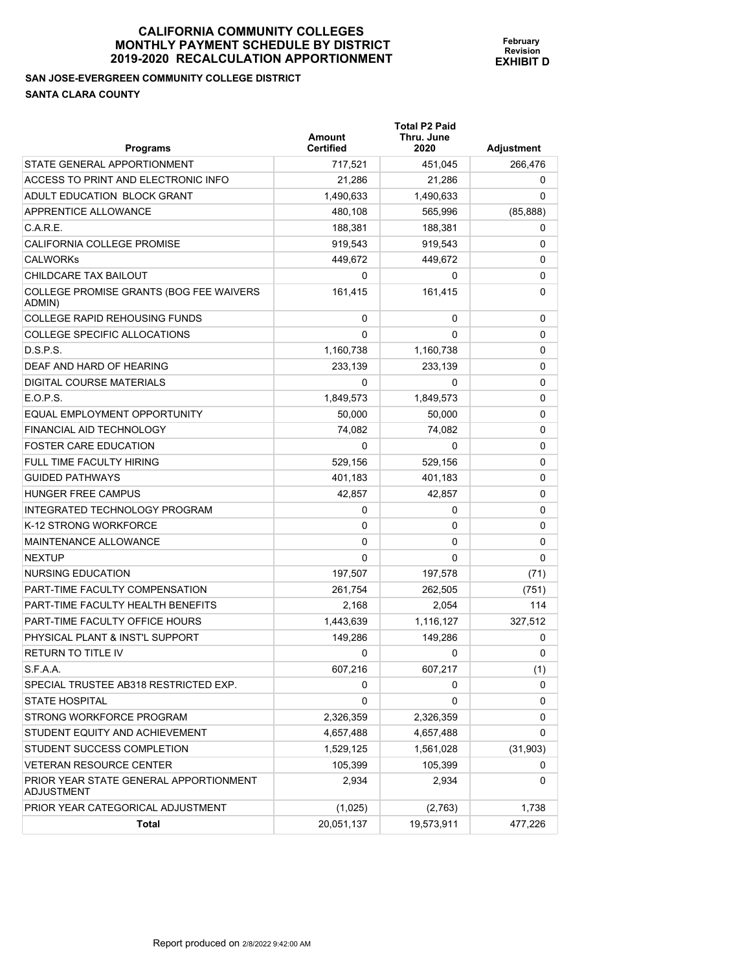# **SAN JOSE-EVERGREEN COMMUNITY COLLEGE DISTRICT**

**SANTA CLARA COUNTY** 

| <b>Programs</b>                                      | <b>Amount</b><br><b>Certified</b> | <b>Total P2 Paid</b><br>Thru. June<br>2020 | Adjustment |
|------------------------------------------------------|-----------------------------------|--------------------------------------------|------------|
| STATE GENERAL APPORTIONMENT                          | 717,521                           | 451,045                                    | 266,476    |
| ACCESS TO PRINT AND ELECTRONIC INFO                  | 21,286                            | 21,286                                     | 0          |
| ADULT EDUCATION BLOCK GRANT                          | 1,490,633                         | 1,490,633                                  | 0          |
| <b>APPRENTICE ALLOWANCE</b>                          | 480,108                           | 565,996                                    | (85, 888)  |
| C.A.R.E.                                             | 188,381                           | 188,381                                    | 0          |
| <b>CALIFORNIA COLLEGE PROMISE</b>                    | 919,543                           | 919,543                                    | 0          |
| <b>CALWORKS</b>                                      | 449,672                           | 449,672                                    | 0          |
| CHILDCARE TAX BAILOUT                                | 0                                 | 0                                          | 0          |
| COLLEGE PROMISE GRANTS (BOG FEE WAIVERS<br>ADMIN)    | 161,415                           | 161,415                                    | 0          |
| <b>COLLEGE RAPID REHOUSING FUNDS</b>                 | 0                                 | 0                                          | 0          |
| <b>COLLEGE SPECIFIC ALLOCATIONS</b>                  | 0                                 | 0                                          | 0          |
| D.S.P.S.                                             | 1,160,738                         | 1,160,738                                  | 0          |
| DEAF AND HARD OF HEARING                             | 233,139                           | 233,139                                    | 0          |
| DIGITAL COURSE MATERIALS                             | 0                                 | 0                                          | 0          |
| E.O.P.S.                                             | 1,849,573                         | 1,849,573                                  | 0          |
| EQUAL EMPLOYMENT OPPORTUNITY                         | 50,000                            | 50,000                                     | 0          |
| FINANCIAL AID TECHNOLOGY                             | 74,082                            | 74,082                                     | 0          |
| <b>FOSTER CARE EDUCATION</b>                         | 0                                 | 0                                          | 0          |
| <b>FULL TIME FACULTY HIRING</b>                      | 529,156                           | 529,156                                    | 0          |
| <b>GUIDED PATHWAYS</b>                               | 401,183                           | 401,183                                    | 0          |
| <b>HUNGER FREE CAMPUS</b>                            | 42,857                            | 42,857                                     | 0          |
| INTEGRATED TECHNOLOGY PROGRAM                        | 0                                 | 0                                          | 0          |
| K-12 STRONG WORKFORCE                                | 0                                 | 0                                          | 0          |
| <b>MAINTENANCE ALLOWANCE</b>                         | 0                                 | 0                                          | 0          |
| <b>NEXTUP</b>                                        | $\Omega$                          | 0                                          | 0          |
| NURSING EDUCATION                                    | 197,507                           | 197,578                                    | (71)       |
| <b>PART-TIME FACULTY COMPENSATION</b>                | 261,754                           | 262,505                                    | (751)      |
| PART-TIME FACULTY HEALTH BENEFITS                    | 2.168                             | 2,054                                      | 114        |
| PART-TIME FACULTY OFFICE HOURS                       | 1,443,639                         | 1,116,127                                  | 327,512    |
| PHYSICAL PLANT & INST'L SUPPORT                      | 149,286                           | 149,286                                    | 0          |
| <b>RETURN TO TITLE IV</b>                            | 0                                 | 0                                          | 0          |
| S.F.A.A.                                             | 607,216                           | 607,217                                    | (1)        |
| SPECIAL TRUSTEE AB318 RESTRICTED EXP.                | 0                                 | 0                                          | 0          |
| <b>STATE HOSPITAL</b>                                | 0                                 | 0                                          | 0          |
| STRONG WORKFORCE PROGRAM                             | 2,326,359                         | 2,326,359                                  | 0          |
| STUDENT EQUITY AND ACHIEVEMENT                       | 4,657,488                         | 4,657,488                                  | 0          |
| STUDENT SUCCESS COMPLETION                           | 1,529,125                         | 1,561,028                                  | (31, 903)  |
| <b>VETERAN RESOURCE CENTER</b>                       | 105,399                           | 105,399                                    | 0          |
| PRIOR YEAR STATE GENERAL APPORTIONMENT<br>ADJUSTMENT | 2,934                             | 2,934                                      | 0          |
| PRIOR YEAR CATEGORICAL ADJUSTMENT                    | (1,025)                           | (2,763)                                    | 1,738      |
| Total                                                | 20,051,137                        | 19,573,911                                 | 477,226    |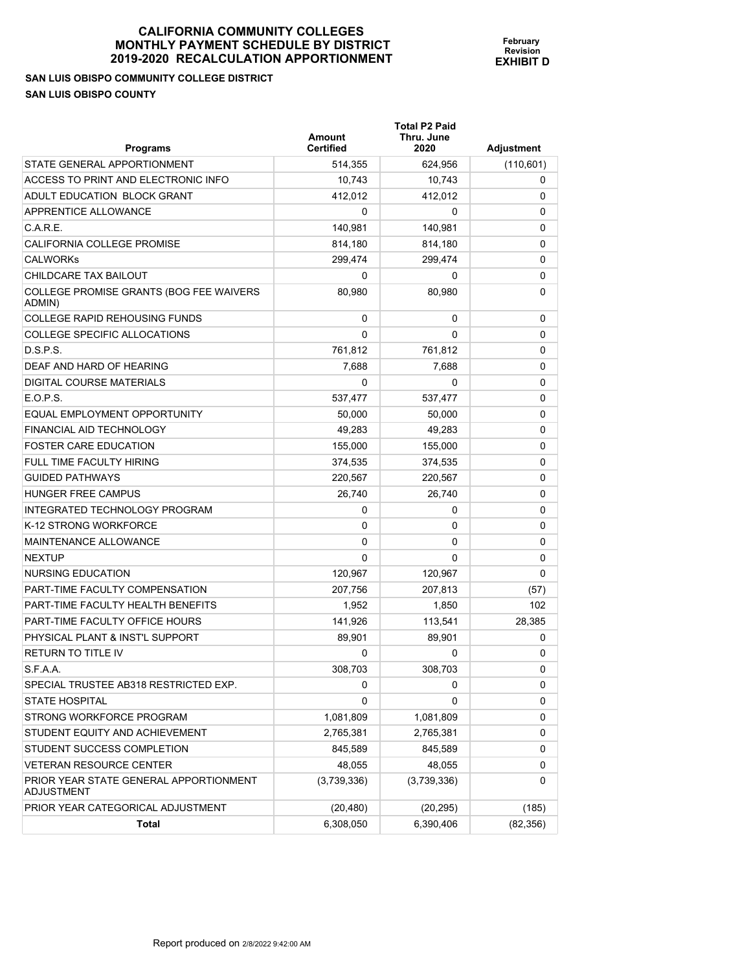**SAN LUIS OBISPO COMMUNITY COLLEGE DISTRICT SAN LUIS OBISPO COUNTY** 

| <b>Programs</b>                                   | Amount<br><b>Certified</b> | <b>Total P2 Paid</b><br>Thru. June<br>2020 | Adjustment |
|---------------------------------------------------|----------------------------|--------------------------------------------|------------|
| STATE GENERAL APPORTIONMENT                       | 514,355                    | 624,956                                    | (110, 601) |
| ACCESS TO PRINT AND ELECTRONIC INFO               | 10.743                     | 10,743                                     | 0          |
| ADULT EDUCATION BLOCK GRANT                       | 412,012                    | 412,012                                    | 0          |
| APPRENTICE ALLOWANCE                              | 0                          | 0                                          | 0          |
| C.A.R.E.                                          | 140,981                    | 140,981                                    | 0          |
| <b>CALIFORNIA COLLEGE PROMISE</b>                 | 814,180                    | 814,180                                    | 0          |
| <b>CALWORKS</b>                                   | 299,474                    | 299,474                                    | 0          |
| CHILDCARE TAX BAILOUT                             | 0                          | 0                                          | 0          |
| COLLEGE PROMISE GRANTS (BOG FEE WAIVERS<br>ADMIN) | 80,980                     | 80,980                                     | 0          |
| <b>COLLEGE RAPID REHOUSING FUNDS</b>              | 0                          | 0                                          | 0          |
| COLLEGE SPECIFIC ALLOCATIONS                      | 0                          | 0                                          | 0          |
| D.S.P.S.                                          | 761,812                    | 761,812                                    | 0          |
| DEAF AND HARD OF HEARING                          | 7,688                      | 7,688                                      | 0          |
| DIGITAL COURSE MATERIALS                          | 0                          | 0                                          | 0          |
| E.O.P.S.                                          | 537,477                    | 537,477                                    | 0          |
| EQUAL EMPLOYMENT OPPORTUNITY                      | 50,000                     | 50,000                                     | 0          |
| FINANCIAL AID TECHNOLOGY                          | 49,283                     | 49,283                                     | 0          |
| <b>FOSTER CARE EDUCATION</b>                      | 155,000                    | 155,000                                    | 0          |
| FULL TIME FACULTY HIRING                          | 374,535                    | 374,535                                    | 0          |
| <b>GUIDED PATHWAYS</b>                            | 220,567                    | 220,567                                    | 0          |
| <b>HUNGER FREE CAMPUS</b>                         | 26,740                     | 26,740                                     | 0          |
| INTEGRATED TECHNOLOGY PROGRAM                     | 0                          | 0                                          | 0          |
| K-12 STRONG WORKFORCE                             | 0                          | 0                                          | 0          |
| MAINTENANCE ALLOWANCE                             | 0                          | 0                                          | 0          |
| <b>NEXTUP</b>                                     | 0                          | 0                                          | 0          |
| NURSING EDUCATION                                 | 120,967                    | 120,967                                    | 0          |
| PART-TIME FACULTY COMPENSATION                    | 207,756                    | 207,813                                    | (57)       |
| PART-TIME FACULTY HEALTH BENEFITS                 | 1.952                      | 1,850                                      | 102        |
| PART-TIME FACULTY OFFICE HOURS                    | 141,926                    | 113,541                                    | 28,385     |
| PHYSICAL PLANT & INST'L SUPPORT                   | 89,901                     | 89,901                                     | 0          |
| <b>RETURN TO TITLE IV</b>                         | 0                          | 0                                          | 0          |
| S.F.A.A.                                          | 308,703                    | 308,703                                    | 0          |
| SPECIAL TRUSTEE AB318 RESTRICTED EXP.             | 0                          | 0                                          | 0          |
| <b>STATE HOSPITAL</b>                             | 0                          | 0                                          | 0          |
| STRONG WORKFORCE PROGRAM                          | 1,081,809                  | 1,081,809                                  | 0          |
| STUDENT EQUITY AND ACHIEVEMENT                    | 2,765,381                  | 2,765,381                                  | 0          |
| STUDENT SUCCESS COMPLETION                        | 845,589                    | 845,589                                    | 0          |
| <b>VETERAN RESOURCE CENTER</b>                    | 48,055                     | 48,055                                     | 0          |

PRIOR YEAR CATEGORICAL ADJUSTMENT (20,480) (20,480) (20,295) (185)

**Total** 6,308,050 6,390,406 (82,356)

 $(3,739,336)$   $(3,739,336)$  0

**February Revision EXHIBIT D**

PRIOR YEAR STATE GENERAL APPORTIONMENT

ADJUSTMENT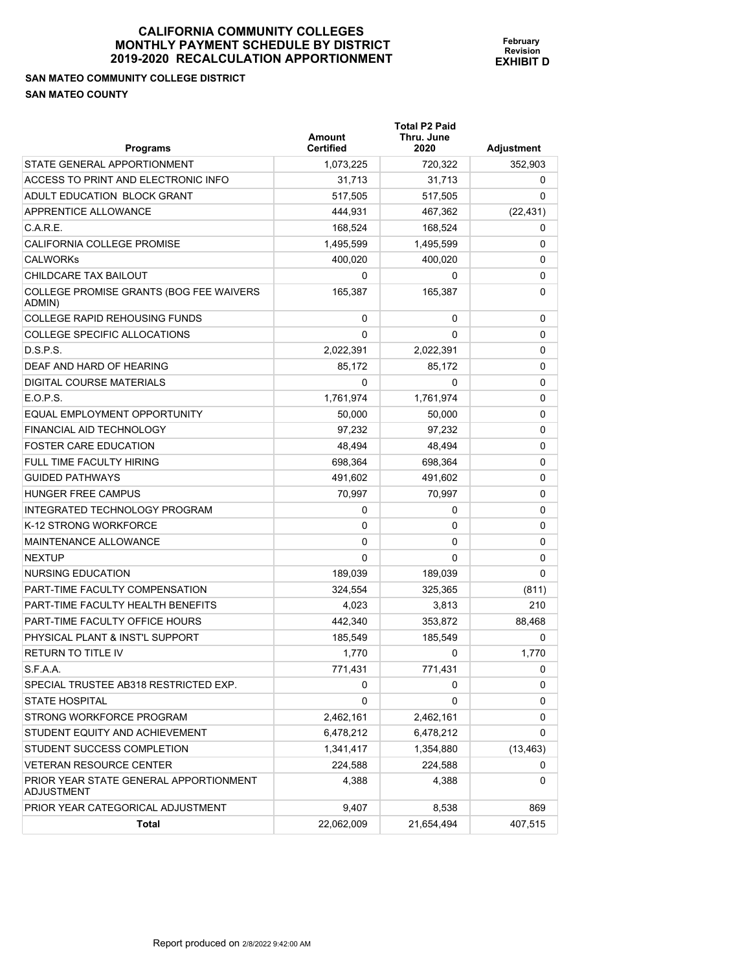**SAN MATEO COMMUNITY COLLEGE DISTRICT SAN MATEO COUNTY** 

**February Revision EXHIBIT D**

**Total P2 Paid** 

| <b>Programs</b>                                             | Amount<br>Certified | Thru. June<br>2020 | <b>Adjustment</b> |
|-------------------------------------------------------------|---------------------|--------------------|-------------------|
| STATE GENERAL APPORTIONMENT                                 | 1,073,225           | 720,322            | 352,903           |
| ACCESS TO PRINT AND ELECTRONIC INFO                         | 31,713              | 31,713             | 0                 |
| ADULT EDUCATION BLOCK GRANT                                 | 517,505             | 517,505            | 0                 |
| APPRENTICE ALLOWANCE                                        | 444,931             | 467,362            | (22, 431)         |
| C.A.R.E.                                                    | 168,524             | 168,524            | 0                 |
| CALIFORNIA COLLEGE PROMISE                                  | 1,495,599           | 1,495,599          | 0                 |
| <b>CALWORKs</b>                                             | 400,020             | 400,020            | 0                 |
| CHILDCARE TAX BAILOUT                                       | 0                   | 0                  | 0                 |
| COLLEGE PROMISE GRANTS (BOG FEE WAIVERS<br>ADMIN)           | 165,387             | 165,387            | 0                 |
| <b>COLLEGE RAPID REHOUSING FUNDS</b>                        | 0                   | 0                  | 0                 |
| COLLEGE SPECIFIC ALLOCATIONS                                | 0                   | 0                  | 0                 |
| D.S.P.S.                                                    | 2,022,391           | 2,022,391          | 0                 |
| DEAF AND HARD OF HEARING                                    | 85,172              | 85,172             | 0                 |
| DIGITAL COURSE MATERIALS                                    | 0                   | 0                  | 0                 |
| E.O.P.S.                                                    | 1,761,974           | 1,761,974          | 0                 |
| EQUAL EMPLOYMENT OPPORTUNITY                                | 50,000              | 50,000             | 0                 |
| FINANCIAL AID TECHNOLOGY                                    | 97.232              | 97,232             | 0                 |
| <b>FOSTER CARE EDUCATION</b>                                | 48,494              | 48,494             | 0                 |
| <b>FULL TIME FACULTY HIRING</b>                             | 698,364             | 698.364            | 0                 |
| <b>GUIDED PATHWAYS</b>                                      | 491,602             | 491,602            | 0                 |
| <b>HUNGER FREE CAMPUS</b>                                   | 70,997              | 70,997             | 0                 |
| INTEGRATED TECHNOLOGY PROGRAM                               | 0                   | 0                  | 0                 |
| K-12 STRONG WORKFORCE                                       | 0                   | 0                  | 0                 |
| <b>MAINTENANCE ALLOWANCE</b>                                | 0                   | 0                  | 0                 |
| <b>NEXTUP</b>                                               | 0                   | 0                  | 0                 |
| NURSING EDUCATION                                           | 189,039             | 189,039            | 0                 |
| PART-TIME FACULTY COMPENSATION                              | 324,554             | 325,365            | (811)             |
| PART-TIME FACULTY HEALTH BENEFITS                           | 4,023               | 3,813              | 210               |
| PART-TIME FACULTY OFFICE HOURS                              | 442.340             | 353,872            | 88,468            |
| PHYSICAL PLANT & INST'L SUPPORT                             | 185,549             | 185,549            | 0                 |
| <b>RETURN TO TITLE IV</b>                                   | 1,770               | 0                  | 1,770             |
| S.F.A.A.                                                    | 771,431             | 771,431            | 0                 |
| SPECIAL TRUSTEE AB318 RESTRICTED EXP.                       | 0                   | 0                  | 0                 |
| <b>STATE HOSPITAL</b>                                       | 0                   | 0                  | 0                 |
| STRONG WORKFORCE PROGRAM                                    | 2,462,161           | 2,462,161          | 0                 |
| STUDENT EQUITY AND ACHIEVEMENT                              | 6,478,212           | 6,478,212          | 0                 |
| STUDENT SUCCESS COMPLETION                                  | 1,341,417           | 1,354,880          | (13, 463)         |
| VETERAN RESOURCE CENTER                                     | 224,588             | 224,588            | 0                 |
| PRIOR YEAR STATE GENERAL APPORTIONMENT<br><b>ADJUSTMENT</b> | 4,388               | 4,388              | 0                 |
| PRIOR YEAR CATEGORICAL ADJUSTMENT                           | 9,407               | 8,538              | 869               |
| Total                                                       | 22,062,009          | 21,654,494         | 407,515           |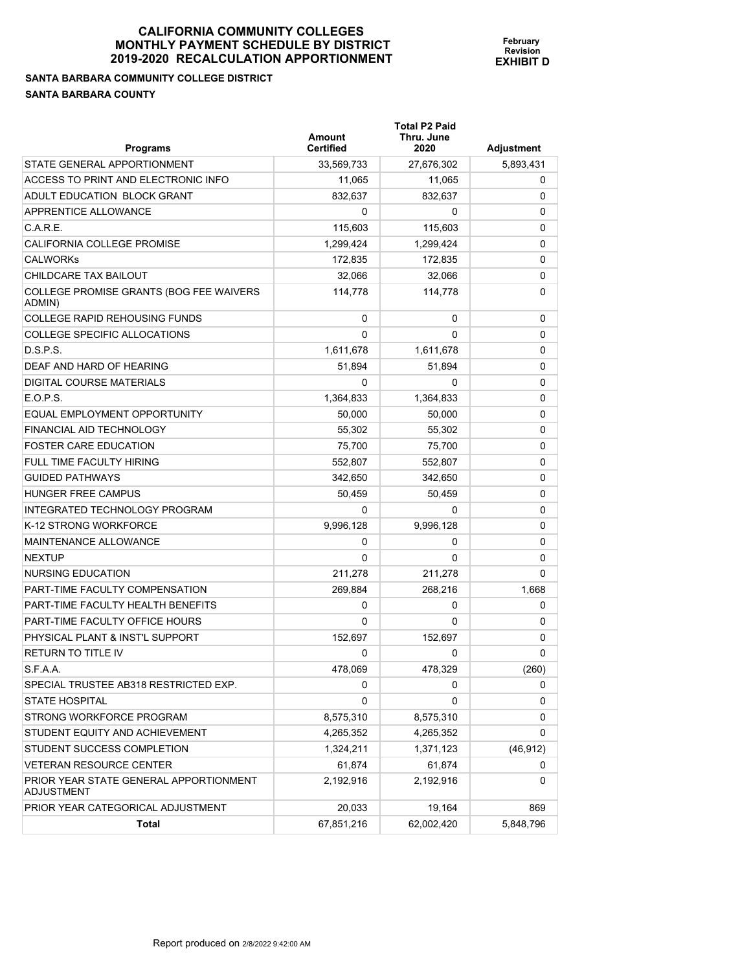# **CALIFORNIA COMMUNITY COLLEGES MONTHLY PAYMENT S** 2019-2020 RECALCULA

**SANTA BARBARA COMMUNITY COLLEGE DISTRICT SANTA BARBARA COUNTY** 

| MUNII I VULLEUEJ            |  |
|-----------------------------|--|
| <b>SCHEDULE BY DISTRICT</b> |  |
| ATION APPORTIONMENT         |  |

**Total P2 Paid** 

**February Revision EXHIBIT D**

| <b>Programs</b>                                             | <b>Amount</b><br><b>Certified</b> | Thru. June<br>2020 | <b>Adjustment</b> |
|-------------------------------------------------------------|-----------------------------------|--------------------|-------------------|
| STATE GENERAL APPORTIONMENT                                 | 33,569,733                        | 27,676,302         | 5,893,431         |
| ACCESS TO PRINT AND ELECTRONIC INFO                         | 11,065                            | 11,065             | 0                 |
| ADULT EDUCATION BLOCK GRANT                                 | 832.637                           | 832,637            | 0                 |
| APPRENTICE ALLOWANCE                                        | 0                                 | 0                  | 0                 |
| C.A.R.E.                                                    | 115,603                           | 115,603            | 0                 |
| CALIFORNIA COLLEGE PROMISE                                  | 1,299,424                         | 1,299,424          | 0                 |
| <b>CALWORKS</b>                                             | 172,835                           | 172.835            | 0                 |
| CHILDCARE TAX BAILOUT                                       | 32,066                            | 32,066             | 0                 |
| COLLEGE PROMISE GRANTS (BOG FEE WAIVERS<br>ADMIN)           | 114.778                           | 114,778            | 0                 |
| <b>COLLEGE RAPID REHOUSING FUNDS</b>                        | 0                                 | 0                  | 0                 |
| COLLEGE SPECIFIC ALLOCATIONS                                | $\Omega$                          | 0                  | 0                 |
| D.S.P.S.                                                    | 1,611,678                         | 1,611,678          | 0                 |
| DEAF AND HARD OF HEARING                                    | 51,894                            | 51,894             | 0                 |
| DIGITAL COURSE MATERIALS                                    | 0                                 | 0                  | 0                 |
| E.O.P.S.                                                    | 1,364,833                         | 1,364,833          | 0                 |
| EQUAL EMPLOYMENT OPPORTUNITY                                | 50,000                            | 50.000             | 0                 |
| FINANCIAL AID TECHNOLOGY                                    | 55,302                            | 55,302             | 0                 |
| <b>FOSTER CARE EDUCATION</b>                                | 75,700                            | 75,700             | 0                 |
| FULL TIME FACULTY HIRING                                    | 552.807                           | 552,807            | 0                 |
| <b>GUIDED PATHWAYS</b>                                      | 342,650                           | 342,650            | 0                 |
| <b>HUNGER FREE CAMPUS</b>                                   | 50,459                            | 50,459             | 0                 |
| INTEGRATED TECHNOLOGY PROGRAM                               | 0                                 | 0                  | 0                 |
| K-12 STRONG WORKFORCE                                       | 9,996,128                         | 9,996,128          | 0                 |
| <b>MAINTENANCE ALLOWANCE</b>                                | 0                                 | 0                  | 0                 |
| <b>NEXTUP</b>                                               | 0                                 | 0                  | 0                 |
| NURSING EDUCATION                                           | 211,278                           | 211,278            | 0                 |
| PART-TIME FACULTY COMPENSATION                              | 269,884                           | 268,216            | 1,668             |
| PART-TIME FACULTY HEALTH BENEFITS                           | 0                                 | 0                  | 0                 |
| <b>PART-TIME FACULTY OFFICE HOURS</b>                       | 0                                 | 0                  | 0                 |
| PHYSICAL PLANT & INST'L SUPPORT                             | 152,697                           | 152,697            | 0                 |
| <b>RETURN TO TITLE IV</b>                                   | 0                                 | 0                  | 0                 |
| S.F.A.A.                                                    | 478,069                           | 478,329            | (260)             |
| SPECIAL TRUSTEE AB318 RESTRICTED EXP.                       | U                                 | U                  | U                 |
| <b>STATE HOSPITAL</b>                                       | 0                                 | 0                  | 0                 |
| STRONG WORKFORCE PROGRAM                                    | 8,575,310                         | 8,575,310          | 0                 |
| STUDENT EQUITY AND ACHIEVEMENT                              | 4,265,352                         | 4,265,352          | 0                 |
| STUDENT SUCCESS COMPLETION                                  | 1,324,211                         | 1,371,123          | (46, 912)         |
| VETERAN RESOURCE CENTER                                     | 61,874                            | 61,874             | 0                 |
| PRIOR YEAR STATE GENERAL APPORTIONMENT<br><b>ADJUSTMENT</b> | 2,192,916                         | 2,192,916          | 0                 |
| PRIOR YEAR CATEGORICAL ADJUSTMENT                           | 20,033                            | 19,164             | 869               |
| <b>Total</b>                                                | 67,851,216                        | 62,002,420         | 5,848,796         |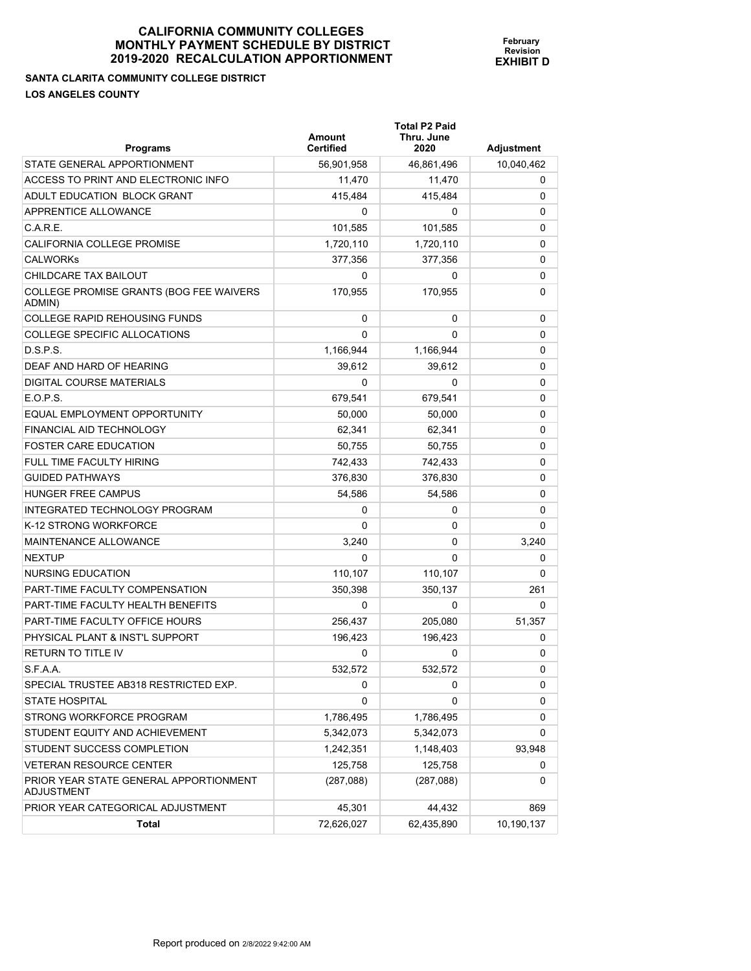**Total P2 Paid** 

**February Revision EXHIBIT D**

**SANTA CLARITA COMMUNITY COLLEGE DISTRICT LOS ANGELES COUNTY** 

| <b>Programs</b>                                      | Amount<br><b>Certified</b> | Thru. June<br>2020 | <b>Adjustment</b> |
|------------------------------------------------------|----------------------------|--------------------|-------------------|
| STATE GENERAL APPORTIONMENT                          | 56,901,958                 | 46,861,496         | 10,040,462        |
| ACCESS TO PRINT AND ELECTRONIC INFO                  | 11,470                     | 11,470             | 0                 |
| ADULT EDUCATION BLOCK GRANT                          | 415,484                    | 415,484            | 0                 |
| APPRENTICE ALLOWANCE                                 | 0                          | 0                  | 0                 |
| C.A.R.E.                                             | 101,585                    | 101,585            | 0                 |
| CALIFORNIA COLLEGE PROMISE                           | 1,720,110                  | 1,720,110          | 0                 |
| CALWORKs                                             | 377,356                    | 377,356            | 0                 |
| CHILDCARE TAX BAILOUT                                | 0                          | 0                  | 0                 |
| COLLEGE PROMISE GRANTS (BOG FEE WAIVERS<br>ADMIN)    | 170,955                    | 170,955            | 0                 |
| COLLEGE RAPID REHOUSING FUNDS                        | 0                          | 0                  | 0                 |
| COLLEGE SPECIFIC ALLOCATIONS                         | 0                          | 0                  | 0                 |
| D.S.P.S.                                             | 1,166,944                  | 1,166,944          | 0                 |
| DEAF AND HARD OF HEARING                             | 39,612                     | 39,612             | 0                 |
| DIGITAL COURSE MATERIALS                             | 0                          | 0                  | 0                 |
| E.O.P.S.                                             | 679,541                    | 679,541            | 0                 |
| EQUAL EMPLOYMENT OPPORTUNITY                         | 50.000                     | 50,000             | 0                 |
| FINANCIAL AID TECHNOLOGY                             | 62,341                     | 62,341             | 0                 |
| FOSTER CARE EDUCATION                                | 50,755                     | 50,755             | 0                 |
| FULL TIME FACULTY HIRING                             | 742,433                    | 742,433            | 0                 |
| <b>GUIDED PATHWAYS</b>                               | 376,830                    | 376,830            | 0                 |
| HUNGER FREE CAMPUS                                   | 54,586                     | 54,586             | 0                 |
| INTEGRATED TECHNOLOGY PROGRAM                        | 0                          | 0                  | 0                 |
| K-12 STRONG WORKFORCE                                | 0                          | 0                  | 0                 |
| MAINTENANCE ALLOWANCE                                | 3,240                      | 0                  | 3,240             |
| NEXTUP                                               | 0                          | 0                  | 0                 |
| NURSING EDUCATION                                    | 110,107                    | 110,107            | 0                 |
| PART-TIME FACULTY COMPENSATION                       | 350,398                    | 350,137            | 261               |
| PART-TIME FACULTY HEALTH BENEFITS                    | 0                          | 0                  | 0                 |
| PART-TIME FACULTY OFFICE HOURS                       | 256,437                    | 205,080            | 51,357            |
| PHYSICAL PLANT & INST'L SUPPORT                      | 196,423                    | 196,423            | 0                 |
| RETURN TO TITLE IV                                   | 0                          | 0                  | 0                 |
| S.F.A.A.                                             | 532,572                    | 532,572            | 0                 |
| SPECIAL TRUSTEE AB318 RESTRICTED EXP.                | 0                          | 0                  | 0                 |
| STATE HOSPITAL                                       | 0                          | 0                  | 0                 |
| STRONG WORKFORCE PROGRAM                             | 1,786,495                  | 1,786,495          | 0                 |
| STUDENT EQUITY AND ACHIEVEMENT                       | 5,342,073                  | 5,342,073          | 0                 |
| STUDENT SUCCESS COMPLETION                           | 1,242,351                  | 1,148,403          | 93,948            |
| <b>VETERAN RESOURCE CENTER</b>                       | 125,758                    | 125,758            | 0                 |
| PRIOR YEAR STATE GENERAL APPORTIONMENT<br>ADJUSTMENT | (287,088)                  | (287,088)          | 0                 |
| PRIOR YEAR CATEGORICAL ADJUSTMENT                    | 45,301                     | 44,432             | 869               |
| <b>Total</b>                                         | 72,626,027                 | 62,435,890         | 10,190,137        |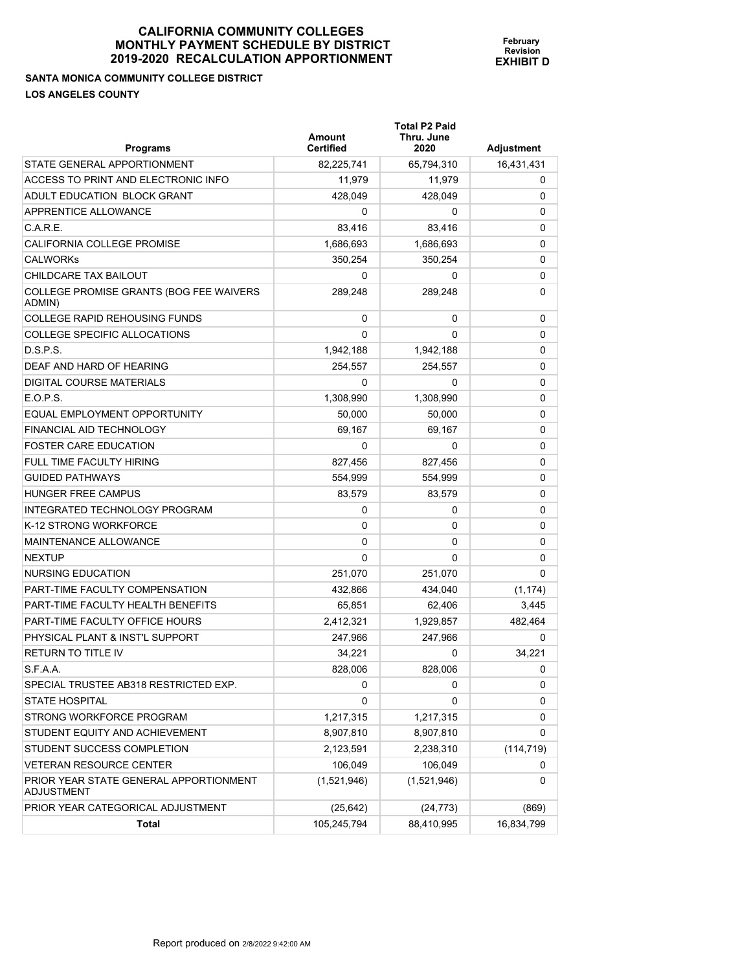**SANTA MONICA COMMUNITY COLLEGE DISTRICT LOS ANGELES COUNTY** 

| <b>Programs</b>                                   | Amount<br><b>Certified</b> | <b>Total P2 Paid</b><br>Thru. June<br>2020 | <b>Adjustment</b> |
|---------------------------------------------------|----------------------------|--------------------------------------------|-------------------|
| STATE GENERAL APPORTIONMENT                       | 82,225,741                 | 65,794,310                                 | 16,431,431        |
| ACCESS TO PRINT AND ELECTRONIC INFO               | 11.979                     | 11.979                                     | $\Omega$          |
| ADULT EDUCATION BLOCK GRANT                       | 428,049                    | 428,049                                    | 0                 |
| APPRENTICE ALLOWANCE                              | $\Omega$                   | 0                                          | 0                 |
| C.A.R.E.                                          | 83,416                     | 83,416                                     | 0                 |
| CALIFORNIA COLLEGE PROMISE                        | 1.686.693                  | 1,686,693                                  | 0                 |
| <b>CALWORKS</b>                                   | 350,254                    | 350,254                                    | 0                 |
| CHILDCARE TAX BAILOUT                             | 0                          | 0                                          | 0                 |
| COLLEGE PROMISE GRANTS (BOG FEE WAIVERS<br>ADMIN) | 289,248                    | 289,248                                    | 0                 |
| <b>COLLEGE RAPID REHOUSING FUNDS</b>              | 0                          | 0                                          | $\Omega$          |
| <b>COLLEGE SPECIFIC ALLOCATIONS</b>               | 0                          | 0                                          | 0                 |
| D.S.P.S.                                          | 1,942,188                  | 1,942,188                                  | 0                 |
| DEAF AND HARD OF HEARING                          | 254,557                    | 254,557                                    | 0                 |
| <b>DIGITAL COURSE MATERIALS</b>                   | 0                          | 0                                          | $\Omega$          |
| E.O.P.S.                                          | 1,308,990                  | 1,308,990                                  | 0                 |
| EQUAL EMPLOYMENT OPPORTUNITY                      | 50,000                     | 50,000                                     | 0                 |
| <b>FINANCIAL AID TECHNOLOGY</b>                   | 69,167                     | 69,167                                     | 0                 |
| <b>FOSTER CARE EDUCATION</b>                      | 0                          | 0                                          | 0                 |
| <b>FULL TIME FACULTY HIRING</b>                   | 827,456                    | 827,456                                    | 0                 |
| <b>GUIDED PATHWAYS</b>                            | 554,999                    | 554,999                                    | 0                 |
| <b>HUNGER FREE CAMPUS</b>                         | 83,579                     | 83,579                                     | 0                 |
| <b>INTEGRATED TECHNOLOGY PROGRAM</b>              | 0                          | 0                                          | 0                 |
| K-12 STRONG WORKFORCE                             | 0                          | 0                                          | 0                 |
| MAINTENANCE ALLOWANCE                             | 0                          | 0                                          | 0                 |
| <b>NEXTUP</b>                                     | 0                          | 0                                          | $\Omega$          |
| <b>NURSING EDUCATION</b>                          | 251,070                    | 251,070                                    | $\Omega$          |
| PART-TIME FACULTY COMPENSATION                    | 432,866                    | 434,040                                    | (1, 174)          |
| PART-TIME FACULTY HEALTH BENEFITS                 | 65.851                     | 62.406                                     | 3,445             |
| PART-TIME FACULTY OFFICE HOURS                    | 2,412,321                  | 1,929,857                                  | 482,464           |
| PHYSICAL PLANT & INST'L SUPPORT                   | 247,966                    | 247,966                                    | 0                 |
| <b>RETURN TO TITLE IV</b>                         | 34,221                     | 0                                          | 34,221            |
| S.F.A.A.                                          | 828,006                    | 828,006                                    | $\Omega$          |

SPECIAL TRUSTEE AB318 RESTRICTED EXP. 0 0 0 STATE HOSPITAL DESCRIPTION OF THE CONTRACT OF THE CONTRACT OF THE CONTRACT OF THE CONTRACT OF THE CONTRACT OF THE CONTRACT OF THE CONTRACT OF THE CONTRACT OF THE CONTRACT OF THE CONTRACT OF THE CONTRACT OF THE CONTRACT OF STRONG WORKFORCE PROGRAM 1,217,315 1,217,315 1,217,315 0 STUDENT EQUITY AND ACHIEVEMENT  $8,907,810$  8,907,810 8,907,810 0 STUDENT SUCCESS COMPLETION 2,123,591 2,238,310 (114,719) VETERAN RESOURCE CENTER 106,049 106,049 106,049 106,049 0

PRIOR YEAR CATEGORICAL ADJUSTMENT (25,642) (24,773) (24,773) (869)

**Total** 105,245,794 88,410,995 16,834,799

(1,521,946) (1,521,946) 0

PRIOR YEAR STATE GENERAL APPORTIONMENT

ADJUSTMENT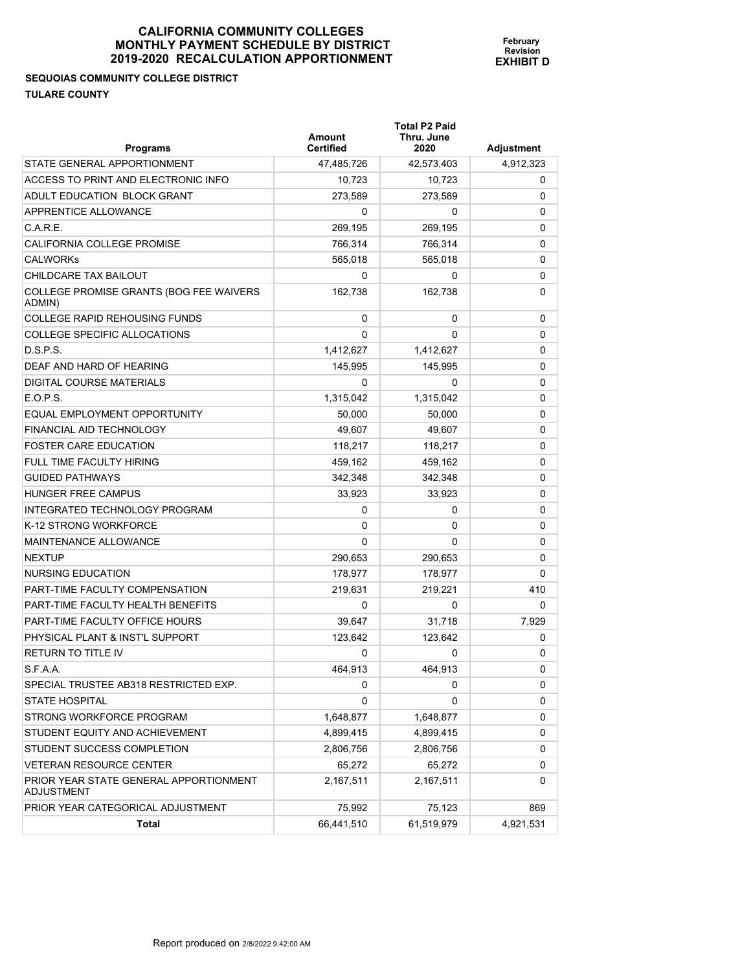## **SEQUOIAS COMMUNITY COLLEGE DISTRICT TULARE COUNTY**

| <b>Programs</b>                                      | Amount<br><b>Certified</b> | <b>Total P2 Paid</b><br>Thru. June<br>2020 | <b>Adjustment</b> |
|------------------------------------------------------|----------------------------|--------------------------------------------|-------------------|
| STATE GENERAL APPORTIONMENT                          | 47,485,726                 | 42,573,403                                 | 4,912,323         |
| ACCESS TO PRINT AND ELECTRONIC INFO                  | 10,723                     | 10,723                                     | 0                 |
| ADULT EDUCATION BLOCK GRANT                          | 273,589                    | 273.589                                    | $\Omega$          |
| <b>APPRENTICE ALLOWANCE</b>                          | 0                          | 0                                          | 0                 |
| C.A.R.E.                                             | 269,195                    | 269,195                                    | 0                 |
| <b>CALIFORNIA COLLEGE PROMISE</b>                    | 766.314                    | 766,314                                    | 0                 |
| <b>CALWORKs</b>                                      | 565,018                    | 565,018                                    | 0                 |
| CHILDCARE TAX BAILOUT                                | 0                          | 0                                          | 0                 |
| COLLEGE PROMISE GRANTS (BOG FEE WAIVERS<br>ADMIN)    | 162.738                    | 162,738                                    | 0                 |
| <b>COLLEGE RAPID REHOUSING FUNDS</b>                 | 0                          | 0                                          | 0                 |
| <b>COLLEGE SPECIFIC ALLOCATIONS</b>                  | 0                          | 0                                          | 0                 |
| D.S.P.S.                                             | 1,412,627                  | 1,412,627                                  | 0                 |
| DEAF AND HARD OF HEARING                             | 145,995                    | 145,995                                    | 0                 |
| DIGITAL COURSE MATERIALS                             | 0                          | 0                                          | 0                 |
| E.O.P.S.                                             | 1,315,042                  | 1,315,042                                  | 0                 |
| EQUAL EMPLOYMENT OPPORTUNITY                         | 50,000                     | 50,000                                     | 0                 |
| FINANCIAL AID TECHNOLOGY                             | 49,607                     | 49.607                                     | 0                 |
| <b>FOSTER CARE EDUCATION</b>                         | 118,217                    | 118,217                                    | 0                 |
| FULL TIME FACULTY HIRING                             | 459,162                    | 459,162                                    | 0                 |
| <b>GUIDED PATHWAYS</b>                               | 342,348                    | 342,348                                    | 0                 |
| HUNGER FREE CAMPUS                                   | 33,923                     | 33,923                                     | 0                 |
| INTEGRATED TECHNOLOGY PROGRAM                        | 0                          | 0                                          | 0                 |
| K-12 STRONG WORKFORCE                                | 0                          | 0                                          | 0                 |
| <b>MAINTENANCE ALLOWANCE</b>                         | 0                          | 0                                          | 0                 |
| <b>NEXTUP</b>                                        | 290,653                    | 290,653                                    | 0                 |
| NURSING EDUCATION                                    | 178,977                    | 178,977                                    | 0                 |
| PART-TIME FACULTY COMPENSATION                       | 219,631                    | 219,221                                    | 410               |
| PART-TIME FACULTY HEALTH BENEFITS                    | $\Omega$                   | 0                                          | 0                 |
| PART-TIME FACULTY OFFICE HOURS                       | 39,647                     | 31.718                                     | 7,929             |
| PHYSICAL PLANT & INST'L SUPPORT                      | 123.642                    | 123.642                                    | 0                 |
| <b>RETURN TO TITLE IV</b>                            | 0                          | 0                                          | 0                 |
| S.F.A.A.                                             | 464,913                    | 464,913                                    | 0                 |
| SPECIAL TRUSTEE AB318 RESTRICTED EXP.                | 0                          | 0                                          | 0                 |
| <b>STATE HOSPITAL</b>                                | 0                          | 0                                          | 0                 |
| STRONG WORKFORCE PROGRAM                             | 1,648,877                  | 1,648,877                                  | 0                 |
| STUDENT EQUITY AND ACHIEVEMENT                       | 4,899,415                  | 4,899,415                                  | 0                 |
| STUDENT SUCCESS COMPLETION                           | 2,806,756                  | 2,806,756                                  | 0                 |
| <b>VETERAN RESOURCE CENTER</b>                       | 65,272                     | 65,272                                     | 0                 |
| PRIOR YEAR STATE GENERAL APPORTIONMENT<br>ADJUSTMENT | 2,167,511                  | 2,167,511                                  | 0                 |
| PRIOR YEAR CATEGORICAL ADJUSTMENT                    | 75,992                     | 75,123                                     | 869               |
| Total                                                | 66,441,510                 | 61,519,979                                 | 4,921,531         |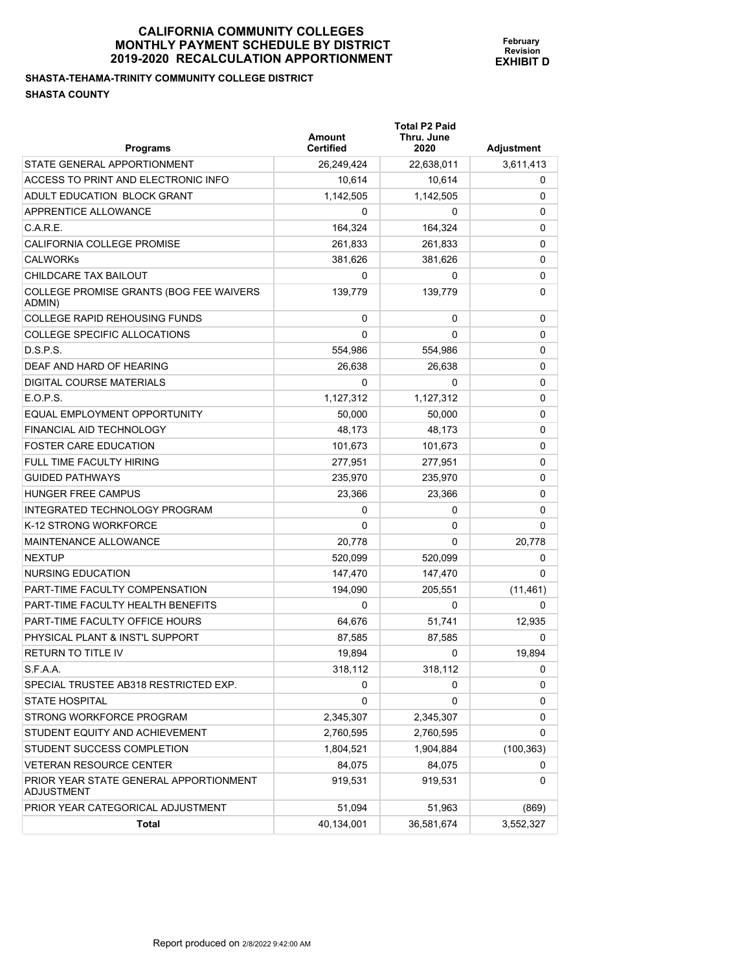#### **SHASTA-TEHAMA-TRINITY COMMUNITY COLLEGE DISTRICT SHASTA COUNTY**

| <b>Programs</b>                                      | Amount<br><b>Certified</b> | <b>Total P2 Paid</b><br>Thru. June<br>2020 | <b>Adjustment</b> |
|------------------------------------------------------|----------------------------|--------------------------------------------|-------------------|
| STATE GENERAL APPORTIONMENT                          | 26,249,424                 | 22,638,011                                 | 3,611,413         |
| ACCESS TO PRINT AND ELECTRONIC INFO                  | 10,614                     | 10,614                                     | 0                 |
| ADULT EDUCATION BLOCK GRANT                          | 1,142,505                  | 1,142,505                                  | 0                 |
| APPRENTICE ALLOWANCE                                 | 0                          | 0                                          | 0                 |
| C.A.R.E.                                             | 164,324                    | 164,324                                    | 0                 |
| <b>CALIFORNIA COLLEGE PROMISE</b>                    | 261,833                    | 261,833                                    | 0                 |
| <b>CALWORKS</b>                                      | 381,626                    | 381,626                                    | 0                 |
| CHILDCARE TAX BAILOUT                                | 0                          | 0                                          | 0                 |
| COLLEGE PROMISE GRANTS (BOG FEE WAIVERS<br>ADMIN)    | 139.779                    | 139,779                                    | 0                 |
| <b>COLLEGE RAPID REHOUSING FUNDS</b>                 | 0                          | 0                                          | 0                 |
| <b>COLLEGE SPECIFIC ALLOCATIONS</b>                  | 0                          | 0                                          | 0                 |
| D.S.P.S.                                             | 554,986                    | 554,986                                    | 0                 |
| DEAF AND HARD OF HEARING                             | 26,638                     | 26,638                                     | 0                 |
| DIGITAL COURSE MATERIALS                             | 0                          | 0                                          | 0                 |
| E.O.P.S.                                             | 1,127,312                  | 1,127,312                                  | 0                 |
| EQUAL EMPLOYMENT OPPORTUNITY                         | 50,000                     | 50,000                                     | 0                 |
| FINANCIAL AID TECHNOLOGY                             | 48,173                     | 48,173                                     | 0                 |
| <b>FOSTER CARE EDUCATION</b>                         | 101,673                    | 101,673                                    | 0                 |
| FULL TIME FACULTY HIRING                             | 277,951                    | 277,951                                    | 0                 |
| <b>GUIDED PATHWAYS</b>                               | 235,970                    | 235,970                                    | 0                 |
| HUNGER FREE CAMPUS                                   | 23,366                     | 23,366                                     | 0                 |
| INTEGRATED TECHNOLOGY PROGRAM                        | 0                          | 0                                          | 0                 |
| K-12 STRONG WORKFORCE                                | 0                          | 0                                          | 0                 |
| MAINTENANCE ALLOWANCE                                | 20,778                     | 0                                          | 20,778            |
| <b>NEXTUP</b>                                        | 520,099                    | 520,099                                    | 0                 |
| NURSING EDUCATION                                    | 147,470                    | 147,470                                    | 0                 |
| PART-TIME FACULTY COMPENSATION                       | 194,090                    | 205,551                                    | (11, 461)         |
| PART-TIME FACULTY HEALTH BENEFITS                    | 0                          | 0                                          | $\Omega$          |
| PART-TIME FACULTY OFFICE HOURS                       | 64,676                     | 51,741                                     | 12.935            |
| PHYSICAL PLANT & INST'L SUPPORT                      | 87,585                     | 87,585                                     | 0                 |
| <b>RETURN TO TITLE IV</b>                            | 19,894                     | 0                                          | 19,894            |
| S.F.A.A.                                             | 318,112                    | 318,112                                    | 0                 |
| SPECIAL TRUSTEE AB318 RESTRICTED EXP.                | 0                          | 0                                          | 0                 |
| <b>STATE HOSPITAL</b>                                | 0                          | 0                                          | 0                 |
| STRONG WORKFORCE PROGRAM                             | 2,345,307                  | 2,345,307                                  | 0                 |
| STUDENT EQUITY AND ACHIEVEMENT                       | 2,760,595                  | 2,760,595                                  | 0                 |
| STUDENT SUCCESS COMPLETION                           | 1,804,521                  | 1,904,884                                  | (100, 363)        |
| <b>VETERAN RESOURCE CENTER</b>                       | 84,075                     | 84,075                                     | 0                 |
| PRIOR YEAR STATE GENERAL APPORTIONMENT<br>ADJUSTMENT | 919,531                    | 919,531                                    | 0                 |
| PRIOR YEAR CATEGORICAL ADJUSTMENT                    | 51,094                     | 51,963                                     | (869)             |
| Total                                                | 40,134,001                 | 36,581,674                                 | 3,552,327         |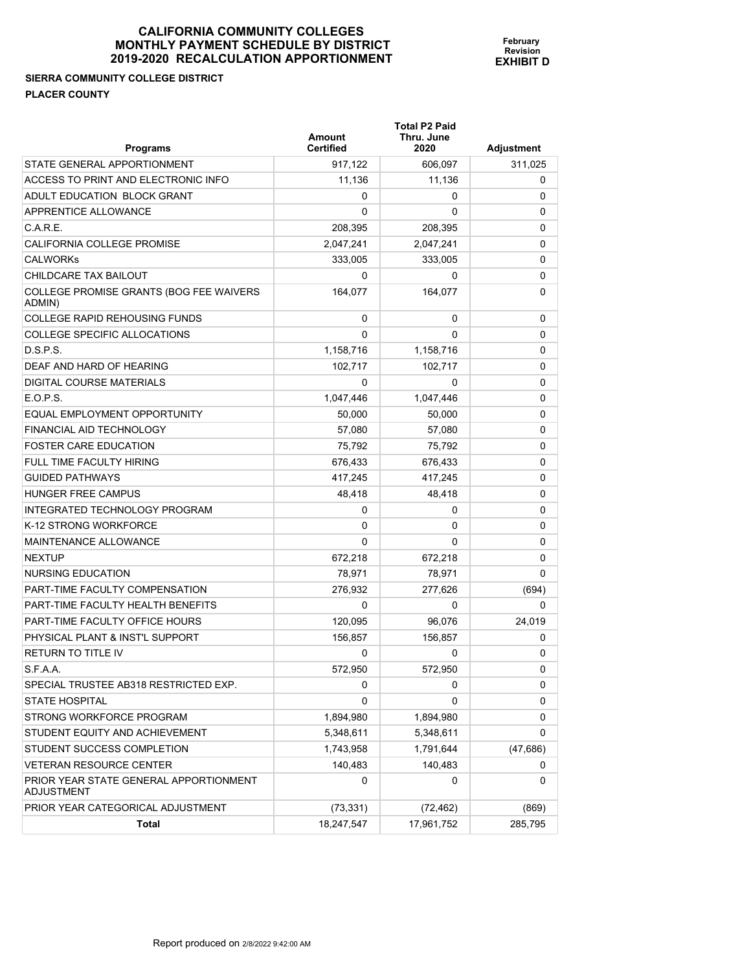## **SIERRA COMMUNITY COLLEGE DISTRICT PLACER COUNTY**

| <b>Programs</b>                                             | Amount<br><b>Certified</b> | <b>Total P2 Paid</b><br>Thru. June<br>2020 | Adjustment |
|-------------------------------------------------------------|----------------------------|--------------------------------------------|------------|
| STATE GENERAL APPORTIONMENT                                 | 917,122                    | 606,097                                    | 311,025    |
| ACCESS TO PRINT AND ELECTRONIC INFO                         | 11,136                     | 11,136                                     | 0          |
| ADULT EDUCATION BLOCK GRANT                                 | 0                          | 0                                          | 0          |
| APPRENTICE ALLOWANCE                                        | $\Omega$                   | 0                                          | 0          |
| C.A.R.E.                                                    | 208,395                    | 208,395                                    | 0          |
| CALIFORNIA COLLEGE PROMISE                                  | 2,047,241                  | 2,047,241                                  | 0          |
| <b>CALWORKS</b>                                             | 333,005                    | 333,005                                    | 0          |
| CHILDCARE TAX BAILOUT                                       | 0                          | 0                                          | 0          |
| COLLEGE PROMISE GRANTS (BOG FEE WAIVERS<br>ADMIN)           | 164,077                    | 164.077                                    | 0          |
| <b>COLLEGE RAPID REHOUSING FUNDS</b>                        | 0                          | 0                                          | 0          |
| <b>COLLEGE SPECIFIC ALLOCATIONS</b>                         | $\Omega$                   | 0                                          | 0          |
| D.S.P.S.                                                    | 1,158,716                  | 1,158,716                                  | 0          |
| DEAF AND HARD OF HEARING                                    | 102,717                    | 102,717                                    | 0          |
| DIGITAL COURSE MATERIALS                                    | 0                          | 0                                          | 0          |
| $E$ O.P.S.                                                  | 1,047,446                  | 1,047,446                                  | 0          |
| EQUAL EMPLOYMENT OPPORTUNITY                                | 50,000                     | 50,000                                     | 0          |
| FINANCIAL AID TECHNOLOGY                                    | 57,080                     | 57,080                                     | 0          |
| <b>FOSTER CARE EDUCATION</b>                                | 75.792                     | 75,792                                     | 0          |
| <b>FULL TIME FACULTY HIRING</b>                             | 676,433                    | 676,433                                    | 0          |
| <b>GUIDED PATHWAYS</b>                                      | 417,245                    | 417,245                                    | 0          |
| <b>HUNGER FREE CAMPUS</b>                                   | 48,418                     | 48,418                                     | 0          |
| INTEGRATED TECHNOLOGY PROGRAM                               | 0                          | 0                                          | 0          |
| K-12 STRONG WORKFORCE                                       | 0                          | 0                                          | 0          |
| <b>MAINTENANCE ALLOWANCE</b>                                | $\Omega$                   | 0                                          | 0          |
| <b>NEXTUP</b>                                               | 672,218                    | 672,218                                    | 0          |
| NURSING EDUCATION                                           | 78,971                     | 78,971                                     | 0          |
| <b>PART-TIME FACULTY COMPENSATION</b>                       | 276,932                    | 277,626                                    | (694)      |
| PART-TIME FACULTY HEALTH BENEFITS                           | 0                          | 0                                          | 0          |
| PART-TIME FACULTY OFFICE HOURS                              | 120,095                    | 96,076                                     | 24.019     |
| PHYSICAL PLANT & INST'L SUPPORT                             | 156,857                    | 156,857                                    | 0          |
| <b>RETURN TO TITLE IV</b>                                   | 0                          | 0                                          | 0          |
| S.F.A.A.                                                    | 572,950                    | 572,950                                    | U          |
| SPECIAL TRUSTEE AB318 RESTRICTED EXP.                       | 0                          | 0                                          | 0          |
| <b>STATE HOSPITAL</b>                                       | 0                          | 0                                          | 0          |
| STRONG WORKFORCE PROGRAM                                    | 1,894,980                  | 1,894,980                                  | 0          |
| STUDENT EQUITY AND ACHIEVEMENT                              | 5,348,611                  | 5,348,611                                  | 0          |
| STUDENT SUCCESS COMPLETION                                  | 1,743,958                  | 1,791,644                                  | (47, 686)  |
| <b>VETERAN RESOURCE CENTER</b>                              | 140,483                    | 140,483                                    | 0          |
| PRIOR YEAR STATE GENERAL APPORTIONMENT<br><b>ADJUSTMENT</b> | 0                          | 0                                          | 0          |
| PRIOR YEAR CATEGORICAL ADJUSTMENT                           | (73, 331)                  | (72, 462)                                  | (869)      |
| <b>Total</b>                                                | 18,247,547                 | 17,961,752                                 | 285,795    |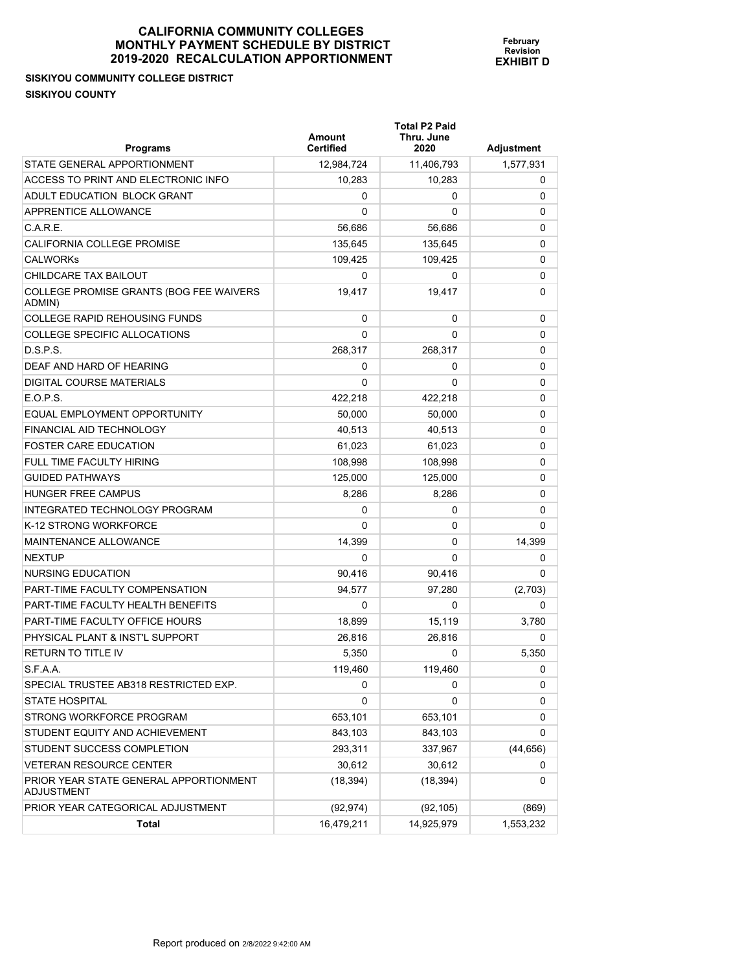# **SISKIYOU COMMUNITY COLLEGE DISTRICT SISKIYOU COUNTY**

| <b>Programs</b>                                      | Amount<br><b>Certified</b> | <b>Total P2 Paid</b><br>Thru. June<br>2020 | <b>Adjustment</b> |
|------------------------------------------------------|----------------------------|--------------------------------------------|-------------------|
| STATE GENERAL APPORTIONMENT                          | 12,984,724                 | 11,406,793                                 | 1,577,931         |
| ACCESS TO PRINT AND ELECTRONIC INFO                  | 10,283                     | 10,283                                     | 0                 |
| ADULT EDUCATION BLOCK GRANT                          | 0                          | 0                                          | 0                 |
| APPRENTICE ALLOWANCE                                 | 0                          | 0                                          | 0                 |
| C.A.R.E.                                             | 56,686                     | 56,686                                     | 0                 |
| CALIFORNIA COLLEGE PROMISE                           | 135,645                    | 135,645                                    | 0                 |
| <b>CALWORKS</b>                                      | 109,425                    | 109,425                                    | 0                 |
| CHILDCARE TAX BAILOUT                                | 0                          | 0                                          | 0                 |
| COLLEGE PROMISE GRANTS (BOG FEE WAIVERS<br>ADMIN)    | 19,417                     | 19.417                                     | 0                 |
| <b>COLLEGE RAPID REHOUSING FUNDS</b>                 | 0                          | 0                                          | 0                 |
| COLLEGE SPECIFIC ALLOCATIONS                         | $\Omega$                   | 0                                          | 0                 |
| D.S.P.S.                                             | 268,317                    | 268,317                                    | 0                 |
| DEAF AND HARD OF HEARING                             | 0                          | 0                                          | 0                 |
| DIGITAL COURSE MATERIALS                             | 0                          | 0                                          | 0                 |
| E.O.P.S.                                             | 422,218                    | 422,218                                    | 0                 |
| EQUAL EMPLOYMENT OPPORTUNITY                         | 50,000                     | 50,000                                     | 0                 |
| FINANCIAL AID TECHNOLOGY                             | 40,513                     | 40,513                                     | 0                 |
| <b>FOSTER CARE EDUCATION</b>                         | 61,023                     | 61,023                                     | 0                 |
| FULL TIME FACULTY HIRING                             | 108.998                    | 108,998                                    | 0                 |
| <b>GUIDED PATHWAYS</b>                               | 125,000                    | 125,000                                    | 0                 |
| HUNGER FREE CAMPUS                                   | 8,286                      | 8,286                                      | 0                 |
| INTEGRATED TECHNOLOGY PROGRAM                        | 0                          | 0                                          | 0                 |
| K-12 STRONG WORKFORCE                                | $\Omega$                   | 0                                          | 0                 |
| <b>MAINTENANCE ALLOWANCE</b>                         | 14,399                     | 0                                          | 14,399            |
| <b>NEXTUP</b>                                        | 0                          | $\mathbf{0}$                               | 0                 |
| NURSING EDUCATION                                    | 90,416                     | 90,416                                     | 0                 |
| PART-TIME FACULTY COMPENSATION                       | 94,577                     | 97,280                                     | (2,703)           |
| PART-TIME FACULTY HEALTH BENEFITS                    | 0                          | 0                                          | 0                 |
| PART-TIME FACULTY OFFICE HOURS                       | 18,899                     | 15,119                                     | 3,780             |
| PHYSICAL PLANT & INST'L SUPPORT                      | 26,816                     | 26,816                                     | 0                 |
| <b>RETURN TO TITLE IV</b>                            | 5,350                      | 0                                          | 5,350             |
| S.F.A.A.                                             | 119,460                    | 119,460                                    | 0                 |
| SPECIAL TRUSTEE AB318 RESTRICTED EXP.                | 0                          | 0                                          | 0                 |
| <b>STATE HOSPITAL</b>                                | 0                          | 0                                          | 0                 |
| STRONG WORKFORCE PROGRAM                             | 653,101                    | 653,101                                    | 0                 |
| STUDENT EQUITY AND ACHIEVEMENT                       | 843,103                    | 843,103                                    | 0                 |
| STUDENT SUCCESS COMPLETION                           | 293,311                    | 337,967                                    | (44, 656)         |
| <b>VETERAN RESOURCE CENTER</b>                       | 30,612                     | 30,612                                     | 0                 |
| PRIOR YEAR STATE GENERAL APPORTIONMENT<br>ADJUSTMENT | (18, 394)                  | (18, 394)                                  | 0                 |
| PRIOR YEAR CATEGORICAL ADJUSTMENT                    | (92, 974)                  | (92, 105)                                  | (869)             |
| Total                                                | 16,479,211                 | 14,925,979                                 | 1,553,232         |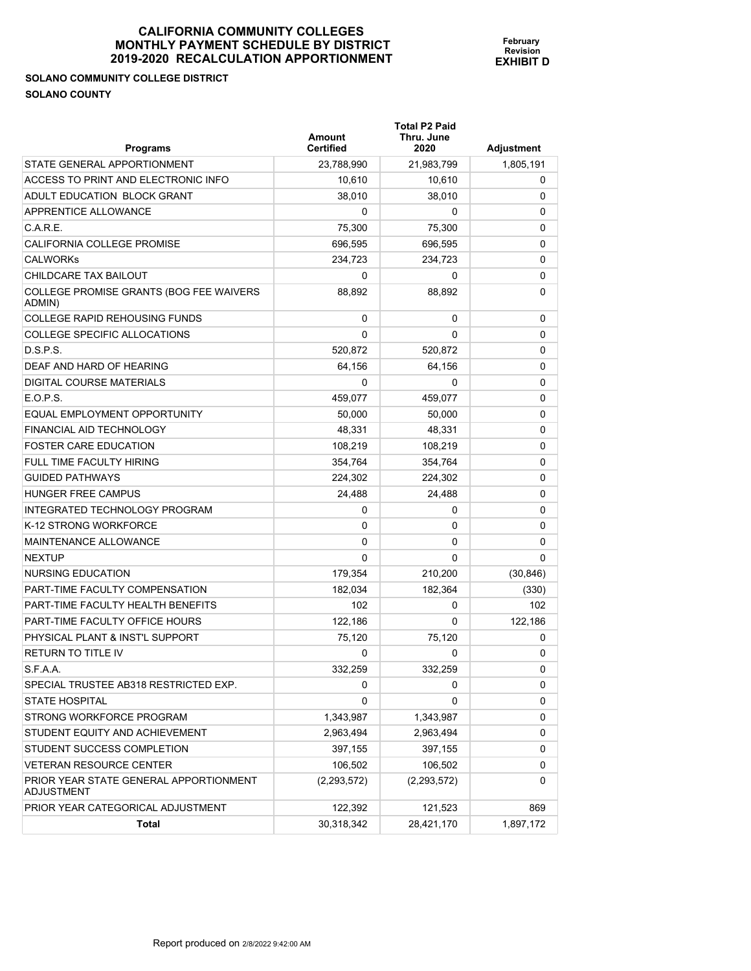## **SOLANO COMMUNITY COLLEGE DISTRICT SOLANO COUNTY**

| <b>Programs</b>                                             | Amount<br><b>Certified</b> | <b>Total P2 Paid</b><br>Thru. June<br>2020 | Adjustment |
|-------------------------------------------------------------|----------------------------|--------------------------------------------|------------|
| STATE GENERAL APPORTIONMENT                                 | 23,788,990                 | 21,983,799                                 | 1,805,191  |
| ACCESS TO PRINT AND ELECTRONIC INFO                         | 10,610                     | 10,610                                     | 0          |
| ADULT EDUCATION BLOCK GRANT                                 | 38,010                     | 38,010                                     | 0          |
| APPRENTICE ALLOWANCE                                        | 0                          | 0                                          | 0          |
| C.A.R.E.                                                    | 75,300                     | 75,300                                     | 0          |
| <b>CALIFORNIA COLLEGE PROMISE</b>                           | 696,595                    | 696,595                                    | 0          |
| <b>CALWORKS</b>                                             | 234,723                    | 234,723                                    | 0          |
| CHILDCARE TAX BAILOUT                                       | 0                          | 0                                          | 0          |
| COLLEGE PROMISE GRANTS (BOG FEE WAIVERS<br>ADMIN)           | 88,892                     | 88,892                                     | 0          |
| <b>COLLEGE RAPID REHOUSING FUNDS</b>                        | 0                          | 0                                          | 0          |
| COLLEGE SPECIFIC ALLOCATIONS                                | 0                          | 0                                          | 0          |
| D.S.P.S.                                                    | 520,872                    | 520,872                                    | 0          |
| DEAF AND HARD OF HEARING                                    | 64,156                     | 64.156                                     | 0          |
| DIGITAL COURSE MATERIALS                                    | 0                          | 0                                          | 0          |
| E.O.P.S.                                                    | 459,077                    | 459,077                                    | 0          |
| EQUAL EMPLOYMENT OPPORTUNITY                                | 50,000                     | 50,000                                     | 0          |
| FINANCIAL AID TECHNOLOGY                                    | 48,331                     | 48.331                                     | 0          |
| <b>FOSTER CARE EDUCATION</b>                                | 108,219                    | 108,219                                    | 0          |
| FULL TIME FACULTY HIRING                                    | 354.764                    | 354,764                                    | 0          |
| <b>GUIDED PATHWAYS</b>                                      | 224,302                    | 224,302                                    | 0          |
| HUNGER FREE CAMPUS                                          | 24,488                     | 24,488                                     | 0          |
| INTEGRATED TECHNOLOGY PROGRAM                               | 0                          | 0                                          | 0          |
| K-12 STRONG WORKFORCE                                       | 0                          | 0                                          | 0          |
| MAINTENANCE ALLOWANCE                                       | 0                          | 0                                          | 0          |
| <b>NEXTUP</b>                                               | $\Omega$                   | 0                                          | 0          |
| NURSING EDUCATION                                           | 179,354                    | 210,200                                    | (30, 846)  |
| <b>PART-TIME FACULTY COMPENSATION</b>                       | 182,034                    | 182,364                                    | (330)      |
| PART-TIME FACULTY HEALTH BENEFITS                           | 102                        | 0                                          | 102        |
| PART-TIME FACULTY OFFICE HOURS                              | 122,186                    | 0                                          | 122,186    |
| PHYSICAL PLANT & INST'L SUPPORT                             | 75,120                     | 75,120                                     | 0          |
| <b>RETURN TO TITLE IV</b>                                   | 0                          | 0                                          | 0          |
| S.F.A.A.                                                    | 332,259                    | 332,259                                    | 0          |
| SPECIAL TRUSTEE AB318 RESTRICTED EXP.                       | 0                          | 0                                          | 0          |
| <b>STATE HOSPITAL</b>                                       | 0                          | 0                                          | 0          |
| STRONG WORKFORCE PROGRAM                                    | 1,343,987                  | 1,343,987                                  | 0          |
| STUDENT EQUITY AND ACHIEVEMENT                              | 2,963,494                  | 2,963,494                                  | 0          |
| STUDENT SUCCESS COMPLETION                                  | 397,155                    | 397,155                                    | 0          |
| <b>VETERAN RESOURCE CENTER</b>                              | 106,502                    | 106,502                                    | 0          |
| PRIOR YEAR STATE GENERAL APPORTIONMENT<br><b>ADJUSTMENT</b> | (2,293,572)                | (2,293,572)                                | 0          |
| PRIOR YEAR CATEGORICAL ADJUSTMENT                           | 122,392                    | 121,523                                    | 869        |
| Total                                                       | 30,318,342                 | 28,421,170                                 | 1,897,172  |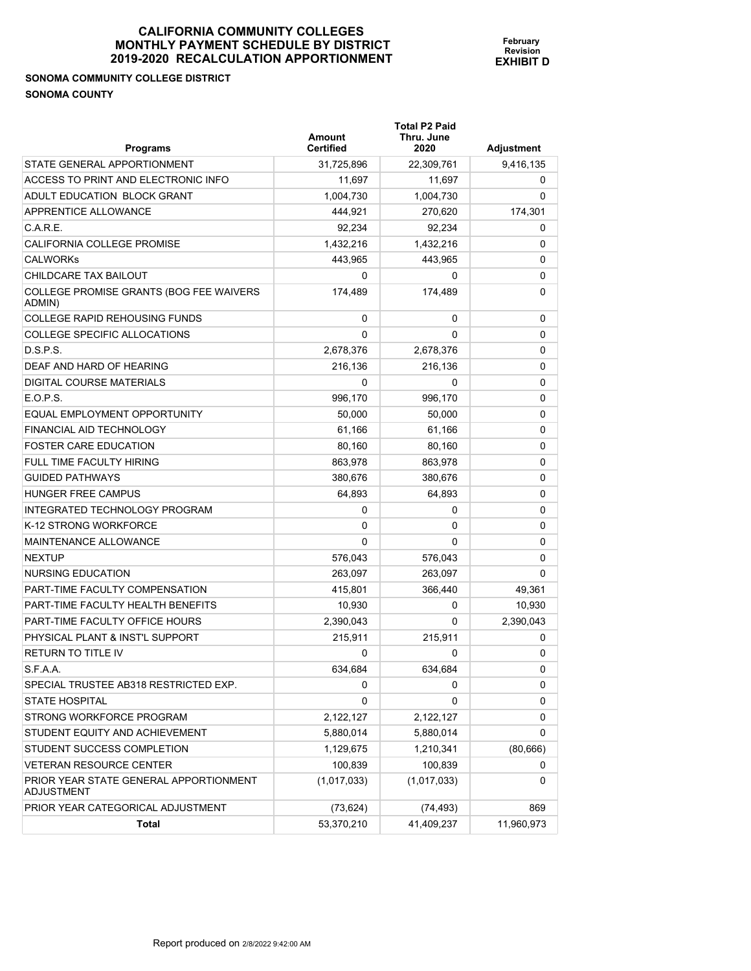# **SONOMA COMMUNITY COLLEGE DISTRICT SONOMA COUNTY**

| <b>Programs</b>                                             | Amount<br><b>Certified</b> | <b>Total P2 Paid</b><br>Thru. June<br>2020 | <b>Adjustment</b> |
|-------------------------------------------------------------|----------------------------|--------------------------------------------|-------------------|
| STATE GENERAL APPORTIONMENT                                 | 31,725,896                 | 22,309,761                                 | 9,416,135         |
| ACCESS TO PRINT AND ELECTRONIC INFO                         | 11,697                     | 11,697                                     | 0                 |
| ADULT EDUCATION BLOCK GRANT                                 | 1,004,730                  | 1,004,730                                  | 0                 |
| APPRENTICE ALLOWANCE                                        | 444,921                    | 270,620                                    | 174,301           |
| C.A.R.E.                                                    | 92,234                     | 92,234                                     | 0                 |
| <b>CALIFORNIA COLLEGE PROMISE</b>                           | 1,432,216                  | 1,432,216                                  | 0                 |
| <b>CALWORKS</b>                                             | 443,965                    | 443,965                                    | 0                 |
| CHILDCARE TAX BAILOUT                                       | 0                          | 0                                          | 0                 |
| COLLEGE PROMISE GRANTS (BOG FEE WAIVERS<br>ADMIN)           | 174,489                    | 174,489                                    | 0                 |
| <b>COLLEGE RAPID REHOUSING FUNDS</b>                        | 0                          | 0                                          | 0                 |
| COLLEGE SPECIFIC ALLOCATIONS                                | $\Omega$                   | 0                                          | 0                 |
| D.S.P.S.                                                    | 2,678,376                  | 2,678,376                                  | 0                 |
| DEAF AND HARD OF HEARING                                    | 216,136                    | 216,136                                    | 0                 |
| <b>DIGITAL COURSE MATERIALS</b>                             | 0                          | 0                                          | 0                 |
| E.O.P.S.                                                    | 996,170                    | 996,170                                    | 0                 |
| EQUAL EMPLOYMENT OPPORTUNITY                                | 50,000                     | 50,000                                     | 0                 |
| FINANCIAL AID TECHNOLOGY                                    | 61.166                     | 61,166                                     | 0                 |
| <b>FOSTER CARE EDUCATION</b>                                | 80,160                     | 80,160                                     | 0                 |
| FULL TIME FACULTY HIRING                                    | 863,978                    | 863,978                                    | 0                 |
| <b>GUIDED PATHWAYS</b>                                      | 380,676                    | 380,676                                    | 0                 |
| HUNGER FREE CAMPUS                                          | 64,893                     | 64,893                                     | 0                 |
| INTEGRATED TECHNOLOGY PROGRAM                               | 0                          | 0                                          | 0                 |
| K-12 STRONG WORKFORCE                                       | 0                          | 0                                          | 0                 |
| MAINTENANCE ALLOWANCE                                       | $\Omega$                   | 0                                          | 0                 |
| <b>NEXTUP</b>                                               | 576,043                    | 576,043                                    | 0                 |
| NURSING EDUCATION                                           | 263,097                    | 263,097                                    | 0                 |
| <b>PART-TIME FACULTY COMPENSATION</b>                       | 415,801                    | 366,440                                    | 49,361            |
| PART-TIME FACULTY HEALTH BENEFITS                           | 10,930                     | 0                                          | 10,930            |
| PART-TIME FACULTY OFFICE HOURS                              | 2,390,043                  | 0                                          | 2,390,043         |
| PHYSICAL PLANT & INST'L SUPPORT                             | 215,911                    | 215,911                                    | 0                 |
| <b>RETURN TO TITLE IV</b>                                   | 0                          | 0                                          | 0                 |
| S.F.A.A.                                                    | 634,684                    | 634,684                                    | 0                 |
| SPECIAL TRUSTEE AB318 RESTRICTED EXP.                       | 0                          | 0                                          | 0                 |
| <b>STATE HOSPITAL</b>                                       | 0                          | 0                                          | 0                 |
| STRONG WORKFORCE PROGRAM                                    | 2,122,127                  | 2,122,127                                  | 0                 |
| STUDENT EQUITY AND ACHIEVEMENT                              | 5,880,014                  | 5,880,014                                  | 0                 |
| STUDENT SUCCESS COMPLETION                                  | 1,129,675                  | 1,210,341                                  | (80, 666)         |
| <b>VETERAN RESOURCE CENTER</b>                              | 100,839                    | 100,839                                    | 0                 |
| PRIOR YEAR STATE GENERAL APPORTIONMENT<br><b>ADJUSTMENT</b> | (1,017,033)                | (1,017,033)                                | 0                 |
| PRIOR YEAR CATEGORICAL ADJUSTMENT                           | (73, 624)                  | (74, 493)                                  | 869               |
| Total                                                       | 53,370,210                 | 41,409,237                                 | 11,960,973        |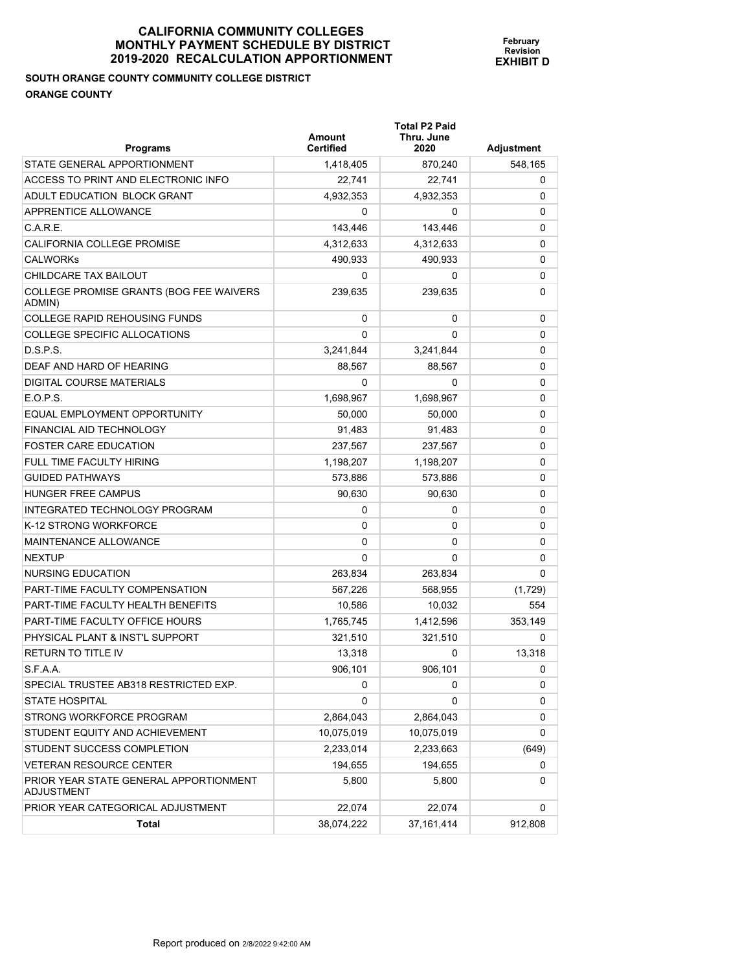# **SOUTH ORANGE COUNTY COMMUNITY COLLEGE DISTRICT ORANGE COUNTY**

| <b>Programs</b>                                             | Amount<br><b>Certified</b> | <b>Total P2 Paid</b><br>Thru. June<br>2020 | <b>Adjustment</b> |
|-------------------------------------------------------------|----------------------------|--------------------------------------------|-------------------|
| STATE GENERAL APPORTIONMENT                                 | 1,418,405                  | 870,240                                    | 548,165           |
| ACCESS TO PRINT AND ELECTRONIC INFO                         | 22.741                     | 22.741                                     | 0                 |
| ADULT EDUCATION BLOCK GRANT                                 | 4,932,353                  | 4,932,353                                  | 0                 |
| APPRENTICE ALLOWANCE                                        | 0                          | 0                                          | 0                 |
| C.A.R.E.                                                    | 143,446                    | 143,446                                    | 0                 |
| CALIFORNIA COLLEGE PROMISE                                  | 4,312,633                  | 4,312,633                                  | 0                 |
| <b>CALWORKS</b>                                             | 490,933                    | 490,933                                    | 0                 |
| CHILDCARE TAX BAILOUT                                       | 0                          | 0                                          | 0                 |
| COLLEGE PROMISE GRANTS (BOG FEE WAIVERS<br>ADMIN)           | 239,635                    | 239,635                                    | 0                 |
| <b>COLLEGE RAPID REHOUSING FUNDS</b>                        | 0                          | 0                                          | 0                 |
| COLLEGE SPECIFIC ALLOCATIONS                                | 0                          | 0                                          | 0                 |
| D.S.P.S.                                                    | 3,241,844                  | 3,241,844                                  | 0                 |
| DEAF AND HARD OF HEARING                                    | 88,567                     | 88,567                                     | 0                 |
| <b>DIGITAL COURSE MATERIALS</b>                             | 0                          | 0                                          | 0                 |
| E.O.P.S.                                                    | 1,698,967                  | 1,698,967                                  | 0                 |
| EQUAL EMPLOYMENT OPPORTUNITY                                | 50,000                     | 50,000                                     | 0                 |
| FINANCIAL AID TECHNOLOGY                                    | 91,483                     | 91,483                                     | 0                 |
| <b>FOSTER CARE EDUCATION</b>                                | 237,567                    | 237,567                                    | 0                 |
| FULL TIME FACULTY HIRING                                    | 1,198,207                  | 1,198,207                                  | 0                 |
| <b>GUIDED PATHWAYS</b>                                      | 573,886                    | 573,886                                    | 0                 |
| HUNGER FREE CAMPUS                                          | 90,630                     | 90,630                                     | 0                 |
| INTEGRATED TECHNOLOGY PROGRAM                               | 0                          | 0                                          | 0                 |
| K-12 STRONG WORKFORCE                                       | 0                          | 0                                          | 0                 |
| MAINTENANCE ALLOWANCE                                       | 0                          | 0                                          | 0                 |
| <b>NEXTUP</b>                                               | 0                          | 0                                          | 0                 |
| NURSING EDUCATION                                           | 263,834                    | 263,834                                    | 0                 |
| <b>PART-TIME FACULTY COMPENSATION</b>                       | 567,226                    | 568,955                                    | (1,729)           |
| PART-TIME FACULTY HEALTH BENEFITS                           | 10,586                     | 10,032                                     | 554               |
| PART-TIME FACULTY OFFICE HOURS                              | 1,765,745                  | 1,412,596                                  | 353,149           |
| PHYSICAL PLANT & INST'L SUPPORT                             | 321,510                    | 321,510                                    | 0                 |
| <b>RETURN TO TITLE IV</b>                                   | 13,318                     | 0                                          | 13,318            |
| S.F.A.A.                                                    | 906,101                    | 906,101                                    | 0                 |
| SPECIAL TRUSTEE AB318 RESTRICTED EXP.                       | 0                          | 0                                          | 0                 |
| <b>STATE HOSPITAL</b>                                       | 0                          | 0                                          | 0                 |
| STRONG WORKFORCE PROGRAM                                    | 2,864,043                  | 2,864,043                                  | 0                 |
| STUDENT EQUITY AND ACHIEVEMENT                              | 10,075,019                 | 10,075,019                                 | 0                 |
| STUDENT SUCCESS COMPLETION                                  | 2,233,014                  | 2,233,663                                  | (649)             |
| <b>VETERAN RESOURCE CENTER</b>                              | 194,655                    | 194,655                                    | 0                 |
| PRIOR YEAR STATE GENERAL APPORTIONMENT<br><b>ADJUSTMENT</b> | 5,800                      | 5,800                                      | 0                 |
| PRIOR YEAR CATEGORICAL ADJUSTMENT                           | 22,074                     | 22,074                                     | 0                 |
| Total                                                       | 38,074,222                 | 37, 161, 414                               | 912,808           |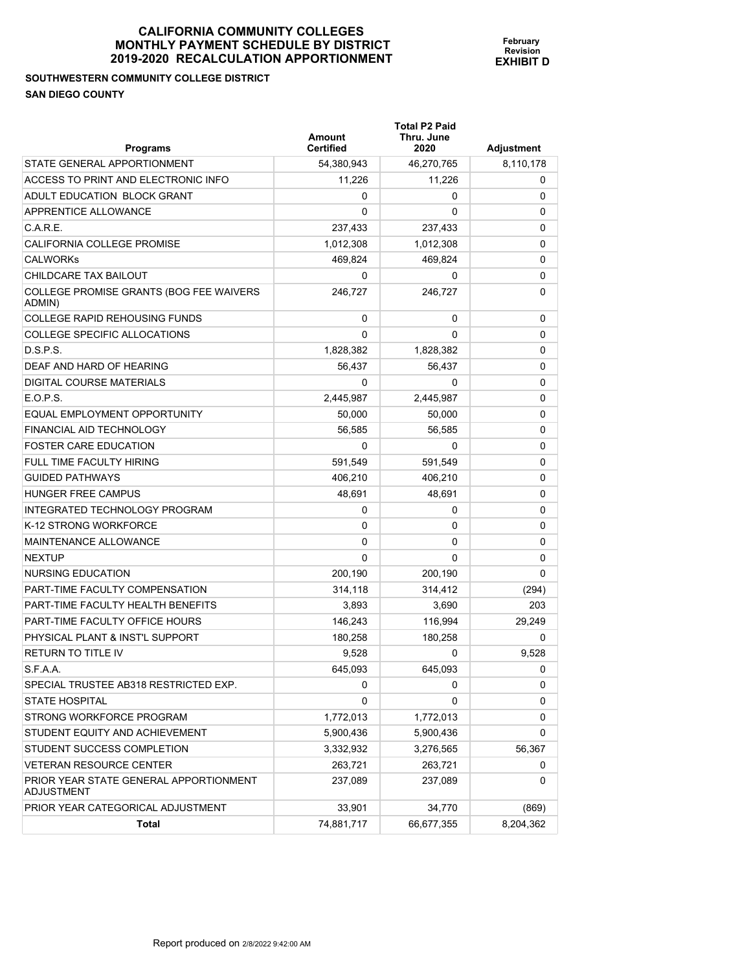**February Revision EXHIBIT D**

**SOUTHWESTERN COMMUNITY COLLEGE DISTRICT SAN DIEGO COUNTY** 

**Programs Amount Certified Total P2 Paid Thru. June 2020 Adjustment**  STATE GENERAL APPORTIONMENT 64,380,943 46,270,765 8,110,178 ACCESS TO PRINT AND ELECTRONIC INFO 11,226 11,226 11,226 11,226 0 ADULT EDUCATION BLOCK GRANT 0 0 0 APPRENTICE ALLOWANCE **a** a contract of the contract of the contract of the contract of the contract of the contract of the contract of the contract of the contract of the contract of the contract of the contract of the con C.A.R.E. 237,433 237,433 0 CALIFORNIA COLLEGE PROMISE  $1,012,308$   $1,012,308$   $0$ CALWORKs 469,824 469,824 0 CHILDCARE TAX BAILOUT 0 0 0 COLLEGE PROMISE GRANTS (BOG FEE WAIVERS ADMIN) 246,727 246,727 0 COLLEGE RAPID REHOUSING FUNDS 0 0 0 COLLEGE SPECIFIC ALLOCATIONS 0 0 0 D.S.P.S. 1,828,382 1,828,382 0 DEAF AND HARD OF HEARING 56,437 56,437 0 DIGITAL COURSE MATERIALS 0 0 0 E.O.P.S. 2,445,987 2,445,987 0 EQUAL EMPLOYMENT OPPORTUNITY 50,000 50,000 0 FINANCIAL AID TECHNOLOGY 56,585 56,585 0 FOSTER CARE EDUCATION 0 0 0 FULL TIME FACULTY HIRING 591,549 591,549 0 GUIDED PATHWAYS 406,210 406,210 0 HUNGER FREE CAMPUS 48,691 48,691 0 INTEGRATED TECHNOLOGY PROGRAM 0 0 0 K-12 STRONG WORKFORCE 0 0 0 MAINTENANCE ALLOWANCE 0 0 0 NEXTUP  $\begin{array}{ccccccc} 0 & 0 & 0 & 0 \end{array}$ NURSING EDUCATION 200,190 200,190 0 PART-TIME FACULTY COMPENSATION THE RESOLUTY ON PART-TIME FACULTY COMPENSATION PART-TIME FACULTY HEALTH BENEFITS 3,893 3,690 203 PART-TIME FACULTY OFFICE HOURS 146,243 116,994 29,249 PHYSICAL PLANT & INST'L SUPPORT 180,258 180,258 0 RETURN TO TITLE IV  $9,528$   $0$   $9,528$ S.F.A.A. 645,093 645,093 645,093 645,093 645,093 645,093 645,093 646 645,093 646 646 646 647 648 648 648 648 6

| COLLEGE PROMISE GRANTS (BOG FEE WAIVERS<br>ADMIN) | 246,727   | 246,727   | 0           |
|---------------------------------------------------|-----------|-----------|-------------|
| <b>COLLEGE RAPID REHOUSING FUNDS</b>              | 0         | $\Omega$  | $\mathbf 0$ |
| <b>COLLEGE SPECIFIC ALLOCATIONS</b>               | $\Omega$  | $\Omega$  | 0           |
| D.S.P.S.                                          | 1,828,382 | 1,828,382 | $\mathbf 0$ |
| DEAF AND HARD OF HEARING                          | 56,437    | 56,437    | 0           |
| <b>DIGITAL COURSE MATERIALS</b>                   | 0         | 0         | 0           |
| EOP.S.                                            | 2,445,987 | 2,445,987 | 0           |
| EQUAL EMPLOYMENT OPPORTUNITY                      | 50.000    | 50,000    | $\mathbf 0$ |
| FINANCIAL AID TECHNOLOGY                          | 56,585    | 56,585    | 0           |
| <b>FOSTER CARE EDUCATION</b>                      | 0         | 0         | $\mathbf 0$ |
| <b>FULL TIME FACULTY HIRING</b>                   | 591,549   | 591,549   | 0           |
| <b>GUIDED PATHWAYS</b>                            | 406.210   | 406,210   | $\mathbf 0$ |
| <b>HUNGER FREE CAMPUS</b>                         | 48,691    | 48,691    | 0           |
| INTEGRATED TECHNOLOGY PROGRAM                     | 0         | 0         | 0           |
| K-12 STRONG WORKFORCE                             | 0         | 0         | 0           |
| <b>MAINTENANCE ALLOWANCE</b>                      | 0         | $\Omega$  | $\mathbf 0$ |
| <b>NEXTUP</b>                                     | 0         | 0         | $\mathbf 0$ |
| NURSING EDUCATION                                 | 200,190   | 200,190   | 0           |
| PART-TIME FACULTY COMPENSATION                    | 314,118   | 314,412   | (294)       |
| PART-TIME FACULTY HEALTH BENEFITS                 | 3,893     | 3,690     | 203         |
| PART-TIME FACULTY OFFICE HOURS                    | 146,243   | 116,994   | 29,249      |
| PHYSICAL PLANT & INST'L SUPPORT                   | 180,258   | 180,258   | $\Omega$    |
| <b>RETURN TO TITLE IV</b>                         | 9,528     | 0         | 9,528       |
| S.F.A.A.                                          | 645,093   | 645,093   | 0           |
| SPECIAL TRUSTEE AB318 RESTRICTED EXP.             | 0         | 0         | 0           |
| <b>STATE HOSPITAL</b>                             | 0         | 0         | 0           |
| STRONG WORKFORCE PROGRAM                          | 1,772,013 | 1,772,013 | 0           |
| STUDENT EQUITY AND ACHIEVEMENT                    | 5,900,436 | 5,900,436 | 0           |
| STUDENT SUCCESS COMPLETION                        | 3,332,932 | 3,276,565 | 56,367      |
| <b>VETERAN RESOURCE CENTER</b>                    | 263,721   | 263,721   | 0           |
| PRIOR YEAR STATE GENERAL APPORTIONMENT            | 237,089   | 237,089   | 0           |

PRIOR YEAR CATEGORICAL ADJUSTMENT  $33,901$   $34,770$   $(869)$ 

**Total** 74,881,717 66,677,355 8,204,362

ADJUSTMENT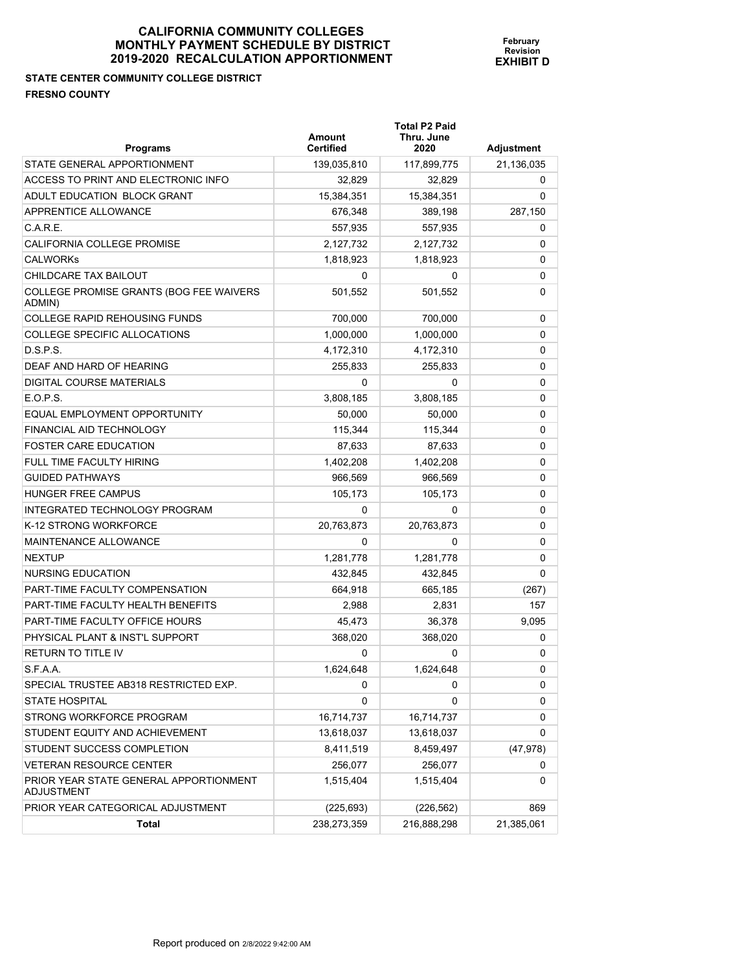**February Revision EXHIBIT D**

**STATE CENTER COMMUNITY COLLEGE DISTRICT FRESNO COUNTY** 

| <b>Programs</b>                                   | Amount<br><b>Certified</b> | <b>Total P2 Paid</b><br>Thru. June<br>2020 | Adjustment  |
|---------------------------------------------------|----------------------------|--------------------------------------------|-------------|
| STATE GENERAL APPORTIONMENT                       | 139,035,810                | 117,899,775                                | 21,136,035  |
| ACCESS TO PRINT AND ELECTRONIC INFO               | 32,829                     | 32,829                                     | 0           |
| ADULT EDUCATION BLOCK GRANT                       | 15,384,351                 | 15,384,351                                 | 0           |
| APPRENTICE ALLOWANCE                              | 676,348                    | 389,198                                    | 287,150     |
| C.A.R.E.                                          | 557,935                    | 557,935                                    | 0           |
| CALIFORNIA COLLEGE PROMISE                        | 2,127,732                  | 2,127,732                                  | 0           |
| <b>CALWORKs</b>                                   | 1,818,923                  | 1,818,923                                  | 0           |
| CHILDCARE TAX BAILOUT                             | 0                          | 0                                          | $\mathbf 0$ |
| COLLEGE PROMISE GRANTS (BOG FEE WAIVERS<br>ADMIN) | 501,552                    | 501,552                                    | 0           |
| COLLEGE RAPID REHOUSING FUNDS                     | 700,000                    | 700,000                                    | 0           |
| <b>COLLEGE SPECIFIC ALLOCATIONS</b>               | 1,000,000                  | 1,000,000                                  | 0           |
| D.S.P.S.                                          | 4,172,310                  | 4,172,310                                  | 0           |
| DEAF AND HARD OF HEARING                          | 255,833                    | 255,833                                    | 0           |
| DIGITAL COURSE MATERIALS                          | 0                          | 0                                          | 0           |
| E.O.P.S.                                          | 3,808,185                  | 3,808,185                                  | 0           |
| EQUAL EMPLOYMENT OPPORTUNITY                      | 50,000                     | 50,000                                     | 0           |
| FINANCIAL AID TECHNOLOGY                          | 115,344                    | 115,344                                    | $\mathbf 0$ |
| <b>FOSTER CARE EDUCATION</b>                      | 87,633                     | 87,633                                     | 0           |
| FULL TIME FACULTY HIRING                          | 1,402,208                  | 1,402,208                                  | 0           |
| <b>GUIDED PATHWAYS</b>                            | 966,569                    | 966,569                                    | $\mathbf 0$ |
| <b>HUNGER FREE CAMPUS</b>                         | 105,173                    | 105,173                                    | $\mathbf 0$ |
| INTEGRATED TECHNOLOGY PROGRAM                     | 0                          | 0                                          | 0           |
| K-12 STRONG WORKFORCE                             | 20,763,873                 | 20,763,873                                 | 0           |
| <b>MAINTENANCE ALLOWANCE</b>                      | $\Omega$                   | $\Omega$                                   | 0           |
| <b>NEXTUP</b>                                     | 1,281,778                  | 1,281,778                                  | 0           |
| <b>NURSING EDUCATION</b>                          | 432,845                    | 432,845                                    | 0           |
| PART-TIME FACULTY COMPENSATION                    | 664 918                    | 665 185                                    | (267)       |

| C.A.R.E.                                             | 557,935     | 557,935     | 0            |
|------------------------------------------------------|-------------|-------------|--------------|
| CALIFORNIA COLLEGE PROMISE                           | 2,127,732   | 2,127,732   | $\Omega$     |
| <b>CALWORKs</b>                                      | 1,818,923   | 1,818,923   | $\mathbf 0$  |
| CHILDCARE TAX BAILOUT                                | 0           | 0           | 0            |
| COLLEGE PROMISE GRANTS (BOG FEE WAIVERS<br>ADMIN)    | 501,552     | 501,552     | $\mathbf{0}$ |
| COLLEGE RAPID REHOUSING FUNDS                        | 700,000     | 700,000     | 0            |
| COLLEGE SPECIFIC ALLOCATIONS                         | 1,000,000   | 1,000,000   | $\Omega$     |
| D.S.P.S.                                             | 4,172,310   | 4,172,310   | 0            |
| DEAF AND HARD OF HEARING                             | 255,833     | 255,833     | 0            |
| DIGITAL COURSE MATERIALS                             | 0           | 0           | 0            |
| E.O.P.S.                                             | 3,808,185   | 3,808,185   | 0            |
| EQUAL EMPLOYMENT OPPORTUNITY                         | 50,000      | 50,000      | 0            |
| FINANCIAL AID TECHNOLOGY                             | 115,344     | 115,344     | 0            |
| <b>FOSTER CARE EDUCATION</b>                         | 87,633      | 87,633      | 0            |
| FULL TIME FACULTY HIRING                             | 1,402,208   | 1,402,208   | 0            |
| <b>GUIDED PATHWAYS</b>                               | 966,569     | 966,569     | 0            |
| HUNGER FREE CAMPUS                                   | 105,173     | 105,173     | 0            |
| INTEGRATED TECHNOLOGY PROGRAM                        | 0           | 0           | 0            |
| K-12 STRONG WORKFORCE                                | 20,763,873  | 20,763,873  | 0            |
| MAINTENANCE ALLOWANCE                                | 0           | 0           | 0            |
| <b>NEXTUP</b>                                        | 1,281,778   | 1,281,778   | 0            |
| NURSING EDUCATION                                    | 432,845     | 432,845     | 0            |
| PART-TIME FACULTY COMPENSATION                       | 664,918     | 665,185     | (267)        |
| PART-TIME FACULTY HEALTH BENEFITS                    | 2,988       | 2,831       | 157          |
| PART-TIME FACULTY OFFICE HOURS                       | 45,473      | 36,378      | 9,095        |
| PHYSICAL PLANT & INST'L SUPPORT                      | 368,020     | 368,020     | 0            |
| RETURN TO TITLE IV                                   | 0           | 0           | 0            |
| S.F.A.A.                                             | 1,624,648   | 1,624,648   | 0            |
| SPECIAL TRUSTEE AB318 RESTRICTED EXP.                | 0           | 0           | 0            |
| <b>STATE HOSPITAL</b>                                | 0           | 0           | 0            |
| STRONG WORKFORCE PROGRAM                             | 16,714,737  | 16,714,737  | 0            |
| STUDENT EQUITY AND ACHIEVEMENT                       | 13,618,037  | 13,618,037  | 0            |
| STUDENT SUCCESS COMPLETION                           | 8,411,519   | 8,459,497   | (47, 978)    |
| VETERAN RESOURCE CENTER                              | 256,077     | 256,077     | 0            |
| PRIOR YEAR STATE GENERAL APPORTIONMENT<br>ADJUSTMENT | 1,515,404   | 1,515,404   | $\Omega$     |
| PRIOR YEAR CATEGORICAL ADJUSTMENT                    | (225, 693)  | (226, 562)  | 869          |
| <b>Total</b>                                         | 238,273,359 | 216,888,298 | 21,385,061   |
|                                                      |             |             |              |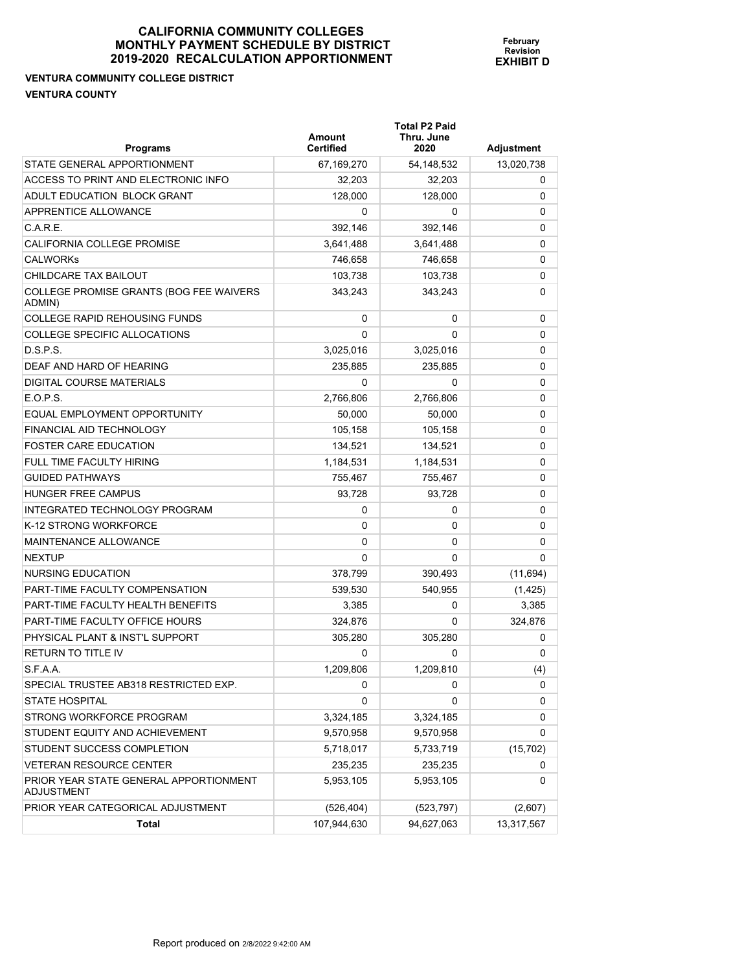#### **VENTURA COMMUNITY COLLEGE DISTRICT VENTURA COUNTY**

| <b>Programs</b>                                      | Amount<br><b>Certified</b> | <b>Total P2 Paid</b><br>Thru. June<br>2020 | Adjustment |
|------------------------------------------------------|----------------------------|--------------------------------------------|------------|
| STATE GENERAL APPORTIONMENT                          | 67,169,270                 | 54,148,532                                 | 13,020,738 |
| ACCESS TO PRINT AND ELECTRONIC INFO                  | 32,203                     | 32,203                                     | 0          |
| ADULT EDUCATION BLOCK GRANT                          | 128,000                    | 128,000                                    | 0          |
| APPRENTICE ALLOWANCE                                 | 0                          | 0                                          | 0          |
| C.A.R.E.                                             | 392,146                    | 392,146                                    | 0          |
| <b>CALIFORNIA COLLEGE PROMISE</b>                    | 3,641,488                  | 3,641,488                                  | 0          |
| <b>CALWORKS</b>                                      | 746,658                    | 746,658                                    | 0          |
| CHILDCARE TAX BAILOUT                                | 103,738                    | 103,738                                    | 0          |
| COLLEGE PROMISE GRANTS (BOG FEE WAIVERS<br>ADMIN)    | 343,243                    | 343,243                                    | 0          |
| <b>COLLEGE RAPID REHOUSING FUNDS</b>                 | 0                          | 0                                          | 0          |
| COLLEGE SPECIFIC ALLOCATIONS                         | $\Omega$                   | 0                                          | 0          |
| D.S.P.S.                                             | 3,025,016                  | 3,025,016                                  | 0          |
| DEAF AND HARD OF HEARING                             | 235,885                    | 235,885                                    | 0          |
| DIGITAL COURSE MATERIALS                             | 0                          | 0                                          | 0          |
| E.O.P.S.                                             | 2,766,806                  | 2,766,806                                  | 0          |
| EQUAL EMPLOYMENT OPPORTUNITY                         | 50,000                     | 50,000                                     | 0          |
| FINANCIAL AID TECHNOLOGY                             | 105,158                    | 105,158                                    | 0          |
| <b>FOSTER CARE EDUCATION</b>                         | 134.521                    | 134,521                                    | 0          |
| FULL TIME FACULTY HIRING                             | 1,184,531                  | 1,184,531                                  | 0          |
| <b>GUIDED PATHWAYS</b>                               | 755,467                    | 755,467                                    | 0          |
| HUNGER FREE CAMPUS                                   | 93,728                     | 93,728                                     | 0          |
| INTEGRATED TECHNOLOGY PROGRAM                        | 0                          | 0                                          | 0          |
| K-12 STRONG WORKFORCE                                | 0                          | 0                                          | 0          |
| MAINTENANCE ALLOWANCE                                | 0                          | 0                                          | 0          |
| <b>NEXTUP</b>                                        | $\Omega$                   | 0                                          | 0          |
| NURSING EDUCATION                                    | 378,799                    | 390,493                                    | (11, 694)  |
| <b>PART-TIME FACULTY COMPENSATION</b>                | 539,530                    | 540,955                                    | (1, 425)   |
| PART-TIME FACULTY HEALTH BENEFITS                    | 3.385                      | 0                                          | 3,385      |
| PART-TIME FACULTY OFFICE HOURS                       | 324,876                    | 0                                          | 324,876    |
| PHYSICAL PLANT & INST'L SUPPORT                      | 305,280                    | 305.280                                    | 0          |
| <b>RETURN TO TITLE IV</b>                            | 0                          | 0                                          | 0          |
| S.F.A.A.                                             | 1,209,806                  | 1,209,810                                  | (4)        |
| SPECIAL TRUSTEE AB318 RESTRICTED EXP.                | 0                          | 0                                          | 0          |
| <b>STATE HOSPITAL</b>                                | 0                          | 0                                          | 0          |
| STRONG WORKFORCE PROGRAM                             | 3,324,185                  | 3,324,185                                  | 0          |
| STUDENT EQUITY AND ACHIEVEMENT                       | 9,570,958                  | 9,570,958                                  | 0          |
| STUDENT SUCCESS COMPLETION                           | 5,718,017                  | 5,733,719                                  | (15, 702)  |
| <b>VETERAN RESOURCE CENTER</b>                       | 235,235                    | 235,235                                    | 0          |
| PRIOR YEAR STATE GENERAL APPORTIONMENT<br>ADJUSTMENT | 5,953,105                  | 5,953,105                                  | 0          |
| PRIOR YEAR CATEGORICAL ADJUSTMENT                    | (526, 404)                 | (523, 797)                                 | (2,607)    |
| Total                                                | 107,944,630                | 94,627,063                                 | 13,317,567 |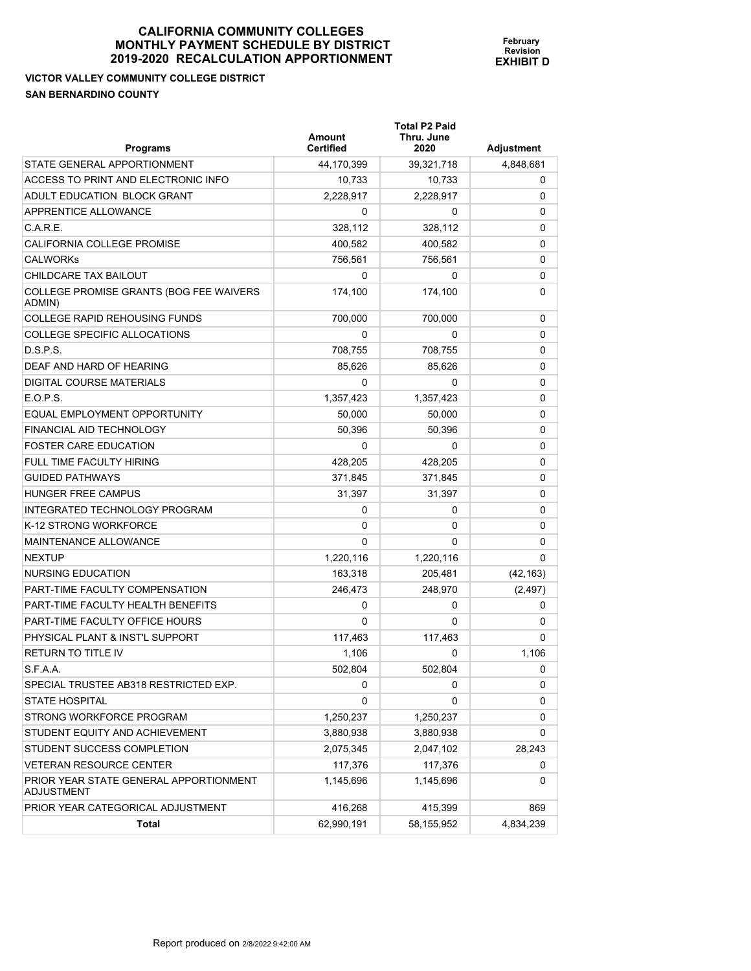**VICTOR VALLEY COMMUNITY COLLEGE DISTRICT SAN BERNARDINO COUNTY** 

| <b>Programs</b>                                      | <b>Amount</b><br><b>Certified</b> | <b>Total P2 Paid</b><br>Thru. June<br>2020 | <b>Adjustment</b> |
|------------------------------------------------------|-----------------------------------|--------------------------------------------|-------------------|
| STATE GENERAL APPORTIONMENT                          | 44,170,399                        | 39,321,718                                 | 4,848,681         |
| ACCESS TO PRINT AND ELECTRONIC INFO                  | 10,733                            | 10,733                                     | 0                 |
| ADULT EDUCATION BLOCK GRANT                          | 2,228,917                         | 2,228,917                                  | 0                 |
| APPRENTICE ALLOWANCE                                 | 0                                 | 0                                          | 0                 |
| C.A.R.E.                                             | 328,112                           | 328,112                                    | 0                 |
| CALIFORNIA COLLEGE PROMISE                           | 400,582                           | 400,582                                    | 0                 |
| <b>CALWORKs</b>                                      | 756,561                           | 756,561                                    | 0                 |
| CHILDCARE TAX BAILOUT                                | 0                                 | 0                                          | 0                 |
| COLLEGE PROMISE GRANTS (BOG FEE WAIVERS<br>ADMIN)    | 174,100                           | 174,100                                    | 0                 |
| COLLEGE RAPID REHOUSING FUNDS                        | 700,000                           | 700,000                                    | 0                 |
| COLLEGE SPECIFIC ALLOCATIONS                         | 0                                 | 0                                          | 0                 |
| D.S.P.S.                                             | 708,755                           | 708,755                                    | 0                 |
| DEAF AND HARD OF HEARING                             | 85,626                            | 85,626                                     | 0                 |
| DIGITAL COURSE MATERIALS                             | 0                                 | 0                                          | 0                 |
| E.O.P.S.                                             | 1,357,423                         | 1,357,423                                  | 0                 |
| EQUAL EMPLOYMENT OPPORTUNITY                         | 50,000                            | 50,000                                     | 0                 |
| FINANCIAL AID TECHNOLOGY                             | 50,396                            | 50,396                                     | 0                 |
| <b>FOSTER CARE EDUCATION</b>                         | 0                                 | 0                                          | 0                 |
| FULL TIME FACULTY HIRING                             | 428,205                           | 428,205                                    | 0                 |
| <b>GUIDED PATHWAYS</b>                               | 371,845                           | 371,845                                    | 0                 |
| HUNGER FREE CAMPUS                                   | 31,397                            | 31,397                                     | 0                 |
| INTEGRATED TECHNOLOGY PROGRAM                        | 0                                 | 0                                          | 0                 |
| K-12 STRONG WORKFORCE                                | 0                                 | 0                                          | 0                 |
| MAINTENANCE ALLOWANCE                                | $\Omega$                          | 0                                          | 0                 |
| NEXTUP                                               | 1,220,116                         | 1,220,116                                  | $\Omega$          |
| NURSING EDUCATION                                    | 163,318                           | 205,481                                    | (42, 163)         |
| PART-TIME FACULTY COMPENSATION                       | 246,473                           | 248,970                                    | (2, 497)          |
| PART-TIME FACULTY HEALTH BENEFITS                    | 0                                 | 0                                          | 0                 |
| PART-TIME FACULTY OFFICE HOURS                       | 0                                 | 0                                          | 0                 |
| PHYSICAL PLANT & INST'L SUPPORT                      | 117,463                           | 117,463                                    | 0                 |
| RETURN TO TITLE IV                                   | 1,106                             | 0                                          | 1.106             |
| S.F.A.A.                                             | 502,804                           | 502,804                                    | 0                 |
| SPECIAL TRUSTEE AB318 RESTRICTED EXP.                | 0                                 | 0                                          | 0                 |
| STATE HOSPITAL                                       | 0                                 | 0                                          | 0                 |
| STRONG WORKFORCE PROGRAM                             | 1,250,237                         | 1,250,237                                  | 0                 |
| STUDENT EQUITY AND ACHIEVEMENT                       | 3,880,938                         | 3,880,938                                  | 0                 |
| STUDENT SUCCESS COMPLETION                           | 2,075,345                         | 2,047,102                                  | 28,243            |
| VETERAN RESOURCE CENTER                              | 117,376                           | 117,376                                    | 0                 |
| PRIOR YEAR STATE GENERAL APPORTIONMENT<br>ADJUSTMENT | 1,145,696                         | 1,145,696                                  | 0                 |
| PRIOR YEAR CATEGORICAL ADJUSTMENT                    | 416,268                           | 415,399                                    | 869               |

**Total** 62,990,191 58,155,952 4,834,239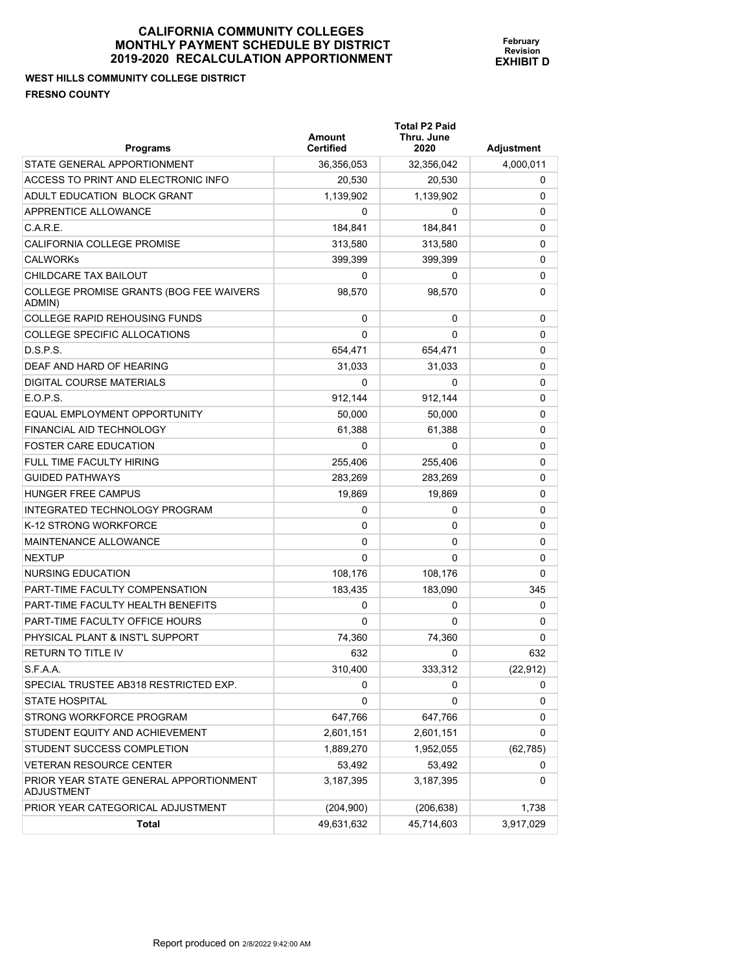# **WEST HILLS COMMUNITY COLLEGE DISTRICT FRESNO COUNTY**

| <b>Programs</b>                                      | <b>Amount</b><br><b>Certified</b> | <b>Total P2 Paid</b><br>Thru. June<br>2020 | Adjustment |
|------------------------------------------------------|-----------------------------------|--------------------------------------------|------------|
| STATE GENERAL APPORTIONMENT                          | 36,356,053                        | 32,356,042                                 | 4,000,011  |
| ACCESS TO PRINT AND ELECTRONIC INFO                  | 20,530                            | 20,530                                     | 0          |
| ADULT EDUCATION BLOCK GRANT                          | 1,139,902                         | 1,139,902                                  | 0          |
| APPRENTICE ALLOWANCE                                 | 0                                 | 0                                          | 0          |
| C.A.R.E.                                             | 184,841                           | 184,841                                    | 0          |
| CALIFORNIA COLLEGE PROMISE                           | 313.580                           | 313,580                                    | 0          |
| <b>CALWORKS</b>                                      | 399,399                           | 399,399                                    | 0          |
| CHILDCARE TAX BAILOUT                                | 0                                 | 0                                          | 0          |
| COLLEGE PROMISE GRANTS (BOG FEE WAIVERS<br>ADMIN)    | 98,570                            | 98,570                                     | 0          |
| <b>COLLEGE RAPID REHOUSING FUNDS</b>                 | 0                                 | 0                                          | 0          |
| COLLEGE SPECIFIC ALLOCATIONS                         | 0                                 | 0                                          | 0          |
| D.S.P.S.                                             | 654,471                           | 654,471                                    | 0          |
| DEAF AND HARD OF HEARING                             | 31,033                            | 31,033                                     | 0          |
| DIGITAL COURSE MATERIALS                             | 0                                 | 0                                          | 0          |
| E.O.P.S.                                             | 912,144                           | 912,144                                    | 0          |
| EQUAL EMPLOYMENT OPPORTUNITY                         | 50.000                            | 50,000                                     | 0          |
| FINANCIAL AID TECHNOLOGY                             | 61.388                            | 61,388                                     | 0          |
| <b>FOSTER CARE EDUCATION</b>                         | 0                                 | 0                                          | 0          |
| FULL TIME FACULTY HIRING                             | 255.406                           | 255,406                                    | 0          |
| <b>GUIDED PATHWAYS</b>                               | 283,269                           | 283,269                                    | 0          |
| HUNGER FREE CAMPUS                                   | 19,869                            | 19,869                                     | 0          |
| INTEGRATED TECHNOLOGY PROGRAM                        | 0                                 | 0                                          | 0          |
| K-12 STRONG WORKFORCE                                | 0                                 | 0                                          | 0          |
| MAINTENANCE ALLOWANCE                                | 0                                 | 0                                          | 0          |
| <b>NEXTUP</b>                                        | 0                                 | 0                                          | 0          |
| NURSING EDUCATION                                    | 108,176                           | 108,176                                    | 0          |
| <b>PART-TIME FACULTY COMPENSATION</b>                | 183,435                           | 183,090                                    | 345        |
| PART-TIME FACULTY HEALTH BENEFITS                    | 0                                 | 0                                          | 0          |
| PART-TIME FACULTY OFFICE HOURS                       | 0                                 | 0                                          | 0          |
| PHYSICAL PLANT & INST'L SUPPORT                      | 74,360                            | 74,360                                     | 0          |
| <b>RETURN TO TITLE IV</b>                            | 632                               | 0                                          | 632        |
| S.F.A.A.                                             | 310,400                           | 333,312                                    | (22, 912)  |
| SPECIAL TRUSTEE AB318 RESTRICTED EXP.                | 0                                 | 0                                          | 0          |
| <b>STATE HOSPITAL</b>                                | 0                                 | 0                                          | 0          |
| STRONG WORKFORCE PROGRAM                             | 647,766                           | 647,766                                    | 0          |
| STUDENT EQUITY AND ACHIEVEMENT                       | 2,601,151                         | 2,601,151                                  | 0          |
| STUDENT SUCCESS COMPLETION                           | 1,889,270                         | 1,952,055                                  | (62, 785)  |
| <b>VETERAN RESOURCE CENTER</b>                       | 53,492                            | 53,492                                     | 0          |
| PRIOR YEAR STATE GENERAL APPORTIONMENT<br>ADJUSTMENT | 3,187,395                         | 3,187,395                                  | 0          |
| PRIOR YEAR CATEGORICAL ADJUSTMENT                    | (204, 900)                        | (206, 638)                                 | 1,738      |
| Total                                                | 49,631,632                        | 45,714,603                                 | 3,917,029  |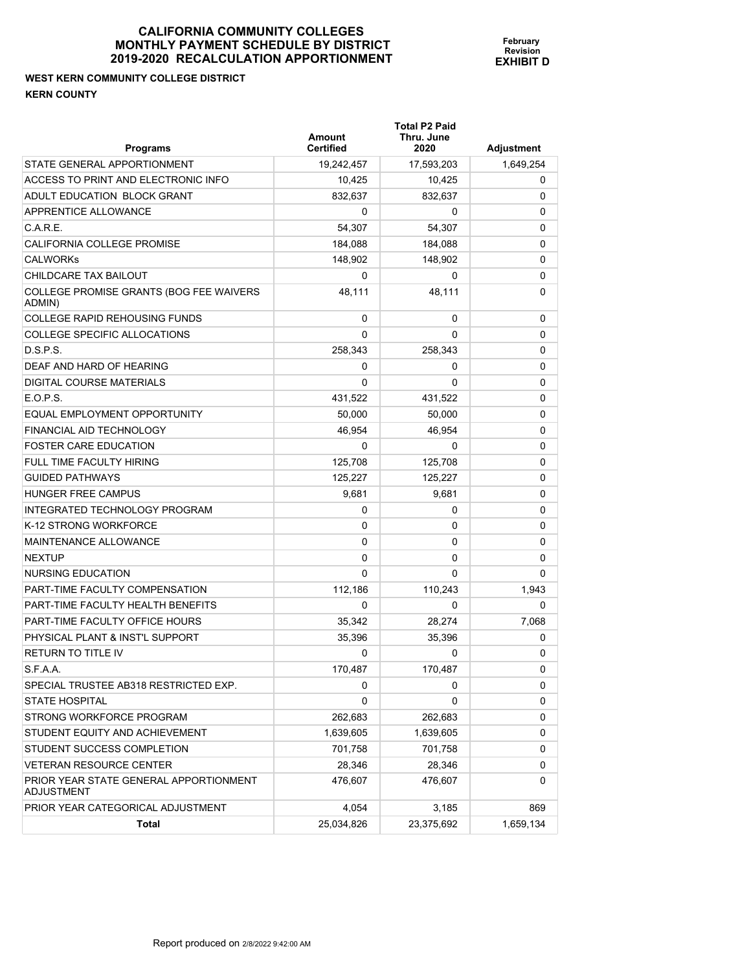#### **WEST KERN COMMUNITY COLLEGE DISTRICT KERN COUNTY**

| <b>Programs</b>                                             | Amount<br><b>Certified</b> | <b>Total P2 Paid</b><br>Thru. June<br>2020 | Adjustment |
|-------------------------------------------------------------|----------------------------|--------------------------------------------|------------|
| STATE GENERAL APPORTIONMENT                                 | 19,242,457                 | 17,593,203                                 | 1,649,254  |
| ACCESS TO PRINT AND ELECTRONIC INFO                         | 10,425                     | 10,425                                     | 0          |
| ADULT EDUCATION BLOCK GRANT                                 | 832.637                    | 832,637                                    | 0          |
| APPRENTICE ALLOWANCE                                        | 0                          | 0                                          | 0          |
| C.A.R.E.                                                    | 54,307                     | 54,307                                     | 0          |
| <b>CALIFORNIA COLLEGE PROMISE</b>                           | 184,088                    | 184,088                                    | 0          |
| <b>CALWORKS</b>                                             | 148,902                    | 148,902                                    | 0          |
| CHILDCARE TAX BAILOUT                                       | 0                          | 0                                          | 0          |
| COLLEGE PROMISE GRANTS (BOG FEE WAIVERS<br>ADMIN)           | 48,111                     | 48,111                                     | 0          |
| <b>COLLEGE RAPID REHOUSING FUNDS</b>                        | 0                          | 0                                          | 0          |
| COLLEGE SPECIFIC ALLOCATIONS                                | $\Omega$                   | 0                                          | 0          |
| D.S.P.S.                                                    | 258,343                    | 258,343                                    | 0          |
| DEAF AND HARD OF HEARING                                    | 0                          | 0                                          | 0          |
| DIGITAL COURSE MATERIALS                                    | 0                          | 0                                          | 0          |
| E.O.P.S.                                                    | 431,522                    | 431,522                                    | 0          |
| EQUAL EMPLOYMENT OPPORTUNITY                                | 50,000                     | 50,000                                     | 0          |
| FINANCIAL AID TECHNOLOGY                                    | 46,954                     | 46,954                                     | 0          |
| <b>FOSTER CARE EDUCATION</b>                                | 0                          | 0                                          | 0          |
| <b>FULL TIME FACULTY HIRING</b>                             | 125,708                    | 125,708                                    | 0          |
| <b>GUIDED PATHWAYS</b>                                      | 125,227                    | 125,227                                    | 0          |
| HUNGER FREE CAMPUS                                          | 9,681                      | 9,681                                      | 0          |
| INTEGRATED TECHNOLOGY PROGRAM                               | 0                          | 0                                          | 0          |
| K-12 STRONG WORKFORCE                                       | 0                          | 0                                          | 0          |
| MAINTENANCE ALLOWANCE                                       | 0                          | 0                                          | 0          |
| <b>NEXTUP</b>                                               | 0                          | 0                                          | 0          |
| NURSING EDUCATION                                           | 0                          | 0                                          | 0          |
| PART-TIME FACULTY COMPENSATION                              | 112,186                    | 110,243                                    | 1,943      |
| PART-TIME FACULTY HEALTH BENEFITS                           | 0                          | 0                                          | 0          |
| PART-TIME FACULTY OFFICE HOURS                              | 35,342                     | 28,274                                     | 7.068      |
| PHYSICAL PLANT & INST'L SUPPORT                             | 35,396                     | 35.396                                     | 0          |
| <b>RETURN TO TITLE IV</b>                                   | 0                          | 0                                          | 0          |
| S.F.A.A.                                                    | 170,487                    | 170,487                                    | 0          |
| SPECIAL TRUSTEE AB318 RESTRICTED EXP.                       | 0                          | 0                                          | 0          |
| <b>STATE HOSPITAL</b>                                       | 0                          | 0                                          | 0          |
| STRONG WORKFORCE PROGRAM                                    | 262,683                    | 262,683                                    | 0          |
| STUDENT EQUITY AND ACHIEVEMENT                              | 1,639,605                  | 1,639,605                                  | 0          |
| STUDENT SUCCESS COMPLETION                                  | 701,758                    | 701,758                                    | 0          |
| <b>VETERAN RESOURCE CENTER</b>                              | 28,346                     | 28,346                                     | 0          |
| PRIOR YEAR STATE GENERAL APPORTIONMENT<br><b>ADJUSTMENT</b> | 476,607                    | 476,607                                    | 0          |
| PRIOR YEAR CATEGORICAL ADJUSTMENT                           | 4,054                      | 3,185                                      | 869        |
| Total                                                       | 25,034,826                 | 23,375,692                                 | 1,659,134  |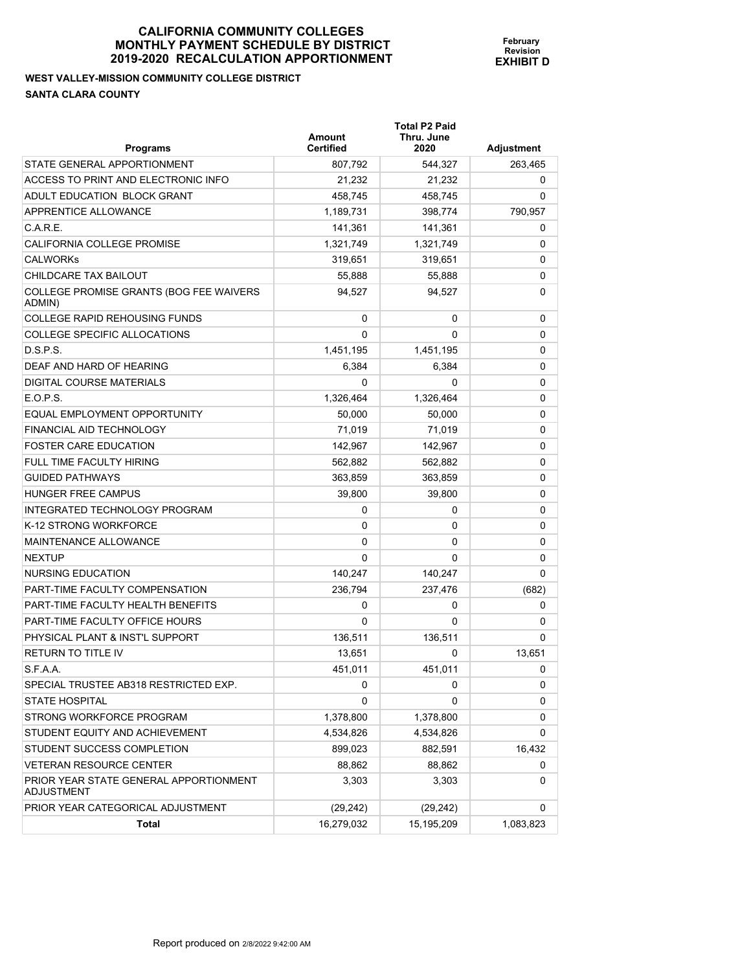#### **WEST VALLEY-MISSION COMMUNITY COLLEGE DISTRICT SANTA CLARA COUNTY**

| <b>Programs</b>                                      | Amount<br><b>Certified</b> | <b>Total P2 Paid</b><br>Thru. June<br>2020 | Adjustment |
|------------------------------------------------------|----------------------------|--------------------------------------------|------------|
| STATE GENERAL APPORTIONMENT                          | 807,792                    | 544,327                                    | 263,465    |
| ACCESS TO PRINT AND ELECTRONIC INFO                  | 21,232                     | 21,232                                     | 0          |
| ADULT EDUCATION BLOCK GRANT                          | 458,745                    | 458,745                                    | 0          |
| APPRENTICE ALLOWANCE                                 | 1,189,731                  | 398,774                                    | 790,957    |
| C.A.R.E.                                             | 141,361                    | 141,361                                    | 0          |
| CALIFORNIA COLLEGE PROMISE                           | 1,321,749                  | 1,321,749                                  | 0          |
| <b>CALWORKS</b>                                      | 319,651                    | 319,651                                    | 0          |
| CHILDCARE TAX BAILOUT                                | 55,888                     | 55,888                                     | 0          |
| COLLEGE PROMISE GRANTS (BOG FEE WAIVERS<br>ADMIN)    | 94.527                     | 94,527                                     | 0          |
| <b>COLLEGE RAPID REHOUSING FUNDS</b>                 | 0                          | 0                                          | 0          |
| <b>COLLEGE SPECIFIC ALLOCATIONS</b>                  | $\Omega$                   | 0                                          | 0          |
| D.S.P.S.                                             | 1,451,195                  | 1,451,195                                  | 0          |
| DEAF AND HARD OF HEARING                             | 6,384                      | 6,384                                      | 0          |
| DIGITAL COURSE MATERIALS                             | 0                          | 0                                          | 0          |
| E.O.P.S.                                             | 1,326,464                  | 1,326,464                                  | 0          |
| EQUAL EMPLOYMENT OPPORTUNITY                         | 50,000                     | 50,000                                     | 0          |
| FINANCIAL AID TECHNOLOGY                             | 71,019                     | 71,019                                     | 0          |
| <b>FOSTER CARE EDUCATION</b>                         | 142,967                    | 142,967                                    | 0          |
| FULL TIME FACULTY HIRING                             | 562.882                    | 562,882                                    | 0          |
| <b>GUIDED PATHWAYS</b>                               | 363,859                    | 363,859                                    | 0          |
| HUNGER FREE CAMPUS                                   | 39,800                     | 39,800                                     | 0          |
| INTEGRATED TECHNOLOGY PROGRAM                        | 0                          | 0                                          | 0          |
| K-12 STRONG WORKFORCE                                | 0                          | 0                                          | 0          |
| MAINTENANCE ALLOWANCE                                | 0                          | 0                                          | 0          |
| <b>NEXTUP</b>                                        | 0                          | 0                                          | 0          |
| NURSING EDUCATION                                    | 140,247                    | 140,247                                    | 0          |
| <b>PART-TIME FACULTY COMPENSATION</b>                | 236,794                    | 237,476                                    | (682)      |
| PART-TIME FACULTY HEALTH BENEFITS                    | 0                          | 0                                          | 0          |
| PART-TIME FACULTY OFFICE HOURS                       | 0                          | 0                                          | 0          |
| PHYSICAL PLANT & INST'L SUPPORT                      | 136,511                    | 136,511                                    | 0          |
| <b>RETURN TO TITLE IV</b>                            | 13,651                     | 0                                          | 13,651     |
| S.F.A.A.                                             | 451,011                    | 451,011                                    | U          |
| SPECIAL TRUSTEE AB318 RESTRICTED EXP.                | 0                          | 0                                          | 0          |
| <b>STATE HOSPITAL</b>                                | 0                          | 0                                          | 0          |
| STRONG WORKFORCE PROGRAM                             | 1,378,800                  | 1,378,800                                  | 0          |
| STUDENT EQUITY AND ACHIEVEMENT                       | 4,534,826                  | 4,534,826                                  | 0          |
| STUDENT SUCCESS COMPLETION                           | 899,023                    | 882,591                                    | 16,432     |
| <b>VETERAN RESOURCE CENTER</b>                       | 88,862                     | 88,862                                     | 0          |
| PRIOR YEAR STATE GENERAL APPORTIONMENT<br>ADJUSTMENT | 3,303                      | 3,303                                      | 0          |
| PRIOR YEAR CATEGORICAL ADJUSTMENT                    | (29, 242)                  | (29, 242)                                  | 0          |
| Total                                                | 16,279,032                 | 15,195,209                                 | 1,083,823  |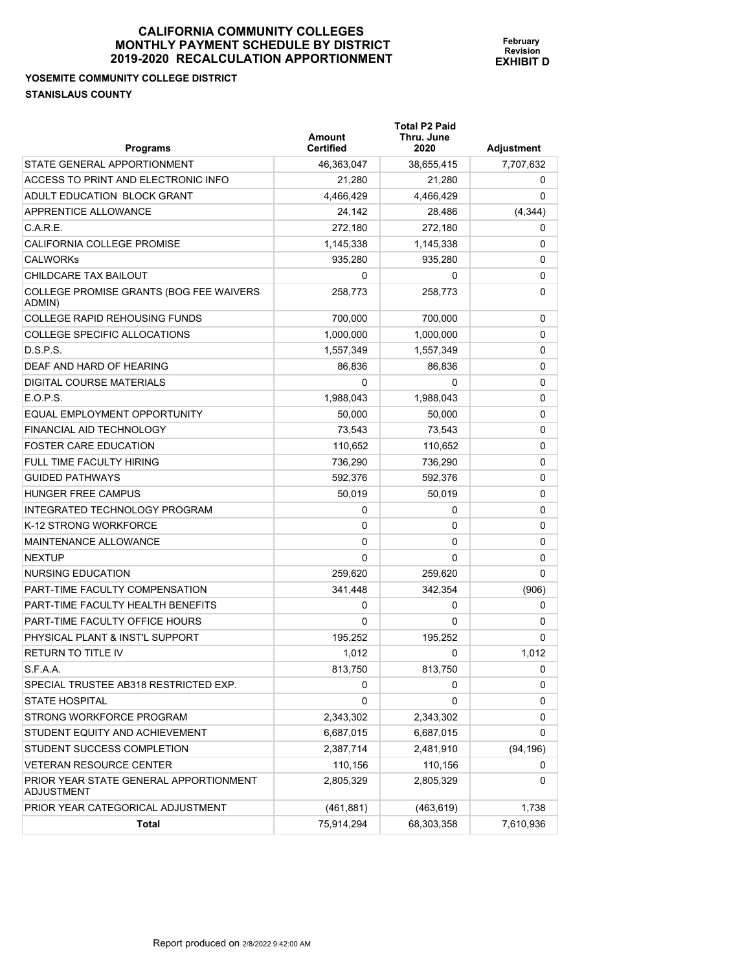#### **YOSEMITE COMMUNITY COLLEGE DISTRICT STANISLAUS COUNTY**

| <b>Programs</b>                                             | Amount<br><b>Certified</b> | <b>Total P2 Paid</b><br>Thru. June<br>2020 | Adjustment |
|-------------------------------------------------------------|----------------------------|--------------------------------------------|------------|
| STATE GENERAL APPORTIONMENT                                 | 46,363,047                 | 38,655,415                                 | 7,707,632  |
| ACCESS TO PRINT AND ELECTRONIC INFO                         | 21.280                     | 21,280                                     | 0          |
| ADULT EDUCATION BLOCK GRANT                                 | 4,466,429                  | 4,466,429                                  | 0          |
| APPRENTICE ALLOWANCE                                        | 24,142                     | 28,486                                     | (4, 344)   |
| C.A.R.E.                                                    | 272,180                    | 272,180                                    | 0          |
| <b>CALIFORNIA COLLEGE PROMISE</b>                           | 1,145,338                  | 1,145,338                                  | 0          |
| <b>CALWORKS</b>                                             | 935,280                    | 935.280                                    | 0          |
| CHILDCARE TAX BAILOUT                                       | 0                          | 0                                          | 0          |
| COLLEGE PROMISE GRANTS (BOG FEE WAIVERS<br>ADMIN)           | 258,773                    | 258,773                                    | 0          |
| <b>COLLEGE RAPID REHOUSING FUNDS</b>                        | 700,000                    | 700,000                                    | 0          |
| <b>COLLEGE SPECIFIC ALLOCATIONS</b>                         | 1,000,000                  | 1,000,000                                  | 0          |
| D.S.P.S.                                                    | 1,557,349                  | 1,557,349                                  | 0          |
| DEAF AND HARD OF HEARING                                    | 86,836                     | 86,836                                     | 0          |
| DIGITAL COURSE MATERIALS                                    | 0                          | 0                                          | 0          |
| E.O.P.S.                                                    | 1,988,043                  | 1,988,043                                  | 0          |
| EQUAL EMPLOYMENT OPPORTUNITY                                | 50,000                     | 50,000                                     | 0          |
| FINANCIAL AID TECHNOLOGY                                    | 73,543                     | 73,543                                     | 0          |
| <b>FOSTER CARE EDUCATION</b>                                | 110,652                    | 110,652                                    | 0          |
| <b>FULL TIME FACULTY HIRING</b>                             | 736,290                    | 736.290                                    | 0          |
| <b>GUIDED PATHWAYS</b>                                      | 592,376                    | 592,376                                    | 0          |
| <b>HUNGER FREE CAMPUS</b>                                   | 50,019                     | 50,019                                     | 0          |
| INTEGRATED TECHNOLOGY PROGRAM                               | 0                          | 0                                          | 0          |
| K-12 STRONG WORKFORCE                                       | 0                          | 0                                          | 0          |
| MAINTENANCE ALLOWANCE                                       | 0                          | 0                                          | 0          |
| <b>NEXTUP</b>                                               | 0                          | 0                                          | 0          |
| NURSING EDUCATION                                           | 259,620                    | 259,620                                    | 0          |
| PART-TIME FACULTY COMPENSATION                              | 341,448                    | 342,354                                    | (906)      |
| PART-TIME FACULTY HEALTH BENEFITS                           | 0                          | 0                                          | 0          |
| PART-TIME FACULTY OFFICE HOURS                              | 0                          | 0                                          | 0          |
| PHYSICAL PLANT & INST'L SUPPORT                             | 195,252                    | 195,252                                    | 0          |
| <b>RETURN TO TITLE IV</b>                                   | 1,012                      | 0                                          | 1,012      |
| S.F.A.A.                                                    | 813,750                    | 813,750                                    | 0          |
| SPECIAL TRUSTEE AB318 RESTRICTED EXP.                       | 0                          | 0                                          | 0          |
| <b>STATE HOSPITAL</b>                                       | 0                          | 0                                          | 0          |
| STRONG WORKFORCE PROGRAM                                    | 2,343,302                  | 2,343,302                                  | 0          |
| STUDENT EQUITY AND ACHIEVEMENT                              | 6,687,015                  | 6,687,015                                  | 0          |
| STUDENT SUCCESS COMPLETION                                  | 2,387,714                  | 2,481,910                                  | (94, 196)  |
| <b>VETERAN RESOURCE CENTER</b>                              | 110,156                    | 110,156                                    | 0          |
| PRIOR YEAR STATE GENERAL APPORTIONMENT<br><b>ADJUSTMENT</b> | 2,805,329                  | 2,805,329                                  | 0          |
| PRIOR YEAR CATEGORICAL ADJUSTMENT                           | (461, 881)                 | (463, 619)                                 | 1,738      |
| <b>Total</b>                                                | 75,914,294                 | 68,303,358                                 | 7,610,936  |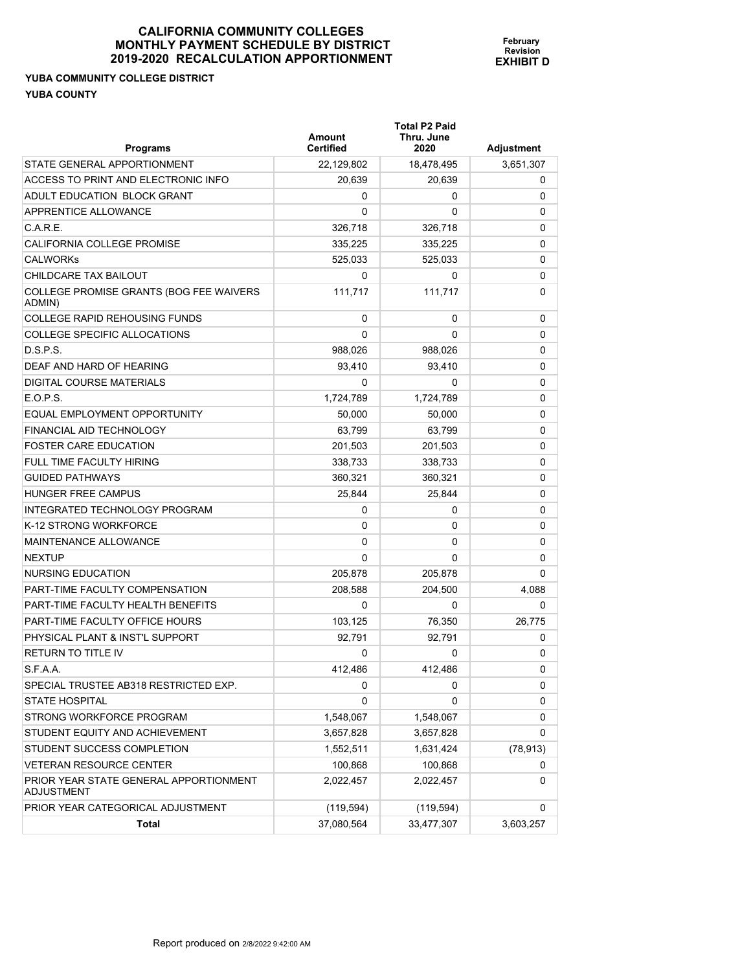#### **YUBA COMMUNITY COLLEGE DISTRICT YUBA COUNTY**

| <b>Programs</b>                                      | Amount<br>Certified | <b>Total P2 Paid</b><br>Thru. June<br>2020 | <b>Adjustment</b> |
|------------------------------------------------------|---------------------|--------------------------------------------|-------------------|
| STATE GENERAL APPORTIONMENT                          | 22,129,802          | 18,478,495                                 | 3,651,307         |
| ACCESS TO PRINT AND ELECTRONIC INFO                  | 20,639              | 20,639                                     | 0                 |
| ADULT EDUCATION BLOCK GRANT                          | 0                   | 0                                          | $\pmb{0}$         |
| APPRENTICE ALLOWANCE                                 | 0                   | 0                                          | 0                 |
| C.A.R.E.                                             | 326,718             | 326,718                                    | 0                 |
| <b>CALIFORNIA COLLEGE PROMISE</b>                    | 335,225             | 335,225                                    | 0                 |
| <b>CALWORKs</b>                                      | 525,033             | 525,033                                    | 0                 |
| CHILDCARE TAX BAILOUT                                | 0                   | 0                                          | 0                 |
| COLLEGE PROMISE GRANTS (BOG FEE WAIVERS<br>ADMIN)    | 111,717             | 111.717                                    | 0                 |
| COLLEGE RAPID REHOUSING FUNDS                        | $\Omega$            | 0                                          | 0                 |
| COLLEGE SPECIFIC ALLOCATIONS                         | 0                   | 0                                          | 0                 |
| D.S.P.S.                                             | 988,026             | 988,026                                    | 0                 |
| DEAF AND HARD OF HEARING                             | 93,410              | 93,410                                     | 0                 |
| DIGITAL COURSE MATERIALS                             | 0                   | 0                                          | 0                 |
| E.O.P.S.                                             | 1,724,789           | 1,724,789                                  | 0                 |
| EQUAL EMPLOYMENT OPPORTUNITY                         | 50,000              | 50,000                                     | 0                 |
| FINANCIAL AID TECHNOLOGY                             | 63,799              | 63,799                                     | 0                 |
| <b>FOSTER CARE EDUCATION</b>                         | 201,503             | 201.503                                    | $\pmb{0}$         |
| <b>FULL TIME FACULTY HIRING</b>                      | 338,733             | 338,733                                    | 0                 |
| <b>GUIDED PATHWAYS</b>                               | 360,321             | 360,321                                    | 0                 |
| <b>HUNGER FREE CAMPUS</b>                            | 25,844              | 25,844                                     | 0                 |
| <b>INTEGRATED TECHNOLOGY PROGRAM</b>                 | 0                   | 0                                          | 0                 |
| K-12 STRONG WORKFORCE                                | 0                   | 0                                          | 0                 |
| <b>MAINTENANCE ALLOWANCE</b>                         | 0                   | 0                                          | $\pmb{0}$         |
| <b>NEXTUP</b>                                        | 0                   | 0                                          | $\Omega$          |
| <b>NURSING EDUCATION</b>                             | 205,878             | 205,878                                    | 0                 |
| PART-TIME FACULTY COMPENSATION                       | 208,588             | 204,500                                    | 4,088             |
| PART-TIME FACULTY HEALTH BENEFITS                    | 0                   | 0                                          | 0                 |
| PART-TIME FACULTY OFFICE HOURS                       | 103,125             | 76,350                                     | 26,775            |
| PHYSICAL PLANT & INST'L SUPPORT                      | 92.791              | 92,791                                     | 0                 |
| <b>RETURN TO TITLE IV</b>                            | 0                   | 0                                          | $\mathbf 0$       |
| S.F.A.A.                                             | 412,486             | 412,486                                    | 0                 |
| SPECIAL TRUSTEE AB318 RESTRICTED EXP.                | 0                   | 0                                          | 0                 |
| <b>STATE HOSPITAL</b>                                | 0                   | 0                                          | 0                 |
| STRONG WORKFORCE PROGRAM                             | 1,548,067           | 1,548,067                                  | 0                 |
| STUDENT EQUITY AND ACHIEVEMENT                       | 3,657,828           | 3,657,828                                  | 0                 |
| STUDENT SUCCESS COMPLETION                           | 1,552,511           | 1,631,424                                  | (78, 913)         |
| <b>VETERAN RESOURCE CENTER</b>                       | 100,868             | 100,868                                    | 0                 |
| PRIOR YEAR STATE GENERAL APPORTIONMENT<br>ADJUSTMENT | 2,022,457           | 2,022,457                                  | 0                 |
| PRIOR YEAR CATEGORICAL ADJUSTMENT                    | (119, 594)          | (119, 594)                                 | 0                 |
| <b>Total</b>                                         | 37,080,564          | 33,477,307                                 | 3,603,257         |